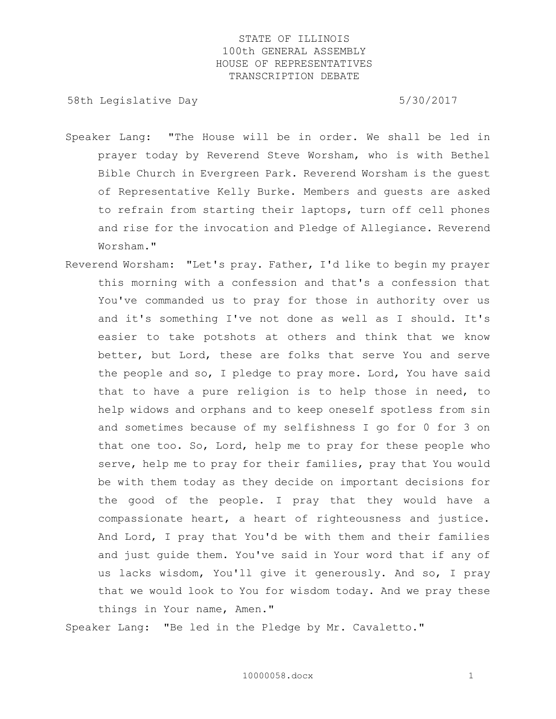58th Legislative Day 6.5730/2017

- Speaker Lang: "The House will be in order. We shall be led in prayer today by Reverend Steve Worsham, who is with Bethel Bible Church in Evergreen Park. Reverend Worsham is the guest of Representative Kelly Burke. Members and guests are asked to refrain from starting their laptops, turn off cell phones and rise for the invocation and Pledge of Allegiance. Reverend Worsham."
- Reverend Worsham: "Let's pray. Father, I'd like to begin my prayer this morning with a confession and that's a confession that You've commanded us to pray for those in authority over us and it's something I've not done as well as I should. It's easier to take potshots at others and think that we know better, but Lord, these are folks that serve You and serve the people and so, I pledge to pray more. Lord, You have said that to have a pure religion is to help those in need, to help widows and orphans and to keep oneself spotless from sin and sometimes because of my selfishness I go for 0 for 3 on that one too. So, Lord, help me to pray for these people who serve, help me to pray for their families, pray that You would be with them today as they decide on important decisions for the good of the people. I pray that they would have a compassionate heart, a heart of righteousness and justice. And Lord, I pray that You'd be with them and their families and just guide them. You've said in Your word that if any of us lacks wisdom, You'll give it generously. And so, I pray that we would look to You for wisdom today. And we pray these things in Your name, Amen."

Speaker Lang: "Be led in the Pledge by Mr. Cavaletto."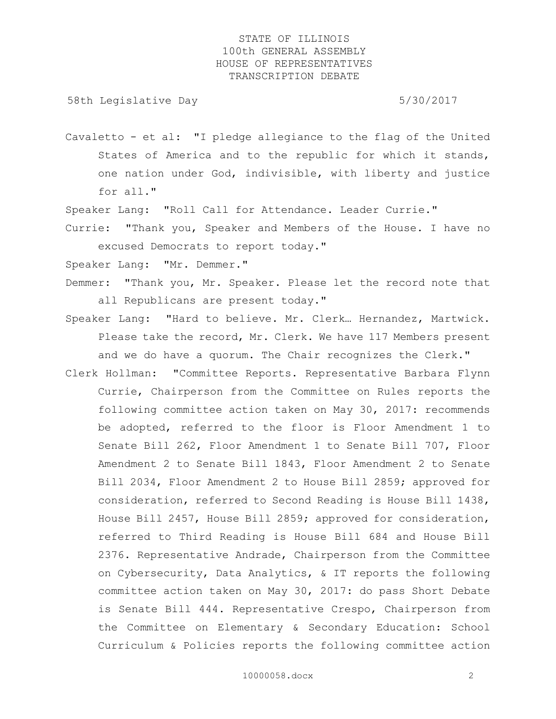58th Legislative Day 5/30/2017

Cavaletto - et al: "I pledge allegiance to the flag of the United States of America and to the republic for which it stands, one nation under God, indivisible, with liberty and justice for all."

Speaker Lang: "Roll Call for Attendance. Leader Currie."

Currie: "Thank you, Speaker and Members of the House. I have no excused Democrats to report today."

Speaker Lang: "Mr. Demmer."

- Demmer: "Thank you, Mr. Speaker. Please let the record note that all Republicans are present today."
- Speaker Lang: "Hard to believe. Mr. Clerk… Hernandez, Martwick. Please take the record, Mr. Clerk. We have 117 Members present and we do have a quorum. The Chair recognizes the Clerk."
- Clerk Hollman: "Committee Reports. Representative Barbara Flynn Currie, Chairperson from the Committee on Rules reports the following committee action taken on May 30, 2017: recommends be adopted, referred to the floor is Floor Amendment 1 to Senate Bill 262, Floor Amendment 1 to Senate Bill 707, Floor Amendment 2 to Senate Bill 1843, Floor Amendment 2 to Senate Bill 2034, Floor Amendment 2 to House Bill 2859; approved for consideration, referred to Second Reading is House Bill 1438, House Bill 2457, House Bill 2859; approved for consideration, referred to Third Reading is House Bill 684 and House Bill 2376. Representative Andrade, Chairperson from the Committee on Cybersecurity, Data Analytics, & IT reports the following committee action taken on May 30, 2017: do pass Short Debate is Senate Bill 444. Representative Crespo, Chairperson from the Committee on Elementary & Secondary Education: School Curriculum & Policies reports the following committee action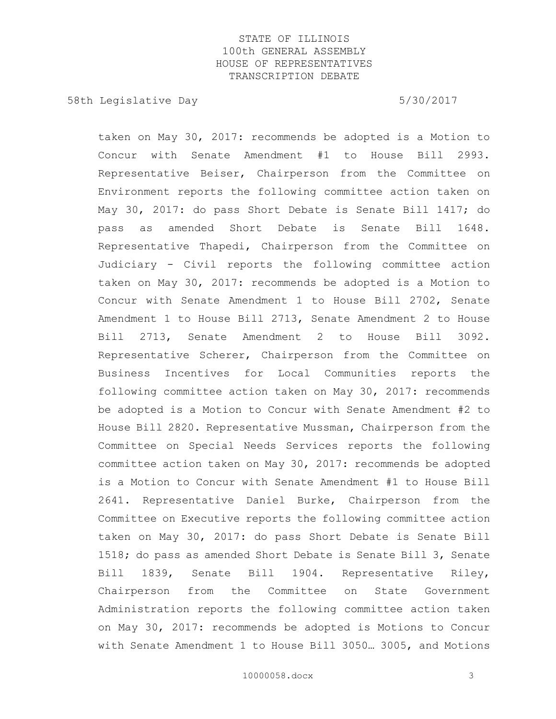58th Legislative Day 5/30/2017

taken on May 30, 2017: recommends be adopted is a Motion to Concur with Senate Amendment #1 to House Bill 2993. Representative Beiser, Chairperson from the Committee on Environment reports the following committee action taken on May 30, 2017: do pass Short Debate is Senate Bill 1417; do pass as amended Short Debate is Senate Bill 1648. Representative Thapedi, Chairperson from the Committee on Judiciary - Civil reports the following committee action taken on May 30, 2017: recommends be adopted is a Motion to Concur with Senate Amendment 1 to House Bill 2702, Senate Amendment 1 to House Bill 2713, Senate Amendment 2 to House Bill 2713, Senate Amendment 2 to House Bill 3092. Representative Scherer, Chairperson from the Committee on Business Incentives for Local Communities reports the following committee action taken on May 30, 2017: recommends be adopted is a Motion to Concur with Senate Amendment #2 to House Bill 2820. Representative Mussman, Chairperson from the Committee on Special Needs Services reports the following committee action taken on May 30, 2017: recommends be adopted is a Motion to Concur with Senate Amendment #1 to House Bill 2641. Representative Daniel Burke, Chairperson from the Committee on Executive reports the following committee action taken on May 30, 2017: do pass Short Debate is Senate Bill 1518; do pass as amended Short Debate is Senate Bill 3, Senate Bill 1839, Senate Bill 1904. Representative Riley, Chairperson from the Committee on State Government Administration reports the following committee action taken on May 30, 2017: recommends be adopted is Motions to Concur with Senate Amendment 1 to House Bill 3050… 3005, and Motions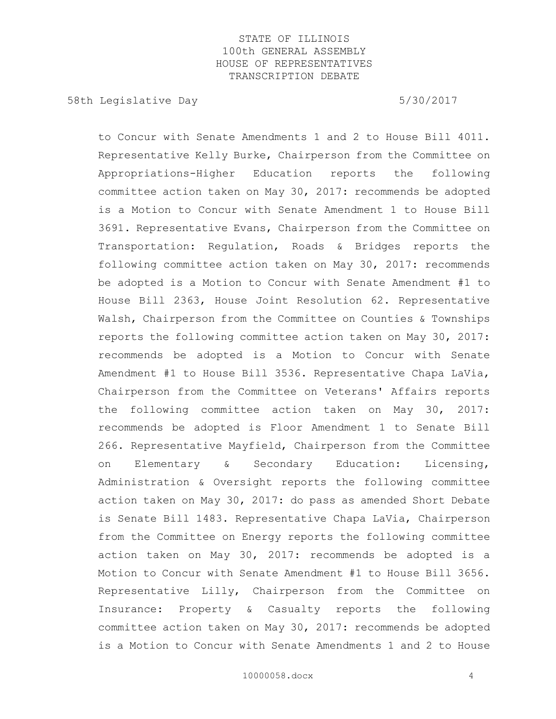58th Legislative Day 5/30/2017

to Concur with Senate Amendments 1 and 2 to House Bill 4011. Representative Kelly Burke, Chairperson from the Committee on Appropriations-Higher Education reports the following committee action taken on May 30, 2017: recommends be adopted is a Motion to Concur with Senate Amendment 1 to House Bill 3691. Representative Evans, Chairperson from the Committee on Transportation: Regulation, Roads & Bridges reports the following committee action taken on May 30, 2017: recommends be adopted is a Motion to Concur with Senate Amendment #1 to House Bill 2363, House Joint Resolution 62. Representative Walsh, Chairperson from the Committee on Counties & Townships reports the following committee action taken on May 30, 2017: recommends be adopted is a Motion to Concur with Senate Amendment #1 to House Bill 3536. Representative Chapa LaVia, Chairperson from the Committee on Veterans' Affairs reports the following committee action taken on May 30, 2017: recommends be adopted is Floor Amendment 1 to Senate Bill 266. Representative Mayfield, Chairperson from the Committee on Elementary & Secondary Education: Licensing, Administration & Oversight reports the following committee action taken on May 30, 2017: do pass as amended Short Debate is Senate Bill 1483. Representative Chapa LaVia, Chairperson from the Committee on Energy reports the following committee action taken on May 30, 2017: recommends be adopted is a Motion to Concur with Senate Amendment #1 to House Bill 3656. Representative Lilly, Chairperson from the Committee on Insurance: Property & Casualty reports the following committee action taken on May 30, 2017: recommends be adopted is a Motion to Concur with Senate Amendments 1 and 2 to House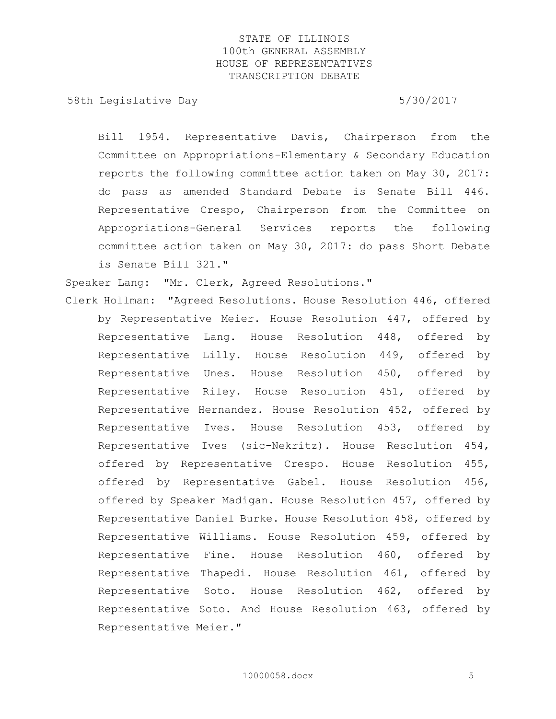58th Legislative Day 5/30/2017

Bill 1954. Representative Davis, Chairperson from the Committee on Appropriations-Elementary & Secondary Education reports the following committee action taken on May 30, 2017: do pass as amended Standard Debate is Senate Bill 446. Representative Crespo, Chairperson from the Committee on Appropriations-General Services reports the following committee action taken on May 30, 2017: do pass Short Debate is Senate Bill 321."

Speaker Lang: "Mr. Clerk, Agreed Resolutions."

Clerk Hollman: "Agreed Resolutions. House Resolution 446, offered by Representative Meier. House Resolution 447, offered by Representative Lang. House Resolution 448, offered by Representative Lilly. House Resolution 449, offered by Representative Unes. House Resolution 450, offered by Representative Riley. House Resolution 451, offered by Representative Hernandez. House Resolution 452, offered by Representative Ives. House Resolution 453, offered by Representative Ives (sic-Nekritz). House Resolution 454, offered by Representative Crespo. House Resolution 455, offered by Representative Gabel. House Resolution 456, offered by Speaker Madigan. House Resolution 457, offered by Representative Daniel Burke. House Resolution 458, offered by Representative Williams. House Resolution 459, offered by Representative Fine. House Resolution 460, offered by Representative Thapedi. House Resolution 461, offered by Representative Soto. House Resolution 462, offered by Representative Soto. And House Resolution 463, offered by Representative Meier."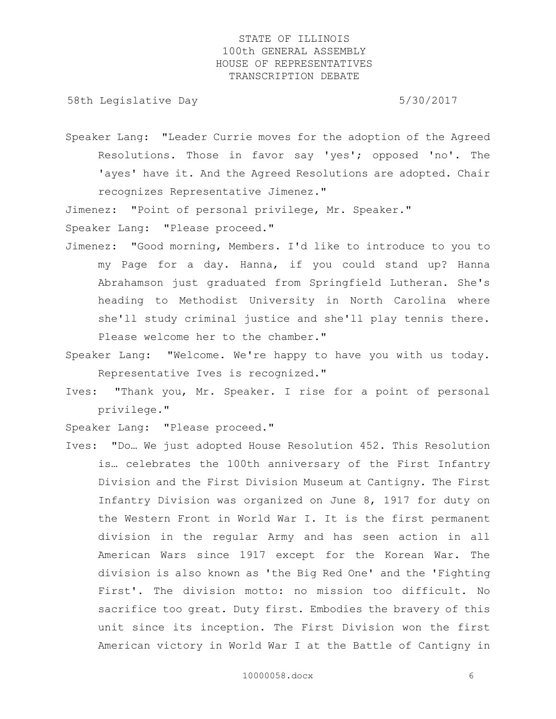58th Legislative Day 5/30/2017

Speaker Lang: "Leader Currie moves for the adoption of the Agreed Resolutions. Those in favor say 'yes'; opposed 'no'. The 'ayes' have it. And the Agreed Resolutions are adopted. Chair recognizes Representative Jimenez."

Jimenez: "Point of personal privilege, Mr. Speaker."

Speaker Lang: "Please proceed."

- Jimenez: "Good morning, Members. I'd like to introduce to you to my Page for a day. Hanna, if you could stand up? Hanna Abrahamson just graduated from Springfield Lutheran. She's heading to Methodist University in North Carolina where she'll study criminal justice and she'll play tennis there. Please welcome her to the chamber."
- Speaker Lang: "Welcome. We're happy to have you with us today. Representative Ives is recognized."
- Ives: "Thank you, Mr. Speaker. I rise for a point of personal privilege."

Speaker Lang: "Please proceed."

Ives: "Do… We just adopted House Resolution 452. This Resolution is… celebrates the 100th anniversary of the First Infantry Division and the First Division Museum at Cantigny. The First Infantry Division was organized on June 8, 1917 for duty on the Western Front in World War I. It is the first permanent division in the regular Army and has seen action in all American Wars since 1917 except for the Korean War. The division is also known as 'the Big Red One' and the 'Fighting First'. The division motto: no mission too difficult. No sacrifice too great. Duty first. Embodies the bravery of this unit since its inception. The First Division won the first American victory in World War I at the Battle of Cantigny in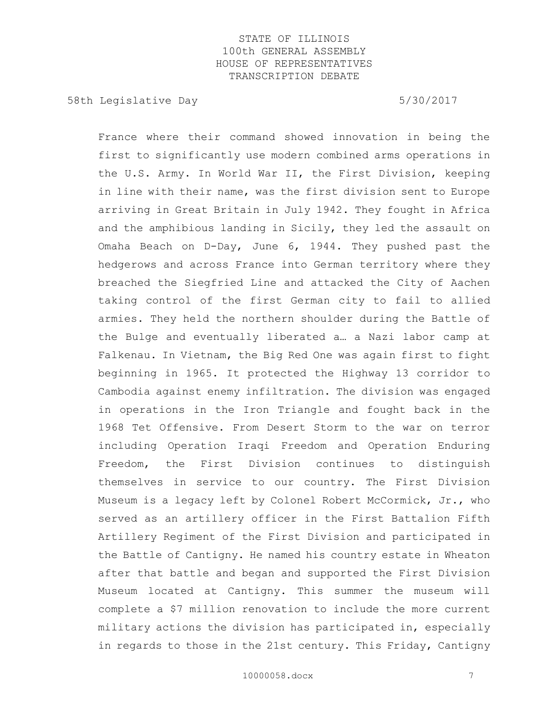58th Legislative Day 5/30/2017

France where their command showed innovation in being the first to significantly use modern combined arms operations in the U.S. Army. In World War II, the First Division, keeping in line with their name, was the first division sent to Europe arriving in Great Britain in July 1942. They fought in Africa and the amphibious landing in Sicily, they led the assault on Omaha Beach on D-Day, June 6, 1944. They pushed past the hedgerows and across France into German territory where they breached the Siegfried Line and attacked the City of Aachen taking control of the first German city to fail to allied armies. They held the northern shoulder during the Battle of the Bulge and eventually liberated a… a Nazi labor camp at Falkenau. In Vietnam, the Big Red One was again first to fight beginning in 1965. It protected the Highway 13 corridor to Cambodia against enemy infiltration. The division was engaged in operations in the Iron Triangle and fought back in the 1968 Tet Offensive. From Desert Storm to the war on terror including Operation Iraqi Freedom and Operation Enduring Freedom, the First Division continues to distinguish themselves in service to our country. The First Division Museum is a legacy left by Colonel Robert McCormick, Jr., who served as an artillery officer in the First Battalion Fifth Artillery Regiment of the First Division and participated in the Battle of Cantigny. He named his country estate in Wheaton after that battle and began and supported the First Division Museum located at Cantigny. This summer the museum will complete a \$7 million renovation to include the more current military actions the division has participated in, especially in regards to those in the 21st century. This Friday, Cantigny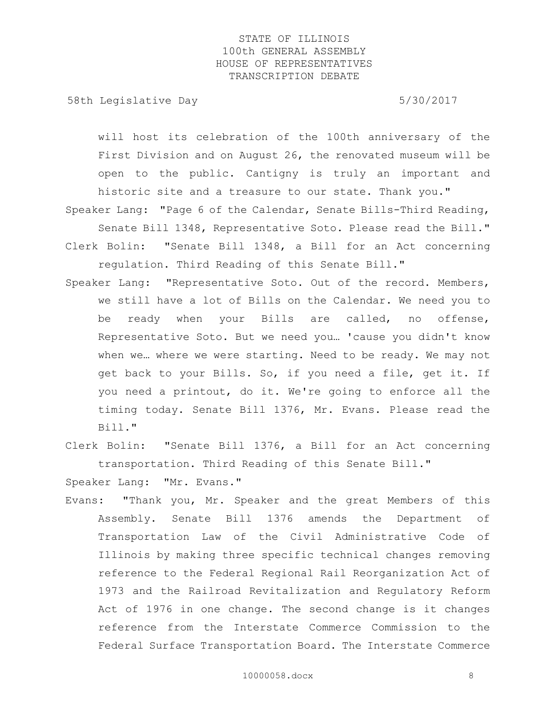58th Legislative Day 5/30/2017

will host its celebration of the 100th anniversary of the First Division and on August 26, the renovated museum will be open to the public. Cantigny is truly an important and historic site and a treasure to our state. Thank you."

Speaker Lang: "Page 6 of the Calendar, Senate Bills-Third Reading, Senate Bill 1348, Representative Soto. Please read the Bill." Clerk Bolin: "Senate Bill 1348, a Bill for an Act concerning regulation. Third Reading of this Senate Bill."

Speaker Lang: "Representative Soto. Out of the record. Members, we still have a lot of Bills on the Calendar. We need you to be ready when your Bills are called, no offense, Representative Soto. But we need you… 'cause you didn't know when we… where we were starting. Need to be ready. We may not get back to your Bills. So, if you need a file, get it. If you need a printout, do it. We're going to enforce all the timing today. Senate Bill 1376, Mr. Evans. Please read the Bill."

Clerk Bolin: "Senate Bill 1376, a Bill for an Act concerning transportation. Third Reading of this Senate Bill."

Speaker Lang: "Mr. Evans."

Evans: "Thank you, Mr. Speaker and the great Members of this Assembly. Senate Bill 1376 amends the Department of Transportation Law of the Civil Administrative Code of Illinois by making three specific technical changes removing reference to the Federal Regional Rail Reorganization Act of 1973 and the Railroad Revitalization and Regulatory Reform Act of 1976 in one change. The second change is it changes reference from the Interstate Commerce Commission to the Federal Surface Transportation Board. The Interstate Commerce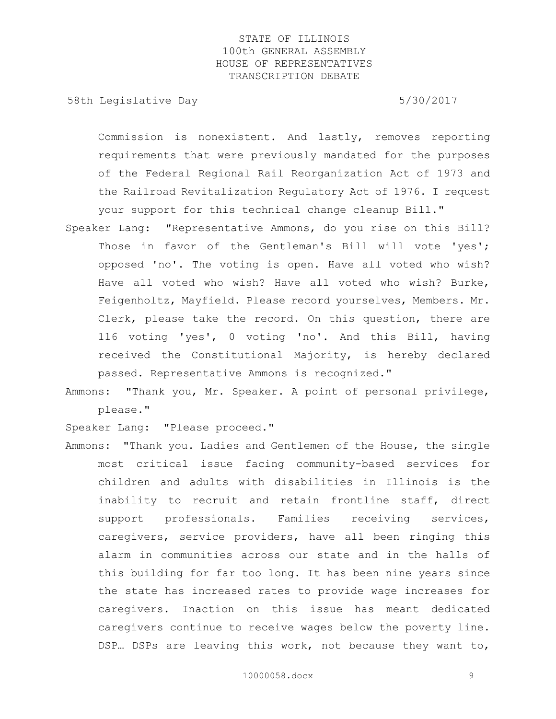58th Legislative Day 5/30/2017

Commission is nonexistent. And lastly, removes reporting requirements that were previously mandated for the purposes of the Federal Regional Rail Reorganization Act of 1973 and the Railroad Revitalization Regulatory Act of 1976. I request your support for this technical change cleanup Bill."

- Speaker Lang: "Representative Ammons, do you rise on this Bill? Those in favor of the Gentleman's Bill will vote 'yes'; opposed 'no'. The voting is open. Have all voted who wish? Have all voted who wish? Have all voted who wish? Burke, Feigenholtz, Mayfield. Please record yourselves, Members. Mr. Clerk, please take the record. On this question, there are 116 voting 'yes', 0 voting 'no'. And this Bill, having received the Constitutional Majority, is hereby declared passed. Representative Ammons is recognized."
- Ammons: "Thank you, Mr. Speaker. A point of personal privilege, please."

Speaker Lang: "Please proceed."

Ammons: "Thank you. Ladies and Gentlemen of the House, the single most critical issue facing community-based services for children and adults with disabilities in Illinois is the inability to recruit and retain frontline staff, direct support professionals. Families receiving services, caregivers, service providers, have all been ringing this alarm in communities across our state and in the halls of this building for far too long. It has been nine years since the state has increased rates to provide wage increases for caregivers. Inaction on this issue has meant dedicated caregivers continue to receive wages below the poverty line. DSP... DSPs are leaving this work, not because they want to,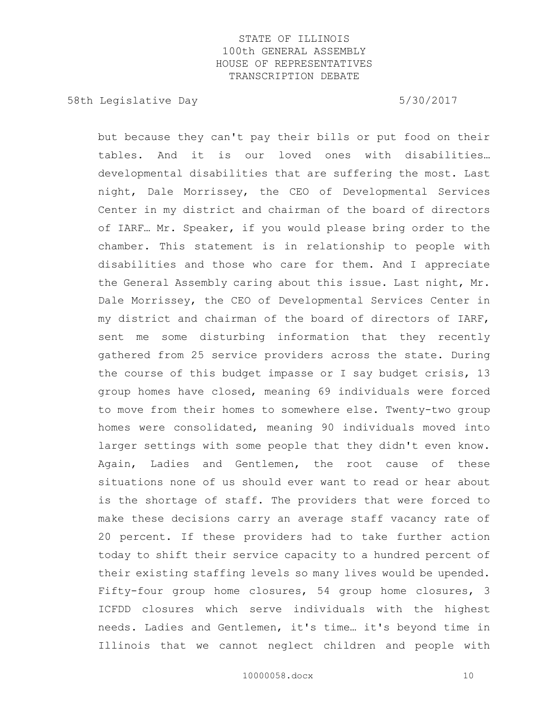58th Legislative Day 5/30/2017

but because they can't pay their bills or put food on their tables. And it is our loved ones with disabilities… developmental disabilities that are suffering the most. Last night, Dale Morrissey, the CEO of Developmental Services Center in my district and chairman of the board of directors of IARF… Mr. Speaker, if you would please bring order to the chamber. This statement is in relationship to people with disabilities and those who care for them. And I appreciate the General Assembly caring about this issue. Last night, Mr. Dale Morrissey, the CEO of Developmental Services Center in my district and chairman of the board of directors of IARF, sent me some disturbing information that they recently gathered from 25 service providers across the state. During the course of this budget impasse or I say budget crisis, 13 group homes have closed, meaning 69 individuals were forced to move from their homes to somewhere else. Twenty-two group homes were consolidated, meaning 90 individuals moved into larger settings with some people that they didn't even know. Again, Ladies and Gentlemen, the root cause of these situations none of us should ever want to read or hear about is the shortage of staff. The providers that were forced to make these decisions carry an average staff vacancy rate of 20 percent. If these providers had to take further action today to shift their service capacity to a hundred percent of their existing staffing levels so many lives would be upended. Fifty-four group home closures, 54 group home closures, 3 ICFDD closures which serve individuals with the highest needs. Ladies and Gentlemen, it's time… it's beyond time in Illinois that we cannot neglect children and people with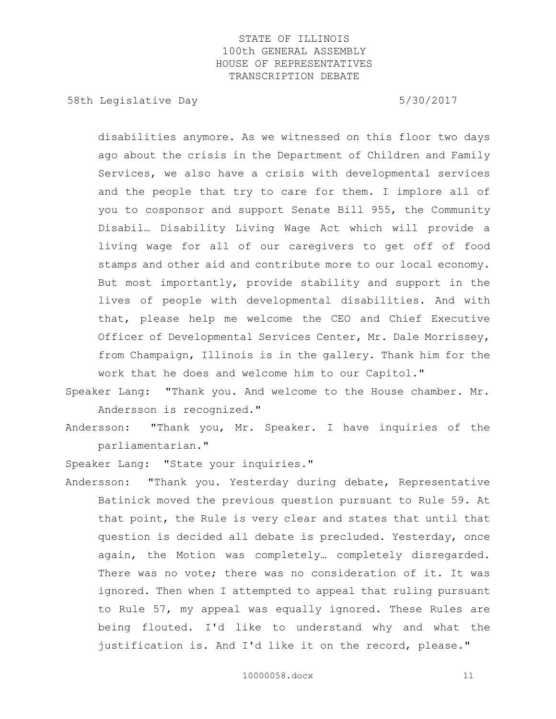58th Legislative Day 5/30/2017

disabilities anymore. As we witnessed on this floor two days ago about the crisis in the Department of Children and Family Services, we also have a crisis with developmental services and the people that try to care for them. I implore all of you to cosponsor and support Senate Bill 955, the Community Disabil… Disability Living Wage Act which will provide a living wage for all of our caregivers to get off of food stamps and other aid and contribute more to our local economy. But most importantly, provide stability and support in the lives of people with developmental disabilities. And with that, please help me welcome the CEO and Chief Executive Officer of Developmental Services Center, Mr. Dale Morrissey, from Champaign, Illinois is in the gallery. Thank him for the work that he does and welcome him to our Capitol."

Speaker Lang: "Thank you. And welcome to the House chamber. Mr. Andersson is recognized."

Andersson: "Thank you, Mr. Speaker. I have inquiries of the parliamentarian."

Speaker Lang: "State your inquiries."

Andersson: "Thank you. Yesterday during debate, Representative Batinick moved the previous question pursuant to Rule 59. At that point, the Rule is very clear and states that until that question is decided all debate is precluded. Yesterday, once again, the Motion was completely… completely disregarded. There was no vote; there was no consideration of it. It was ignored. Then when I attempted to appeal that ruling pursuant to Rule 57, my appeal was equally ignored. These Rules are being flouted. I'd like to understand why and what the justification is. And I'd like it on the record, please."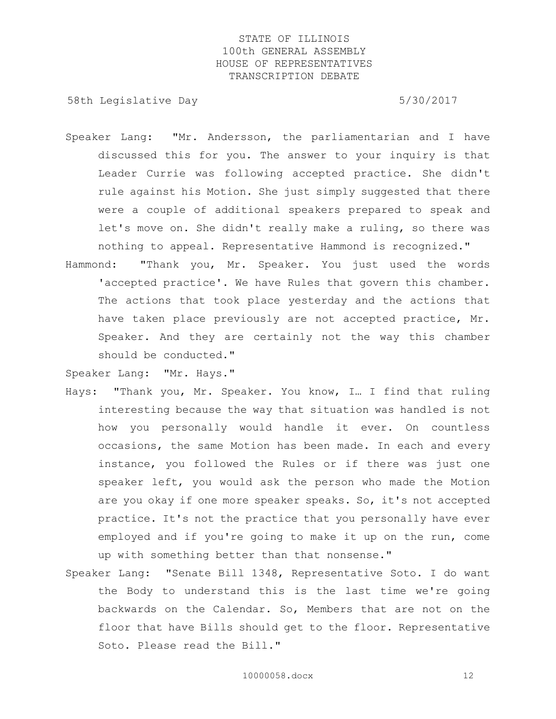58th Legislative Day 5/30/2017

- Speaker Lang: "Mr. Andersson, the parliamentarian and I have discussed this for you. The answer to your inquiry is that Leader Currie was following accepted practice. She didn't rule against his Motion. She just simply suggested that there were a couple of additional speakers prepared to speak and let's move on. She didn't really make a ruling, so there was nothing to appeal. Representative Hammond is recognized."
- Hammond: "Thank you, Mr. Speaker. You just used the words 'accepted practice'. We have Rules that govern this chamber. The actions that took place yesterday and the actions that have taken place previously are not accepted practice, Mr. Speaker. And they are certainly not the way this chamber should be conducted."

Speaker Lang: "Mr. Hays."

- Hays: "Thank you, Mr. Speaker. You know, I… I find that ruling interesting because the way that situation was handled is not how you personally would handle it ever. On countless occasions, the same Motion has been made. In each and every instance, you followed the Rules or if there was just one speaker left, you would ask the person who made the Motion are you okay if one more speaker speaks. So, it's not accepted practice. It's not the practice that you personally have ever employed and if you're going to make it up on the run, come up with something better than that nonsense."
- Speaker Lang: "Senate Bill 1348, Representative Soto. I do want the Body to understand this is the last time we're going backwards on the Calendar. So, Members that are not on the floor that have Bills should get to the floor. Representative Soto. Please read the Bill."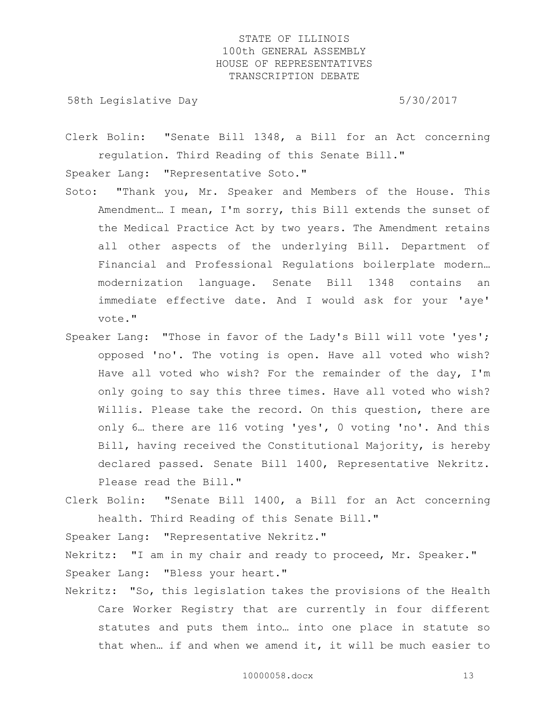58th Legislative Day 5/30/2017

Clerk Bolin: "Senate Bill 1348, a Bill for an Act concerning regulation. Third Reading of this Senate Bill."

Speaker Lang: "Representative Soto."

- Soto: "Thank you, Mr. Speaker and Members of the House. This Amendment… I mean, I'm sorry, this Bill extends the sunset of the Medical Practice Act by two years. The Amendment retains all other aspects of the underlying Bill. Department of Financial and Professional Regulations boilerplate modern… modernization language. Senate Bill 1348 contains an immediate effective date. And I would ask for your 'aye' vote."
- Speaker Lang: "Those in favor of the Lady's Bill will vote 'yes'; opposed 'no'. The voting is open. Have all voted who wish? Have all voted who wish? For the remainder of the day, I'm only going to say this three times. Have all voted who wish? Willis. Please take the record. On this question, there are only 6… there are 116 voting 'yes', 0 voting 'no'. And this Bill, having received the Constitutional Majority, is hereby declared passed. Senate Bill 1400, Representative Nekritz. Please read the Bill."
- Clerk Bolin: "Senate Bill 1400, a Bill for an Act concerning health. Third Reading of this Senate Bill."

Speaker Lang: "Representative Nekritz."

Nekritz: "I am in my chair and ready to proceed, Mr. Speaker." Speaker Lang: "Bless your heart."

Nekritz: "So, this legislation takes the provisions of the Health Care Worker Registry that are currently in four different statutes and puts them into… into one place in statute so that when… if and when we amend it, it will be much easier to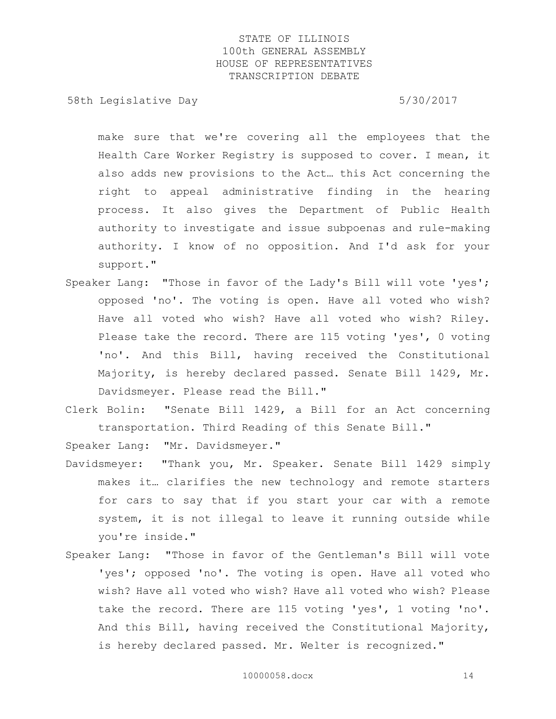58th Legislative Day 5/30/2017

make sure that we're covering all the employees that the Health Care Worker Registry is supposed to cover. I mean, it also adds new provisions to the Act… this Act concerning the right to appeal administrative finding in the hearing process. It also gives the Department of Public Health authority to investigate and issue subpoenas and rule-making authority. I know of no opposition. And I'd ask for your support."

- Speaker Lang: "Those in favor of the Lady's Bill will vote 'yes'; opposed 'no'. The voting is open. Have all voted who wish? Have all voted who wish? Have all voted who wish? Riley. Please take the record. There are 115 voting 'yes', 0 voting 'no'. And this Bill, having received the Constitutional Majority, is hereby declared passed. Senate Bill 1429, Mr. Davidsmeyer. Please read the Bill."
- Clerk Bolin: "Senate Bill 1429, a Bill for an Act concerning transportation. Third Reading of this Senate Bill."

Speaker Lang: "Mr. Davidsmeyer."

- Davidsmeyer: "Thank you, Mr. Speaker. Senate Bill 1429 simply makes it… clarifies the new technology and remote starters for cars to say that if you start your car with a remote system, it is not illegal to leave it running outside while you're inside."
- Speaker Lang: "Those in favor of the Gentleman's Bill will vote 'yes'; opposed 'no'. The voting is open. Have all voted who wish? Have all voted who wish? Have all voted who wish? Please take the record. There are 115 voting 'yes', 1 voting 'no'. And this Bill, having received the Constitutional Majority, is hereby declared passed. Mr. Welter is recognized."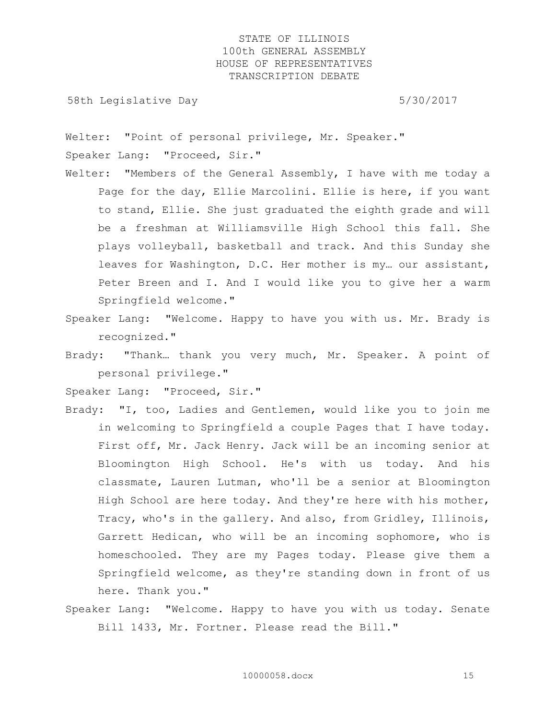58th Legislative Day 5/30/2017

Welter: "Point of personal privilege, Mr. Speaker." Speaker Lang: "Proceed, Sir."

- Welter: "Members of the General Assembly, I have with me today a Page for the day, Ellie Marcolini. Ellie is here, if you want to stand, Ellie. She just graduated the eighth grade and will be a freshman at Williamsville High School this fall. She plays volleyball, basketball and track. And this Sunday she leaves for Washington, D.C. Her mother is my… our assistant, Peter Breen and I. And I would like you to give her a warm Springfield welcome."
- Speaker Lang: "Welcome. Happy to have you with us. Mr. Brady is recognized."
- Brady: "Thank… thank you very much, Mr. Speaker. A point of personal privilege."

Speaker Lang: "Proceed, Sir."

- Brady: "I, too, Ladies and Gentlemen, would like you to join me in welcoming to Springfield a couple Pages that I have today. First off, Mr. Jack Henry. Jack will be an incoming senior at Bloomington High School. He's with us today. And his classmate, Lauren Lutman, who'll be a senior at Bloomington High School are here today. And they're here with his mother, Tracy, who's in the gallery. And also, from Gridley, Illinois, Garrett Hedican, who will be an incoming sophomore, who is homeschooled. They are my Pages today. Please give them a Springfield welcome, as they're standing down in front of us here. Thank you."
- Speaker Lang: "Welcome. Happy to have you with us today. Senate Bill 1433, Mr. Fortner. Please read the Bill."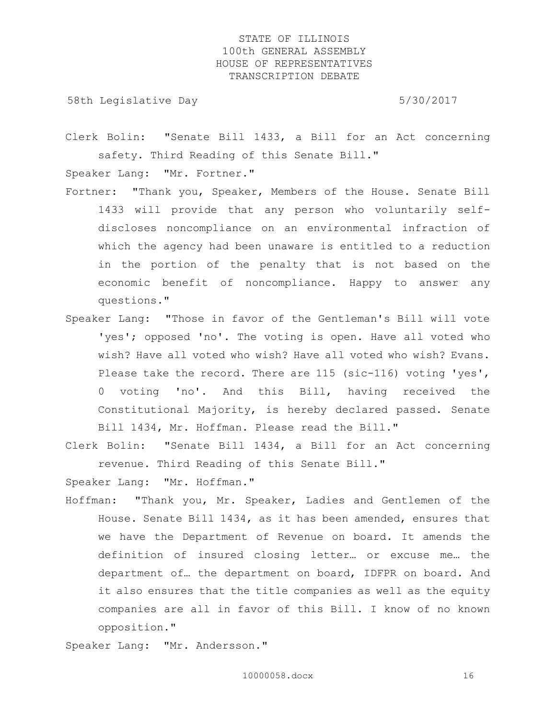58th Legislative Day 5/30/2017

Clerk Bolin: "Senate Bill 1433, a Bill for an Act concerning safety. Third Reading of this Senate Bill."

Speaker Lang: "Mr. Fortner."

- Fortner: "Thank you, Speaker, Members of the House. Senate Bill 1433 will provide that any person who voluntarily selfdiscloses noncompliance on an environmental infraction of which the agency had been unaware is entitled to a reduction in the portion of the penalty that is not based on the economic benefit of noncompliance. Happy to answer any questions."
- Speaker Lang: "Those in favor of the Gentleman's Bill will vote 'yes'; opposed 'no'. The voting is open. Have all voted who wish? Have all voted who wish? Have all voted who wish? Evans. Please take the record. There are 115 (sic-116) voting 'yes', 0 voting 'no'. And this Bill, having received the Constitutional Majority, is hereby declared passed. Senate Bill 1434, Mr. Hoffman. Please read the Bill."
- Clerk Bolin: "Senate Bill 1434, a Bill for an Act concerning revenue. Third Reading of this Senate Bill."

Speaker Lang: "Mr. Hoffman."

Hoffman: "Thank you, Mr. Speaker, Ladies and Gentlemen of the House. Senate Bill 1434, as it has been amended, ensures that we have the Department of Revenue on board. It amends the definition of insured closing letter… or excuse me… the department of… the department on board, IDFPR on board. And it also ensures that the title companies as well as the equity companies are all in favor of this Bill. I know of no known opposition."

Speaker Lang: "Mr. Andersson."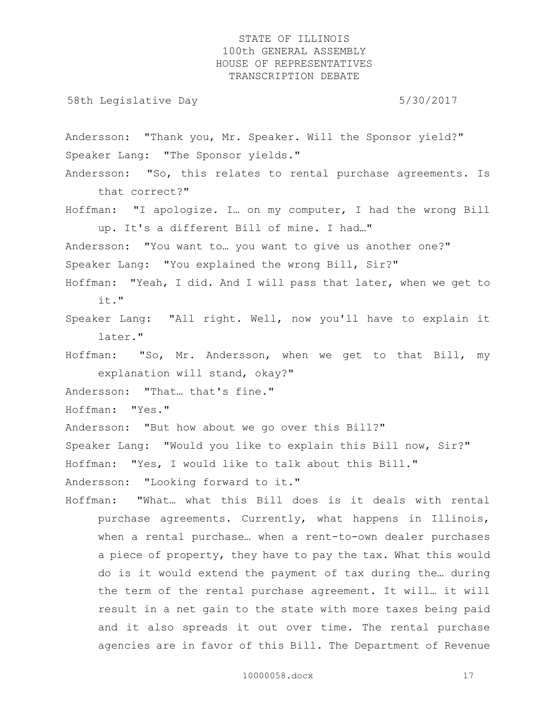58th Legislative Day 5/30/2017

Andersson: "Thank you, Mr. Speaker. Will the Sponsor yield?" Speaker Lang: "The Sponsor yields."

- Andersson: "So, this relates to rental purchase agreements. Is that correct?"
- Hoffman: "I apologize. I… on my computer, I had the wrong Bill up. It's a different Bill of mine. I had…"

Andersson: "You want to… you want to give us another one?"

Speaker Lang: "You explained the wrong Bill, Sir?"

- Hoffman: "Yeah, I did. And I will pass that later, when we get to it."
- Speaker Lang: "All right. Well, now you'll have to explain it later."

Hoffman: "So, Mr. Andersson, when we get to that Bill, my explanation will stand, okay?"

Andersson: "That… that's fine."

Hoffman: "Yes."

Andersson: "But how about we go over this Bill?"

Speaker Lang: "Would you like to explain this Bill now, Sir?"

Hoffman: "Yes, I would like to talk about this Bill."

Andersson: "Looking forward to it."

Hoffman: "What… what this Bill does is it deals with rental purchase agreements. Currently, what happens in Illinois, when a rental purchase… when a rent-to-own dealer purchases a piece of property, they have to pay the tax. What this would do is it would extend the payment of tax during the… during the term of the rental purchase agreement. It will… it will result in a net gain to the state with more taxes being paid and it also spreads it out over time. The rental purchase agencies are in favor of this Bill. The Department of Revenue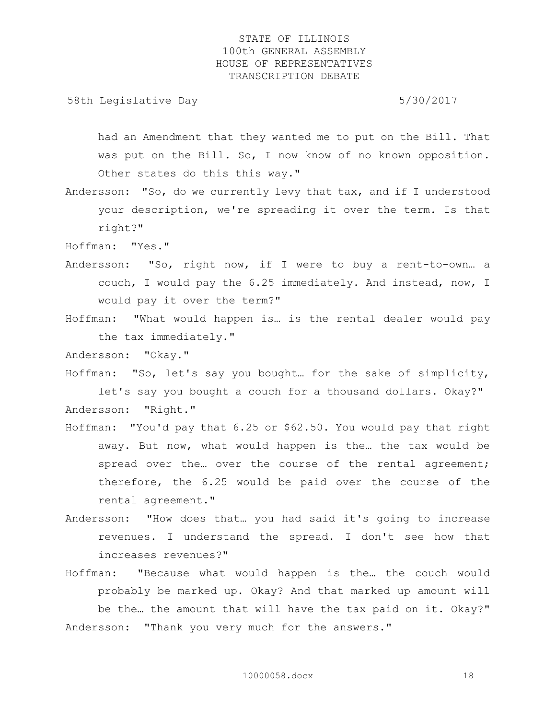58th Legislative Day 5/30/2017

had an Amendment that they wanted me to put on the Bill. That was put on the Bill. So, I now know of no known opposition. Other states do this this way."

- Andersson: "So, do we currently levy that tax, and if I understood your description, we're spreading it over the term. Is that right?"
- Hoffman: "Yes."
- Andersson: "So, right now, if I were to buy a rent-to-own… a couch, I would pay the 6.25 immediately. And instead, now, I would pay it over the term?"
- Hoffman: "What would happen is… is the rental dealer would pay the tax immediately."

Andersson: "Okay."

Hoffman: "So, let's say you bought… for the sake of simplicity, let's say you bought a couch for a thousand dollars. Okay?" Andersson: "Right."

- Hoffman: "You'd pay that 6.25 or \$62.50. You would pay that right away. But now, what would happen is the… the tax would be spread over the... over the course of the rental agreement; therefore, the 6.25 would be paid over the course of the rental agreement."
- Andersson: "How does that… you had said it's going to increase revenues. I understand the spread. I don't see how that increases revenues?"
- Hoffman: "Because what would happen is the… the couch would probably be marked up. Okay? And that marked up amount will be the… the amount that will have the tax paid on it. Okay?" Andersson: "Thank you very much for the answers."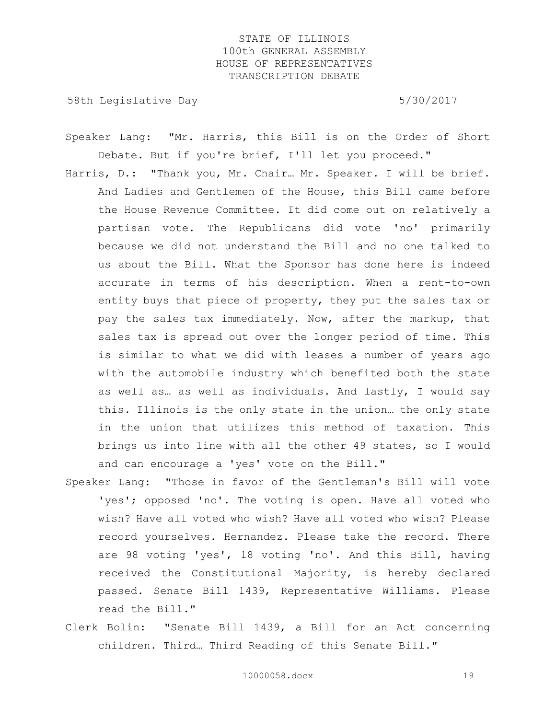58th Legislative Day 6.5730/2017

Speaker Lang: "Mr. Harris, this Bill is on the Order of Short Debate. But if you're brief, I'll let you proceed."

- Harris, D.: "Thank you, Mr. Chair… Mr. Speaker. I will be brief. And Ladies and Gentlemen of the House, this Bill came before the House Revenue Committee. It did come out on relatively a partisan vote. The Republicans did vote 'no' primarily because we did not understand the Bill and no one talked to us about the Bill. What the Sponsor has done here is indeed accurate in terms of his description. When a rent-to-own entity buys that piece of property, they put the sales tax or pay the sales tax immediately. Now, after the markup, that sales tax is spread out over the longer period of time. This is similar to what we did with leases a number of years ago with the automobile industry which benefited both the state as well as… as well as individuals. And lastly, I would say this. Illinois is the only state in the union… the only state in the union that utilizes this method of taxation. This brings us into line with all the other 49 states, so I would and can encourage a 'yes' vote on the Bill."
- Speaker Lang: "Those in favor of the Gentleman's Bill will vote 'yes'; opposed 'no'. The voting is open. Have all voted who wish? Have all voted who wish? Have all voted who wish? Please record yourselves. Hernandez. Please take the record. There are 98 voting 'yes', 18 voting 'no'. And this Bill, having received the Constitutional Majority, is hereby declared passed. Senate Bill 1439, Representative Williams. Please read the Bill."
- Clerk Bolin: "Senate Bill 1439, a Bill for an Act concerning children. Third… Third Reading of this Senate Bill."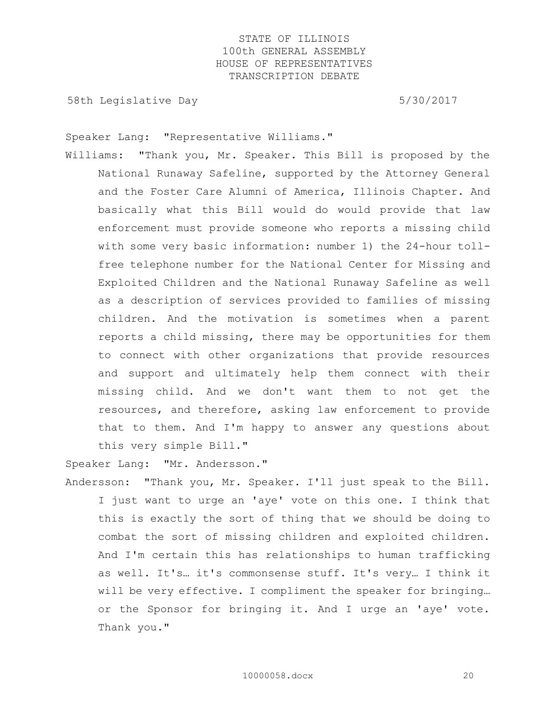58th Legislative Day 6.5730/2017

Speaker Lang: "Representative Williams."

Williams: "Thank you, Mr. Speaker. This Bill is proposed by the National Runaway Safeline, supported by the Attorney General and the Foster Care Alumni of America, Illinois Chapter. And basically what this Bill would do would provide that law enforcement must provide someone who reports a missing child with some very basic information: number 1) the 24-hour tollfree telephone number for the National Center for Missing and Exploited Children and the National Runaway Safeline as well as a description of services provided to families of missing children. And the motivation is sometimes when a parent reports a child missing, there may be opportunities for them to connect with other organizations that provide resources and support and ultimately help them connect with their missing child. And we don't want them to not get the resources, and therefore, asking law enforcement to provide that to them. And I'm happy to answer any questions about this very simple Bill."

Speaker Lang: "Mr. Andersson."

Andersson: "Thank you, Mr. Speaker. I'll just speak to the Bill. I just want to urge an 'aye' vote on this one. I think that this is exactly the sort of thing that we should be doing to combat the sort of missing children and exploited children. And I'm certain this has relationships to human trafficking as well. It's… it's commonsense stuff. It's very… I think it will be very effective. I compliment the speaker for bringing… or the Sponsor for bringing it. And I urge an 'aye' vote. Thank you."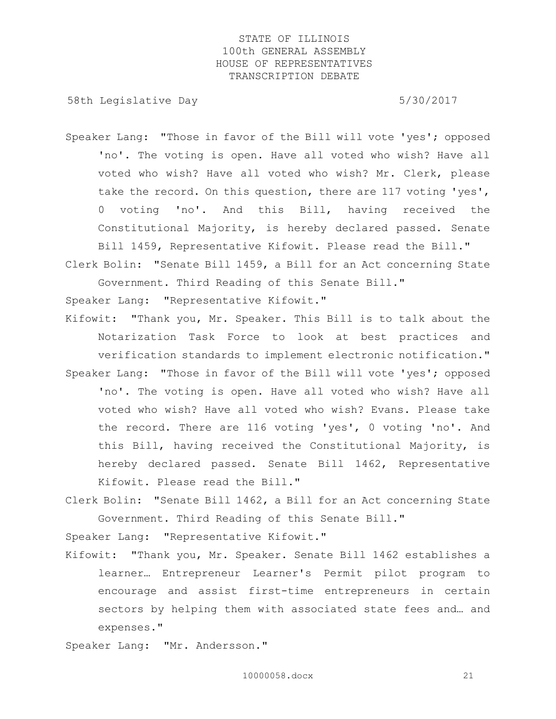58th Legislative Day 5/30/2017

- Speaker Lang: "Those in favor of the Bill will vote 'yes'; opposed 'no'. The voting is open. Have all voted who wish? Have all voted who wish? Have all voted who wish? Mr. Clerk, please take the record. On this question, there are 117 voting 'yes', 0 voting 'no'. And this Bill, having received the Constitutional Majority, is hereby declared passed. Senate Bill 1459, Representative Kifowit. Please read the Bill."
- Clerk Bolin: "Senate Bill 1459, a Bill for an Act concerning State Government. Third Reading of this Senate Bill."

Speaker Lang: "Representative Kifowit."

- Kifowit: "Thank you, Mr. Speaker. This Bill is to talk about the Notarization Task Force to look at best practices and verification standards to implement electronic notification." Speaker Lang: "Those in favor of the Bill will vote 'yes'; opposed 'no'. The voting is open. Have all voted who wish? Have all
	- voted who wish? Have all voted who wish? Evans. Please take the record. There are 116 voting 'yes', 0 voting 'no'. And this Bill, having received the Constitutional Majority, is hereby declared passed. Senate Bill 1462, Representative Kifowit. Please read the Bill."
- Clerk Bolin: "Senate Bill 1462, a Bill for an Act concerning State Government. Third Reading of this Senate Bill."

Speaker Lang: "Representative Kifowit."

Kifowit: "Thank you, Mr. Speaker. Senate Bill 1462 establishes a learner… Entrepreneur Learner's Permit pilot program to encourage and assist first-time entrepreneurs in certain sectors by helping them with associated state fees and… and expenses."

Speaker Lang: "Mr. Andersson."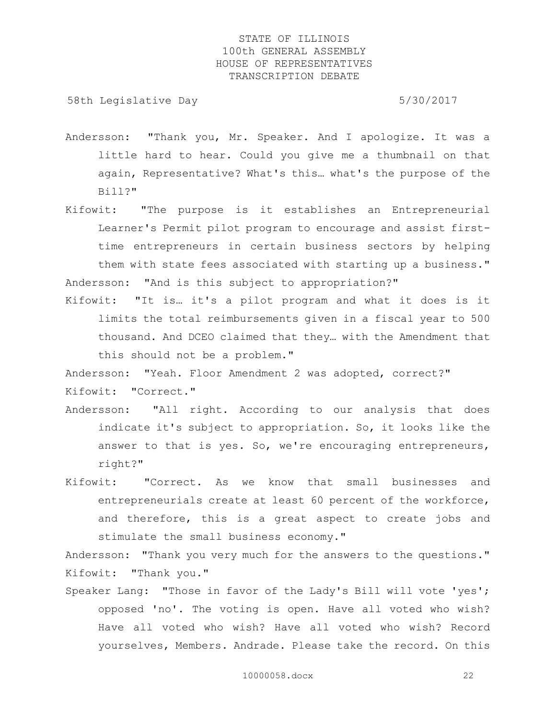58th Legislative Day 5/30/2017

- Andersson: "Thank you, Mr. Speaker. And I apologize. It was a little hard to hear. Could you give me a thumbnail on that again, Representative? What's this… what's the purpose of the Bill?"
- Kifowit: "The purpose is it establishes an Entrepreneurial Learner's Permit pilot program to encourage and assist firsttime entrepreneurs in certain business sectors by helping them with state fees associated with starting up a business." Andersson: "And is this subject to appropriation?"
- Kifowit: "It is… it's a pilot program and what it does is it limits the total reimbursements given in a fiscal year to 500 thousand. And DCEO claimed that they… with the Amendment that this should not be a problem."

Andersson: "Yeah. Floor Amendment 2 was adopted, correct?"

Kifowit: "Correct."

- Andersson: "All right. According to our analysis that does indicate it's subject to appropriation. So, it looks like the answer to that is yes. So, we're encouraging entrepreneurs, right?"
- Kifowit: "Correct. As we know that small businesses and entrepreneurials create at least 60 percent of the workforce, and therefore, this is a great aspect to create jobs and stimulate the small business economy."

Andersson: "Thank you very much for the answers to the questions." Kifowit: "Thank you."

Speaker Lang: "Those in favor of the Lady's Bill will vote 'yes'; opposed 'no'. The voting is open. Have all voted who wish? Have all voted who wish? Have all voted who wish? Record yourselves, Members. Andrade. Please take the record. On this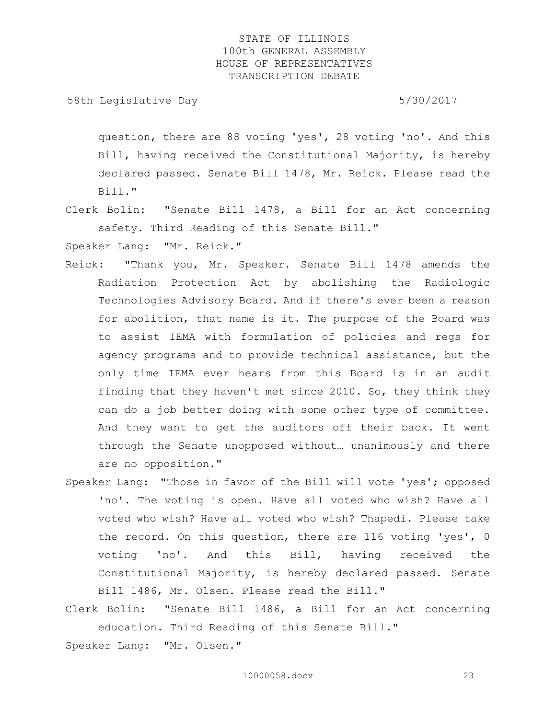58th Legislative Day 5/30/2017

question, there are 88 voting 'yes', 28 voting 'no'. And this Bill, having received the Constitutional Majority, is hereby declared passed. Senate Bill 1478, Mr. Reick. Please read the Bill."

Clerk Bolin: "Senate Bill 1478, a Bill for an Act concerning safety. Third Reading of this Senate Bill."

Speaker Lang: "Mr. Reick."

- Reick: "Thank you, Mr. Speaker. Senate Bill 1478 amends the Radiation Protection Act by abolishing the Radiologic Technologies Advisory Board. And if there's ever been a reason for abolition, that name is it. The purpose of the Board was to assist IEMA with formulation of policies and regs for agency programs and to provide technical assistance, but the only time IEMA ever hears from this Board is in an audit finding that they haven't met since 2010. So, they think they can do a job better doing with some other type of committee. And they want to get the auditors off their back. It went through the Senate unopposed without… unanimously and there are no opposition."
- Speaker Lang: "Those in favor of the Bill will vote 'yes'; opposed 'no'. The voting is open. Have all voted who wish? Have all voted who wish? Have all voted who wish? Thapedi. Please take the record. On this question, there are 116 voting 'yes', 0 voting 'no'. And this Bill, having received the Constitutional Majority, is hereby declared passed. Senate Bill 1486, Mr. Olsen. Please read the Bill."
- Clerk Bolin: "Senate Bill 1486, a Bill for an Act concerning education. Third Reading of this Senate Bill."

Speaker Lang: "Mr. Olsen."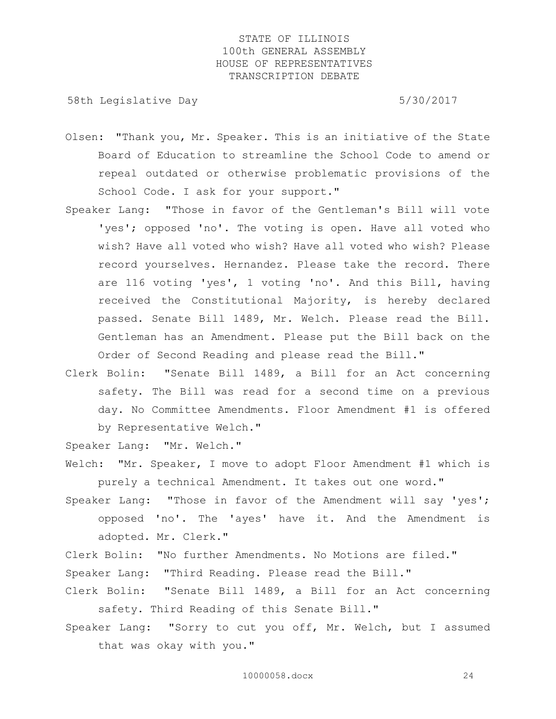58th Legislative Day 5/30/2017

- Olsen: "Thank you, Mr. Speaker. This is an initiative of the State Board of Education to streamline the School Code to amend or repeal outdated or otherwise problematic provisions of the School Code. I ask for your support."
- Speaker Lang: "Those in favor of the Gentleman's Bill will vote 'yes'; opposed 'no'. The voting is open. Have all voted who wish? Have all voted who wish? Have all voted who wish? Please record yourselves. Hernandez. Please take the record. There are 116 voting 'yes', 1 voting 'no'. And this Bill, having received the Constitutional Majority, is hereby declared passed. Senate Bill 1489, Mr. Welch. Please read the Bill. Gentleman has an Amendment. Please put the Bill back on the Order of Second Reading and please read the Bill."
- Clerk Bolin: "Senate Bill 1489, a Bill for an Act concerning safety. The Bill was read for a second time on a previous day. No Committee Amendments. Floor Amendment #1 is offered by Representative Welch."

Speaker Lang: "Mr. Welch."

Welch: "Mr. Speaker, I move to adopt Floor Amendment #1 which is purely a technical Amendment. It takes out one word."

Speaker Lang: "Those in favor of the Amendment will say 'yes'; opposed 'no'. The 'ayes' have it. And the Amendment is adopted. Mr. Clerk."

Clerk Bolin: "No further Amendments. No Motions are filed."

Speaker Lang: "Third Reading. Please read the Bill."

- Clerk Bolin: "Senate Bill 1489, a Bill for an Act concerning safety. Third Reading of this Senate Bill."
- Speaker Lang: "Sorry to cut you off, Mr. Welch, but I assumed that was okay with you."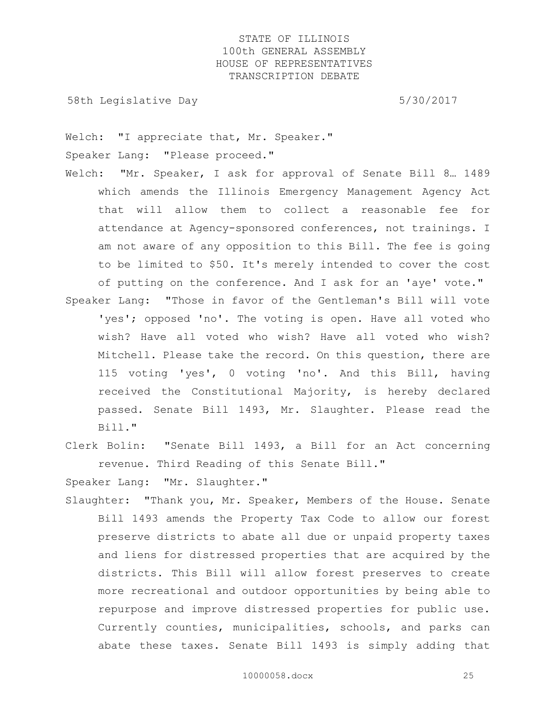58th Legislative Day 5/30/2017

Welch: "I appreciate that, Mr. Speaker." Speaker Lang: "Please proceed."

- Welch: "Mr. Speaker, I ask for approval of Senate Bill 8… 1489 which amends the Illinois Emergency Management Agency Act that will allow them to collect a reasonable fee for attendance at Agency-sponsored conferences, not trainings. I am not aware of any opposition to this Bill. The fee is going to be limited to \$50. It's merely intended to cover the cost of putting on the conference. And I ask for an 'aye' vote."
- Speaker Lang: "Those in favor of the Gentleman's Bill will vote 'yes'; opposed 'no'. The voting is open. Have all voted who wish? Have all voted who wish? Have all voted who wish? Mitchell. Please take the record. On this question, there are 115 voting 'yes', 0 voting 'no'. And this Bill, having received the Constitutional Majority, is hereby declared passed. Senate Bill 1493, Mr. Slaughter. Please read the Bill."
- Clerk Bolin: "Senate Bill 1493, a Bill for an Act concerning revenue. Third Reading of this Senate Bill."

Speaker Lang: "Mr. Slaughter."

Slaughter: "Thank you, Mr. Speaker, Members of the House. Senate Bill 1493 amends the Property Tax Code to allow our forest preserve districts to abate all due or unpaid property taxes and liens for distressed properties that are acquired by the districts. This Bill will allow forest preserves to create more recreational and outdoor opportunities by being able to repurpose and improve distressed properties for public use. Currently counties, municipalities, schools, and parks can abate these taxes. Senate Bill 1493 is simply adding that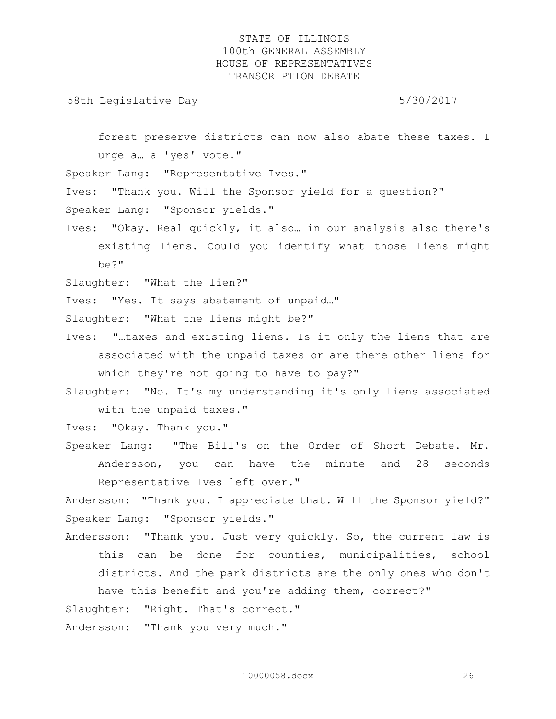58th Legislative Day 5/30/2017

forest preserve districts can now also abate these taxes. I urge a… a 'yes' vote."

Speaker Lang: "Representative Ives."

Ives: "Thank you. Will the Sponsor yield for a question?" Speaker Lang: "Sponsor yields."

Ives: "Okay. Real quickly, it also… in our analysis also there's existing liens. Could you identify what those liens might be?"

Slaughter: "What the lien?"

Ives: "Yes. It says abatement of unpaid…"

Slaughter: "What the liens might be?"

Ives: "…taxes and existing liens. Is it only the liens that are associated with the unpaid taxes or are there other liens for which they're not going to have to pay?"

Slaughter: "No. It's my understanding it's only liens associated with the unpaid taxes."

Ives: "Okay. Thank you."

Speaker Lang: "The Bill's on the Order of Short Debate. Mr. Andersson, you can have the minute and 28 seconds Representative Ives left over."

Andersson: "Thank you. I appreciate that. Will the Sponsor yield?" Speaker Lang: "Sponsor yields."

Andersson: "Thank you. Just very quickly. So, the current law is this can be done for counties, municipalities, school districts. And the park districts are the only ones who don't have this benefit and you're adding them, correct?" Slaughter: "Right. That's correct."

Andersson: "Thank you very much."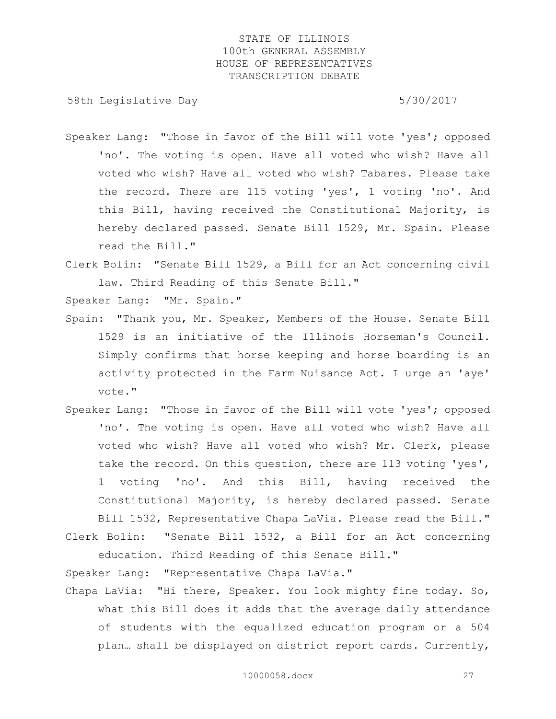58th Legislative Day 5/30/2017

- Speaker Lang: "Those in favor of the Bill will vote 'yes'; opposed 'no'. The voting is open. Have all voted who wish? Have all voted who wish? Have all voted who wish? Tabares. Please take the record. There are 115 voting 'yes', 1 voting 'no'. And this Bill, having received the Constitutional Majority, is hereby declared passed. Senate Bill 1529, Mr. Spain. Please read the Bill."
- Clerk Bolin: "Senate Bill 1529, a Bill for an Act concerning civil law. Third Reading of this Senate Bill."

Speaker Lang: "Mr. Spain."

- Spain: "Thank you, Mr. Speaker, Members of the House. Senate Bill 1529 is an initiative of the Illinois Horseman's Council. Simply confirms that horse keeping and horse boarding is an activity protected in the Farm Nuisance Act. I urge an 'aye' vote."
- Speaker Lang: "Those in favor of the Bill will vote 'yes'; opposed 'no'. The voting is open. Have all voted who wish? Have all voted who wish? Have all voted who wish? Mr. Clerk, please take the record. On this question, there are 113 voting 'yes', 1 voting 'no'. And this Bill, having received the Constitutional Majority, is hereby declared passed. Senate Bill 1532, Representative Chapa LaVia. Please read the Bill."
- Clerk Bolin: "Senate Bill 1532, a Bill for an Act concerning education. Third Reading of this Senate Bill."

Speaker Lang: "Representative Chapa LaVia."

Chapa LaVia: "Hi there, Speaker. You look mighty fine today. So, what this Bill does it adds that the average daily attendance of students with the equalized education program or a 504 plan… shall be displayed on district report cards. Currently,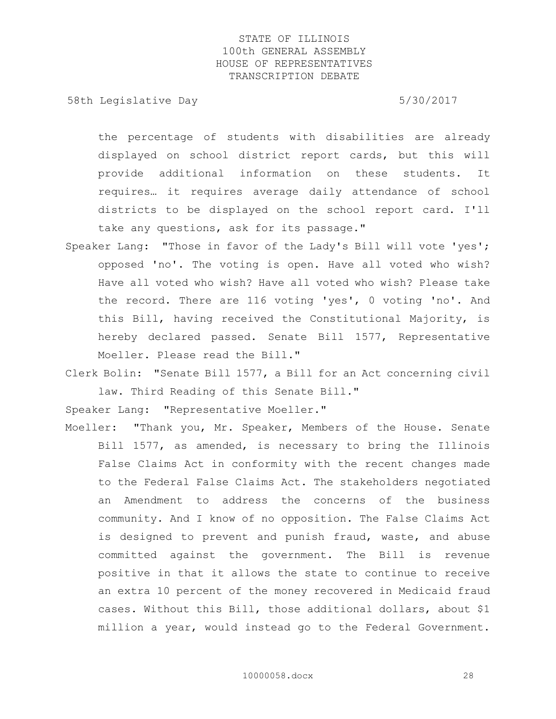58th Legislative Day 5/30/2017

the percentage of students with disabilities are already displayed on school district report cards, but this will provide additional information on these students. It requires… it requires average daily attendance of school districts to be displayed on the school report card. I'll take any questions, ask for its passage."

Speaker Lang: "Those in favor of the Lady's Bill will vote 'yes'; opposed 'no'. The voting is open. Have all voted who wish? Have all voted who wish? Have all voted who wish? Please take the record. There are 116 voting 'yes', 0 voting 'no'. And this Bill, having received the Constitutional Majority, is hereby declared passed. Senate Bill 1577, Representative Moeller. Please read the Bill."

Clerk Bolin: "Senate Bill 1577, a Bill for an Act concerning civil law. Third Reading of this Senate Bill."

Speaker Lang: "Representative Moeller."

Moeller: "Thank you, Mr. Speaker, Members of the House. Senate Bill 1577, as amended, is necessary to bring the Illinois False Claims Act in conformity with the recent changes made to the Federal False Claims Act. The stakeholders negotiated an Amendment to address the concerns of the business community. And I know of no opposition. The False Claims Act is designed to prevent and punish fraud, waste, and abuse committed against the government. The Bill is revenue positive in that it allows the state to continue to receive an extra 10 percent of the money recovered in Medicaid fraud cases. Without this Bill, those additional dollars, about \$1 million a year, would instead go to the Federal Government.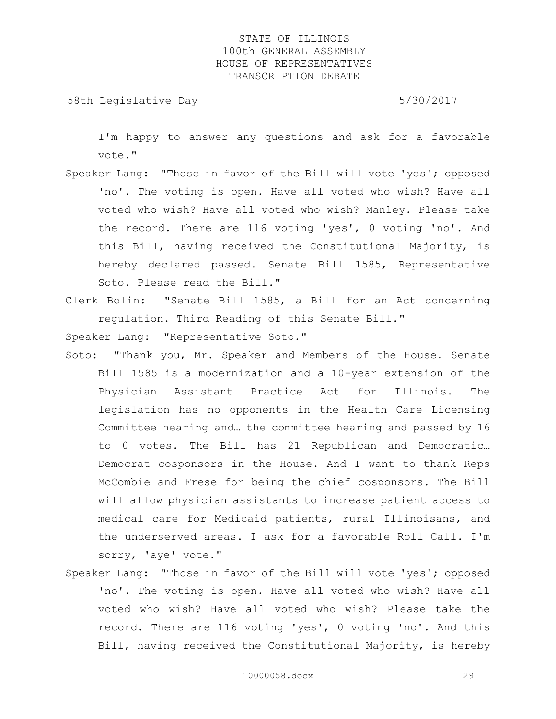58th Legislative Day 5/30/2017

I'm happy to answer any questions and ask for a favorable vote."

- Speaker Lang: "Those in favor of the Bill will vote 'yes'; opposed 'no'. The voting is open. Have all voted who wish? Have all voted who wish? Have all voted who wish? Manley. Please take the record. There are 116 voting 'yes', 0 voting 'no'. And this Bill, having received the Constitutional Majority, is hereby declared passed. Senate Bill 1585, Representative Soto. Please read the Bill."
- Clerk Bolin: "Senate Bill 1585, a Bill for an Act concerning regulation. Third Reading of this Senate Bill."

Speaker Lang: "Representative Soto."

- Soto: "Thank you, Mr. Speaker and Members of the House. Senate Bill 1585 is a modernization and a 10-year extension of the Physician Assistant Practice Act for Illinois. The legislation has no opponents in the Health Care Licensing Committee hearing and… the committee hearing and passed by 16 to 0 votes. The Bill has 21 Republican and Democratic… Democrat cosponsors in the House. And I want to thank Reps McCombie and Frese for being the chief cosponsors. The Bill will allow physician assistants to increase patient access to medical care for Medicaid patients, rural Illinoisans, and the underserved areas. I ask for a favorable Roll Call. I'm sorry, 'aye' vote."
- Speaker Lang: "Those in favor of the Bill will vote 'yes'; opposed 'no'. The voting is open. Have all voted who wish? Have all voted who wish? Have all voted who wish? Please take the record. There are 116 voting 'yes', 0 voting 'no'. And this Bill, having received the Constitutional Majority, is hereby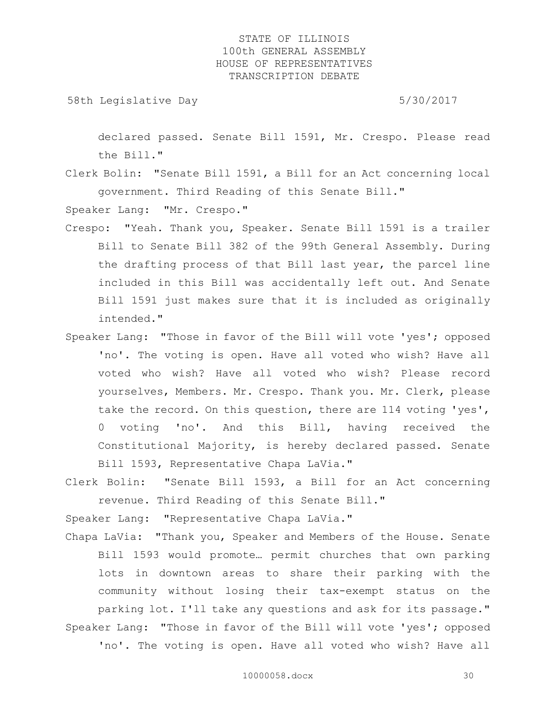58th Legislative Day 5/30/2017

declared passed. Senate Bill 1591, Mr. Crespo. Please read the Bill."

Clerk Bolin: "Senate Bill 1591, a Bill for an Act concerning local government. Third Reading of this Senate Bill."

Speaker Lang: "Mr. Crespo."

- Crespo: "Yeah. Thank you, Speaker. Senate Bill 1591 is a trailer Bill to Senate Bill 382 of the 99th General Assembly. During the drafting process of that Bill last year, the parcel line included in this Bill was accidentally left out. And Senate Bill 1591 just makes sure that it is included as originally intended."
- Speaker Lang: "Those in favor of the Bill will vote 'yes'; opposed 'no'. The voting is open. Have all voted who wish? Have all voted who wish? Have all voted who wish? Please record yourselves, Members. Mr. Crespo. Thank you. Mr. Clerk, please take the record. On this question, there are 114 voting 'yes', 0 voting 'no'. And this Bill, having received the Constitutional Majority, is hereby declared passed. Senate Bill 1593, Representative Chapa LaVia."
- Clerk Bolin: "Senate Bill 1593, a Bill for an Act concerning revenue. Third Reading of this Senate Bill."

Speaker Lang: "Representative Chapa LaVia."

Chapa LaVia: "Thank you, Speaker and Members of the House. Senate Bill 1593 would promote… permit churches that own parking lots in downtown areas to share their parking with the community without losing their tax-exempt status on the parking lot. I'll take any questions and ask for its passage." Speaker Lang: "Those in favor of the Bill will vote 'yes'; opposed 'no'. The voting is open. Have all voted who wish? Have all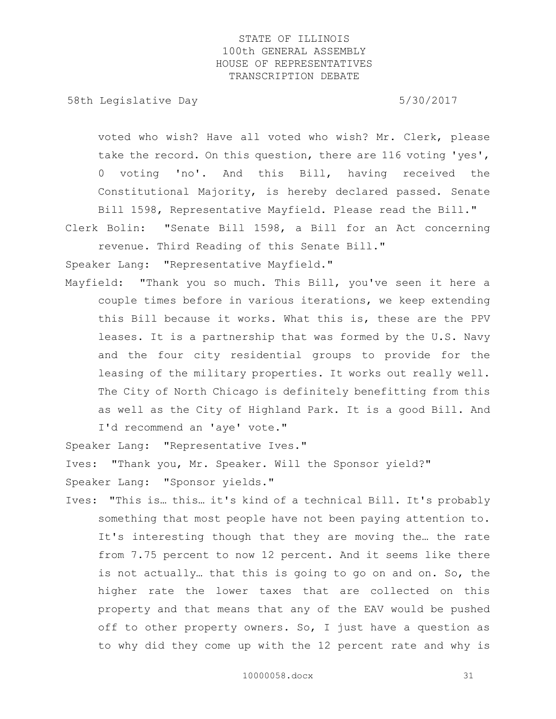58th Legislative Day 5/30/2017

voted who wish? Have all voted who wish? Mr. Clerk, please take the record. On this question, there are 116 voting 'yes', 0 voting 'no'. And this Bill, having received the Constitutional Majority, is hereby declared passed. Senate Bill 1598, Representative Mayfield. Please read the Bill."

Clerk Bolin: "Senate Bill 1598, a Bill for an Act concerning revenue. Third Reading of this Senate Bill."

Speaker Lang: "Representative Mayfield."

Mayfield: "Thank you so much. This Bill, you've seen it here a couple times before in various iterations, we keep extending this Bill because it works. What this is, these are the PPV leases. It is a partnership that was formed by the U.S. Navy and the four city residential groups to provide for the leasing of the military properties. It works out really well. The City of North Chicago is definitely benefitting from this as well as the City of Highland Park. It is a good Bill. And I'd recommend an 'aye' vote."

Speaker Lang: "Representative Ives."

Ives: "Thank you, Mr. Speaker. Will the Sponsor yield?"

Speaker Lang: "Sponsor yields."

Ives: "This is… this… it's kind of a technical Bill. It's probably something that most people have not been paying attention to. It's interesting though that they are moving the… the rate from 7.75 percent to now 12 percent. And it seems like there is not actually… that this is going to go on and on. So, the higher rate the lower taxes that are collected on this property and that means that any of the EAV would be pushed off to other property owners. So, I just have a question as to why did they come up with the 12 percent rate and why is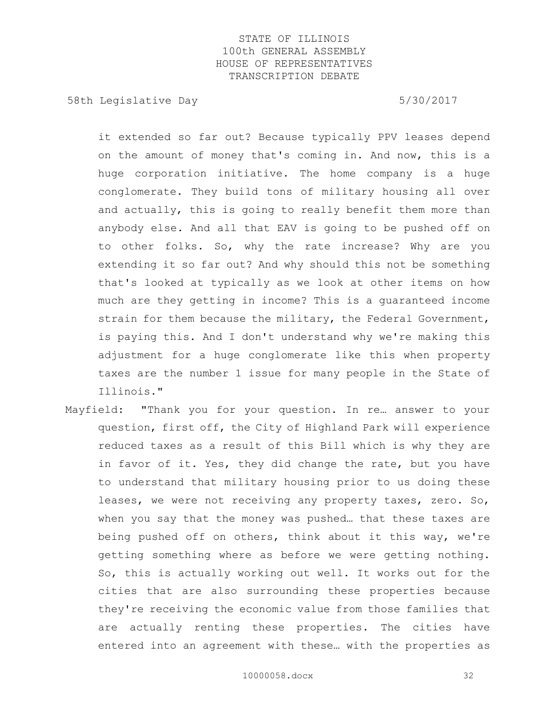58th Legislative Day 5/30/2017

it extended so far out? Because typically PPV leases depend on the amount of money that's coming in. And now, this is a huge corporation initiative. The home company is a huge conglomerate. They build tons of military housing all over and actually, this is going to really benefit them more than anybody else. And all that EAV is going to be pushed off on to other folks. So, why the rate increase? Why are you extending it so far out? And why should this not be something that's looked at typically as we look at other items on how much are they getting in income? This is a guaranteed income strain for them because the military, the Federal Government, is paying this. And I don't understand why we're making this adjustment for a huge conglomerate like this when property taxes are the number 1 issue for many people in the State of Illinois."

Mayfield: "Thank you for your question. In re… answer to your question, first off, the City of Highland Park will experience reduced taxes as a result of this Bill which is why they are in favor of it. Yes, they did change the rate, but you have to understand that military housing prior to us doing these leases, we were not receiving any property taxes, zero. So, when you say that the money was pushed… that these taxes are being pushed off on others, think about it this way, we're getting something where as before we were getting nothing. So, this is actually working out well. It works out for the cities that are also surrounding these properties because they're receiving the economic value from those families that are actually renting these properties. The cities have entered into an agreement with these… with the properties as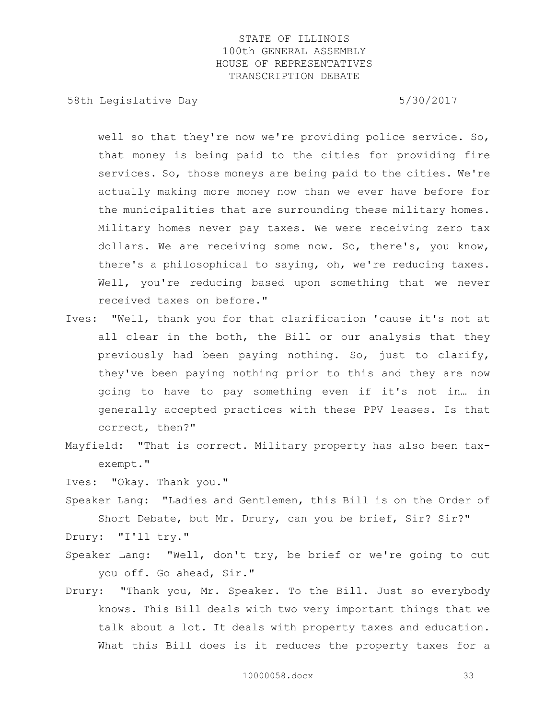58th Legislative Day 5/30/2017

well so that they're now we're providing police service. So, that money is being paid to the cities for providing fire services. So, those moneys are being paid to the cities. We're actually making more money now than we ever have before for the municipalities that are surrounding these military homes. Military homes never pay taxes. We were receiving zero tax dollars. We are receiving some now. So, there's, you know, there's a philosophical to saying, oh, we're reducing taxes. Well, you're reducing based upon something that we never received taxes on before."

- Ives: "Well, thank you for that clarification 'cause it's not at all clear in the both, the Bill or our analysis that they previously had been paying nothing. So, just to clarify, they've been paying nothing prior to this and they are now going to have to pay something even if it's not in… in generally accepted practices with these PPV leases. Is that correct, then?"
- Mayfield: "That is correct. Military property has also been taxexempt."

Ives: "Okay. Thank you."

Speaker Lang: "Ladies and Gentlemen, this Bill is on the Order of Short Debate, but Mr. Drury, can you be brief, Sir? Sir?"

Drury: "I'll try."

- Speaker Lang: "Well, don't try, be brief or we're going to cut you off. Go ahead, Sir."
- Drury: "Thank you, Mr. Speaker. To the Bill. Just so everybody knows. This Bill deals with two very important things that we talk about a lot. It deals with property taxes and education. What this Bill does is it reduces the property taxes for a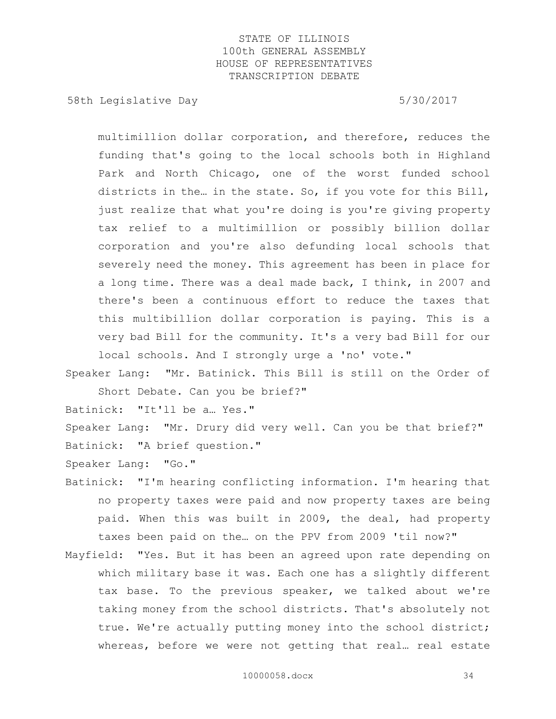58th Legislative Day 5/30/2017

multimillion dollar corporation, and therefore, reduces the funding that's going to the local schools both in Highland Park and North Chicago, one of the worst funded school districts in the… in the state. So, if you vote for this Bill, just realize that what you're doing is you're giving property tax relief to a multimillion or possibly billion dollar corporation and you're also defunding local schools that severely need the money. This agreement has been in place for a long time. There was a deal made back, I think, in 2007 and there's been a continuous effort to reduce the taxes that this multibillion dollar corporation is paying. This is a very bad Bill for the community. It's a very bad Bill for our local schools. And I strongly urge a 'no' vote."

Speaker Lang: "Mr. Batinick. This Bill is still on the Order of Short Debate. Can you be brief?"

Batinick: "It'll be a… Yes."

Speaker Lang: "Mr. Drury did very well. Can you be that brief?" Batinick: "A brief question."

Speaker Lang: "Go."

- Batinick: "I'm hearing conflicting information. I'm hearing that no property taxes were paid and now property taxes are being paid. When this was built in 2009, the deal, had property taxes been paid on the… on the PPV from 2009 'til now?"
- Mayfield: "Yes. But it has been an agreed upon rate depending on which military base it was. Each one has a slightly different tax base. To the previous speaker, we talked about we're taking money from the school districts. That's absolutely not true. We're actually putting money into the school district; whereas, before we were not getting that real… real estate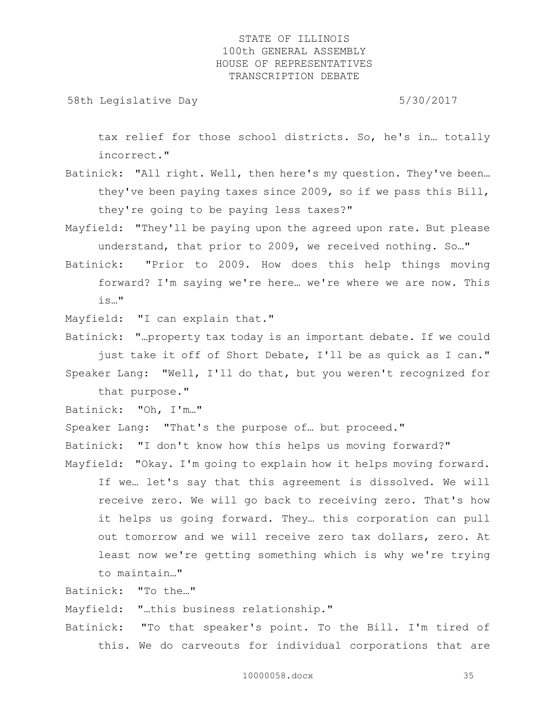58th Legislative Day 5/30/2017

tax relief for those school districts. So, he's in… totally incorrect."

- Batinick: "All right. Well, then here's my question. They've been… they've been paying taxes since 2009, so if we pass this Bill, they're going to be paying less taxes?"
- Mayfield: "They'll be paying upon the agreed upon rate. But please understand, that prior to 2009, we received nothing. So..."
- Batinick: "Prior to 2009. How does this help things moving forward? I'm saying we're here… we're where we are now. This is…"

Mayfield: "I can explain that."

Batinick: "…property tax today is an important debate. If we could just take it off of Short Debate, I'll be as quick as I can." Speaker Lang: "Well, I'll do that, but you weren't recognized for

that purpose."

Batinick: "Oh, I'm…"

Speaker Lang: "That's the purpose of… but proceed."

Batinick: "I don't know how this helps us moving forward?"

Mayfield: "Okay. I'm going to explain how it helps moving forward. If we… let's say that this agreement is dissolved. We will receive zero. We will go back to receiving zero. That's how it helps us going forward. They… this corporation can pull out tomorrow and we will receive zero tax dollars, zero. At least now we're getting something which is why we're trying to maintain…"

Batinick: "To the…"

Mayfield: "…this business relationship."

Batinick: "To that speaker's point. To the Bill. I'm tired of this. We do carveouts for individual corporations that are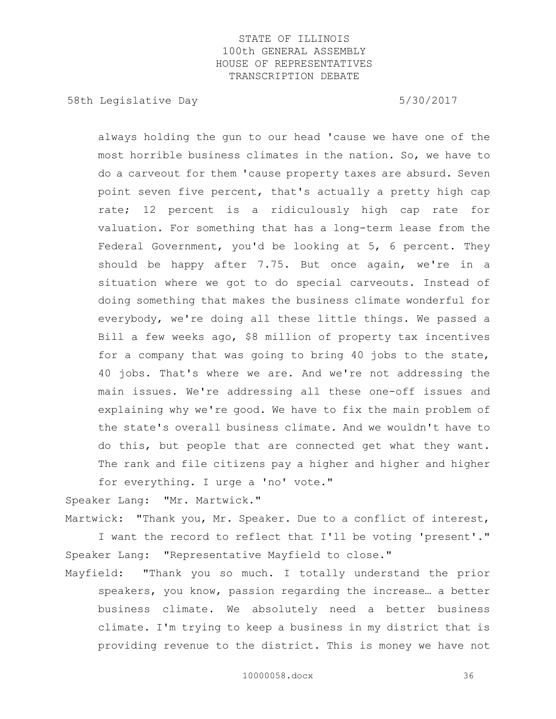58th Legislative Day 5/30/2017

always holding the gun to our head 'cause we have one of the most horrible business climates in the nation. So, we have to do a carveout for them 'cause property taxes are absurd. Seven point seven five percent, that's actually a pretty high cap rate; 12 percent is a ridiculously high cap rate for valuation. For something that has a long-term lease from the Federal Government, you'd be looking at 5, 6 percent. They should be happy after 7.75. But once again, we're in a situation where we got to do special carveouts. Instead of doing something that makes the business climate wonderful for everybody, we're doing all these little things. We passed a Bill a few weeks ago, \$8 million of property tax incentives for a company that was going to bring 40 jobs to the state, 40 jobs. That's where we are. And we're not addressing the main issues. We're addressing all these one-off issues and explaining why we're good. We have to fix the main problem of the state's overall business climate. And we wouldn't have to do this, but people that are connected get what they want. The rank and file citizens pay a higher and higher and higher for everything. I urge a 'no' vote."

Speaker Lang: "Mr. Martwick."

Martwick: "Thank you, Mr. Speaker. Due to a conflict of interest, I want the record to reflect that I'll be voting 'present'." Speaker Lang: "Representative Mayfield to close."

Mayfield: "Thank you so much. I totally understand the prior speakers, you know, passion regarding the increase… a better business climate. We absolutely need a better business climate. I'm trying to keep a business in my district that is providing revenue to the district. This is money we have not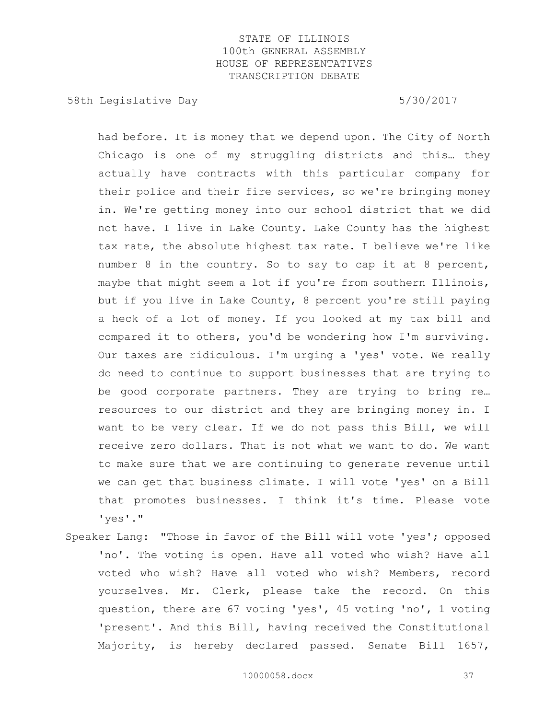58th Legislative Day 5/30/2017

had before. It is money that we depend upon. The City of North Chicago is one of my struggling districts and this… they actually have contracts with this particular company for their police and their fire services, so we're bringing money in. We're getting money into our school district that we did not have. I live in Lake County. Lake County has the highest tax rate, the absolute highest tax rate. I believe we're like number 8 in the country. So to say to cap it at 8 percent, maybe that might seem a lot if you're from southern Illinois, but if you live in Lake County, 8 percent you're still paying a heck of a lot of money. If you looked at my tax bill and compared it to others, you'd be wondering how I'm surviving. Our taxes are ridiculous. I'm urging a 'yes' vote. We really do need to continue to support businesses that are trying to be good corporate partners. They are trying to bring re… resources to our district and they are bringing money in. I want to be very clear. If we do not pass this Bill, we will receive zero dollars. That is not what we want to do. We want to make sure that we are continuing to generate revenue until we can get that business climate. I will vote 'yes' on a Bill that promotes businesses. I think it's time. Please vote 'yes'."

Speaker Lang: "Those in favor of the Bill will vote 'yes'; opposed 'no'. The voting is open. Have all voted who wish? Have all voted who wish? Have all voted who wish? Members, record yourselves. Mr. Clerk, please take the record. On this question, there are 67 voting 'yes', 45 voting 'no', 1 voting 'present'. And this Bill, having received the Constitutional Majority, is hereby declared passed. Senate Bill 1657,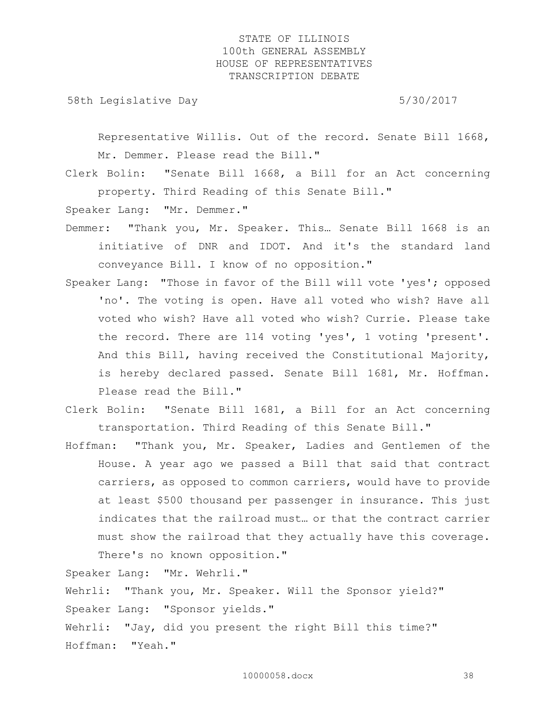58th Legislative Day 5/30/2017

Representative Willis. Out of the record. Senate Bill 1668, Mr. Demmer. Please read the Bill."

Clerk Bolin: "Senate Bill 1668, a Bill for an Act concerning property. Third Reading of this Senate Bill."

Speaker Lang: "Mr. Demmer."

- Demmer: "Thank you, Mr. Speaker. This… Senate Bill 1668 is an initiative of DNR and IDOT. And it's the standard land conveyance Bill. I know of no opposition."
- Speaker Lang: "Those in favor of the Bill will vote 'yes'; opposed 'no'. The voting is open. Have all voted who wish? Have all voted who wish? Have all voted who wish? Currie. Please take the record. There are 114 voting 'yes', 1 voting 'present'. And this Bill, having received the Constitutional Majority, is hereby declared passed. Senate Bill 1681, Mr. Hoffman. Please read the Bill."
- Clerk Bolin: "Senate Bill 1681, a Bill for an Act concerning transportation. Third Reading of this Senate Bill."
- Hoffman: "Thank you, Mr. Speaker, Ladies and Gentlemen of the House. A year ago we passed a Bill that said that contract carriers, as opposed to common carriers, would have to provide at least \$500 thousand per passenger in insurance. This just indicates that the railroad must… or that the contract carrier must show the railroad that they actually have this coverage. There's no known opposition."

Speaker Lang: "Mr. Wehrli."

Wehrli: "Thank you, Mr. Speaker. Will the Sponsor yield?" Speaker Lang: "Sponsor yields."

Wehrli: "Jay, did you present the right Bill this time?" Hoffman: "Yeah."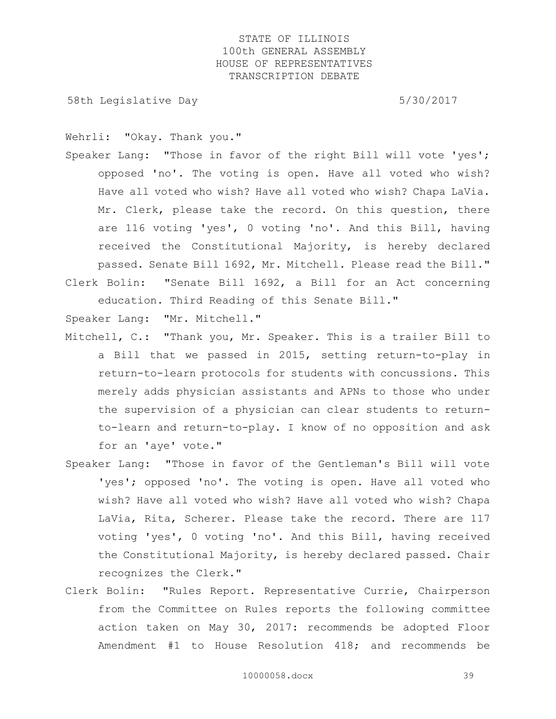58th Legislative Day 5/30/2017

Wehrli: "Okay. Thank you."

Speaker Lang: "Those in favor of the right Bill will vote 'yes'; opposed 'no'. The voting is open. Have all voted who wish? Have all voted who wish? Have all voted who wish? Chapa LaVia. Mr. Clerk, please take the record. On this question, there are 116 voting 'yes', 0 voting 'no'. And this Bill, having received the Constitutional Majority, is hereby declared passed. Senate Bill 1692, Mr. Mitchell. Please read the Bill." Clerk Bolin: "Senate Bill 1692, a Bill for an Act concerning

education. Third Reading of this Senate Bill."

Speaker Lang: "Mr. Mitchell."

- Mitchell, C.: "Thank you, Mr. Speaker. This is a trailer Bill to a Bill that we passed in 2015, setting return-to-play in return-to-learn protocols for students with concussions. This merely adds physician assistants and APNs to those who under the supervision of a physician can clear students to returnto-learn and return-to-play. I know of no opposition and ask for an 'aye' vote."
- Speaker Lang: "Those in favor of the Gentleman's Bill will vote 'yes'; opposed 'no'. The voting is open. Have all voted who wish? Have all voted who wish? Have all voted who wish? Chapa LaVia, Rita, Scherer. Please take the record. There are 117 voting 'yes', 0 voting 'no'. And this Bill, having received the Constitutional Majority, is hereby declared passed. Chair recognizes the Clerk."
- Clerk Bolin: "Rules Report. Representative Currie, Chairperson from the Committee on Rules reports the following committee action taken on May 30, 2017: recommends be adopted Floor Amendment #1 to House Resolution 418; and recommends be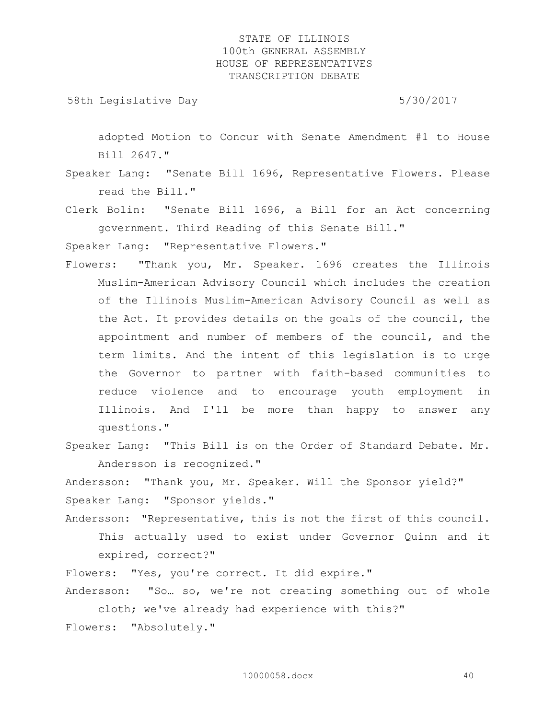58th Legislative Day 5/30/2017

adopted Motion to Concur with Senate Amendment #1 to House Bill 2647."

- Speaker Lang: "Senate Bill 1696, Representative Flowers. Please read the Bill."
- Clerk Bolin: "Senate Bill 1696, a Bill for an Act concerning government. Third Reading of this Senate Bill."

Speaker Lang: "Representative Flowers."

- Flowers: "Thank you, Mr. Speaker. 1696 creates the Illinois Muslim-American Advisory Council which includes the creation of the Illinois Muslim-American Advisory Council as well as the Act. It provides details on the goals of the council, the appointment and number of members of the council, and the term limits. And the intent of this legislation is to urge the Governor to partner with faith-based communities to reduce violence and to encourage youth employment in Illinois. And I'll be more than happy to answer any questions."
- Speaker Lang: "This Bill is on the Order of Standard Debate. Mr. Andersson is recognized."

Andersson: "Thank you, Mr. Speaker. Will the Sponsor yield?" Speaker Lang: "Sponsor yields."

Andersson: "Representative, this is not the first of this council. This actually used to exist under Governor Quinn and it expired, correct?"

Flowers: "Yes, you're correct. It did expire."

Andersson: "So… so, we're not creating something out of whole cloth; we've already had experience with this?"

Flowers: "Absolutely."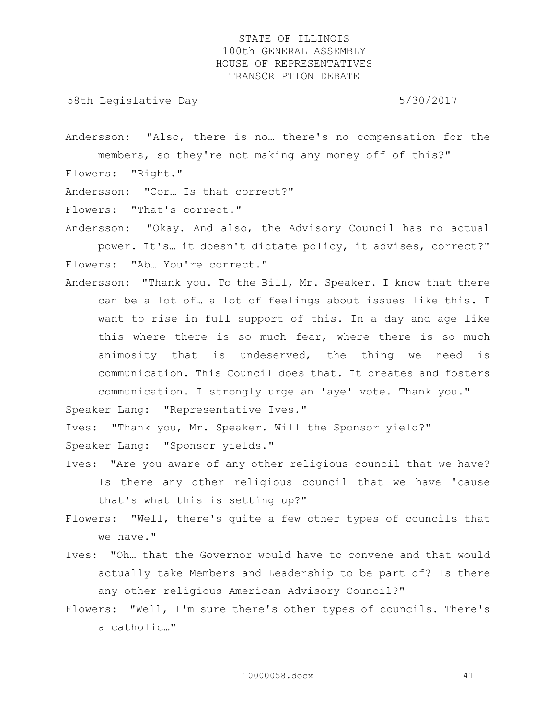58th Legislative Day 5/30/2017

Andersson: "Also, there is no… there's no compensation for the members, so they're not making any money off of this?" Flowers: "Right."

Andersson: "Cor… Is that correct?"

Flowers: "That's correct."

Andersson: "Okay. And also, the Advisory Council has no actual power. It's… it doesn't dictate policy, it advises, correct?" Flowers: "Ab… You're correct."

Andersson: "Thank you. To the Bill, Mr. Speaker. I know that there can be a lot of… a lot of feelings about issues like this. I want to rise in full support of this. In a day and age like this where there is so much fear, where there is so much animosity that is undeserved, the thing we need is communication. This Council does that. It creates and fosters communication. I strongly urge an 'aye' vote. Thank you."

Speaker Lang: "Representative Ives."

Ives: "Thank you, Mr. Speaker. Will the Sponsor yield?" Speaker Lang: "Sponsor yields."

- Ives: "Are you aware of any other religious council that we have? Is there any other religious council that we have 'cause that's what this is setting up?"
- Flowers: "Well, there's quite a few other types of councils that we have."
- Ives: "Oh… that the Governor would have to convene and that would actually take Members and Leadership to be part of? Is there any other religious American Advisory Council?"
- Flowers: "Well, I'm sure there's other types of councils. There's a catholic…"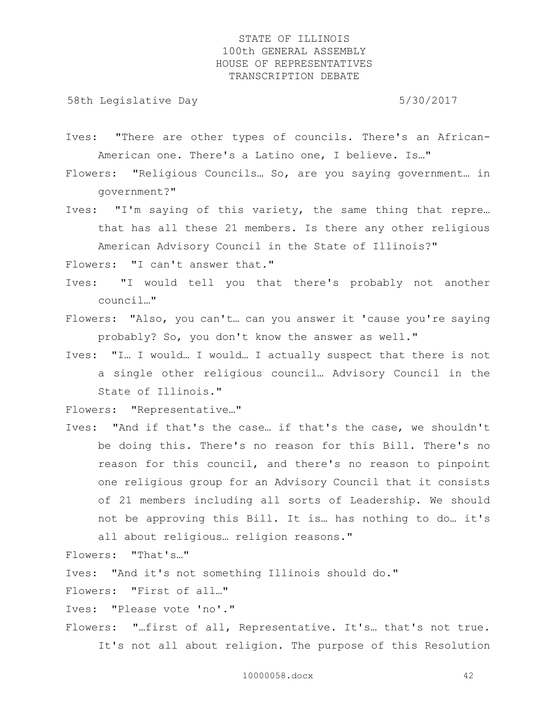58th Legislative Day 5/30/2017

- Ives: "There are other types of councils. There's an African-American one. There's a Latino one, I believe. Is…"
- Flowers: "Religious Councils… So, are you saying government… in government?"
- Ives: "I'm saying of this variety, the same thing that repre… that has all these 21 members. Is there any other religious American Advisory Council in the State of Illinois?"

Flowers: "I can't answer that."

- Ives: "I would tell you that there's probably not another council…"
- Flowers: "Also, you can't… can you answer it 'cause you're saying probably? So, you don't know the answer as well."
- Ives: "I… I would… I would… I actually suspect that there is not a single other religious council… Advisory Council in the State of Illinois."

Flowers: "Representative…"

Ives: "And if that's the case… if that's the case, we shouldn't be doing this. There's no reason for this Bill. There's no reason for this council, and there's no reason to pinpoint one religious group for an Advisory Council that it consists of 21 members including all sorts of Leadership. We should not be approving this Bill. It is… has nothing to do… it's all about religious… religion reasons."

Flowers: "That's…"

Ives: "And it's not something Illinois should do."

Flowers: "First of all…"

Ives: "Please vote 'no'."

Flowers: "…first of all, Representative. It's… that's not true. It's not all about religion. The purpose of this Resolution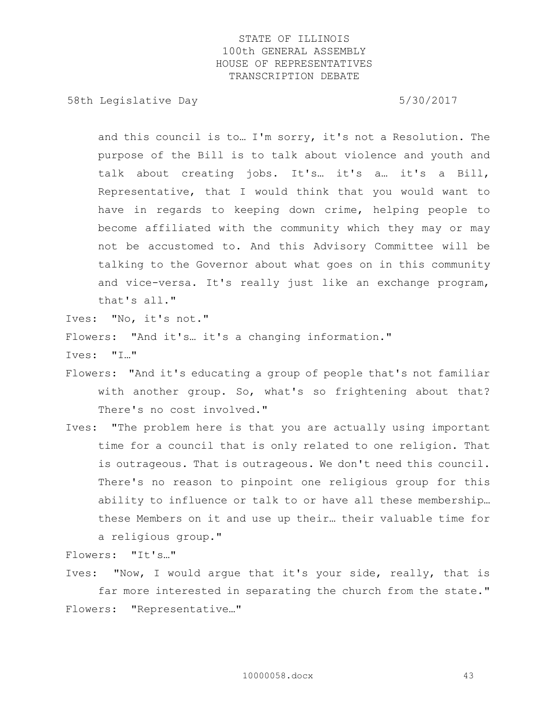58th Legislative Day 6.5730/2017

and this council is to… I'm sorry, it's not a Resolution. The purpose of the Bill is to talk about violence and youth and talk about creating jobs. It's… it's a… it's a Bill, Representative, that I would think that you would want to have in regards to keeping down crime, helping people to become affiliated with the community which they may or may not be accustomed to. And this Advisory Committee will be talking to the Governor about what goes on in this community and vice-versa. It's really just like an exchange program, that's all."

Ives: "No, it's not."

Flowers: "And it's… it's a changing information."

Ives: "I…"

- Flowers: "And it's educating a group of people that's not familiar with another group. So, what's so frightening about that? There's no cost involved."
- Ives: "The problem here is that you are actually using important time for a council that is only related to one religion. That is outrageous. That is outrageous. We don't need this council. There's no reason to pinpoint one religious group for this ability to influence or talk to or have all these membership… these Members on it and use up their… their valuable time for a religious group."

Flowers: "It's…"

Ives: "Now, I would argue that it's your side, really, that is far more interested in separating the church from the state." Flowers: "Representative…"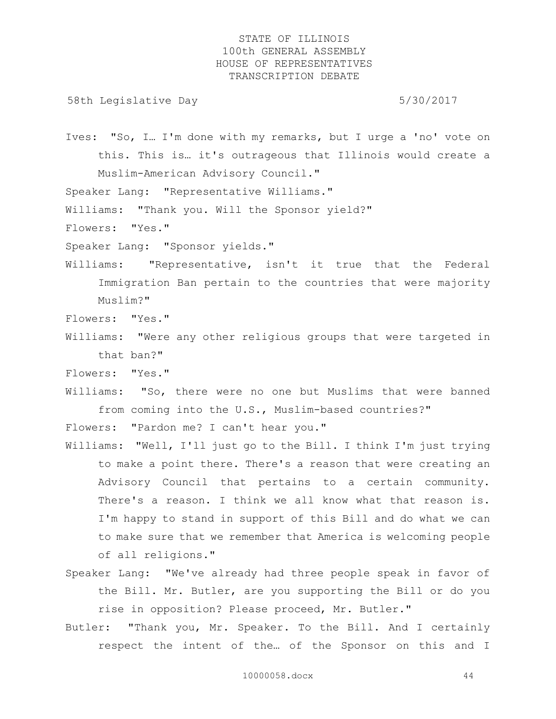58th Legislative Day 5/30/2017

Ives: "So, I… I'm done with my remarks, but I urge a 'no' vote on this. This is… it's outrageous that Illinois would create a Muslim-American Advisory Council."

Speaker Lang: "Representative Williams."

Williams: "Thank you. Will the Sponsor yield?"

Flowers: "Yes."

Speaker Lang: "Sponsor yields."

Williams: "Representative, isn't it true that the Federal Immigration Ban pertain to the countries that were majority Muslim?"

Flowers: "Yes."

- Williams: "Were any other religious groups that were targeted in that ban?"
- Flowers: "Yes."

Williams: "So, there were no one but Muslims that were banned from coming into the U.S., Muslim-based countries?"

Flowers: "Pardon me? I can't hear you."

- Williams: "Well, I'll just go to the Bill. I think I'm just trying to make a point there. There's a reason that were creating an Advisory Council that pertains to a certain community. There's a reason. I think we all know what that reason is. I'm happy to stand in support of this Bill and do what we can to make sure that we remember that America is welcoming people of all religions."
- Speaker Lang: "We've already had three people speak in favor of the Bill. Mr. Butler, are you supporting the Bill or do you rise in opposition? Please proceed, Mr. Butler."
- Butler: "Thank you, Mr. Speaker. To the Bill. And I certainly respect the intent of the… of the Sponsor on this and I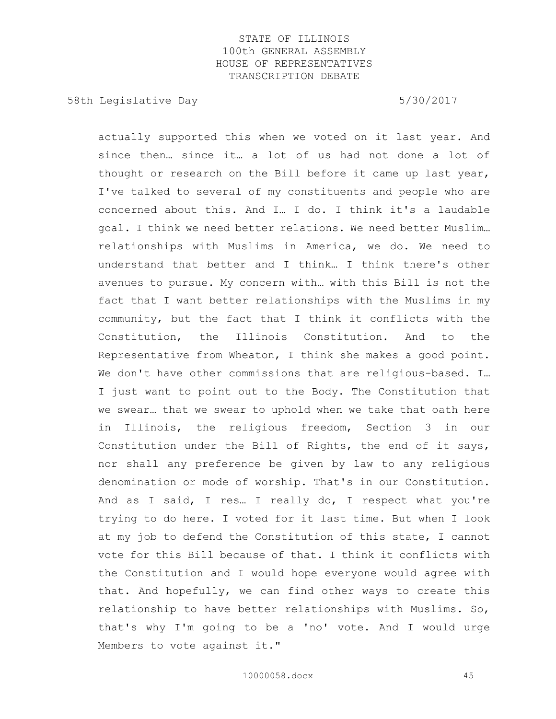58th Legislative Day 5/30/2017

actually supported this when we voted on it last year. And since then… since it… a lot of us had not done a lot of thought or research on the Bill before it came up last year, I've talked to several of my constituents and people who are concerned about this. And I… I do. I think it's a laudable goal. I think we need better relations. We need better Muslim… relationships with Muslims in America, we do. We need to understand that better and I think… I think there's other avenues to pursue. My concern with… with this Bill is not the fact that I want better relationships with the Muslims in my community, but the fact that I think it conflicts with the Constitution, the Illinois Constitution. And to the Representative from Wheaton, I think she makes a good point. We don't have other commissions that are religious-based. I… I just want to point out to the Body. The Constitution that we swear… that we swear to uphold when we take that oath here in Illinois, the religious freedom, Section 3 in our Constitution under the Bill of Rights, the end of it says, nor shall any preference be given by law to any religious denomination or mode of worship. That's in our Constitution. And as I said, I res… I really do, I respect what you're trying to do here. I voted for it last time. But when I look at my job to defend the Constitution of this state, I cannot vote for this Bill because of that. I think it conflicts with the Constitution and I would hope everyone would agree with that. And hopefully, we can find other ways to create this relationship to have better relationships with Muslims. So, that's why I'm going to be a 'no' vote. And I would urge Members to vote against it."

10000058.docx 45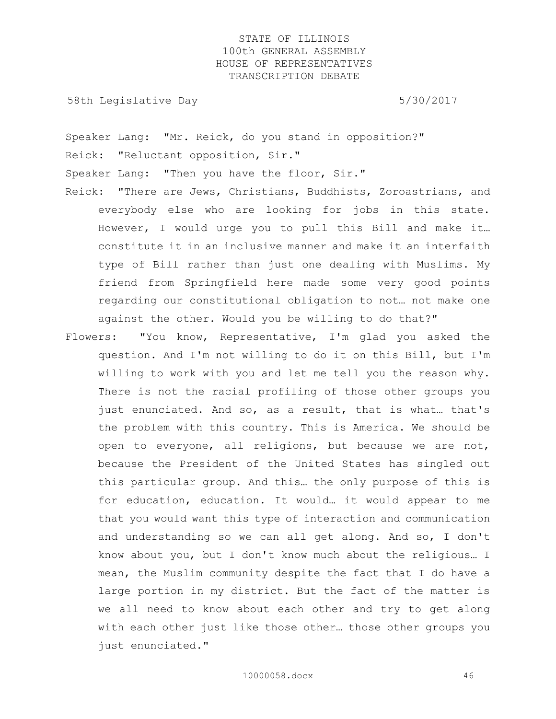58th Legislative Day 5/30/2017

Speaker Lang: "Mr. Reick, do you stand in opposition?" Reick: "Reluctant opposition, Sir."

Speaker Lang: "Then you have the floor, Sir."

- Reick: "There are Jews, Christians, Buddhists, Zoroastrians, and everybody else who are looking for jobs in this state. However, I would urge you to pull this Bill and make it… constitute it in an inclusive manner and make it an interfaith type of Bill rather than just one dealing with Muslims. My friend from Springfield here made some very good points regarding our constitutional obligation to not… not make one against the other. Would you be willing to do that?"
- Flowers: "You know, Representative, I'm glad you asked the question. And I'm not willing to do it on this Bill, but I'm willing to work with you and let me tell you the reason why. There is not the racial profiling of those other groups you just enunciated. And so, as a result, that is what… that's the problem with this country. This is America. We should be open to everyone, all religions, but because we are not, because the President of the United States has singled out this particular group. And this… the only purpose of this is for education, education. It would… it would appear to me that you would want this type of interaction and communication and understanding so we can all get along. And so, I don't know about you, but I don't know much about the religious… I mean, the Muslim community despite the fact that I do have a large portion in my district. But the fact of the matter is we all need to know about each other and try to get along with each other just like those other… those other groups you just enunciated."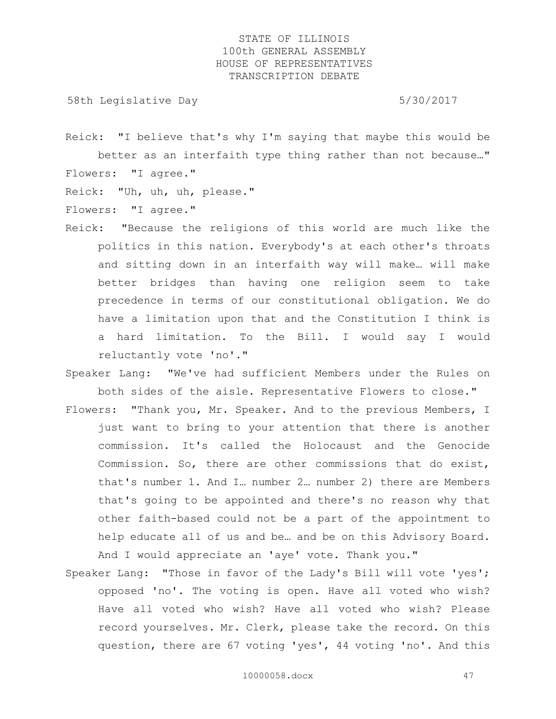58th Legislative Day 5/30/2017

Reick: "I believe that's why I'm saying that maybe this would be better as an interfaith type thing rather than not because…" Flowers: "I agree."

Reick: "Uh, uh, uh, please."

Flowers: "I agree."

- Reick: "Because the religions of this world are much like the politics in this nation. Everybody's at each other's throats and sitting down in an interfaith way will make… will make better bridges than having one religion seem to take precedence in terms of our constitutional obligation. We do have a limitation upon that and the Constitution I think is a hard limitation. To the Bill. I would say I would reluctantly vote 'no'."
- Speaker Lang: "We've had sufficient Members under the Rules on both sides of the aisle. Representative Flowers to close."
- Flowers: "Thank you, Mr. Speaker. And to the previous Members, I just want to bring to your attention that there is another commission. It's called the Holocaust and the Genocide Commission. So, there are other commissions that do exist, that's number 1. And I… number 2… number 2) there are Members that's going to be appointed and there's no reason why that other faith-based could not be a part of the appointment to help educate all of us and be… and be on this Advisory Board. And I would appreciate an 'aye' vote. Thank you."
- Speaker Lang: "Those in favor of the Lady's Bill will vote 'yes'; opposed 'no'. The voting is open. Have all voted who wish? Have all voted who wish? Have all voted who wish? Please record yourselves. Mr. Clerk, please take the record. On this question, there are 67 voting 'yes', 44 voting 'no'. And this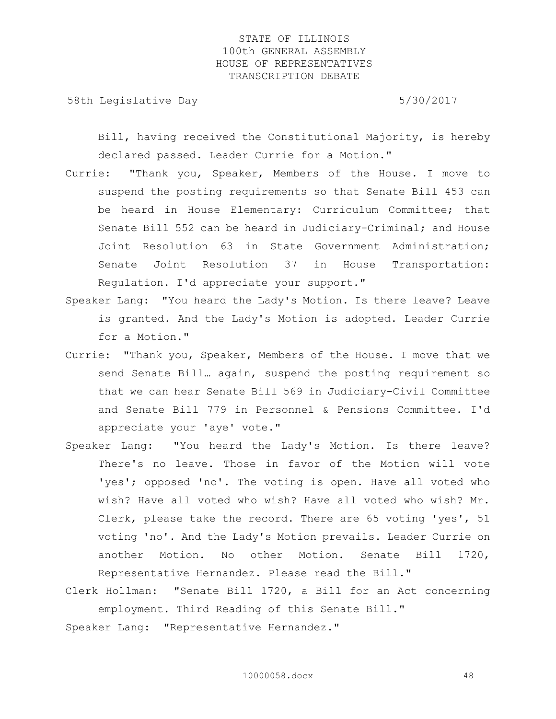58th Legislative Day 5/30/2017

Bill, having received the Constitutional Majority, is hereby declared passed. Leader Currie for a Motion."

- Currie: "Thank you, Speaker, Members of the House. I move to suspend the posting requirements so that Senate Bill 453 can be heard in House Elementary: Curriculum Committee; that Senate Bill 552 can be heard in Judiciary-Criminal; and House Joint Resolution 63 in State Government Administration; Senate Joint Resolution 37 in House Transportation: Regulation. I'd appreciate your support."
- Speaker Lang: "You heard the Lady's Motion. Is there leave? Leave is granted. And the Lady's Motion is adopted. Leader Currie for a Motion."
- Currie: "Thank you, Speaker, Members of the House. I move that we send Senate Bill… again, suspend the posting requirement so that we can hear Senate Bill 569 in Judiciary-Civil Committee and Senate Bill 779 in Personnel & Pensions Committee. I'd appreciate your 'aye' vote."
- Speaker Lang: "You heard the Lady's Motion. Is there leave? There's no leave. Those in favor of the Motion will vote 'yes'; opposed 'no'. The voting is open. Have all voted who wish? Have all voted who wish? Have all voted who wish? Mr. Clerk, please take the record. There are 65 voting 'yes', 51 voting 'no'. And the Lady's Motion prevails. Leader Currie on another Motion. No other Motion. Senate Bill 1720, Representative Hernandez. Please read the Bill."
- Clerk Hollman: "Senate Bill 1720, a Bill for an Act concerning employment. Third Reading of this Senate Bill."

Speaker Lang: "Representative Hernandez."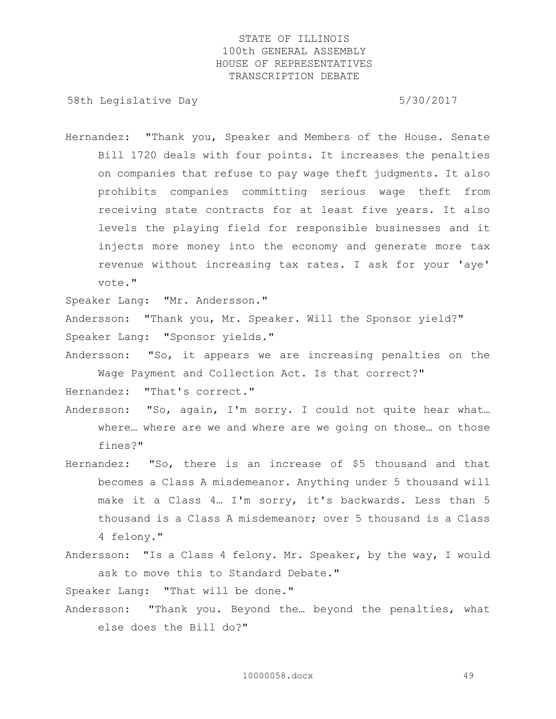58th Legislative Day 5/30/2017

Hernandez: "Thank you, Speaker and Members of the House. Senate Bill 1720 deals with four points. It increases the penalties on companies that refuse to pay wage theft judgments. It also prohibits companies committing serious wage theft from receiving state contracts for at least five years. It also levels the playing field for responsible businesses and it injects more money into the economy and generate more tax revenue without increasing tax rates. I ask for your 'aye' vote."

Speaker Lang: "Mr. Andersson."

Andersson: "Thank you, Mr. Speaker. Will the Sponsor yield?" Speaker Lang: "Sponsor yields."

Andersson: "So, it appears we are increasing penalties on the Wage Payment and Collection Act. Is that correct?"

Hernandez: "That's correct."

- Andersson: "So, again, I'm sorry. I could not quite hear what… where… where are we and where are we going on those… on those fines?"
- Hernandez: "So, there is an increase of \$5 thousand and that becomes a Class A misdemeanor. Anything under 5 thousand will make it a Class 4… I'm sorry, it's backwards. Less than 5 thousand is a Class A misdemeanor; over 5 thousand is a Class 4 felony."
- Andersson: "Is a Class 4 felony. Mr. Speaker, by the way, I would ask to move this to Standard Debate."

Speaker Lang: "That will be done."

Andersson: "Thank you. Beyond the… beyond the penalties, what else does the Bill do?"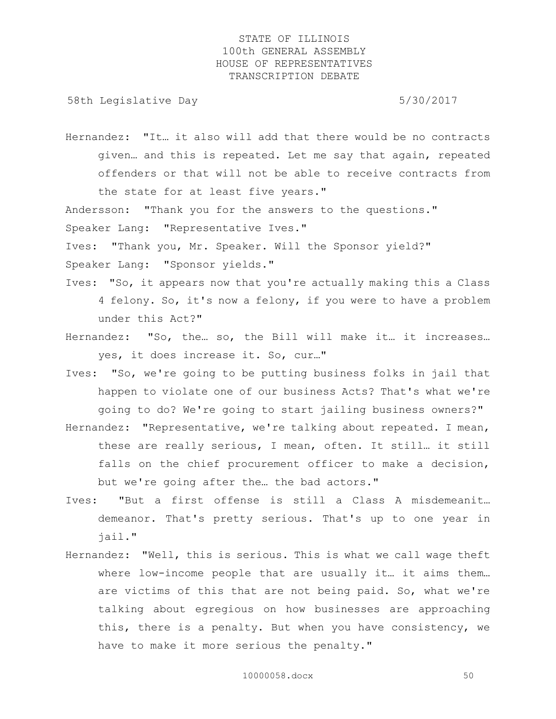58th Legislative Day 5/30/2017

Hernandez: "It… it also will add that there would be no contracts given… and this is repeated. Let me say that again, repeated offenders or that will not be able to receive contracts from the state for at least five years."

Andersson: "Thank you for the answers to the questions."

Speaker Lang: "Representative Ives."

Ives: "Thank you, Mr. Speaker. Will the Sponsor yield?"

Speaker Lang: "Sponsor yields."

- Ives: "So, it appears now that you're actually making this a Class 4 felony. So, it's now a felony, if you were to have a problem under this Act?"
- Hernandez: "So, the… so, the Bill will make it… it increases… yes, it does increase it. So, cur…"
- Ives: "So, we're going to be putting business folks in jail that happen to violate one of our business Acts? That's what we're going to do? We're going to start jailing business owners?"
- Hernandez: "Representative, we're talking about repeated. I mean, these are really serious, I mean, often. It still… it still falls on the chief procurement officer to make a decision, but we're going after the… the bad actors."
- Ives: "But a first offense is still a Class A misdemeanit… demeanor. That's pretty serious. That's up to one year in jail."
- Hernandez: "Well, this is serious. This is what we call wage theft where low-income people that are usually it… it aims them… are victims of this that are not being paid. So, what we're talking about egregious on how businesses are approaching this, there is a penalty. But when you have consistency, we have to make it more serious the penalty."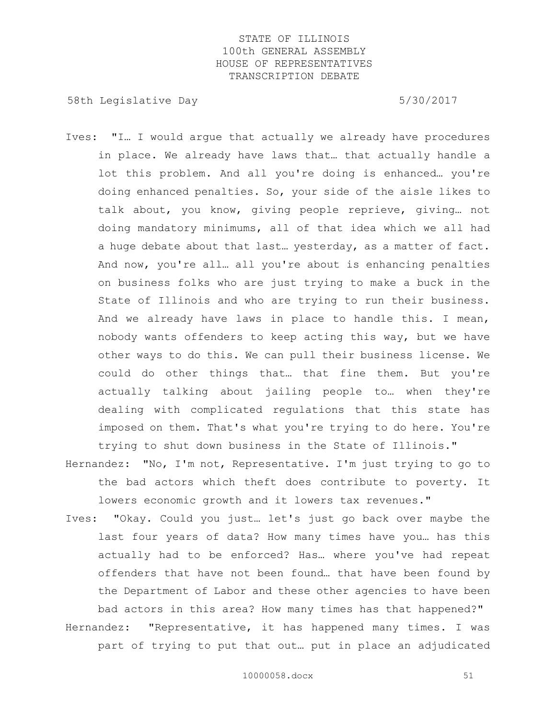58th Legislative Day 5/30/2017

- Ives: "I… I would argue that actually we already have procedures in place. We already have laws that… that actually handle a lot this problem. And all you're doing is enhanced… you're doing enhanced penalties. So, your side of the aisle likes to talk about, you know, giving people reprieve, giving… not doing mandatory minimums, all of that idea which we all had a huge debate about that last… yesterday, as a matter of fact. And now, you're all… all you're about is enhancing penalties on business folks who are just trying to make a buck in the State of Illinois and who are trying to run their business. And we already have laws in place to handle this. I mean, nobody wants offenders to keep acting this way, but we have other ways to do this. We can pull their business license. We could do other things that… that fine them. But you're actually talking about jailing people to… when they're dealing with complicated regulations that this state has imposed on them. That's what you're trying to do here. You're trying to shut down business in the State of Illinois."
- Hernandez: "No, I'm not, Representative. I'm just trying to go to the bad actors which theft does contribute to poverty. It lowers economic growth and it lowers tax revenues."
- Ives: "Okay. Could you just… let's just go back over maybe the last four years of data? How many times have you… has this actually had to be enforced? Has… where you've had repeat offenders that have not been found… that have been found by the Department of Labor and these other agencies to have been bad actors in this area? How many times has that happened?"
- Hernandez: "Representative, it has happened many times. I was part of trying to put that out… put in place an adjudicated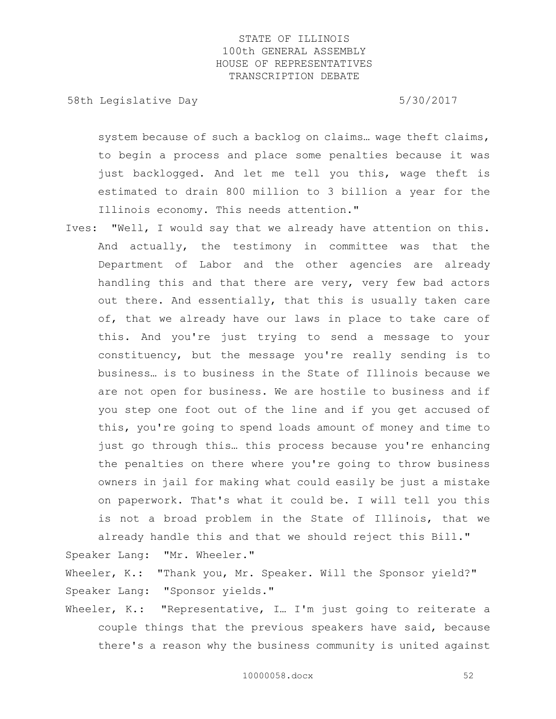58th Legislative Day 5/30/2017

system because of such a backlog on claims… wage theft claims, to begin a process and place some penalties because it was just backlogged. And let me tell you this, wage theft is estimated to drain 800 million to 3 billion a year for the Illinois economy. This needs attention."

Ives: "Well, I would say that we already have attention on this. And actually, the testimony in committee was that the Department of Labor and the other agencies are already handling this and that there are very, very few bad actors out there. And essentially, that this is usually taken care of, that we already have our laws in place to take care of this. And you're just trying to send a message to your constituency, but the message you're really sending is to business… is to business in the State of Illinois because we are not open for business. We are hostile to business and if you step one foot out of the line and if you get accused of this, you're going to spend loads amount of money and time to just go through this… this process because you're enhancing the penalties on there where you're going to throw business owners in jail for making what could easily be just a mistake on paperwork. That's what it could be. I will tell you this is not a broad problem in the State of Illinois, that we already handle this and that we should reject this Bill."

Speaker Lang: "Mr. Wheeler."

Wheeler, K.: "Thank you, Mr. Speaker. Will the Sponsor yield?" Speaker Lang: "Sponsor yields."

Wheeler, K.: "Representative, I... I'm just going to reiterate a couple things that the previous speakers have said, because there's a reason why the business community is united against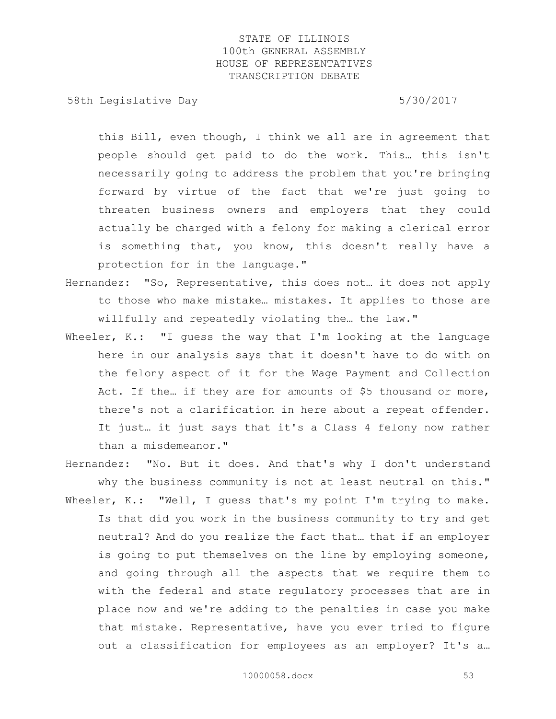58th Legislative Day 5/30/2017

this Bill, even though, I think we all are in agreement that people should get paid to do the work. This… this isn't necessarily going to address the problem that you're bringing forward by virtue of the fact that we're just going to threaten business owners and employers that they could actually be charged with a felony for making a clerical error is something that, you know, this doesn't really have a protection for in the language."

- Hernandez: "So, Representative, this does not… it does not apply to those who make mistake… mistakes. It applies to those are willfully and repeatedly violating the… the law."
- Wheeler, K.: "I quess the way that I'm looking at the language here in our analysis says that it doesn't have to do with on the felony aspect of it for the Wage Payment and Collection Act. If the… if they are for amounts of \$5 thousand or more, there's not a clarification in here about a repeat offender. It just… it just says that it's a Class 4 felony now rather than a misdemeanor."
- Hernandez: "No. But it does. And that's why I don't understand why the business community is not at least neutral on this." Wheeler, K.: "Well, I quess that's my point I'm trying to make. Is that did you work in the business community to try and get neutral? And do you realize the fact that… that if an employer is going to put themselves on the line by employing someone, and going through all the aspects that we require them to with the federal and state regulatory processes that are in place now and we're adding to the penalties in case you make that mistake. Representative, have you ever tried to figure out a classification for employees as an employer? It's a…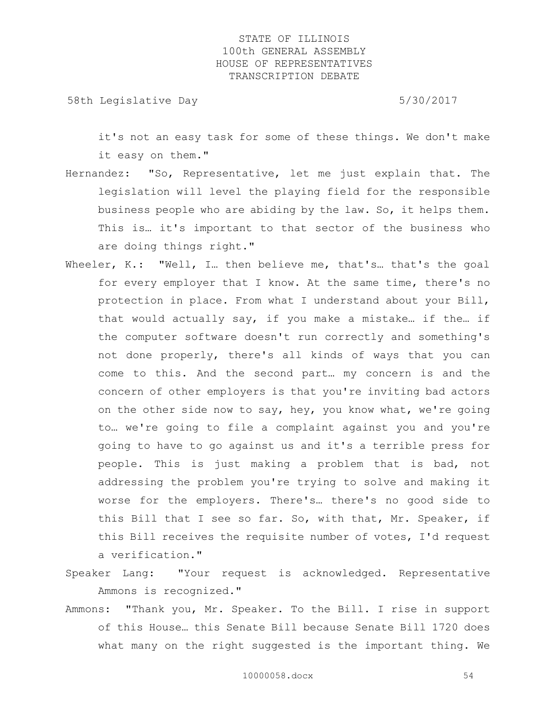58th Legislative Day 5/30/2017

it's not an easy task for some of these things. We don't make it easy on them."

- Hernandez: "So, Representative, let me just explain that. The legislation will level the playing field for the responsible business people who are abiding by the law. So, it helps them. This is… it's important to that sector of the business who are doing things right."
- Wheeler, K.: "Well, I. then believe me, that's that's the goal for every employer that I know. At the same time, there's no protection in place. From what I understand about your Bill, that would actually say, if you make a mistake… if the… if the computer software doesn't run correctly and something's not done properly, there's all kinds of ways that you can come to this. And the second part… my concern is and the concern of other employers is that you're inviting bad actors on the other side now to say, hey, you know what, we're going to… we're going to file a complaint against you and you're going to have to go against us and it's a terrible press for people. This is just making a problem that is bad, not addressing the problem you're trying to solve and making it worse for the employers. There's… there's no good side to this Bill that I see so far. So, with that, Mr. Speaker, if this Bill receives the requisite number of votes, I'd request a verification."
- Speaker Lang: "Your request is acknowledged. Representative Ammons is recognized."
- Ammons: "Thank you, Mr. Speaker. To the Bill. I rise in support of this House… this Senate Bill because Senate Bill 1720 does what many on the right suggested is the important thing. We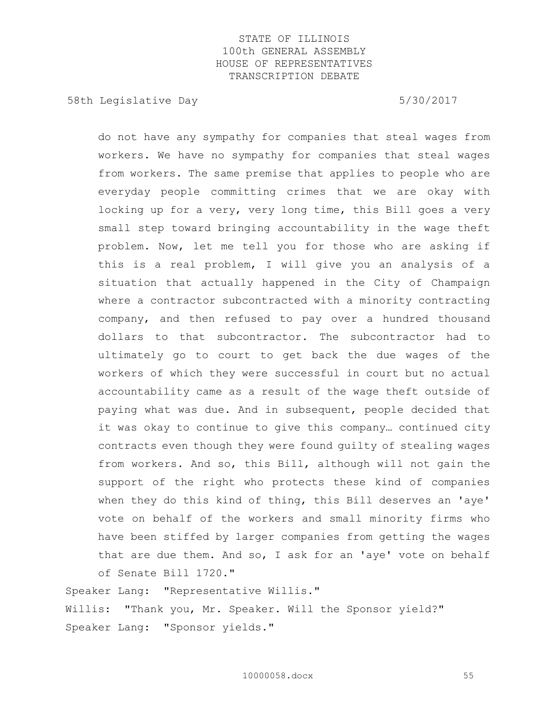58th Legislative Day 5/30/2017

do not have any sympathy for companies that steal wages from workers. We have no sympathy for companies that steal wages from workers. The same premise that applies to people who are everyday people committing crimes that we are okay with locking up for a very, very long time, this Bill goes a very small step toward bringing accountability in the wage theft problem. Now, let me tell you for those who are asking if this is a real problem, I will give you an analysis of a situation that actually happened in the City of Champaign where a contractor subcontracted with a minority contracting company, and then refused to pay over a hundred thousand dollars to that subcontractor. The subcontractor had to ultimately go to court to get back the due wages of the workers of which they were successful in court but no actual accountability came as a result of the wage theft outside of paying what was due. And in subsequent, people decided that it was okay to continue to give this company… continued city contracts even though they were found guilty of stealing wages from workers. And so, this Bill, although will not gain the support of the right who protects these kind of companies when they do this kind of thing, this Bill deserves an 'aye' vote on behalf of the workers and small minority firms who have been stiffed by larger companies from getting the wages that are due them. And so, I ask for an 'aye' vote on behalf of Senate Bill 1720."

Speaker Lang: "Representative Willis." Willis: "Thank you, Mr. Speaker. Will the Sponsor yield?" Speaker Lang: "Sponsor yields."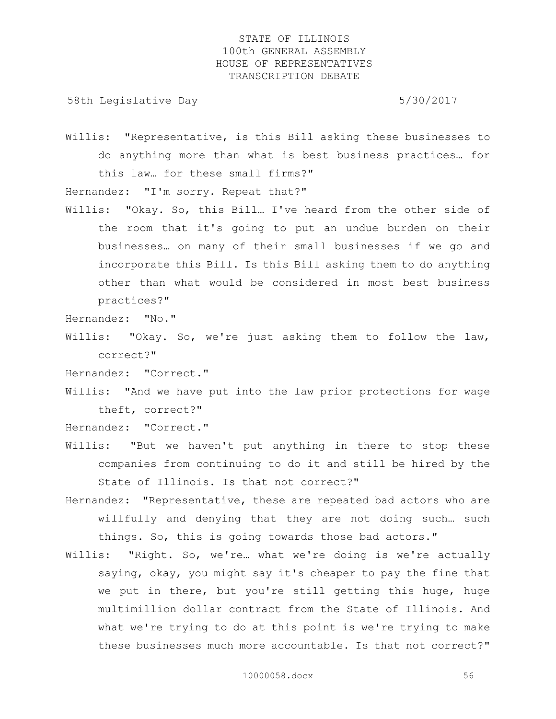58th Legislative Day 5/30/2017

Willis: "Representative, is this Bill asking these businesses to do anything more than what is best business practices… for this law… for these small firms?"

Hernandez: "I'm sorry. Repeat that?"

Willis: "Okay. So, this Bill… I've heard from the other side of the room that it's going to put an undue burden on their businesses… on many of their small businesses if we go and incorporate this Bill. Is this Bill asking them to do anything other than what would be considered in most best business practices?"

Hernandez: "No."

Willis: "Okay. So, we're just asking them to follow the law, correct?"

Hernandez: "Correct."

Willis: "And we have put into the law prior protections for wage theft, correct?"

Hernandez: "Correct."

- Willis: "But we haven't put anything in there to stop these companies from continuing to do it and still be hired by the State of Illinois. Is that not correct?"
- Hernandez: "Representative, these are repeated bad actors who are willfully and denying that they are not doing such… such things. So, this is going towards those bad actors."
- Willis: "Right. So, we're… what we're doing is we're actually saying, okay, you might say it's cheaper to pay the fine that we put in there, but you're still getting this huge, huge multimillion dollar contract from the State of Illinois. And what we're trying to do at this point is we're trying to make these businesses much more accountable. Is that not correct?"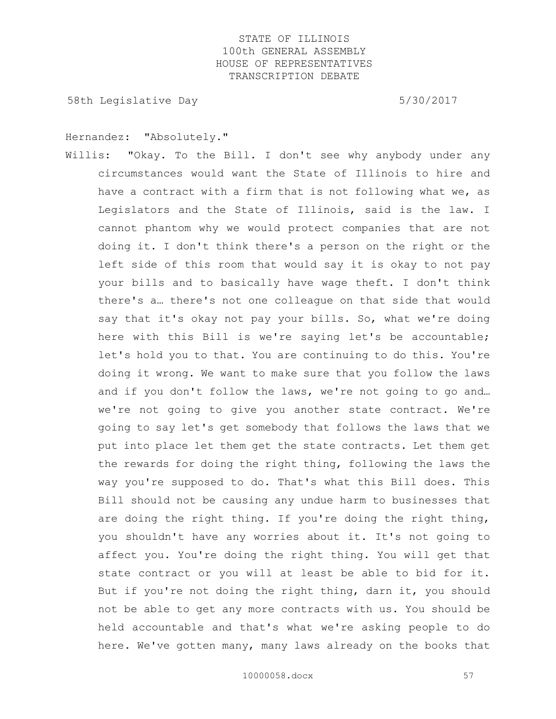58th Legislative Day 5/30/2017

Hernandez: "Absolutely."

Willis: "Okay. To the Bill. I don't see why anybody under any circumstances would want the State of Illinois to hire and have a contract with a firm that is not following what we, as Legislators and the State of Illinois, said is the law. I cannot phantom why we would protect companies that are not doing it. I don't think there's a person on the right or the left side of this room that would say it is okay to not pay your bills and to basically have wage theft. I don't think there's a… there's not one colleague on that side that would say that it's okay not pay your bills. So, what we're doing here with this Bill is we're saying let's be accountable; let's hold you to that. You are continuing to do this. You're doing it wrong. We want to make sure that you follow the laws and if you don't follow the laws, we're not going to go and... we're not going to give you another state contract. We're going to say let's get somebody that follows the laws that we put into place let them get the state contracts. Let them get the rewards for doing the right thing, following the laws the way you're supposed to do. That's what this Bill does. This Bill should not be causing any undue harm to businesses that are doing the right thing. If you're doing the right thing, you shouldn't have any worries about it. It's not going to affect you. You're doing the right thing. You will get that state contract or you will at least be able to bid for it. But if you're not doing the right thing, darn it, you should not be able to get any more contracts with us. You should be held accountable and that's what we're asking people to do here. We've gotten many, many laws already on the books that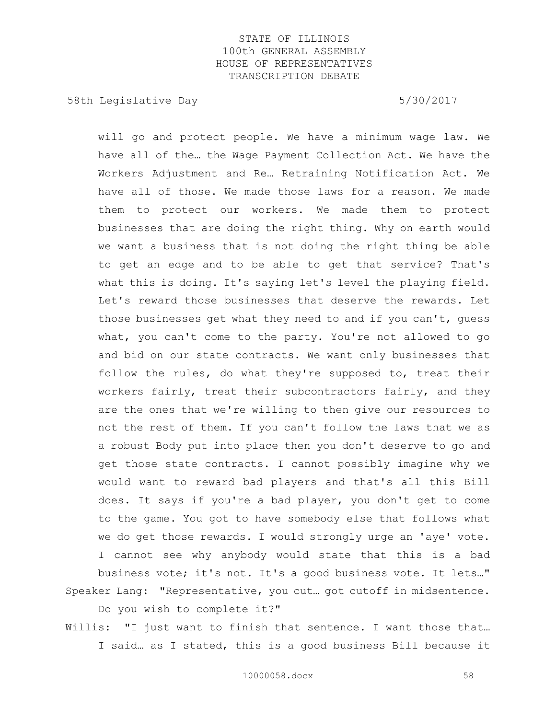58th Legislative Day 5/30/2017

will go and protect people. We have a minimum wage law. We have all of the… the Wage Payment Collection Act. We have the Workers Adjustment and Re… Retraining Notification Act. We have all of those. We made those laws for a reason. We made them to protect our workers. We made them to protect businesses that are doing the right thing. Why on earth would we want a business that is not doing the right thing be able to get an edge and to be able to get that service? That's what this is doing. It's saying let's level the playing field. Let's reward those businesses that deserve the rewards. Let those businesses get what they need to and if you can't, guess what, you can't come to the party. You're not allowed to go and bid on our state contracts. We want only businesses that follow the rules, do what they're supposed to, treat their workers fairly, treat their subcontractors fairly, and they are the ones that we're willing to then give our resources to not the rest of them. If you can't follow the laws that we as a robust Body put into place then you don't deserve to go and get those state contracts. I cannot possibly imagine why we would want to reward bad players and that's all this Bill does. It says if you're a bad player, you don't get to come to the game. You got to have somebody else that follows what we do get those rewards. I would strongly urge an 'aye' vote. I cannot see why anybody would state that this is a bad business vote; it's not. It's a good business vote. It lets…" Speaker Lang: "Representative, you cut… got cutoff in midsentence.

Do you wish to complete it?"

Willis: "I just want to finish that sentence. I want those that… I said… as I stated, this is a good business Bill because it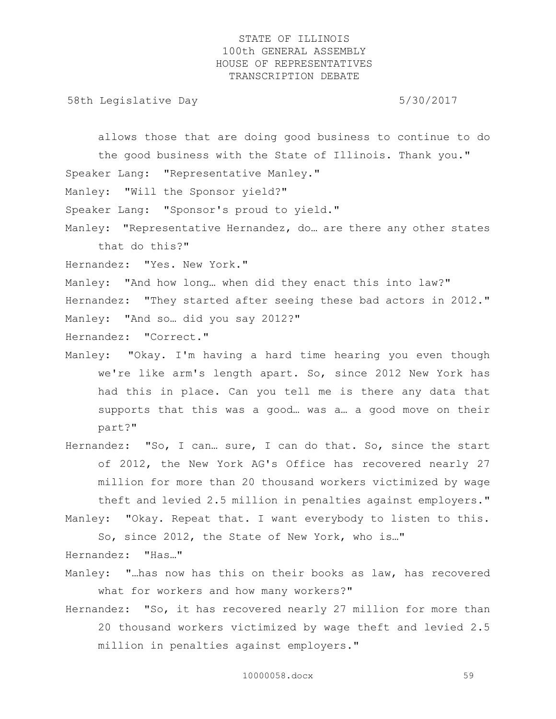58th Legislative Day 5/30/2017

allows those that are doing good business to continue to do the good business with the State of Illinois. Thank you." Speaker Lang: "Representative Manley."

Manley: "Will the Sponsor yield?"

Speaker Lang: "Sponsor's proud to yield."

Manley: "Representative Hernandez, do… are there any other states that do this?"

Hernandez: "Yes. New York."

Manley: "And how long… when did they enact this into law?"

Hernandez: "They started after seeing these bad actors in 2012." Manley: "And so… did you say 2012?"

Hernandez: "Correct."

- Manley: "Okay. I'm having a hard time hearing you even though we're like arm's length apart. So, since 2012 New York has had this in place. Can you tell me is there any data that supports that this was a good… was a… a good move on their part?"
- Hernandez: "So, I can… sure, I can do that. So, since the start of 2012, the New York AG's Office has recovered nearly 27 million for more than 20 thousand workers victimized by wage theft and levied 2.5 million in penalties against employers." Manley: "Okay. Repeat that. I want everybody to listen to this.

So, since 2012, the State of New York, who is…"

Hernandez: "Has…"

- Manley: "…has now has this on their books as law, has recovered what for workers and how many workers?"
- Hernandez: "So, it has recovered nearly 27 million for more than 20 thousand workers victimized by wage theft and levied 2.5 million in penalties against employers."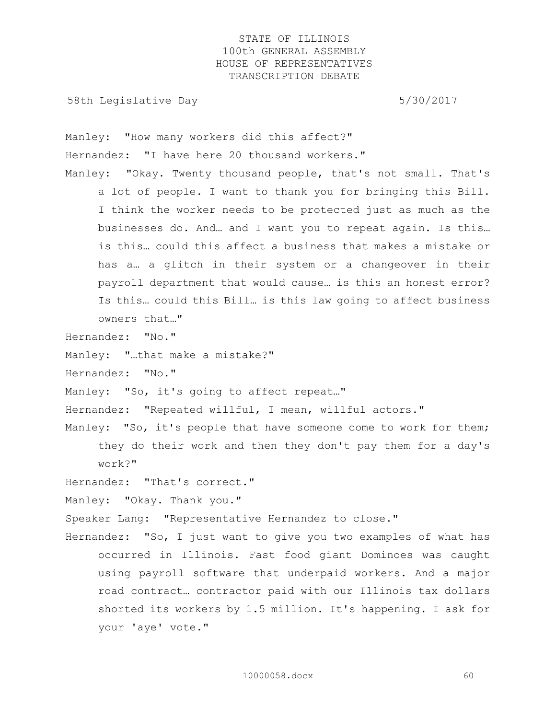58th Legislative Day 5/30/2017

Manley: "How many workers did this affect?" Hernandez: "I have here 20 thousand workers." Manley: "Okay. Twenty thousand people, that's not small. That's a lot of people. I want to thank you for bringing this Bill. I think the worker needs to be protected just as much as the businesses do. And… and I want you to repeat again. Is this… is this… could this affect a business that makes a mistake or has a… a glitch in their system or a changeover in their payroll department that would cause… is this an honest error? Is this… could this Bill… is this law going to affect business owners that…"

Hernandez: "No."

Manley: "…that make a mistake?"

Hernandez: "No."

Manley: "So, it's going to affect repeat…"

Hernandez: "Repeated willful, I mean, willful actors."

Manley: "So, it's people that have someone come to work for them; they do their work and then they don't pay them for a day's work?"

Hernandez: "That's correct."

Manley: "Okay. Thank you."

Speaker Lang: "Representative Hernandez to close."

Hernandez: "So, I just want to give you two examples of what has occurred in Illinois. Fast food giant Dominoes was caught using payroll software that underpaid workers. And a major road contract… contractor paid with our Illinois tax dollars shorted its workers by 1.5 million. It's happening. I ask for your 'aye' vote."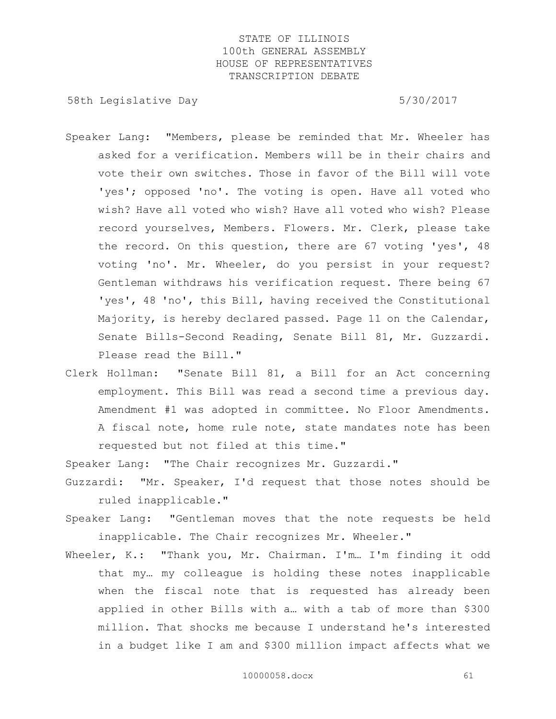58th Legislative Day 5/30/2017

- Speaker Lang: "Members, please be reminded that Mr. Wheeler has asked for a verification. Members will be in their chairs and vote their own switches. Those in favor of the Bill will vote 'yes'; opposed 'no'. The voting is open. Have all voted who wish? Have all voted who wish? Have all voted who wish? Please record yourselves, Members. Flowers. Mr. Clerk, please take the record. On this question, there are 67 voting 'yes', 48 voting 'no'. Mr. Wheeler, do you persist in your request? Gentleman withdraws his verification request. There being 67 'yes', 48 'no', this Bill, having received the Constitutional Majority, is hereby declared passed. Page 11 on the Calendar, Senate Bills-Second Reading, Senate Bill 81, Mr. Guzzardi. Please read the Bill."
- Clerk Hollman: "Senate Bill 81, a Bill for an Act concerning employment. This Bill was read a second time a previous day. Amendment #1 was adopted in committee. No Floor Amendments. A fiscal note, home rule note, state mandates note has been requested but not filed at this time."

Speaker Lang: "The Chair recognizes Mr. Guzzardi."

- Guzzardi: "Mr. Speaker, I'd request that those notes should be ruled inapplicable."
- Speaker Lang: "Gentleman moves that the note requests be held inapplicable. The Chair recognizes Mr. Wheeler."
- Wheeler, K.: "Thank you, Mr. Chairman. I'm… I'm finding it odd that my… my colleague is holding these notes inapplicable when the fiscal note that is requested has already been applied in other Bills with a… with a tab of more than \$300 million. That shocks me because I understand he's interested in a budget like I am and \$300 million impact affects what we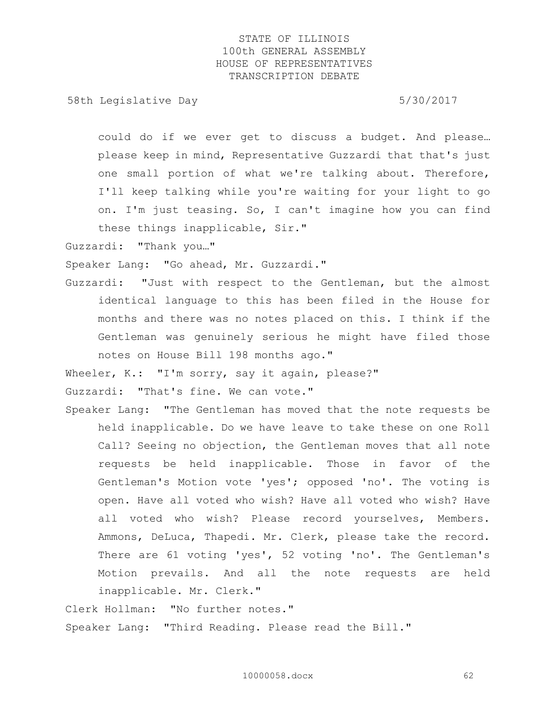58th Legislative Day 5/30/2017

could do if we ever get to discuss a budget. And please… please keep in mind, Representative Guzzardi that that's just one small portion of what we're talking about. Therefore, I'll keep talking while you're waiting for your light to go on. I'm just teasing. So, I can't imagine how you can find these things inapplicable, Sir."

Guzzardi: "Thank you…"

Speaker Lang: "Go ahead, Mr. Guzzardi."

Guzzardi: "Just with respect to the Gentleman, but the almost identical language to this has been filed in the House for months and there was no notes placed on this. I think if the Gentleman was genuinely serious he might have filed those notes on House Bill 198 months ago."

Wheeler, K.: "I'm sorry, say it again, please?"

Guzzardi: "That's fine. We can vote."

Speaker Lang: "The Gentleman has moved that the note requests be held inapplicable. Do we have leave to take these on one Roll Call? Seeing no objection, the Gentleman moves that all note requests be held inapplicable. Those in favor of the Gentleman's Motion vote 'yes'; opposed 'no'. The voting is open. Have all voted who wish? Have all voted who wish? Have all voted who wish? Please record yourselves, Members. Ammons, DeLuca, Thapedi. Mr. Clerk, please take the record. There are 61 voting 'yes', 52 voting 'no'. The Gentleman's Motion prevails. And all the note requests are held inapplicable. Mr. Clerk."

Clerk Hollman: "No further notes." Speaker Lang: "Third Reading. Please read the Bill."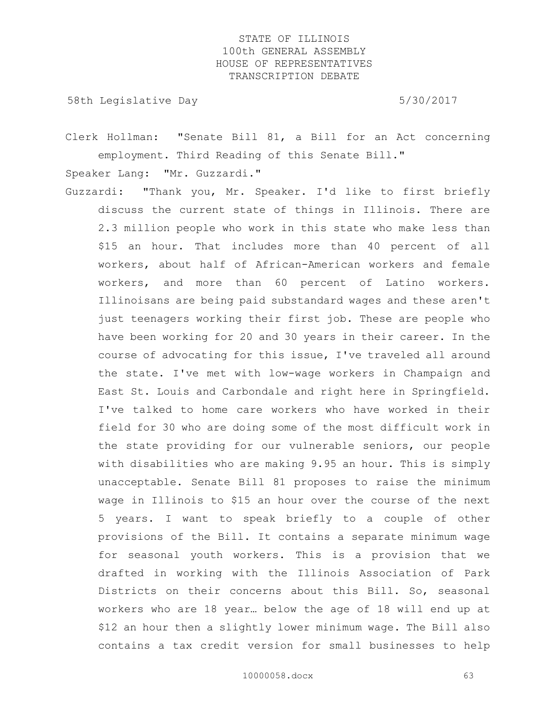58th Legislative Day 5/30/2017

Clerk Hollman: "Senate Bill 81, a Bill for an Act concerning employment. Third Reading of this Senate Bill."

Speaker Lang: "Mr. Guzzardi."

Guzzardi: "Thank you, Mr. Speaker. I'd like to first briefly discuss the current state of things in Illinois. There are 2.3 million people who work in this state who make less than \$15 an hour. That includes more than 40 percent of all workers, about half of African-American workers and female workers, and more than 60 percent of Latino workers. Illinoisans are being paid substandard wages and these aren't just teenagers working their first job. These are people who have been working for 20 and 30 years in their career. In the course of advocating for this issue, I've traveled all around the state. I've met with low-wage workers in Champaign and East St. Louis and Carbondale and right here in Springfield. I've talked to home care workers who have worked in their field for 30 who are doing some of the most difficult work in the state providing for our vulnerable seniors, our people with disabilities who are making 9.95 an hour. This is simply unacceptable. Senate Bill 81 proposes to raise the minimum wage in Illinois to \$15 an hour over the course of the next 5 years. I want to speak briefly to a couple of other provisions of the Bill. It contains a separate minimum wage for seasonal youth workers. This is a provision that we drafted in working with the Illinois Association of Park Districts on their concerns about this Bill. So, seasonal workers who are 18 year… below the age of 18 will end up at \$12 an hour then a slightly lower minimum wage. The Bill also contains a tax credit version for small businesses to help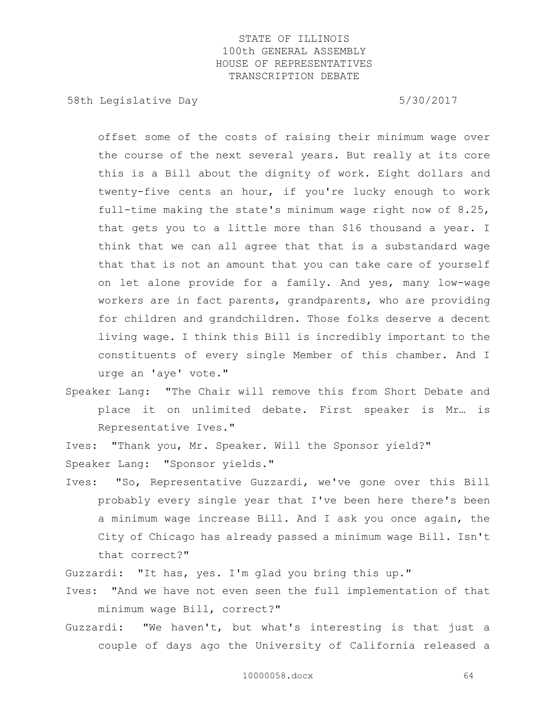58th Legislative Day 5/30/2017

offset some of the costs of raising their minimum wage over the course of the next several years. But really at its core this is a Bill about the dignity of work. Eight dollars and twenty-five cents an hour, if you're lucky enough to work full-time making the state's minimum wage right now of 8.25, that gets you to a little more than \$16 thousand a year. I think that we can all agree that that is a substandard wage that that is not an amount that you can take care of yourself on let alone provide for a family. And yes, many low-wage workers are in fact parents, grandparents, who are providing for children and grandchildren. Those folks deserve a decent living wage. I think this Bill is incredibly important to the constituents of every single Member of this chamber. And I urge an 'aye' vote."

Speaker Lang: "The Chair will remove this from Short Debate and place it on unlimited debate. First speaker is Mr… is Representative Ives."

Ives: "Thank you, Mr. Speaker. Will the Sponsor yield?"

Speaker Lang: "Sponsor yields."

Ives: "So, Representative Guzzardi, we've gone over this Bill probably every single year that I've been here there's been a minimum wage increase Bill. And I ask you once again, the City of Chicago has already passed a minimum wage Bill. Isn't that correct?"

Guzzardi: "It has, yes. I'm glad you bring this up."

- Ives: "And we have not even seen the full implementation of that minimum wage Bill, correct?"
- Guzzardi: "We haven't, but what's interesting is that just a couple of days ago the University of California released a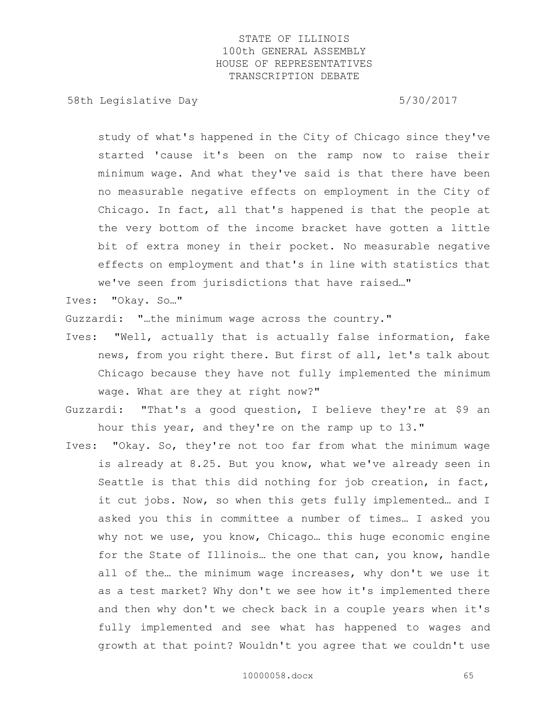58th Legislative Day 5/30/2017

study of what's happened in the City of Chicago since they've started 'cause it's been on the ramp now to raise their minimum wage. And what they've said is that there have been no measurable negative effects on employment in the City of Chicago. In fact, all that's happened is that the people at the very bottom of the income bracket have gotten a little bit of extra money in their pocket. No measurable negative effects on employment and that's in line with statistics that we've seen from jurisdictions that have raised…"

Ives: "Okay. So…"

Guzzardi: "…the minimum wage across the country."

- Ives: "Well, actually that is actually false information, fake news, from you right there. But first of all, let's talk about Chicago because they have not fully implemented the minimum wage. What are they at right now?"
- Guzzardi: "That's a good question, I believe they're at \$9 an hour this year, and they're on the ramp up to 13."
- Ives: "Okay. So, they're not too far from what the minimum wage is already at 8.25. But you know, what we've already seen in Seattle is that this did nothing for job creation, in fact, it cut jobs. Now, so when this gets fully implemented… and I asked you this in committee a number of times… I asked you why not we use, you know, Chicago… this huge economic engine for the State of Illinois… the one that can, you know, handle all of the… the minimum wage increases, why don't we use it as a test market? Why don't we see how it's implemented there and then why don't we check back in a couple years when it's fully implemented and see what has happened to wages and growth at that point? Wouldn't you agree that we couldn't use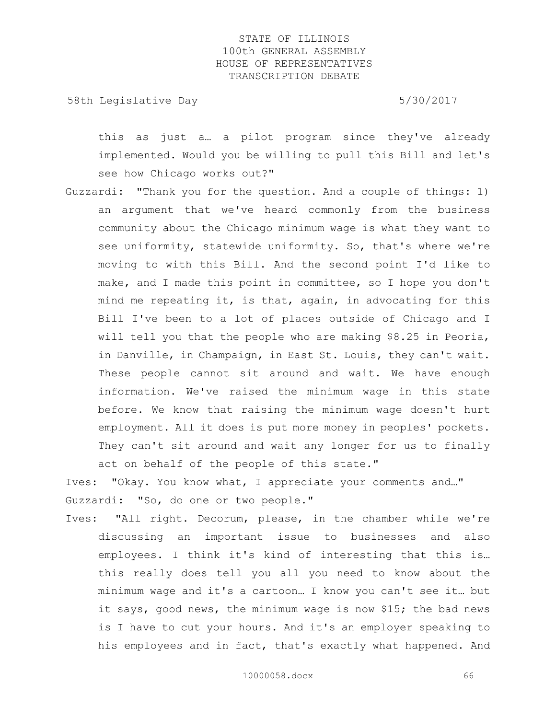58th Legislative Day 5/30/2017

this as just a… a pilot program since they've already implemented. Would you be willing to pull this Bill and let's see how Chicago works out?"

Guzzardi: "Thank you for the question. And a couple of things: 1) an argument that we've heard commonly from the business community about the Chicago minimum wage is what they want to see uniformity, statewide uniformity. So, that's where we're moving to with this Bill. And the second point I'd like to make, and I made this point in committee, so I hope you don't mind me repeating it, is that, again, in advocating for this Bill I've been to a lot of places outside of Chicago and I will tell you that the people who are making \$8.25 in Peoria, in Danville, in Champaign, in East St. Louis, they can't wait. These people cannot sit around and wait. We have enough information. We've raised the minimum wage in this state before. We know that raising the minimum wage doesn't hurt employment. All it does is put more money in peoples' pockets. They can't sit around and wait any longer for us to finally act on behalf of the people of this state."

Ives: "Okay. You know what, I appreciate your comments and…" Guzzardi: "So, do one or two people."

Ives: "All right. Decorum, please, in the chamber while we're discussing an important issue to businesses and also employees. I think it's kind of interesting that this is… this really does tell you all you need to know about the minimum wage and it's a cartoon… I know you can't see it… but it says, good news, the minimum wage is now \$15; the bad news is I have to cut your hours. And it's an employer speaking to his employees and in fact, that's exactly what happened. And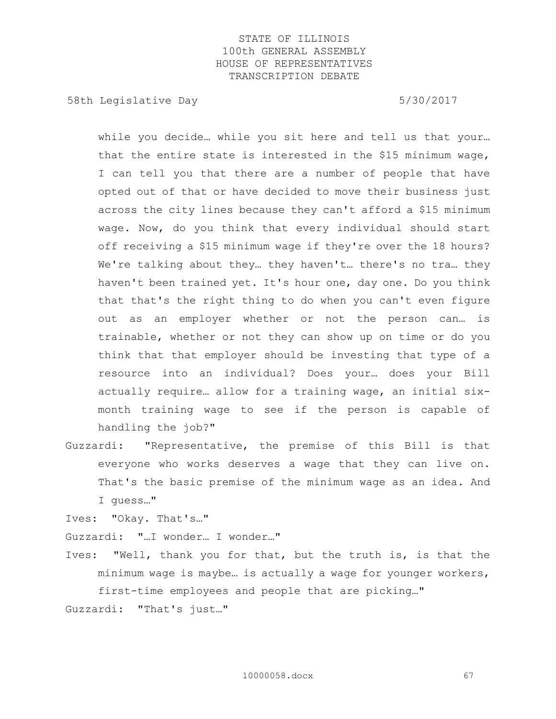58th Legislative Day 6.5730/2017

while you decide… while you sit here and tell us that your… that the entire state is interested in the \$15 minimum wage, I can tell you that there are a number of people that have opted out of that or have decided to move their business just across the city lines because they can't afford a \$15 minimum wage. Now, do you think that every individual should start off receiving a \$15 minimum wage if they're over the 18 hours? We're talking about they... they haven't... there's no tra... they haven't been trained yet. It's hour one, day one. Do you think that that's the right thing to do when you can't even figure out as an employer whether or not the person can… is trainable, whether or not they can show up on time or do you think that that employer should be investing that type of a resource into an individual? Does your… does your Bill actually require… allow for a training wage, an initial sixmonth training wage to see if the person is capable of handling the job?"

Guzzardi: "Representative, the premise of this Bill is that everyone who works deserves a wage that they can live on. That's the basic premise of the minimum wage as an idea. And I guess…"

Ives: "Okay. That's…"

Guzzardi: "…I wonder… I wonder…"

Ives: "Well, thank you for that, but the truth is, is that the minimum wage is maybe… is actually a wage for younger workers, first-time employees and people that are picking…"

Guzzardi: "That's just…"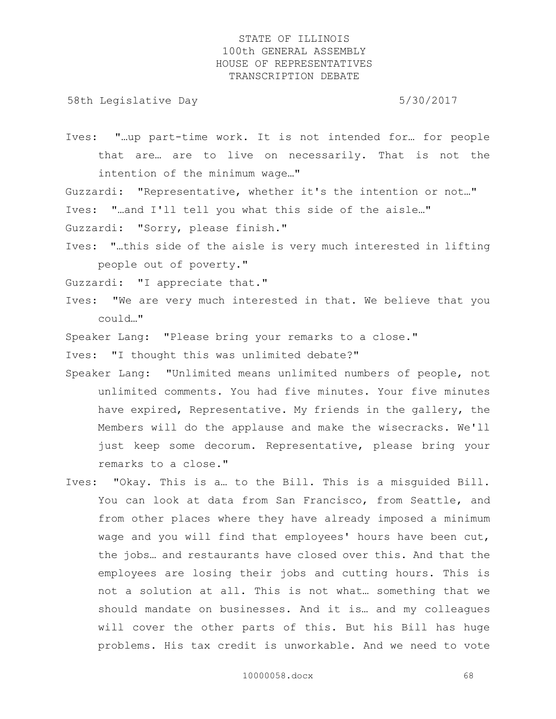58th Legislative Day 6.5730/2017

Ives: "…up part-time work. It is not intended for… for people that are… are to live on necessarily. That is not the intention of the minimum wage…"

Guzzardi: "Representative, whether it's the intention or not…" Ives: "…and I'll tell you what this side of the aisle…"

Guzzardi: "Sorry, please finish."

Ives: "…this side of the aisle is very much interested in lifting people out of poverty."

Guzzardi: "I appreciate that."

Ives: "We are very much interested in that. We believe that you could…"

Speaker Lang: "Please bring your remarks to a close."

Ives: "I thought this was unlimited debate?"

- Speaker Lang: "Unlimited means unlimited numbers of people, not unlimited comments. You had five minutes. Your five minutes have expired, Representative. My friends in the gallery, the Members will do the applause and make the wisecracks. We'll just keep some decorum. Representative, please bring your remarks to a close."
- Ives: "Okay. This is a… to the Bill. This is a misguided Bill. You can look at data from San Francisco, from Seattle, and from other places where they have already imposed a minimum wage and you will find that employees' hours have been cut, the jobs… and restaurants have closed over this. And that the employees are losing their jobs and cutting hours. This is not a solution at all. This is not what… something that we should mandate on businesses. And it is… and my colleagues will cover the other parts of this. But his Bill has huge problems. His tax credit is unworkable. And we need to vote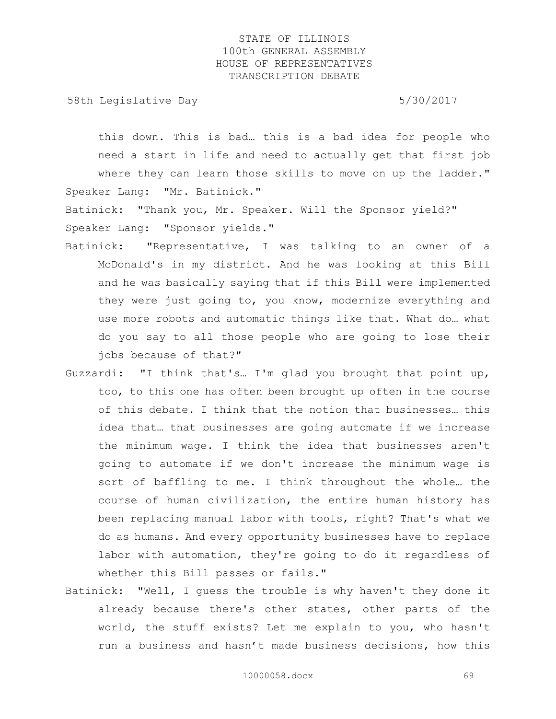58th Legislative Day 5/30/2017

this down. This is bad… this is a bad idea for people who need a start in life and need to actually get that first job where they can learn those skills to move on up the ladder." Speaker Lang: "Mr. Batinick."

Batinick: "Thank you, Mr. Speaker. Will the Sponsor yield?" Speaker Lang: "Sponsor yields."

- Batinick: "Representative, I was talking to an owner of a McDonald's in my district. And he was looking at this Bill and he was basically saying that if this Bill were implemented they were just going to, you know, modernize everything and use more robots and automatic things like that. What do… what do you say to all those people who are going to lose their jobs because of that?"
- Guzzardi: "I think that's… I'm glad you brought that point up, too, to this one has often been brought up often in the course of this debate. I think that the notion that businesses… this idea that… that businesses are going automate if we increase the minimum wage. I think the idea that businesses aren't going to automate if we don't increase the minimum wage is sort of baffling to me. I think throughout the whole… the course of human civilization, the entire human history has been replacing manual labor with tools, right? That's what we do as humans. And every opportunity businesses have to replace labor with automation, they're going to do it regardless of whether this Bill passes or fails."
- Batinick: "Well, I guess the trouble is why haven't they done it already because there's other states, other parts of the world, the stuff exists? Let me explain to you, who hasn't run a business and hasn't made business decisions, how this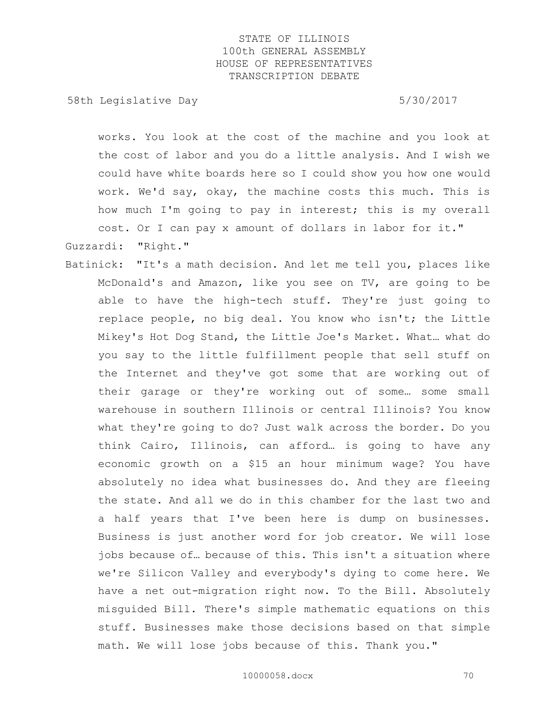58th Legislative Day 5/30/2017

works. You look at the cost of the machine and you look at the cost of labor and you do a little analysis. And I wish we could have white boards here so I could show you how one would work. We'd say, okay, the machine costs this much. This is how much I'm going to pay in interest; this is my overall cost. Or I can pay x amount of dollars in labor for it."

Guzzardi: "Right."

Batinick: "It's a math decision. And let me tell you, places like McDonald's and Amazon, like you see on TV, are going to be able to have the high-tech stuff. They're just going to replace people, no big deal. You know who isn't; the Little Mikey's Hot Dog Stand, the Little Joe's Market. What… what do you say to the little fulfillment people that sell stuff on the Internet and they've got some that are working out of their garage or they're working out of some… some small warehouse in southern Illinois or central Illinois? You know what they're going to do? Just walk across the border. Do you think Cairo, Illinois, can afford… is going to have any economic growth on a \$15 an hour minimum wage? You have absolutely no idea what businesses do. And they are fleeing the state. And all we do in this chamber for the last two and a half years that I've been here is dump on businesses. Business is just another word for job creator. We will lose jobs because of… because of this. This isn't a situation where we're Silicon Valley and everybody's dying to come here. We have a net out-migration right now. To the Bill. Absolutely misguided Bill. There's simple mathematic equations on this stuff. Businesses make those decisions based on that simple math. We will lose jobs because of this. Thank you."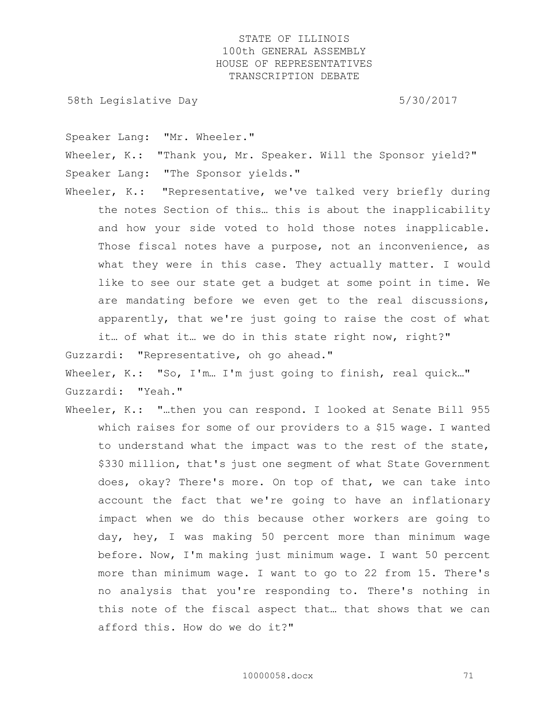58th Legislative Day 5/30/2017

Speaker Lang: "Mr. Wheeler."

Wheeler, K.: "Thank you, Mr. Speaker. Will the Sponsor yield?" Speaker Lang: "The Sponsor yields."

Wheeler, K.: "Representative, we've talked very briefly during the notes Section of this… this is about the inapplicability and how your side voted to hold those notes inapplicable. Those fiscal notes have a purpose, not an inconvenience, as what they were in this case. They actually matter. I would like to see our state get a budget at some point in time. We are mandating before we even get to the real discussions, apparently, that we're just going to raise the cost of what

it… of what it… we do in this state right now, right?" Guzzardi: "Representative, oh go ahead."

Wheeler, K.: "So, I'm… I'm just going to finish, real quick…" Guzzardi: "Yeah."

Wheeler, K.: "...then you can respond. I looked at Senate Bill 955 which raises for some of our providers to a \$15 wage. I wanted to understand what the impact was to the rest of the state, \$330 million, that's just one segment of what State Government does, okay? There's more. On top of that, we can take into account the fact that we're going to have an inflationary impact when we do this because other workers are going to day, hey, I was making 50 percent more than minimum wage before. Now, I'm making just minimum wage. I want 50 percent more than minimum wage. I want to go to 22 from 15. There's no analysis that you're responding to. There's nothing in this note of the fiscal aspect that… that shows that we can afford this. How do we do it?"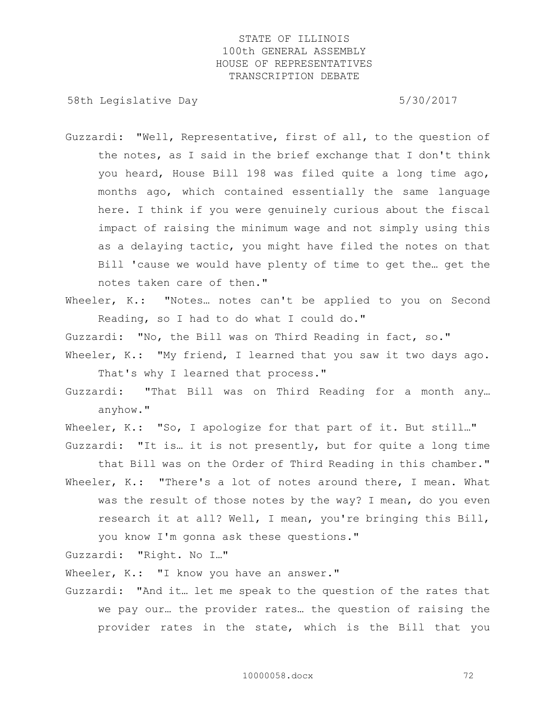58th Legislative Day 5/30/2017

- Guzzardi: "Well, Representative, first of all, to the question of the notes, as I said in the brief exchange that I don't think you heard, House Bill 198 was filed quite a long time ago, months ago, which contained essentially the same language here. I think if you were genuinely curious about the fiscal impact of raising the minimum wage and not simply using this as a delaying tactic, you might have filed the notes on that Bill 'cause we would have plenty of time to get the… get the notes taken care of then."
- Wheeler, K.: "Notes... notes can't be applied to you on Second Reading, so I had to do what I could do."

Guzzardi: "No, the Bill was on Third Reading in fact, so."

- Wheeler, K.: "My friend, I learned that you saw it two days ago. That's why I learned that process."
- Guzzardi: "That Bill was on Third Reading for a month any… anyhow."

Wheeler, K.: "So, I apologize for that part of it. But still..."

Guzzardi: "It is… it is not presently, but for quite a long time that Bill was on the Order of Third Reading in this chamber." Wheeler, K.: "There's a lot of notes around there, I mean. What was the result of those notes by the way? I mean, do you even research it at all? Well, I mean, you're bringing this Bill,

you know I'm gonna ask these questions."

Guzzardi: "Right. No I…"

Wheeler, K.: "I know you have an answer."

Guzzardi: "And it… let me speak to the question of the rates that we pay our… the provider rates… the question of raising the provider rates in the state, which is the Bill that you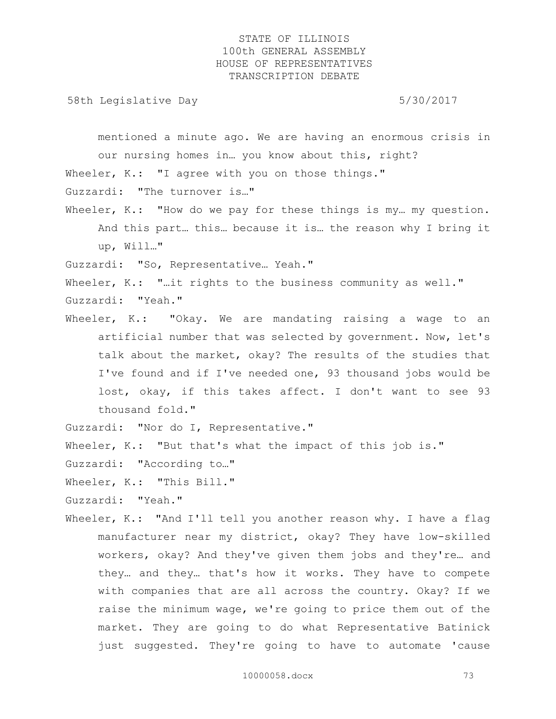58th Legislative Day 5/30/2017

mentioned a minute ago. We are having an enormous crisis in our nursing homes in… you know about this, right? Wheeler, K.: "I agree with you on those things." Guzzardi: "The turnover is…"

Wheeler, K.: "How do we pay for these things is my... my question. And this part… this… because it is… the reason why I bring it up, Will…"

Guzzardi: "So, Representative… Yeah."

Wheeler, K.: "..it rights to the business community as well." Guzzardi: "Yeah."

Wheeler, K.: "Okay. We are mandating raising a wage to an artificial number that was selected by government. Now, let's talk about the market, okay? The results of the studies that I've found and if I've needed one, 93 thousand jobs would be lost, okay, if this takes affect. I don't want to see 93 thousand fold."

Guzzardi: "Nor do I, Representative."

Wheeler, K.: "But that's what the impact of this job is."

Guzzardi: "According to…"

Wheeler, K.: "This Bill."

Guzzardi: "Yeah."

Wheeler, K.: "And I'll tell you another reason why. I have a flag manufacturer near my district, okay? They have low-skilled workers, okay? And they've given them jobs and they're… and they… and they… that's how it works. They have to compete with companies that are all across the country. Okay? If we raise the minimum wage, we're going to price them out of the market. They are going to do what Representative Batinick just suggested. They're going to have to automate 'cause

10000058.docx 73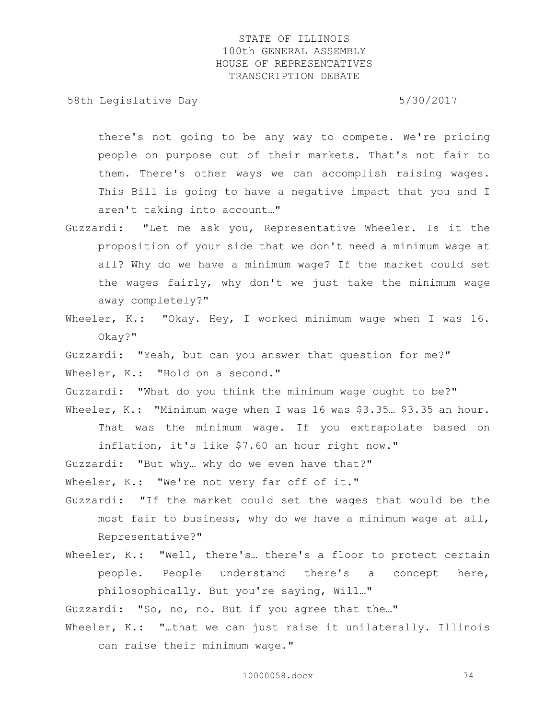58th Legislative Day 5/30/2017

there's not going to be any way to compete. We're pricing people on purpose out of their markets. That's not fair to them. There's other ways we can accomplish raising wages. This Bill is going to have a negative impact that you and I aren't taking into account…"

- Guzzardi: "Let me ask you, Representative Wheeler. Is it the proposition of your side that we don't need a minimum wage at all? Why do we have a minimum wage? If the market could set the wages fairly, why don't we just take the minimum wage away completely?"
- Wheeler, K.: "Okay. Hey, I worked minimum wage when I was 16. Okay?"

Guzzardi: "Yeah, but can you answer that question for me?" Wheeler, K.: "Hold on a second."

Guzzardi: "What do you think the minimum wage ought to be?" Wheeler, K.: "Minimum wage when I was 16 was \$3.35... \$3.35 an hour.

That was the minimum wage. If you extrapolate based on inflation, it's like \$7.60 an hour right now."

Guzzardi: "But why… why do we even have that?"

Wheeler, K.: "We're not very far off of it."

- Guzzardi: "If the market could set the wages that would be the most fair to business, why do we have a minimum wage at all, Representative?"
- Wheeler, K.: "Well, there's... there's a floor to protect certain people. People understand there's a concept here, philosophically. But you're saying, Will…"

Guzzardi: "So, no, no. But if you agree that the…"

Wheeler, K.: "...that we can just raise it unilaterally. Illinois can raise their minimum wage."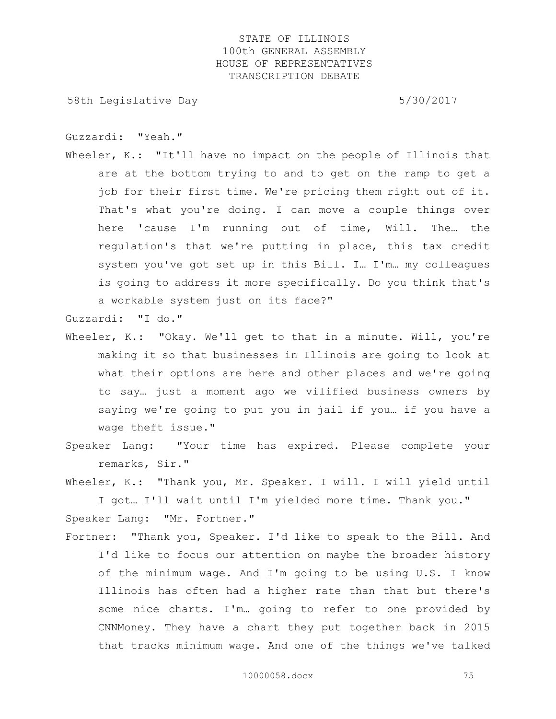58th Legislative Day 5/30/2017

Guzzardi: "Yeah."

Wheeler, K.: "It'll have no impact on the people of Illinois that are at the bottom trying to and to get on the ramp to get a job for their first time. We're pricing them right out of it. That's what you're doing. I can move a couple things over here 'cause I'm running out of time, Will. The… the regulation's that we're putting in place, this tax credit system you've got set up in this Bill. I… I'm… my colleagues is going to address it more specifically. Do you think that's a workable system just on its face?"

Guzzardi: "I do."

- Wheeler, K.: "Okay. We'll get to that in a minute. Will, you're making it so that businesses in Illinois are going to look at what their options are here and other places and we're going to say… just a moment ago we vilified business owners by saying we're going to put you in jail if you… if you have a wage theft issue."
- Speaker Lang: "Your time has expired. Please complete your remarks, Sir."
- Wheeler, K.: "Thank you, Mr. Speaker. I will. I will yield until I got… I'll wait until I'm yielded more time. Thank you." Speaker Lang: "Mr. Fortner."
- Fortner: "Thank you, Speaker. I'd like to speak to the Bill. And I'd like to focus our attention on maybe the broader history of the minimum wage. And I'm going to be using U.S. I know Illinois has often had a higher rate than that but there's some nice charts. I'm… going to refer to one provided by CNNMoney. They have a chart they put together back in 2015 that tracks minimum wage. And one of the things we've talked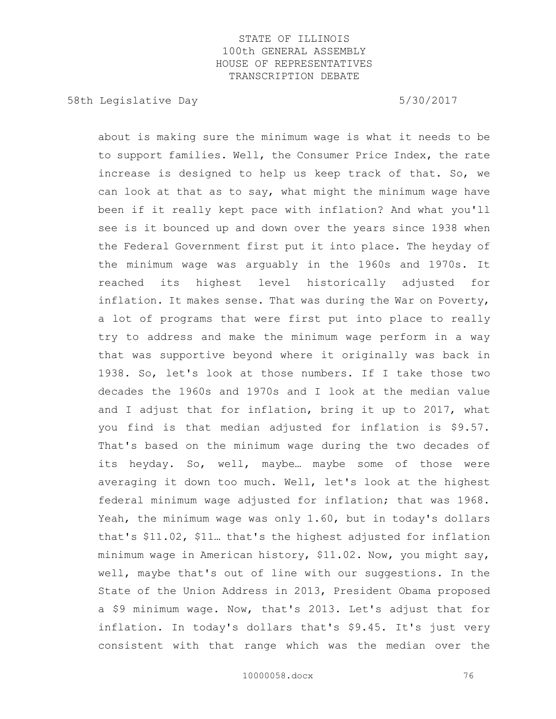58th Legislative Day 5/30/2017

about is making sure the minimum wage is what it needs to be to support families. Well, the Consumer Price Index, the rate increase is designed to help us keep track of that. So, we can look at that as to say, what might the minimum wage have been if it really kept pace with inflation? And what you'll see is it bounced up and down over the years since 1938 when the Federal Government first put it into place. The heyday of the minimum wage was arguably in the 1960s and 1970s. It reached its highest level historically adjusted for inflation. It makes sense. That was during the War on Poverty, a lot of programs that were first put into place to really try to address and make the minimum wage perform in a way that was supportive beyond where it originally was back in 1938. So, let's look at those numbers. If I take those two decades the 1960s and 1970s and I look at the median value and I adjust that for inflation, bring it up to 2017, what you find is that median adjusted for inflation is \$9.57. That's based on the minimum wage during the two decades of its heyday. So, well, maybe… maybe some of those were averaging it down too much. Well, let's look at the highest federal minimum wage adjusted for inflation; that was 1968. Yeah, the minimum wage was only 1.60, but in today's dollars that's \$11.02, \$11… that's the highest adjusted for inflation minimum wage in American history, \$11.02. Now, you might say, well, maybe that's out of line with our suggestions. In the State of the Union Address in 2013, President Obama proposed a \$9 minimum wage. Now, that's 2013. Let's adjust that for inflation. In today's dollars that's \$9.45. It's just very consistent with that range which was the median over the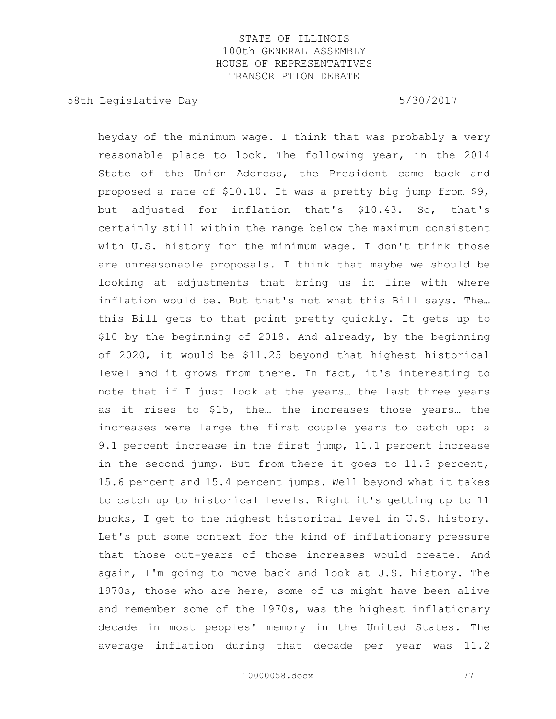58th Legislative Day 5/30/2017

heyday of the minimum wage. I think that was probably a very reasonable place to look. The following year, in the 2014 State of the Union Address, the President came back and proposed a rate of \$10.10. It was a pretty big jump from \$9, but adjusted for inflation that's \$10.43. So, that's certainly still within the range below the maximum consistent with U.S. history for the minimum wage. I don't think those are unreasonable proposals. I think that maybe we should be looking at adjustments that bring us in line with where inflation would be. But that's not what this Bill says. The… this Bill gets to that point pretty quickly. It gets up to \$10 by the beginning of 2019. And already, by the beginning of 2020, it would be \$11.25 beyond that highest historical level and it grows from there. In fact, it's interesting to note that if I just look at the years… the last three years as it rises to \$15, the… the increases those years… the increases were large the first couple years to catch up: a 9.1 percent increase in the first jump, 11.1 percent increase in the second jump. But from there it goes to 11.3 percent, 15.6 percent and 15.4 percent jumps. Well beyond what it takes to catch up to historical levels. Right it's getting up to 11 bucks, I get to the highest historical level in U.S. history. Let's put some context for the kind of inflationary pressure that those out-years of those increases would create. And again, I'm going to move back and look at U.S. history. The 1970s, those who are here, some of us might have been alive and remember some of the 1970s, was the highest inflationary decade in most peoples' memory in the United States. The average inflation during that decade per year was 11.2

10000058.docx 77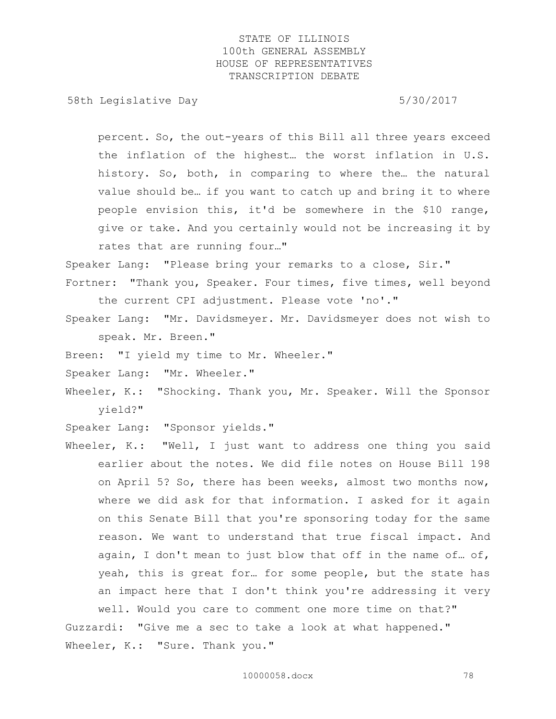58th Legislative Day 5/30/2017

percent. So, the out-years of this Bill all three years exceed the inflation of the highest… the worst inflation in U.S. history. So, both, in comparing to where the… the natural value should be… if you want to catch up and bring it to where people envision this, it'd be somewhere in the \$10 range, give or take. And you certainly would not be increasing it by rates that are running four…"

Speaker Lang: "Please bring your remarks to a close, Sir."

- Fortner: "Thank you, Speaker. Four times, five times, well beyond the current CPI adjustment. Please vote 'no'."
- Speaker Lang: "Mr. Davidsmeyer. Mr. Davidsmeyer does not wish to speak. Mr. Breen."
- Breen: "I yield my time to Mr. Wheeler."
- Speaker Lang: "Mr. Wheeler."
- Wheeler, K.: "Shocking. Thank you, Mr. Speaker. Will the Sponsor yield?"
- Speaker Lang: "Sponsor yields."
- Wheeler, K.: "Well, I just want to address one thing you said earlier about the notes. We did file notes on House Bill 198 on April 5? So, there has been weeks, almost two months now, where we did ask for that information. I asked for it again on this Senate Bill that you're sponsoring today for the same reason. We want to understand that true fiscal impact. And again, I don't mean to just blow that off in the name of… of, yeah, this is great for… for some people, but the state has an impact here that I don't think you're addressing it very well. Would you care to comment one more time on that?" Guzzardi: "Give me a sec to take a look at what happened."

Wheeler, K.: "Sure. Thank you."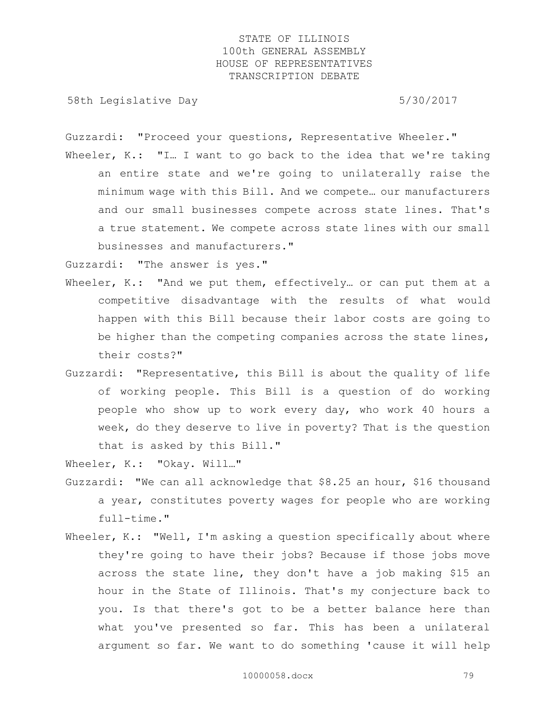58th Legislative Day 5/30/2017

Guzzardi: "Proceed your questions, Representative Wheeler."

Wheeler, K.: "I... I want to go back to the idea that we're taking an entire state and we're going to unilaterally raise the minimum wage with this Bill. And we compete… our manufacturers and our small businesses compete across state lines. That's a true statement. We compete across state lines with our small businesses and manufacturers."

Guzzardi: "The answer is yes."

- Wheeler, K.: "And we put them, effectively... or can put them at a competitive disadvantage with the results of what would happen with this Bill because their labor costs are going to be higher than the competing companies across the state lines, their costs?"
- Guzzardi: "Representative, this Bill is about the quality of life of working people. This Bill is a question of do working people who show up to work every day, who work 40 hours a week, do they deserve to live in poverty? That is the question that is asked by this Bill."

Wheeler, K.: "Okay. Will…"

- Guzzardi: "We can all acknowledge that \$8.25 an hour, \$16 thousand a year, constitutes poverty wages for people who are working full-time."
- Wheeler, K.: "Well, I'm asking a question specifically about where they're going to have their jobs? Because if those jobs move across the state line, they don't have a job making \$15 an hour in the State of Illinois. That's my conjecture back to you. Is that there's got to be a better balance here than what you've presented so far. This has been a unilateral argument so far. We want to do something 'cause it will help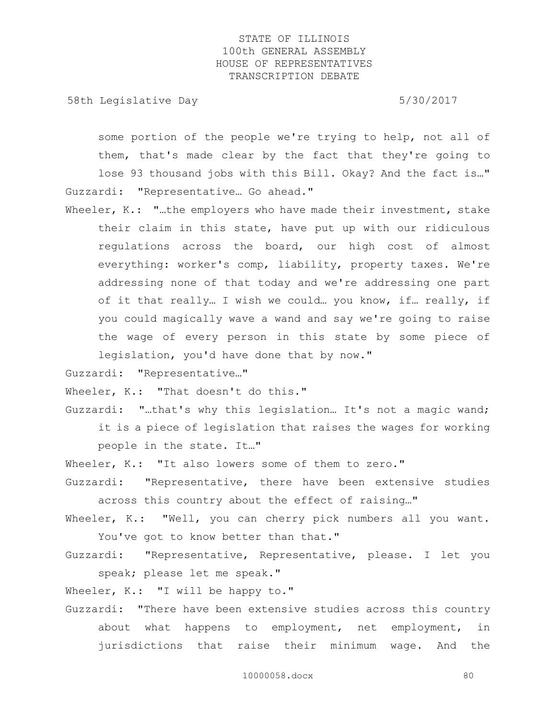58th Legislative Day 5/30/2017

some portion of the people we're trying to help, not all of them, that's made clear by the fact that they're going to lose 93 thousand jobs with this Bill. Okay? And the fact is…" Guzzardi: "Representative… Go ahead."

Wheeler, K.: "..the employers who have made their investment, stake their claim in this state, have put up with our ridiculous regulations across the board, our high cost of almost everything: worker's comp, liability, property taxes. We're addressing none of that today and we're addressing one part of it that really… I wish we could… you know, if… really, if you could magically wave a wand and say we're going to raise the wage of every person in this state by some piece of legislation, you'd have done that by now."

Guzzardi: "Representative…"

Wheeler, K.: "That doesn't do this."

- Guzzardi: "…that's why this legislation… It's not a magic wand; it is a piece of legislation that raises the wages for working people in the state. It…"
- Wheeler, K.: "It also lowers some of them to zero."
- Guzzardi: "Representative, there have been extensive studies across this country about the effect of raising…"
- Wheeler, K.: "Well, you can cherry pick numbers all you want. You've got to know better than that."
- Guzzardi: "Representative, Representative, please. I let you speak; please let me speak."

Wheeler, K.: "I will be happy to."

Guzzardi: "There have been extensive studies across this country about what happens to employment, net employment, in jurisdictions that raise their minimum wage. And the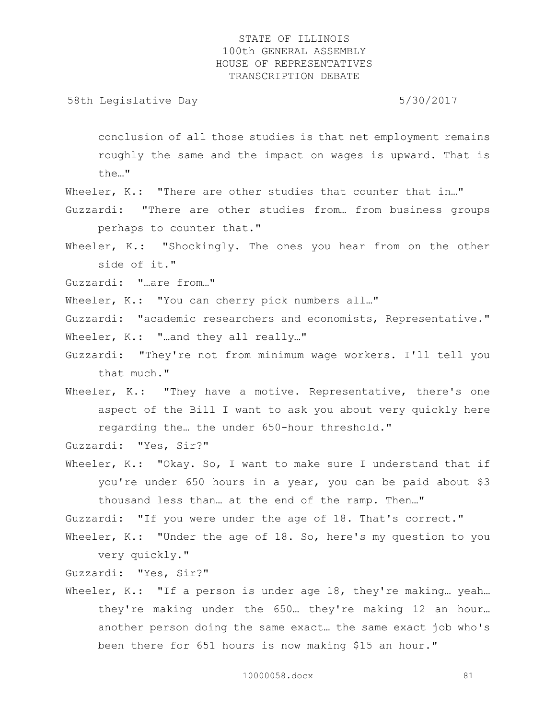58th Legislative Day 5/30/2017

conclusion of all those studies is that net employment remains roughly the same and the impact on wages is upward. That is the…"

Wheeler, K.: "There are other studies that counter that in..."

- Guzzardi: "There are other studies from… from business groups perhaps to counter that."
- Wheeler, K.: "Shockingly. The ones you hear from on the other side of it."

Guzzardi: "…are from…"

Wheeler, K.: "You can cherry pick numbers all..."

Guzzardi: "academic researchers and economists, Representative." Wheeler, K.: "...and they all really..."

- Guzzardi: "They're not from minimum wage workers. I'll tell you that much."
- Wheeler, K.: "They have a motive. Representative, there's one aspect of the Bill I want to ask you about very quickly here regarding the… the under 650-hour threshold."

Guzzardi: "Yes, Sir?"

Wheeler, K.: "Okay. So, I want to make sure I understand that if you're under 650 hours in a year, you can be paid about \$3 thousand less than… at the end of the ramp. Then…"

Guzzardi: "If you were under the age of 18. That's correct."

Wheeler, K.: "Under the age of 18. So, here's my question to you very quickly."

Guzzardi: "Yes, Sir?"

Wheeler, K.: "If a person is under age 18, they're making... yeah... they're making under the 650… they're making 12 an hour… another person doing the same exact… the same exact job who's been there for 651 hours is now making \$15 an hour."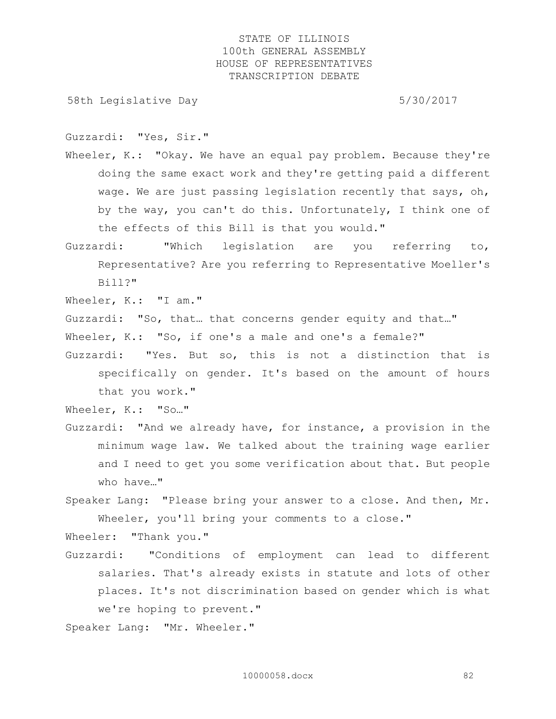58th Legislative Day 5/30/2017

Guzzardi: "Yes, Sir."

Wheeler, K.: "Okay. We have an equal pay problem. Because they're doing the same exact work and they're getting paid a different wage. We are just passing legislation recently that says, oh, by the way, you can't do this. Unfortunately, I think one of the effects of this Bill is that you would."

- Guzzardi: "Which legislation are you referring to, Representative? Are you referring to Representative Moeller's Bill?"
- Wheeler, K.: "I am."

Guzzardi: "So, that… that concerns gender equity and that…"

- Wheeler, K.: "So, if one's a male and one's a female?"
- Guzzardi: "Yes. But so, this is not a distinction that is specifically on gender. It's based on the amount of hours that you work."

Wheeler, K.: "So..."

Guzzardi: "And we already have, for instance, a provision in the minimum wage law. We talked about the training wage earlier and I need to get you some verification about that. But people who have…"

Speaker Lang: "Please bring your answer to a close. And then, Mr. Wheeler, you'll bring your comments to a close."

Wheeler: "Thank you."

- Guzzardi: "Conditions of employment can lead to different salaries. That's already exists in statute and lots of other places. It's not discrimination based on gender which is what we're hoping to prevent."
- Speaker Lang: "Mr. Wheeler."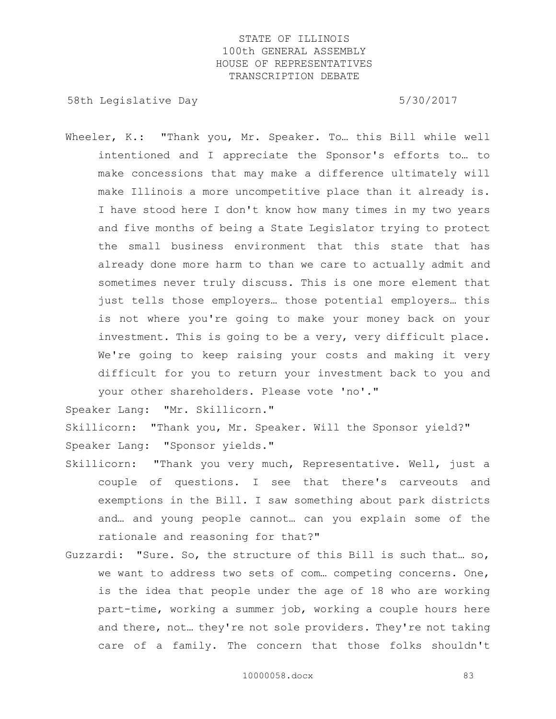58th Legislative Day 5/30/2017

Wheeler, K.: "Thank you, Mr. Speaker. To... this Bill while well intentioned and I appreciate the Sponsor's efforts to… to make concessions that may make a difference ultimately will make Illinois a more uncompetitive place than it already is. I have stood here I don't know how many times in my two years and five months of being a State Legislator trying to protect the small business environment that this state that has already done more harm to than we care to actually admit and sometimes never truly discuss. This is one more element that just tells those employers… those potential employers… this is not where you're going to make your money back on your investment. This is going to be a very, very difficult place. We're going to keep raising your costs and making it very difficult for you to return your investment back to you and your other shareholders. Please vote 'no'."

Speaker Lang: "Mr. Skillicorn."

Skillicorn: "Thank you, Mr. Speaker. Will the Sponsor yield?" Speaker Lang: "Sponsor yields."

- Skillicorn: "Thank you very much, Representative. Well, just a couple of questions. I see that there's carveouts and exemptions in the Bill. I saw something about park districts and… and young people cannot… can you explain some of the rationale and reasoning for that?"
- Guzzardi: "Sure. So, the structure of this Bill is such that… so, we want to address two sets of com… competing concerns. One, is the idea that people under the age of 18 who are working part-time, working a summer job, working a couple hours here and there, not… they're not sole providers. They're not taking care of a family. The concern that those folks shouldn't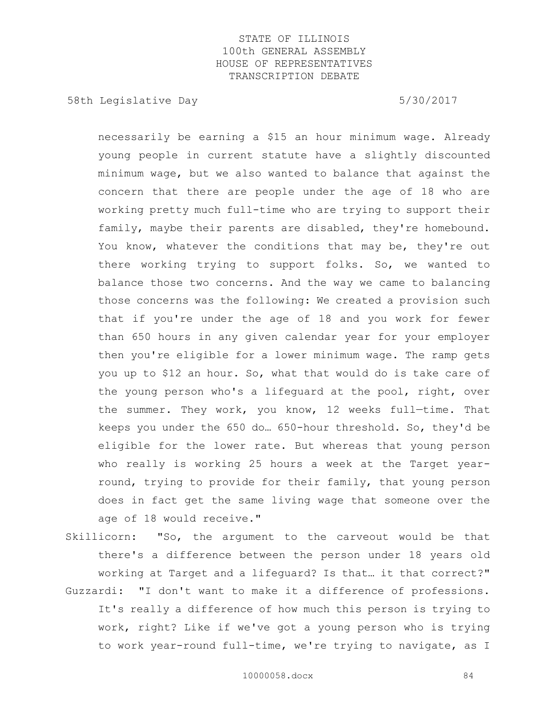58th Legislative Day 5/30/2017

necessarily be earning a \$15 an hour minimum wage. Already young people in current statute have a slightly discounted minimum wage, but we also wanted to balance that against the concern that there are people under the age of 18 who are working pretty much full-time who are trying to support their family, maybe their parents are disabled, they're homebound. You know, whatever the conditions that may be, they're out there working trying to support folks. So, we wanted to balance those two concerns. And the way we came to balancing those concerns was the following: We created a provision such that if you're under the age of 18 and you work for fewer than 650 hours in any given calendar year for your employer then you're eligible for a lower minimum wage. The ramp gets you up to \$12 an hour. So, what that would do is take care of the young person who's a lifeguard at the pool, right, over the summer. They work, you know, 12 weeks full—time. That keeps you under the 650 do… 650-hour threshold. So, they'd be eligible for the lower rate. But whereas that young person who really is working 25 hours a week at the Target yearround, trying to provide for their family, that young person does in fact get the same living wage that someone over the age of 18 would receive."

Skillicorn: "So, the argument to the carveout would be that there's a difference between the person under 18 years old working at Target and a lifeguard? Is that… it that correct?"

Guzzardi: "I don't want to make it a difference of professions. It's really a difference of how much this person is trying to work, right? Like if we've got a young person who is trying to work year-round full-time, we're trying to navigate, as I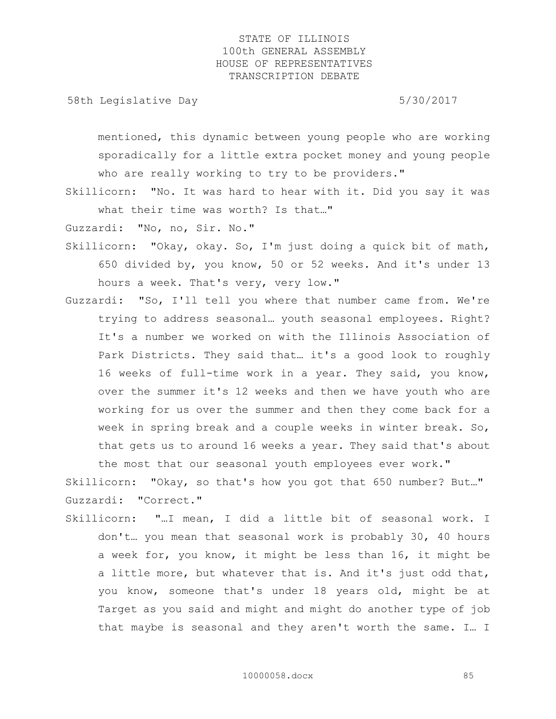58th Legislative Day 5/30/2017

mentioned, this dynamic between young people who are working sporadically for a little extra pocket money and young people who are really working to try to be providers."

Skillicorn: "No. It was hard to hear with it. Did you say it was what their time was worth? Is that…"

Guzzardi: "No, no, Sir. No."

- Skillicorn: "Okay, okay. So, I'm just doing a quick bit of math, 650 divided by, you know, 50 or 52 weeks. And it's under 13 hours a week. That's very, very low."
- Guzzardi: "So, I'll tell you where that number came from. We're trying to address seasonal… youth seasonal employees. Right? It's a number we worked on with the Illinois Association of Park Districts. They said that… it's a good look to roughly 16 weeks of full-time work in a year. They said, you know, over the summer it's 12 weeks and then we have youth who are working for us over the summer and then they come back for a week in spring break and a couple weeks in winter break. So, that gets us to around 16 weeks a year. They said that's about the most that our seasonal youth employees ever work."

Skillicorn: "Okay, so that's how you got that 650 number? But…" Guzzardi: "Correct."

Skillicorn: "…I mean, I did a little bit of seasonal work. I don't… you mean that seasonal work is probably 30, 40 hours a week for, you know, it might be less than 16, it might be a little more, but whatever that is. And it's just odd that, you know, someone that's under 18 years old, might be at Target as you said and might and might do another type of job that maybe is seasonal and they aren't worth the same. I… I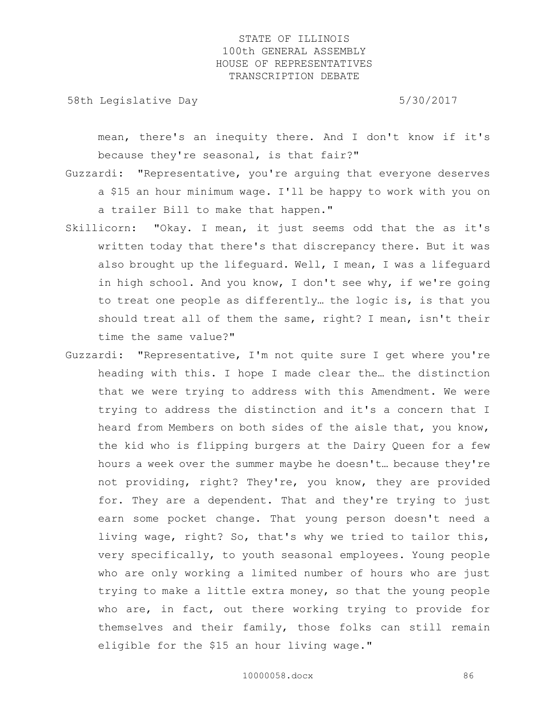58th Legislative Day 5/30/2017

mean, there's an inequity there. And I don't know if it's because they're seasonal, is that fair?"

- Guzzardi: "Representative, you're arguing that everyone deserves a \$15 an hour minimum wage. I'll be happy to work with you on a trailer Bill to make that happen."
- Skillicorn: "Okay. I mean, it just seems odd that the as it's written today that there's that discrepancy there. But it was also brought up the lifeguard. Well, I mean, I was a lifeguard in high school. And you know, I don't see why, if we're going to treat one people as differently… the logic is, is that you should treat all of them the same, right? I mean, isn't their time the same value?"
- Guzzardi: "Representative, I'm not quite sure I get where you're heading with this. I hope I made clear the… the distinction that we were trying to address with this Amendment. We were trying to address the distinction and it's a concern that I heard from Members on both sides of the aisle that, you know, the kid who is flipping burgers at the Dairy Queen for a few hours a week over the summer maybe he doesn't… because they're not providing, right? They're, you know, they are provided for. They are a dependent. That and they're trying to just earn some pocket change. That young person doesn't need a living wage, right? So, that's why we tried to tailor this, very specifically, to youth seasonal employees. Young people who are only working a limited number of hours who are just trying to make a little extra money, so that the young people who are, in fact, out there working trying to provide for themselves and their family, those folks can still remain eligible for the \$15 an hour living wage."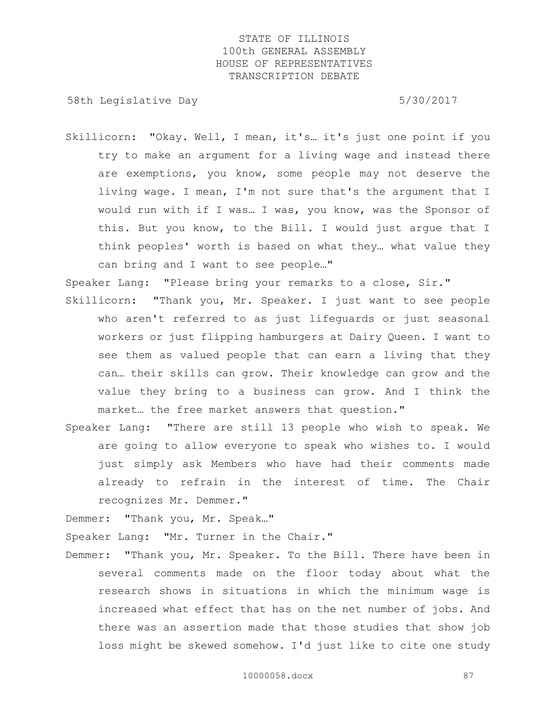58th Legislative Day 5/30/2017

Skillicorn: "Okay. Well, I mean, it's… it's just one point if you try to make an argument for a living wage and instead there are exemptions, you know, some people may not deserve the living wage. I mean, I'm not sure that's the argument that I would run with if I was… I was, you know, was the Sponsor of this. But you know, to the Bill. I would just argue that I think peoples' worth is based on what they… what value they can bring and I want to see people…"

Speaker Lang: "Please bring your remarks to a close, Sir."

- Skillicorn: "Thank you, Mr. Speaker. I just want to see people who aren't referred to as just lifeguards or just seasonal workers or just flipping hamburgers at Dairy Queen. I want to see them as valued people that can earn a living that they can… their skills can grow. Their knowledge can grow and the value they bring to a business can grow. And I think the market… the free market answers that question."
- Speaker Lang: "There are still 13 people who wish to speak. We are going to allow everyone to speak who wishes to. I would just simply ask Members who have had their comments made already to refrain in the interest of time. The Chair recognizes Mr. Demmer."

Demmer: "Thank you, Mr. Speak…"

Speaker Lang: "Mr. Turner in the Chair."

Demmer: "Thank you, Mr. Speaker. To the Bill. There have been in several comments made on the floor today about what the research shows in situations in which the minimum wage is increased what effect that has on the net number of jobs. And there was an assertion made that those studies that show job loss might be skewed somehow. I'd just like to cite one study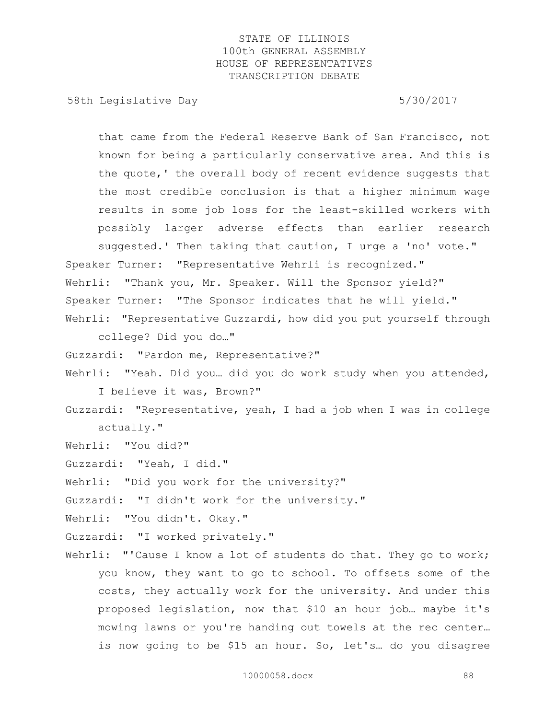58th Legislative Day 5/30/2017

that came from the Federal Reserve Bank of San Francisco, not known for being a particularly conservative area. And this is the quote,' the overall body of recent evidence suggests that the most credible conclusion is that a higher minimum wage results in some job loss for the least-skilled workers with possibly larger adverse effects than earlier research suggested.' Then taking that caution, I urge a 'no' vote." Speaker Turner: "Representative Wehrli is recognized." Wehrli: "Thank you, Mr. Speaker. Will the Sponsor yield?" Speaker Turner: "The Sponsor indicates that he will yield." Wehrli: "Representative Guzzardi, how did you put yourself through college? Did you do…" Guzzardi: "Pardon me, Representative?" Wehrli: "Yeah. Did you… did you do work study when you attended, I believe it was, Brown?" Guzzardi: "Representative, yeah, I had a job when I was in college actually." Wehrli: "You did?" Guzzardi: "Yeah, I did." Wehrli: "Did you work for the university?" Guzzardi: "I didn't work for the university." Wehrli: "You didn't. Okay." Guzzardi: "I worked privately." Wehrli: "'Cause I know a lot of students do that. They go to work; you know, they want to go to school. To offsets some of the costs, they actually work for the university. And under this proposed legislation, now that \$10 an hour job… maybe it's mowing lawns or you're handing out towels at the rec center… is now going to be \$15 an hour. So, let's… do you disagree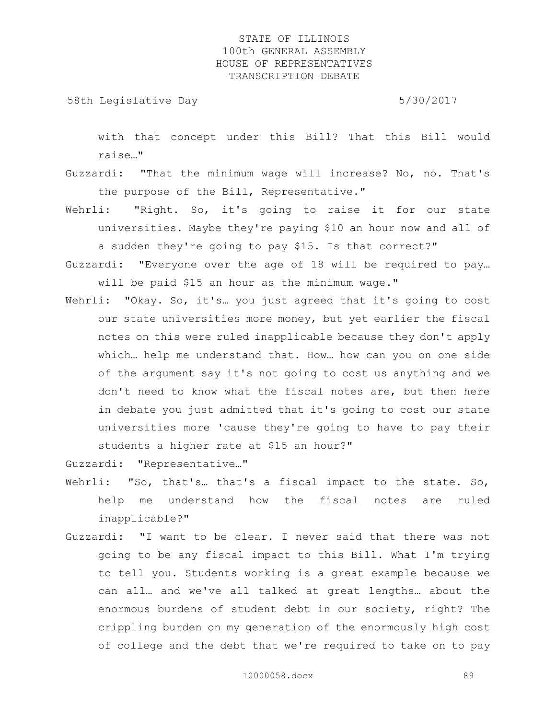58th Legislative Day 5/30/2017

with that concept under this Bill? That this Bill would raise…"

- Guzzardi: "That the minimum wage will increase? No, no. That's the purpose of the Bill, Representative."
- Wehrli: "Right. So, it's going to raise it for our state universities. Maybe they're paying \$10 an hour now and all of a sudden they're going to pay \$15. Is that correct?"
- Guzzardi: "Everyone over the age of 18 will be required to pay… will be paid \$15 an hour as the minimum wage."
- Wehrli: "Okay. So, it's... you just agreed that it's going to cost our state universities more money, but yet earlier the fiscal notes on this were ruled inapplicable because they don't apply which… help me understand that. How… how can you on one side of the argument say it's not going to cost us anything and we don't need to know what the fiscal notes are, but then here in debate you just admitted that it's going to cost our state universities more 'cause they're going to have to pay their students a higher rate at \$15 an hour?"

Guzzardi: "Representative…"

- Wehrli: "So, that's... that's a fiscal impact to the state. So, help me understand how the fiscal notes are ruled inapplicable?"
- Guzzardi: "I want to be clear. I never said that there was not going to be any fiscal impact to this Bill. What I'm trying to tell you. Students working is a great example because we can all… and we've all talked at great lengths… about the enormous burdens of student debt in our society, right? The crippling burden on my generation of the enormously high cost of college and the debt that we're required to take on to pay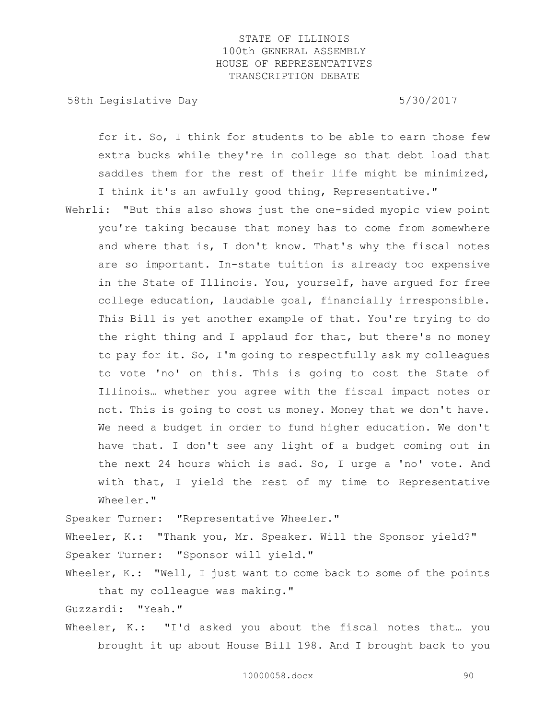58th Legislative Day 5/30/2017

for it. So, I think for students to be able to earn those few extra bucks while they're in college so that debt load that saddles them for the rest of their life might be minimized, I think it's an awfully good thing, Representative."

Wehrli: "But this also shows just the one-sided myopic view point you're taking because that money has to come from somewhere and where that is, I don't know. That's why the fiscal notes are so important. In-state tuition is already too expensive in the State of Illinois. You, yourself, have argued for free college education, laudable goal, financially irresponsible. This Bill is yet another example of that. You're trying to do the right thing and I applaud for that, but there's no money to pay for it. So, I'm going to respectfully ask my colleagues to vote 'no' on this. This is going to cost the State of Illinois… whether you agree with the fiscal impact notes or not. This is going to cost us money. Money that we don't have. We need a budget in order to fund higher education. We don't have that. I don't see any light of a budget coming out in the next 24 hours which is sad. So, I urge a 'no' vote. And with that, I yield the rest of my time to Representative Wheeler."

Speaker Turner: "Representative Wheeler."

Wheeler, K.: "Thank you, Mr. Speaker. Will the Sponsor yield?" Speaker Turner: "Sponsor will yield."

Wheeler, K.: "Well, I just want to come back to some of the points that my colleague was making."

Guzzardi: "Yeah."

Wheeler, K.: "I'd asked you about the fiscal notes that... you brought it up about House Bill 198. And I brought back to you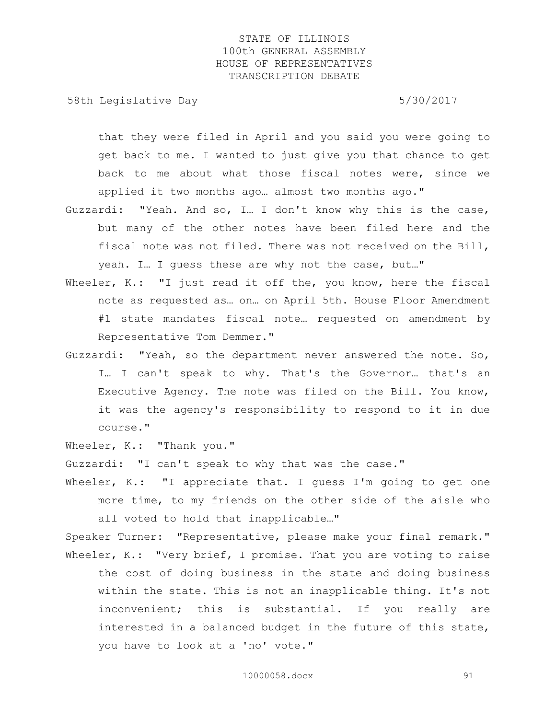58th Legislative Day 5/30/2017

that they were filed in April and you said you were going to get back to me. I wanted to just give you that chance to get back to me about what those fiscal notes were, since we applied it two months ago… almost two months ago."

- Guzzardi: "Yeah. And so, I… I don't know why this is the case, but many of the other notes have been filed here and the fiscal note was not filed. There was not received on the Bill, yeah. I… I guess these are why not the case, but…"
- Wheeler, K.: "I just read it off the, you know, here the fiscal note as requested as… on… on April 5th. House Floor Amendment #1 state mandates fiscal note… requested on amendment by Representative Tom Demmer."
- Guzzardi: "Yeah, so the department never answered the note. So, I… I can't speak to why. That's the Governor… that's an Executive Agency. The note was filed on the Bill. You know, it was the agency's responsibility to respond to it in due course."

Wheeler, K.: "Thank you."

Guzzardi: "I can't speak to why that was the case."

Wheeler, K.: "I appreciate that. I guess I'm going to get one more time, to my friends on the other side of the aisle who all voted to hold that inapplicable…"

Speaker Turner: "Representative, please make your final remark." Wheeler, K.: "Very brief, I promise. That you are voting to raise the cost of doing business in the state and doing business within the state. This is not an inapplicable thing. It's not inconvenient; this is substantial. If you really are interested in a balanced budget in the future of this state, you have to look at a 'no' vote."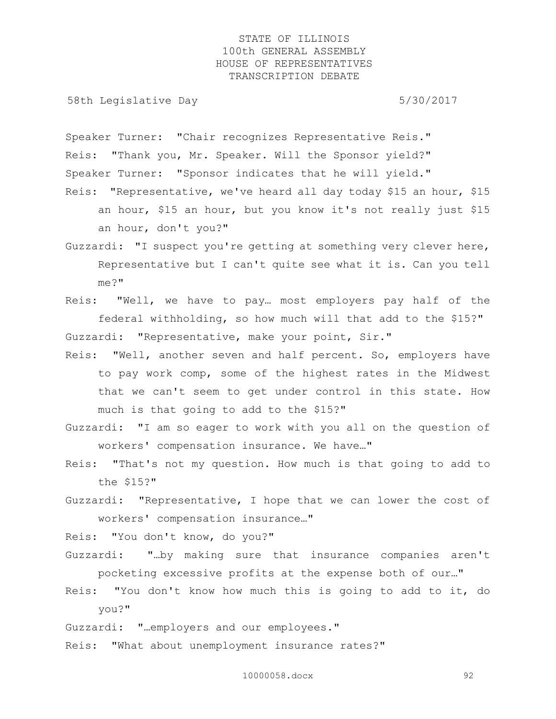58th Legislative Day 5/30/2017

Speaker Turner: "Chair recognizes Representative Reis." Reis: "Thank you, Mr. Speaker. Will the Sponsor yield?" Speaker Turner: "Sponsor indicates that he will yield."

- Reis: "Representative, we've heard all day today \$15 an hour, \$15 an hour, \$15 an hour, but you know it's not really just \$15 an hour, don't you?"
- Guzzardi: "I suspect you're getting at something very clever here, Representative but I can't quite see what it is. Can you tell me?"
- Reis: "Well, we have to pay… most employers pay half of the federal withholding, so how much will that add to the \$15?" Guzzardi: "Representative, make your point, Sir."
- Reis: "Well, another seven and half percent. So, employers have to pay work comp, some of the highest rates in the Midwest that we can't seem to get under control in this state. How much is that going to add to the \$15?"
- Guzzardi: "I am so eager to work with you all on the question of workers' compensation insurance. We have…"
- Reis: "That's not my question. How much is that going to add to the \$15?"
- Guzzardi: "Representative, I hope that we can lower the cost of workers' compensation insurance…"

Reis: "You don't know, do you?"

- Guzzardi: "…by making sure that insurance companies aren't pocketing excessive profits at the expense both of our…"
- Reis: "You don't know how much this is going to add to it, do you?"

Guzzardi: "…employers and our employees."

Reis: "What about unemployment insurance rates?"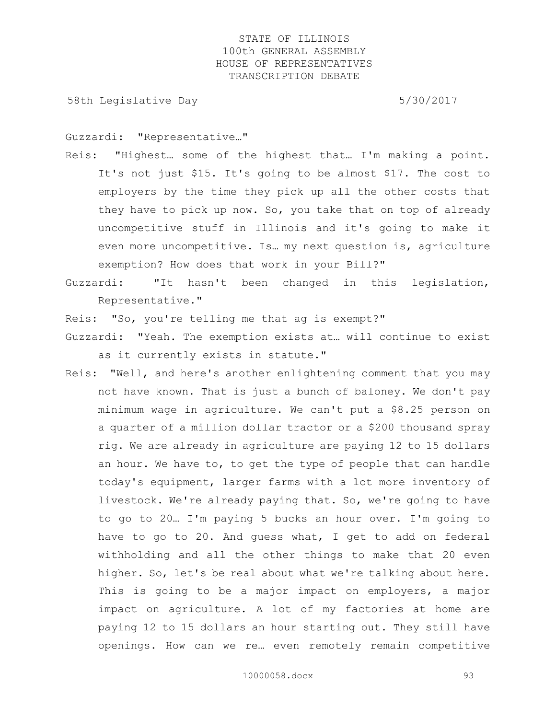58th Legislative Day 5/30/2017

Guzzardi: "Representative…"

- Reis: "Highest… some of the highest that… I'm making a point. It's not just \$15. It's going to be almost \$17. The cost to employers by the time they pick up all the other costs that they have to pick up now. So, you take that on top of already uncompetitive stuff in Illinois and it's going to make it even more uncompetitive. Is… my next question is, agriculture exemption? How does that work in your Bill?"
- Guzzardi: "It hasn't been changed in this legislation, Representative."

Reis: "So, you're telling me that ag is exempt?"

- Guzzardi: "Yeah. The exemption exists at… will continue to exist as it currently exists in statute."
- Reis: "Well, and here's another enlightening comment that you may not have known. That is just a bunch of baloney. We don't pay minimum wage in agriculture. We can't put a \$8.25 person on a quarter of a million dollar tractor or a \$200 thousand spray rig. We are already in agriculture are paying 12 to 15 dollars an hour. We have to, to get the type of people that can handle today's equipment, larger farms with a lot more inventory of livestock. We're already paying that. So, we're going to have to go to 20… I'm paying 5 bucks an hour over. I'm going to have to go to 20. And guess what, I get to add on federal withholding and all the other things to make that 20 even higher. So, let's be real about what we're talking about here. This is going to be a major impact on employers, a major impact on agriculture. A lot of my factories at home are paying 12 to 15 dollars an hour starting out. They still have openings. How can we re… even remotely remain competitive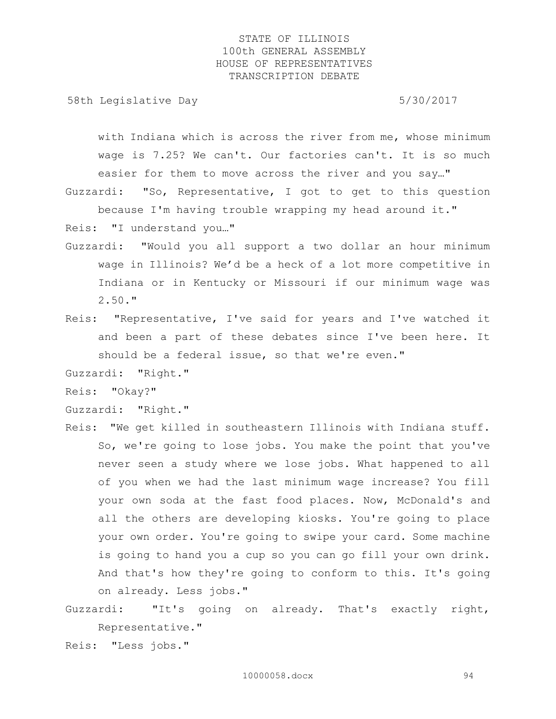58th Legislative Day 6.5730/2017

with Indiana which is across the river from me, whose minimum wage is 7.25? We can't. Our factories can't. It is so much easier for them to move across the river and you say…"

Guzzardi: "So, Representative, I got to get to this question because I'm having trouble wrapping my head around it."

Reis: "I understand you…"

- Guzzardi: "Would you all support a two dollar an hour minimum wage in Illinois? We'd be a heck of a lot more competitive in Indiana or in Kentucky or Missouri if our minimum wage was 2.50."
- Reis: "Representative, I've said for years and I've watched it and been a part of these debates since I've been here. It should be a federal issue, so that we're even."

Guzzardi: "Right."

Reis: "Okay?"

Guzzardi: "Right."

- Reis: "We get killed in southeastern Illinois with Indiana stuff. So, we're going to lose jobs. You make the point that you've never seen a study where we lose jobs. What happened to all of you when we had the last minimum wage increase? You fill your own soda at the fast food places. Now, McDonald's and all the others are developing kiosks. You're going to place your own order. You're going to swipe your card. Some machine is going to hand you a cup so you can go fill your own drink. And that's how they're going to conform to this. It's going on already. Less jobs."
- Guzzardi: "It's going on already. That's exactly right, Representative."

Reis: "Less jobs."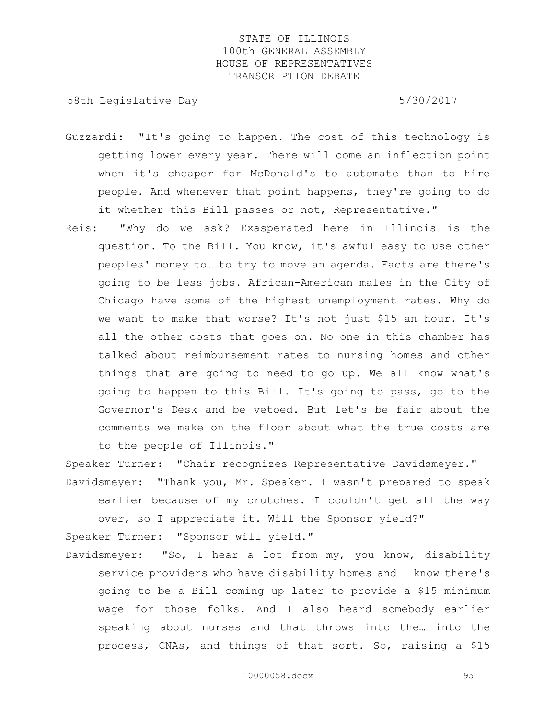58th Legislative Day 5/30/2017

- Guzzardi: "It's going to happen. The cost of this technology is getting lower every year. There will come an inflection point when it's cheaper for McDonald's to automate than to hire people. And whenever that point happens, they're going to do it whether this Bill passes or not, Representative."
- Reis: "Why do we ask? Exasperated here in Illinois is the question. To the Bill. You know, it's awful easy to use other peoples' money to… to try to move an agenda. Facts are there's going to be less jobs. African-American males in the City of Chicago have some of the highest unemployment rates. Why do we want to make that worse? It's not just \$15 an hour. It's all the other costs that goes on. No one in this chamber has talked about reimbursement rates to nursing homes and other things that are going to need to go up. We all know what's going to happen to this Bill. It's going to pass, go to the Governor's Desk and be vetoed. But let's be fair about the comments we make on the floor about what the true costs are to the people of Illinois."

Speaker Turner: "Chair recognizes Representative Davidsmeyer."

Davidsmeyer: "Thank you, Mr. Speaker. I wasn't prepared to speak earlier because of my crutches. I couldn't get all the way over, so I appreciate it. Will the Sponsor yield?"

Speaker Turner: "Sponsor will yield."

Davidsmeyer: "So, I hear a lot from my, you know, disability service providers who have disability homes and I know there's going to be a Bill coming up later to provide a \$15 minimum wage for those folks. And I also heard somebody earlier speaking about nurses and that throws into the… into the process, CNAs, and things of that sort. So, raising a \$15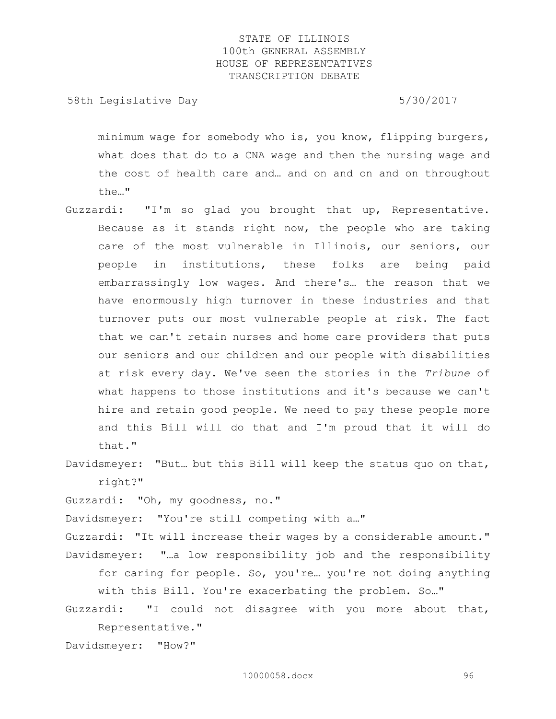58th Legislative Day 5/30/2017

minimum wage for somebody who is, you know, flipping burgers, what does that do to a CNA wage and then the nursing wage and the cost of health care and… and on and on and on throughout the…"

- Guzzardi: "I'm so glad you brought that up, Representative. Because as it stands right now, the people who are taking care of the most vulnerable in Illinois, our seniors, our people in institutions, these folks are being paid embarrassingly low wages. And there's… the reason that we have enormously high turnover in these industries and that turnover puts our most vulnerable people at risk. The fact that we can't retain nurses and home care providers that puts our seniors and our children and our people with disabilities at risk every day. We've seen the stories in the *Tribune* of what happens to those institutions and it's because we can't hire and retain good people. We need to pay these people more and this Bill will do that and I'm proud that it will do that."
- Davidsmeyer: "But… but this Bill will keep the status quo on that, right?"

Guzzardi: "Oh, my goodness, no."

Davidsmeyer: "You're still competing with a…"

Guzzardi: "It will increase their wages by a considerable amount." Davidsmeyer: "…a low responsibility job and the responsibility for caring for people. So, you're… you're not doing anything with this Bill. You're exacerbating the problem. So…"

Guzzardi: "I could not disagree with you more about that, Representative."

Davidsmeyer: "How?"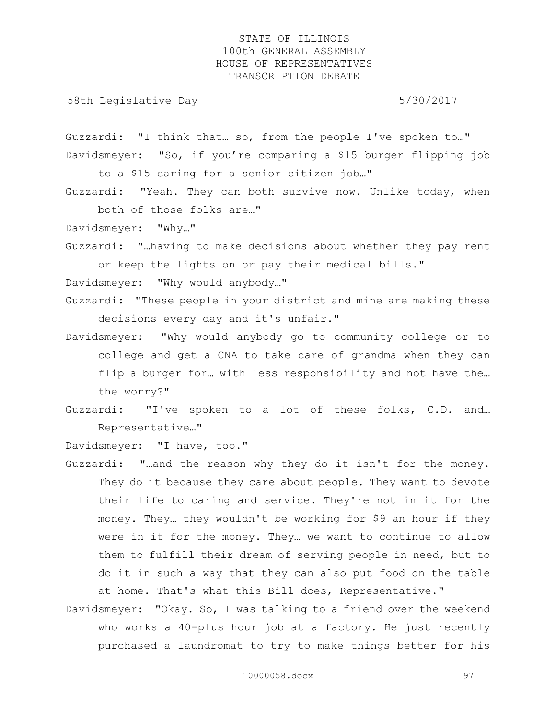58th Legislative Day 5/30/2017

Guzzardi: "I think that… so, from the people I've spoken to…" Davidsmeyer: "So, if you're comparing a \$15 burger flipping job

to a \$15 caring for a senior citizen job…"

Guzzardi: "Yeah. They can both survive now. Unlike today, when both of those folks are…"

Davidsmeyer: "Why…"

Guzzardi: "…having to make decisions about whether they pay rent or keep the lights on or pay their medical bills."

Davidsmeyer: "Why would anybody…"

- Guzzardi: "These people in your district and mine are making these decisions every day and it's unfair."
- Davidsmeyer: "Why would anybody go to community college or to college and get a CNA to take care of grandma when they can flip a burger for... with less responsibility and not have the... the worry?"
- Guzzardi: "I've spoken to a lot of these folks, C.D. and… Representative…"

Davidsmeyer: "I have, too."

- Guzzardi: "…and the reason why they do it isn't for the money. They do it because they care about people. They want to devote their life to caring and service. They're not in it for the money. They… they wouldn't be working for \$9 an hour if they were in it for the money. They… we want to continue to allow them to fulfill their dream of serving people in need, but to do it in such a way that they can also put food on the table at home. That's what this Bill does, Representative."
- Davidsmeyer: "Okay. So, I was talking to a friend over the weekend who works a 40-plus hour job at a factory. He just recently purchased a laundromat to try to make things better for his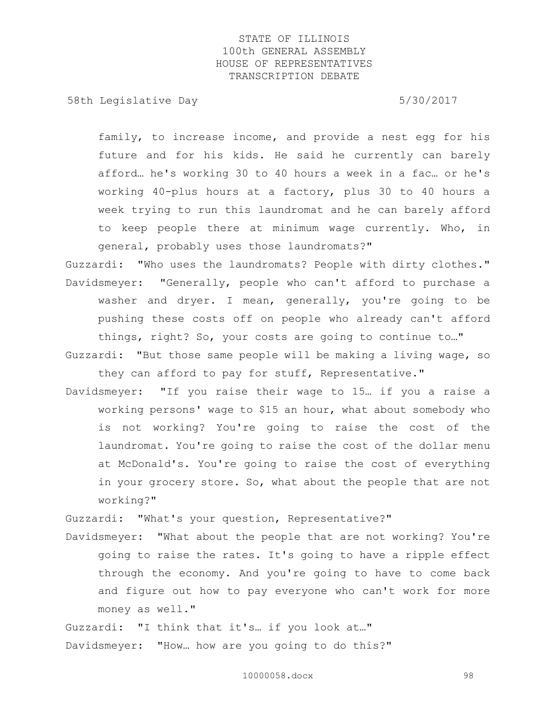58th Legislative Day 5/30/2017

family, to increase income, and provide a nest egg for his future and for his kids. He said he currently can barely afford… he's working 30 to 40 hours a week in a fac… or he's working 40-plus hours at a factory, plus 30 to 40 hours a week trying to run this laundromat and he can barely afford to keep people there at minimum wage currently. Who, in general, probably uses those laundromats?"

Guzzardi: "Who uses the laundromats? People with dirty clothes." Davidsmeyer: "Generally, people who can't afford to purchase a washer and dryer. I mean, generally, you're going to be pushing these costs off on people who already can't afford things, right? So, your costs are going to continue to…"

Guzzardi: "But those same people will be making a living wage, so they can afford to pay for stuff, Representative."

Davidsmeyer: "If you raise their wage to 15… if you a raise a working persons' wage to \$15 an hour, what about somebody who is not working? You're going to raise the cost of the laundromat. You're going to raise the cost of the dollar menu at McDonald's. You're going to raise the cost of everything in your grocery store. So, what about the people that are not working?"

Guzzardi: "What's your question, Representative?"

Davidsmeyer: "What about the people that are not working? You're going to raise the rates. It's going to have a ripple effect through the economy. And you're going to have to come back and figure out how to pay everyone who can't work for more money as well."

Guzzardi: "I think that it's… if you look at…"

Davidsmeyer: "How… how are you going to do this?"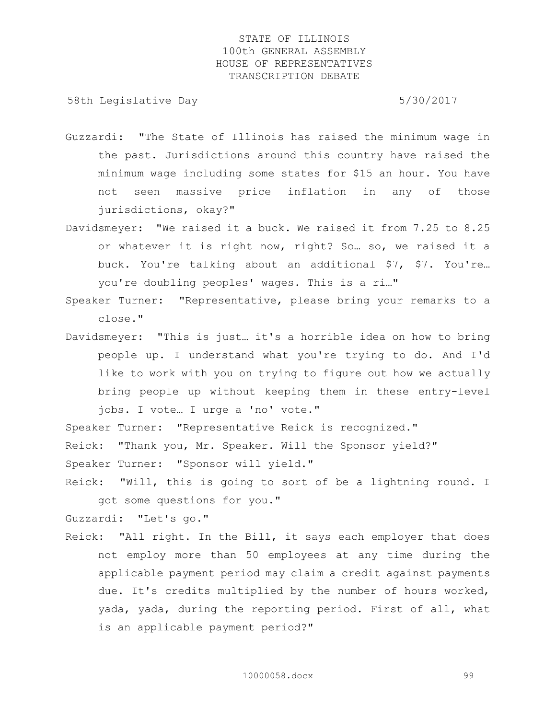58th Legislative Day 5/30/2017

- Guzzardi: "The State of Illinois has raised the minimum wage in the past. Jurisdictions around this country have raised the minimum wage including some states for \$15 an hour. You have not seen massive price inflation in any of those jurisdictions, okay?"
- Davidsmeyer: "We raised it a buck. We raised it from 7.25 to 8.25 or whatever it is right now, right? So… so, we raised it a buck. You're talking about an additional \$7, \$7. You're… you're doubling peoples' wages. This is a ri…"
- Speaker Turner: "Representative, please bring your remarks to a close."
- Davidsmeyer: "This is just… it's a horrible idea on how to bring people up. I understand what you're trying to do. And I'd like to work with you on trying to figure out how we actually bring people up without keeping them in these entry-level jobs. I vote… I urge a 'no' vote."

Speaker Turner: "Representative Reick is recognized."

Reick: "Thank you, Mr. Speaker. Will the Sponsor yield?"

Speaker Turner: "Sponsor will yield."

Reick: "Will, this is going to sort of be a lightning round. I got some questions for you."

Guzzardi: "Let's go."

Reick: "All right. In the Bill, it says each employer that does not employ more than 50 employees at any time during the applicable payment period may claim a credit against payments due. It's credits multiplied by the number of hours worked, yada, yada, during the reporting period. First of all, what is an applicable payment period?"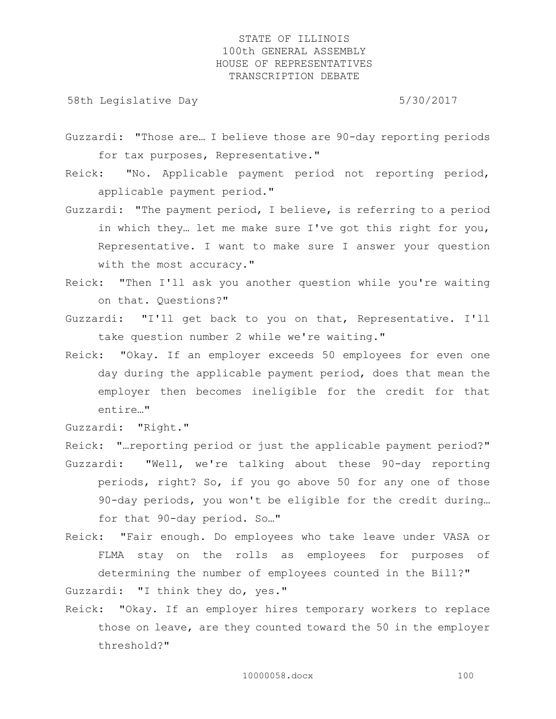58th Legislative Day 5/30/2017

Guzzardi: "Those are… I believe those are 90-day reporting periods for tax purposes, Representative."

Reick: "No. Applicable payment period not reporting period, applicable payment period."

- Guzzardi: "The payment period, I believe, is referring to a period in which they… let me make sure I've got this right for you, Representative. I want to make sure I answer your question with the most accuracy."
- Reick: "Then I'll ask you another question while you're waiting on that. Questions?"
- Guzzardi: "I'll get back to you on that, Representative. I'll take question number 2 while we're waiting."
- Reick: "Okay. If an employer exceeds 50 employees for even one day during the applicable payment period, does that mean the employer then becomes ineligible for the credit for that entire…"

Guzzardi: "Right."

Reick: "…reporting period or just the applicable payment period?" Guzzardi: "Well, we're talking about these 90-day reporting periods, right? So, if you go above 50 for any one of those 90-day periods, you won't be eligible for the credit during… for that 90-day period. So…"

- Reick: "Fair enough. Do employees who take leave under VASA or FLMA stay on the rolls as employees for purposes of determining the number of employees counted in the Bill?" Guzzardi: "I think they do, yes."
- Reick: "Okay. If an employer hires temporary workers to replace those on leave, are they counted toward the 50 in the employer threshold?"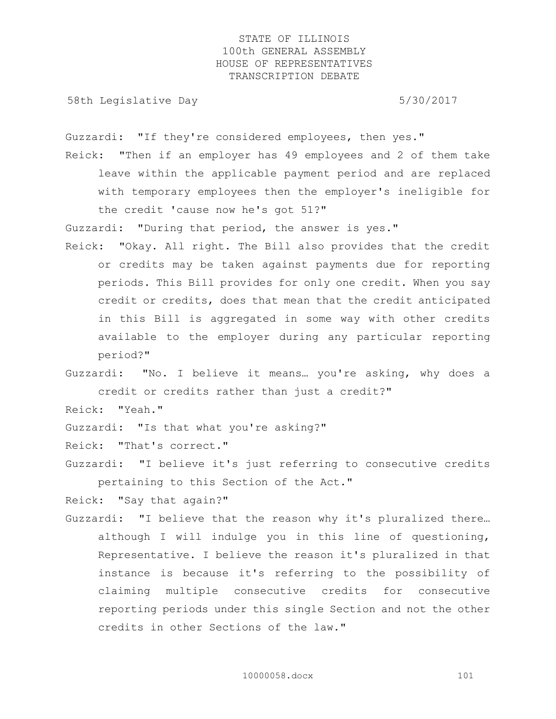58th Legislative Day 5/30/2017

Guzzardi: "If they're considered employees, then yes."

Reick: "Then if an employer has 49 employees and 2 of them take leave within the applicable payment period and are replaced with temporary employees then the employer's ineligible for the credit 'cause now he's got 51?"

Guzzardi: "During that period, the answer is yes."

- Reick: "Okay. All right. The Bill also provides that the credit or credits may be taken against payments due for reporting periods. This Bill provides for only one credit. When you say credit or credits, does that mean that the credit anticipated in this Bill is aggregated in some way with other credits available to the employer during any particular reporting period?"
- Guzzardi: "No. I believe it means… you're asking, why does a credit or credits rather than just a credit?"

Reick: "Yeah."

Guzzardi: "Is that what you're asking?"

Reick: "That's correct."

Guzzardi: "I believe it's just referring to consecutive credits pertaining to this Section of the Act."

Reick: "Say that again?"

Guzzardi: "I believe that the reason why it's pluralized there… although I will indulge you in this line of questioning, Representative. I believe the reason it's pluralized in that instance is because it's referring to the possibility of claiming multiple consecutive credits for consecutive reporting periods under this single Section and not the other credits in other Sections of the law."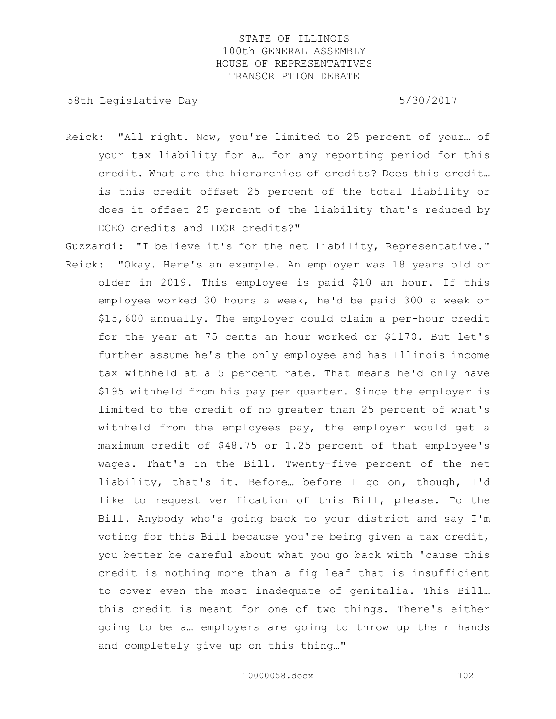58th Legislative Day 6.5730/2017

- Reick: "All right. Now, you're limited to 25 percent of your… of your tax liability for a… for any reporting period for this credit. What are the hierarchies of credits? Does this credit… is this credit offset 25 percent of the total liability or does it offset 25 percent of the liability that's reduced by DCEO credits and IDOR credits?"
- Guzzardi: "I believe it's for the net liability, Representative." Reick: "Okay. Here's an example. An employer was 18 years old or older in 2019. This employee is paid \$10 an hour. If this employee worked 30 hours a week, he'd be paid 300 a week or \$15,600 annually. The employer could claim a per-hour credit for the year at 75 cents an hour worked or \$1170. But let's further assume he's the only employee and has Illinois income tax withheld at a 5 percent rate. That means he'd only have \$195 withheld from his pay per quarter. Since the employer is limited to the credit of no greater than 25 percent of what's withheld from the employees pay, the employer would get a maximum credit of \$48.75 or 1.25 percent of that employee's wages. That's in the Bill. Twenty-five percent of the net liability, that's it. Before… before I go on, though, I'd like to request verification of this Bill, please. To the Bill. Anybody who's going back to your district and say I'm voting for this Bill because you're being given a tax credit, you better be careful about what you go back with 'cause this credit is nothing more than a fig leaf that is insufficient to cover even the most inadequate of genitalia. This Bill… this credit is meant for one of two things. There's either going to be a… employers are going to throw up their hands and completely give up on this thing…"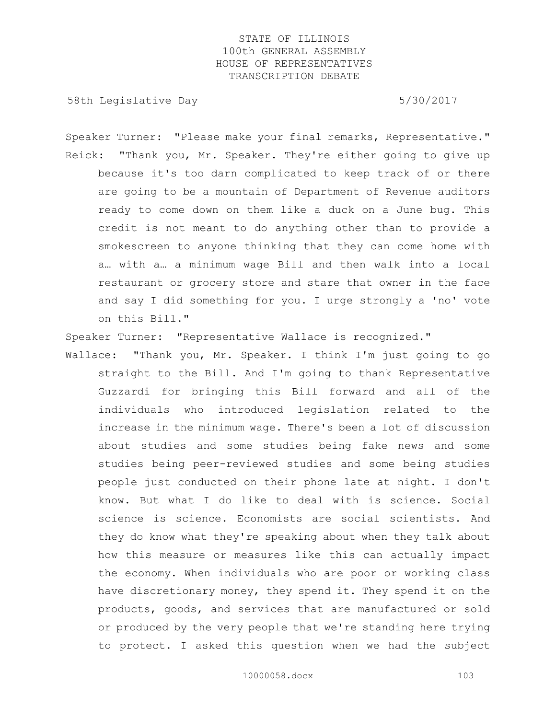58th Legislative Day 5/30/2017

Speaker Turner: "Please make your final remarks, Representative." Reick: "Thank you, Mr. Speaker. They're either going to give up because it's too darn complicated to keep track of or there are going to be a mountain of Department of Revenue auditors ready to come down on them like a duck on a June bug. This credit is not meant to do anything other than to provide a smokescreen to anyone thinking that they can come home with a… with a… a minimum wage Bill and then walk into a local restaurant or grocery store and stare that owner in the face and say I did something for you. I urge strongly a 'no' vote on this Bill."

Speaker Turner: "Representative Wallace is recognized."

Wallace: "Thank you, Mr. Speaker. I think I'm just going to go straight to the Bill. And I'm going to thank Representative Guzzardi for bringing this Bill forward and all of the individuals who introduced legislation related to the increase in the minimum wage. There's been a lot of discussion about studies and some studies being fake news and some studies being peer-reviewed studies and some being studies people just conducted on their phone late at night. I don't know. But what I do like to deal with is science. Social science is science. Economists are social scientists. And they do know what they're speaking about when they talk about how this measure or measures like this can actually impact the economy. When individuals who are poor or working class have discretionary money, they spend it. They spend it on the products, goods, and services that are manufactured or sold or produced by the very people that we're standing here trying to protect. I asked this question when we had the subject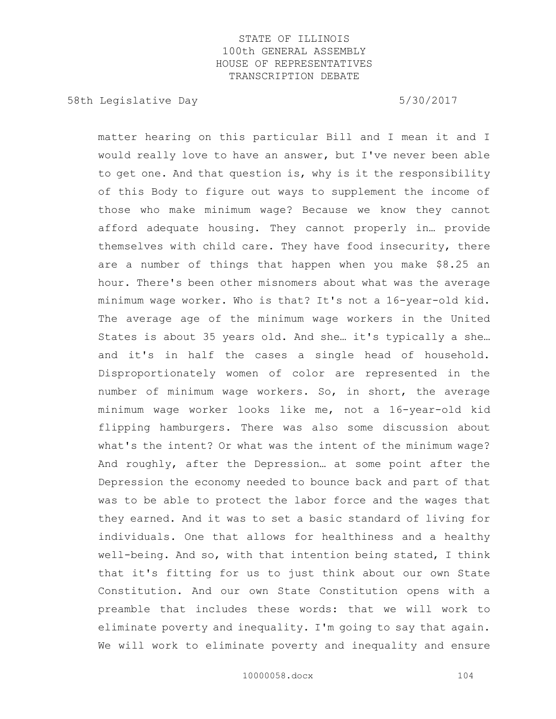58th Legislative Day 5/30/2017

matter hearing on this particular Bill and I mean it and I would really love to have an answer, but I've never been able to get one. And that question is, why is it the responsibility of this Body to figure out ways to supplement the income of those who make minimum wage? Because we know they cannot afford adequate housing. They cannot properly in… provide themselves with child care. They have food insecurity, there are a number of things that happen when you make \$8.25 an hour. There's been other misnomers about what was the average minimum wage worker. Who is that? It's not a 16-year-old kid. The average age of the minimum wage workers in the United States is about 35 years old. And she… it's typically a she… and it's in half the cases a single head of household. Disproportionately women of color are represented in the number of minimum wage workers. So, in short, the average minimum wage worker looks like me, not a 16-year-old kid flipping hamburgers. There was also some discussion about what's the intent? Or what was the intent of the minimum wage? And roughly, after the Depression… at some point after the Depression the economy needed to bounce back and part of that was to be able to protect the labor force and the wages that they earned. And it was to set a basic standard of living for individuals. One that allows for healthiness and a healthy well-being. And so, with that intention being stated, I think that it's fitting for us to just think about our own State Constitution. And our own State Constitution opens with a preamble that includes these words: that we will work to eliminate poverty and inequality. I'm going to say that again. We will work to eliminate poverty and inequality and ensure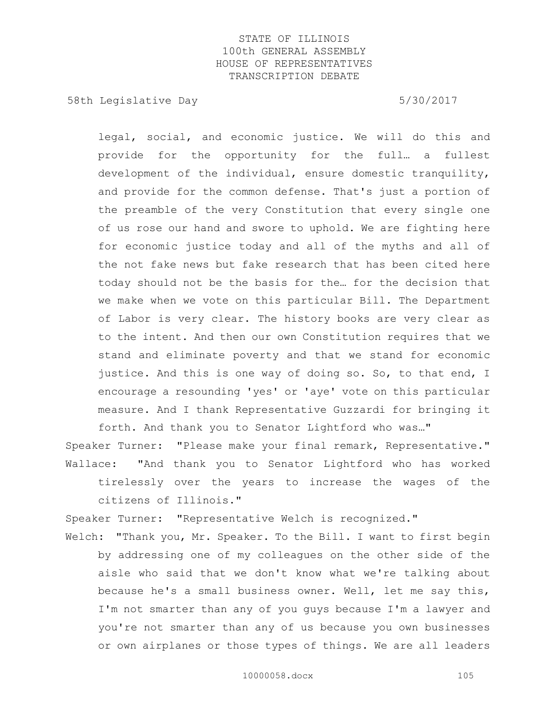58th Legislative Day 5/30/2017

legal, social, and economic justice. We will do this and provide for the opportunity for the full… a fullest development of the individual, ensure domestic tranquility, and provide for the common defense. That's just a portion of the preamble of the very Constitution that every single one of us rose our hand and swore to uphold. We are fighting here for economic justice today and all of the myths and all of the not fake news but fake research that has been cited here today should not be the basis for the… for the decision that we make when we vote on this particular Bill. The Department of Labor is very clear. The history books are very clear as to the intent. And then our own Constitution requires that we stand and eliminate poverty and that we stand for economic justice. And this is one way of doing so. So, to that end, I encourage a resounding 'yes' or 'aye' vote on this particular measure. And I thank Representative Guzzardi for bringing it forth. And thank you to Senator Lightford who was…"

Speaker Turner: "Please make your final remark, Representative." Wallace: "And thank you to Senator Lightford who has worked tirelessly over the years to increase the wages of the citizens of Illinois."

Speaker Turner: "Representative Welch is recognized."

Welch: "Thank you, Mr. Speaker. To the Bill. I want to first begin by addressing one of my colleagues on the other side of the aisle who said that we don't know what we're talking about because he's a small business owner. Well, let me say this, I'm not smarter than any of you guys because I'm a lawyer and you're not smarter than any of us because you own businesses or own airplanes or those types of things. We are all leaders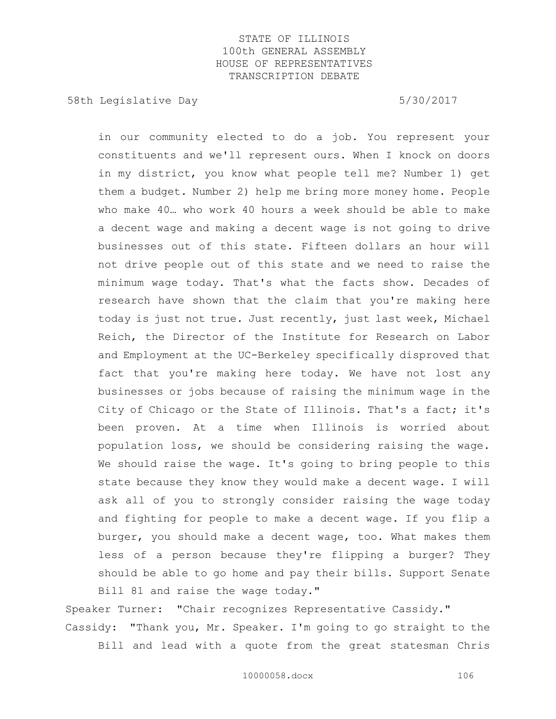58th Legislative Day 5/30/2017

in our community elected to do a job. You represent your constituents and we'll represent ours. When I knock on doors in my district, you know what people tell me? Number 1) get them a budget. Number 2) help me bring more money home. People who make 40… who work 40 hours a week should be able to make a decent wage and making a decent wage is not going to drive businesses out of this state. Fifteen dollars an hour will not drive people out of this state and we need to raise the minimum wage today. That's what the facts show. Decades of research have shown that the claim that you're making here today is just not true. Just recently, just last week, Michael Reich, the Director of the Institute for Research on Labor and Employment at the UC-Berkeley specifically disproved that fact that you're making here today. We have not lost any businesses or jobs because of raising the minimum wage in the City of Chicago or the State of Illinois. That's a fact; it's been proven. At a time when Illinois is worried about population loss, we should be considering raising the wage. We should raise the wage. It's going to bring people to this state because they know they would make a decent wage. I will ask all of you to strongly consider raising the wage today and fighting for people to make a decent wage. If you flip a burger, you should make a decent wage, too. What makes them less of a person because they're flipping a burger? They should be able to go home and pay their bills. Support Senate Bill 81 and raise the wage today."

Speaker Turner: "Chair recognizes Representative Cassidy." Cassidy: "Thank you, Mr. Speaker. I'm going to go straight to the Bill and lead with a quote from the great statesman Chris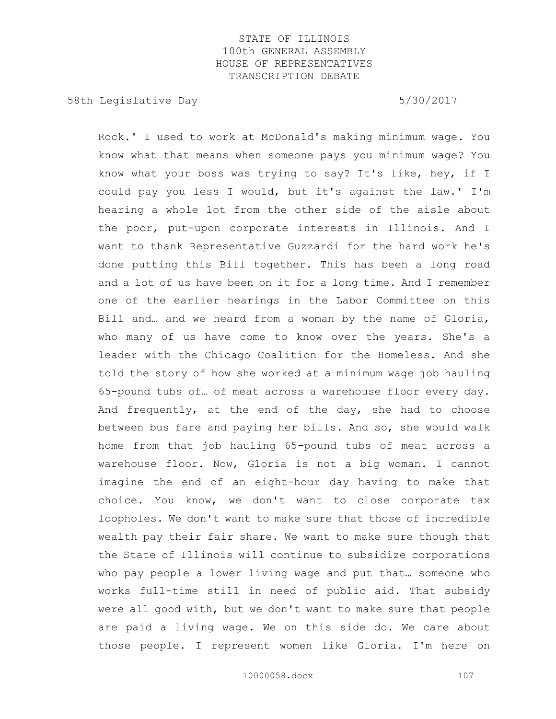58th Legislative Day 5/30/2017

Rock.' I used to work at McDonald's making minimum wage. You know what that means when someone pays you minimum wage? You know what your boss was trying to say? It's like, hey, if I could pay you less I would, but it's against the law.' I'm hearing a whole lot from the other side of the aisle about the poor, put-upon corporate interests in Illinois. And I want to thank Representative Guzzardi for the hard work he's done putting this Bill together. This has been a long road and a lot of us have been on it for a long time. And I remember one of the earlier hearings in the Labor Committee on this Bill and… and we heard from a woman by the name of Gloria, who many of us have come to know over the years. She's a leader with the Chicago Coalition for the Homeless. And she told the story of how she worked at a minimum wage job hauling 65-pound tubs of… of meat across a warehouse floor every day. And frequently, at the end of the day, she had to choose between bus fare and paying her bills. And so, she would walk home from that job hauling 65-pound tubs of meat across a warehouse floor. Now, Gloria is not a big woman. I cannot imagine the end of an eight-hour day having to make that choice. You know, we don't want to close corporate tax loopholes. We don't want to make sure that those of incredible wealth pay their fair share. We want to make sure though that the State of Illinois will continue to subsidize corporations who pay people a lower living wage and put that… someone who works full-time still in need of public aid. That subsidy were all good with, but we don't want to make sure that people are paid a living wage. We on this side do. We care about those people. I represent women like Gloria. I'm here on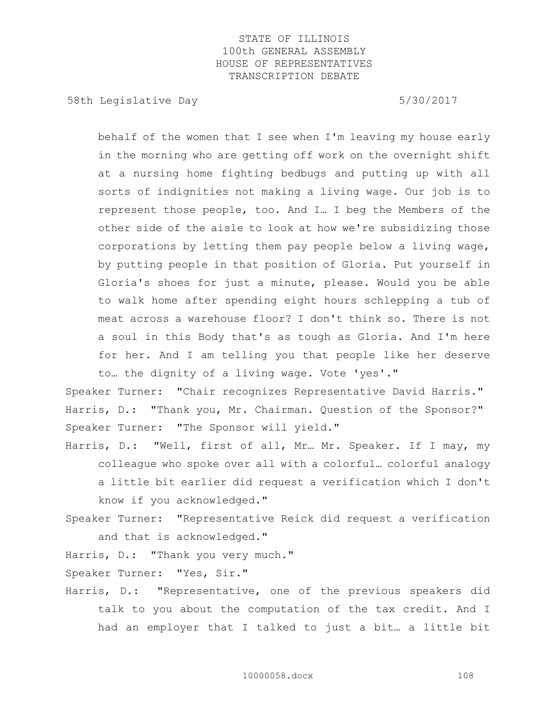58th Legislative Day 5/30/2017

behalf of the women that I see when I'm leaving my house early in the morning who are getting off work on the overnight shift at a nursing home fighting bedbugs and putting up with all sorts of indignities not making a living wage. Our job is to represent those people, too. And I… I beg the Members of the other side of the aisle to look at how we're subsidizing those corporations by letting them pay people below a living wage, by putting people in that position of Gloria. Put yourself in Gloria's shoes for just a minute, please. Would you be able to walk home after spending eight hours schlepping a tub of meat across a warehouse floor? I don't think so. There is not a soul in this Body that's as tough as Gloria. And I'm here for her. And I am telling you that people like her deserve to… the dignity of a living wage. Vote 'yes'."

Speaker Turner: "Chair recognizes Representative David Harris." Harris, D.: "Thank you, Mr. Chairman. Question of the Sponsor?" Speaker Turner: "The Sponsor will yield."

Harris, D.: "Well, first of all, Mr… Mr. Speaker. If I may, my colleague who spoke over all with a colorful… colorful analogy a little bit earlier did request a verification which I don't know if you acknowledged."

Speaker Turner: "Representative Reick did request a verification and that is acknowledged."

Harris, D.: "Thank you very much."

Speaker Turner: "Yes, Sir."

Harris, D.: "Representative, one of the previous speakers did talk to you about the computation of the tax credit. And I had an employer that I talked to just a bit… a little bit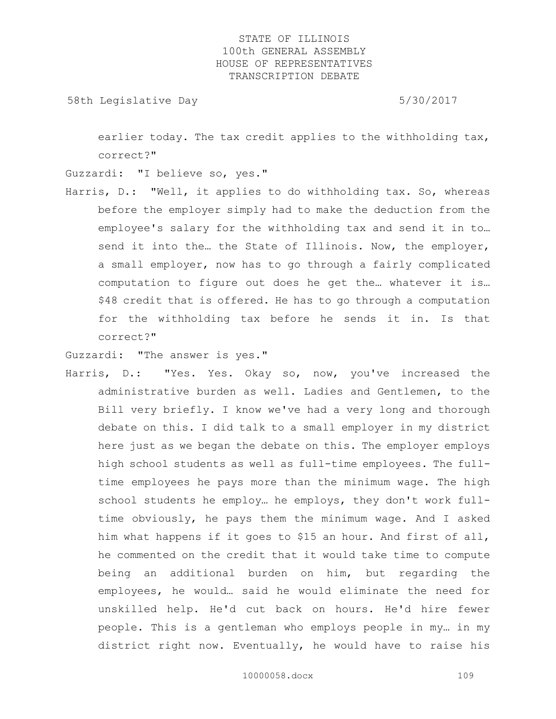58th Legislative Day 6.5730/2017

earlier today. The tax credit applies to the withholding tax, correct?"

Guzzardi: "I believe so, yes."

Harris, D.: "Well, it applies to do withholding tax. So, whereas before the employer simply had to make the deduction from the employee's salary for the withholding tax and send it in to… send it into the... the State of Illinois. Now, the employer, a small employer, now has to go through a fairly complicated computation to figure out does he get the… whatever it is… \$48 credit that is offered. He has to go through a computation for the withholding tax before he sends it in. Is that correct?"

Guzzardi: "The answer is yes."

Harris, D.: "Yes. Yes. Okay so, now, you've increased the administrative burden as well. Ladies and Gentlemen, to the Bill very briefly. I know we've had a very long and thorough debate on this. I did talk to a small employer in my district here just as we began the debate on this. The employer employs high school students as well as full-time employees. The fulltime employees he pays more than the minimum wage. The high school students he employ… he employs, they don't work fulltime obviously, he pays them the minimum wage. And I asked him what happens if it goes to \$15 an hour. And first of all, he commented on the credit that it would take time to compute being an additional burden on him, but regarding the employees, he would… said he would eliminate the need for unskilled help. He'd cut back on hours. He'd hire fewer people. This is a gentleman who employs people in my… in my district right now. Eventually, he would have to raise his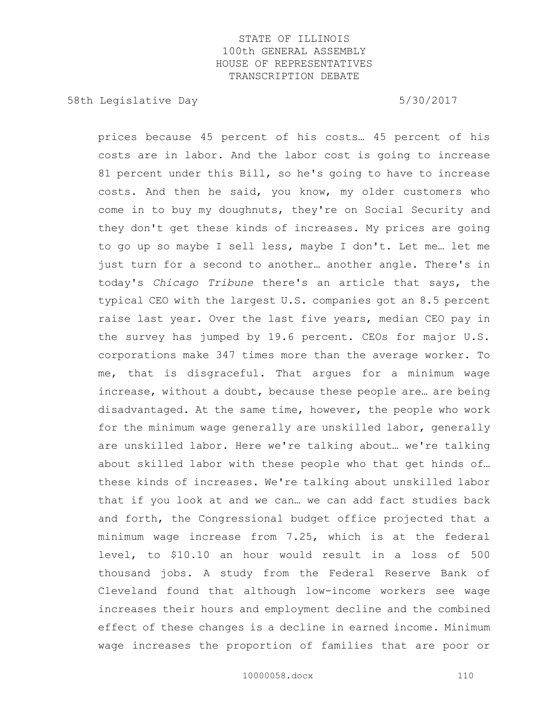58th Legislative Day 5/30/2017

prices because 45 percent of his costs… 45 percent of his costs are in labor. And the labor cost is going to increase 81 percent under this Bill, so he's going to have to increase costs. And then he said, you know, my older customers who come in to buy my doughnuts, they're on Social Security and they don't get these kinds of increases. My prices are going to go up so maybe I sell less, maybe I don't. Let me… let me just turn for a second to another… another angle. There's in today's *Chicago Tribune* there's an article that says, the typical CEO with the largest U.S. companies got an 8.5 percent raise last year. Over the last five years, median CEO pay in the survey has jumped by 19.6 percent. CEOs for major U.S. corporations make 347 times more than the average worker. To me, that is disgraceful. That argues for a minimum wage increase, without a doubt, because these people are… are being disadvantaged. At the same time, however, the people who work for the minimum wage generally are unskilled labor, generally are unskilled labor. Here we're talking about… we're talking about skilled labor with these people who that get hinds of… these kinds of increases. We're talking about unskilled labor that if you look at and we can… we can add fact studies back and forth, the Congressional budget office projected that a minimum wage increase from 7.25, which is at the federal level, to \$10.10 an hour would result in a loss of 500 thousand jobs. A study from the Federal Reserve Bank of Cleveland found that although low-income workers see wage increases their hours and employment decline and the combined effect of these changes is a decline in earned income. Minimum wage increases the proportion of families that are poor or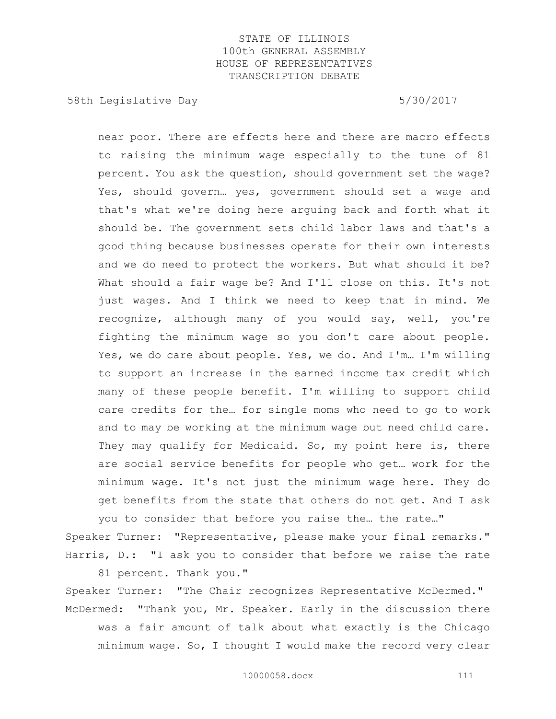58th Legislative Day 5/30/2017

near poor. There are effects here and there are macro effects to raising the minimum wage especially to the tune of 81 percent. You ask the question, should government set the wage? Yes, should govern… yes, government should set a wage and that's what we're doing here arguing back and forth what it should be. The government sets child labor laws and that's a good thing because businesses operate for their own interests and we do need to protect the workers. But what should it be? What should a fair wage be? And I'll close on this. It's not just wages. And I think we need to keep that in mind. We recognize, although many of you would say, well, you're fighting the minimum wage so you don't care about people. Yes, we do care about people. Yes, we do. And I'm… I'm willing to support an increase in the earned income tax credit which many of these people benefit. I'm willing to support child care credits for the… for single moms who need to go to work and to may be working at the minimum wage but need child care. They may qualify for Medicaid. So, my point here is, there are social service benefits for people who get… work for the minimum wage. It's not just the minimum wage here. They do get benefits from the state that others do not get. And I ask you to consider that before you raise the… the rate…"

Speaker Turner: "Representative, please make your final remarks." Harris, D.: "I ask you to consider that before we raise the rate

81 percent. Thank you."

Speaker Turner: "The Chair recognizes Representative McDermed." McDermed: "Thank you, Mr. Speaker. Early in the discussion there was a fair amount of talk about what exactly is the Chicago minimum wage. So, I thought I would make the record very clear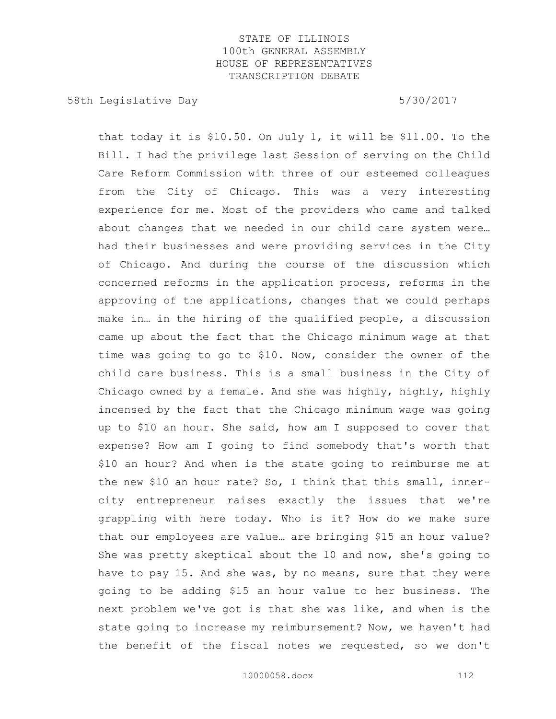58th Legislative Day 5/30/2017

that today it is \$10.50. On July 1, it will be \$11.00. To the Bill. I had the privilege last Session of serving on the Child Care Reform Commission with three of our esteemed colleagues from the City of Chicago. This was a very interesting experience for me. Most of the providers who came and talked about changes that we needed in our child care system were… had their businesses and were providing services in the City of Chicago. And during the course of the discussion which concerned reforms in the application process, reforms in the approving of the applications, changes that we could perhaps make in… in the hiring of the qualified people, a discussion came up about the fact that the Chicago minimum wage at that time was going to go to \$10. Now, consider the owner of the child care business. This is a small business in the City of Chicago owned by a female. And she was highly, highly, highly incensed by the fact that the Chicago minimum wage was going up to \$10 an hour. She said, how am I supposed to cover that expense? How am I going to find somebody that's worth that \$10 an hour? And when is the state going to reimburse me at the new \$10 an hour rate? So, I think that this small, innercity entrepreneur raises exactly the issues that we're grappling with here today. Who is it? How do we make sure that our employees are value… are bringing \$15 an hour value? She was pretty skeptical about the 10 and now, she's going to have to pay 15. And she was, by no means, sure that they were going to be adding \$15 an hour value to her business. The next problem we've got is that she was like, and when is the state going to increase my reimbursement? Now, we haven't had the benefit of the fiscal notes we requested, so we don't

10000058.docx 112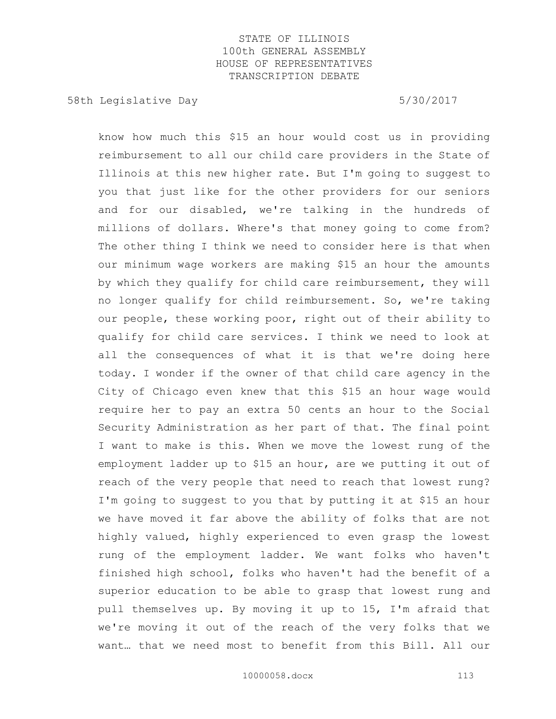58th Legislative Day 5/30/2017

know how much this \$15 an hour would cost us in providing reimbursement to all our child care providers in the State of Illinois at this new higher rate. But I'm going to suggest to you that just like for the other providers for our seniors and for our disabled, we're talking in the hundreds of millions of dollars. Where's that money going to come from? The other thing I think we need to consider here is that when our minimum wage workers are making \$15 an hour the amounts by which they qualify for child care reimbursement, they will no longer qualify for child reimbursement. So, we're taking our people, these working poor, right out of their ability to qualify for child care services. I think we need to look at all the consequences of what it is that we're doing here today. I wonder if the owner of that child care agency in the City of Chicago even knew that this \$15 an hour wage would require her to pay an extra 50 cents an hour to the Social Security Administration as her part of that. The final point I want to make is this. When we move the lowest rung of the employment ladder up to \$15 an hour, are we putting it out of reach of the very people that need to reach that lowest rung? I'm going to suggest to you that by putting it at \$15 an hour we have moved it far above the ability of folks that are not highly valued, highly experienced to even grasp the lowest rung of the employment ladder. We want folks who haven't finished high school, folks who haven't had the benefit of a superior education to be able to grasp that lowest rung and pull themselves up. By moving it up to 15, I'm afraid that we're moving it out of the reach of the very folks that we want… that we need most to benefit from this Bill. All our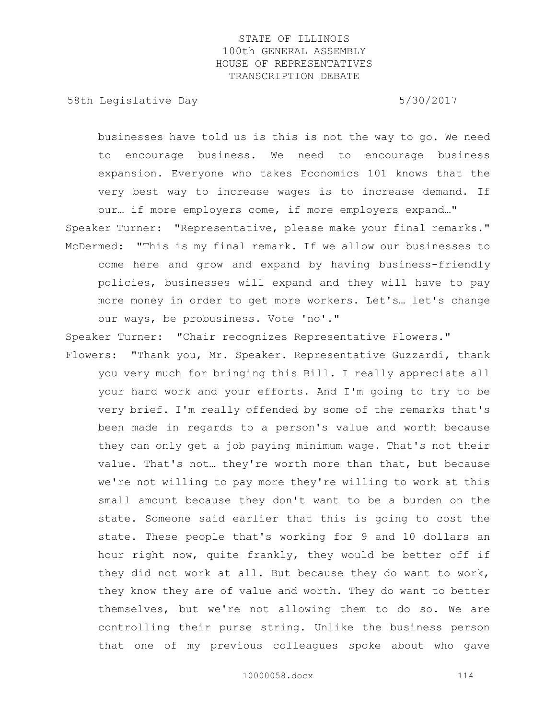58th Legislative Day 5/30/2017

businesses have told us is this is not the way to go. We need to encourage business. We need to encourage business expansion. Everyone who takes Economics 101 knows that the very best way to increase wages is to increase demand. If our… if more employers come, if more employers expand…"

Speaker Turner: "Representative, please make your final remarks." McDermed: "This is my final remark. If we allow our businesses to come here and grow and expand by having business-friendly policies, businesses will expand and they will have to pay more money in order to get more workers. Let's… let's change our ways, be probusiness. Vote 'no'."

Speaker Turner: "Chair recognizes Representative Flowers."

Flowers: "Thank you, Mr. Speaker. Representative Guzzardi, thank you very much for bringing this Bill. I really appreciate all your hard work and your efforts. And I'm going to try to be very brief. I'm really offended by some of the remarks that's been made in regards to a person's value and worth because they can only get a job paying minimum wage. That's not their value. That's not… they're worth more than that, but because we're not willing to pay more they're willing to work at this small amount because they don't want to be a burden on the state. Someone said earlier that this is going to cost the state. These people that's working for 9 and 10 dollars an hour right now, quite frankly, they would be better off if they did not work at all. But because they do want to work, they know they are of value and worth. They do want to better themselves, but we're not allowing them to do so. We are controlling their purse string. Unlike the business person that one of my previous colleagues spoke about who gave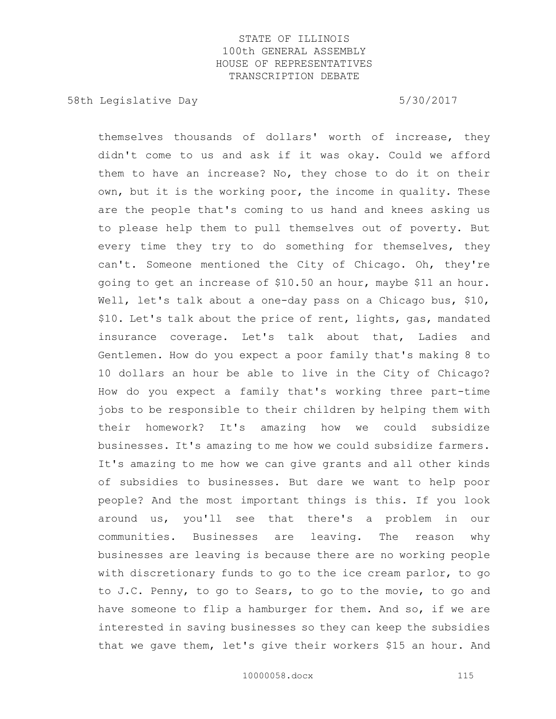58th Legislative Day 6.5730/2017

themselves thousands of dollars' worth of increase, they didn't come to us and ask if it was okay. Could we afford them to have an increase? No, they chose to do it on their own, but it is the working poor, the income in quality. These are the people that's coming to us hand and knees asking us to please help them to pull themselves out of poverty. But every time they try to do something for themselves, they can't. Someone mentioned the City of Chicago. Oh, they're going to get an increase of \$10.50 an hour, maybe \$11 an hour. Well, let's talk about a one-day pass on a Chicago bus, \$10, \$10. Let's talk about the price of rent, lights, gas, mandated insurance coverage. Let's talk about that, Ladies and Gentlemen. How do you expect a poor family that's making 8 to 10 dollars an hour be able to live in the City of Chicago? How do you expect a family that's working three part-time jobs to be responsible to their children by helping them with their homework? It's amazing how we could subsidize businesses. It's amazing to me how we could subsidize farmers. It's amazing to me how we can give grants and all other kinds of subsidies to businesses. But dare we want to help poor people? And the most important things is this. If you look around us, you'll see that there's a problem in our communities. Businesses are leaving. The reason why businesses are leaving is because there are no working people with discretionary funds to go to the ice cream parlor, to go to J.C. Penny, to go to Sears, to go to the movie, to go and have someone to flip a hamburger for them. And so, if we are interested in saving businesses so they can keep the subsidies that we gave them, let's give their workers \$15 an hour. And

10000058.docx 115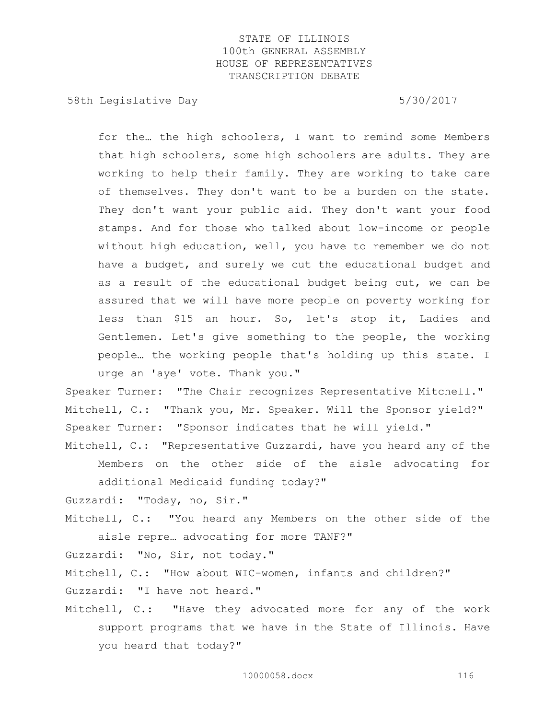58th Legislative Day 6.5730/2017

for the… the high schoolers, I want to remind some Members that high schoolers, some high schoolers are adults. They are working to help their family. They are working to take care of themselves. They don't want to be a burden on the state. They don't want your public aid. They don't want your food stamps. And for those who talked about low-income or people without high education, well, you have to remember we do not have a budget, and surely we cut the educational budget and as a result of the educational budget being cut, we can be assured that we will have more people on poverty working for less than \$15 an hour. So, let's stop it, Ladies and Gentlemen. Let's give something to the people, the working people… the working people that's holding up this state. I urge an 'aye' vote. Thank you."

Speaker Turner: "The Chair recognizes Representative Mitchell." Mitchell, C.: "Thank you, Mr. Speaker. Will the Sponsor yield?" Speaker Turner: "Sponsor indicates that he will yield."

Mitchell, C.: "Representative Guzzardi, have you heard any of the Members on the other side of the aisle advocating for additional Medicaid funding today?"

Guzzardi: "Today, no, Sir."

Mitchell, C.: "You heard any Members on the other side of the aisle repre… advocating for more TANF?"

Guzzardi: "No, Sir, not today."

Mitchell, C.: "How about WIC-women, infants and children?" Guzzardi: "I have not heard."

Mitchell, C.: "Have they advocated more for any of the work support programs that we have in the State of Illinois. Have you heard that today?"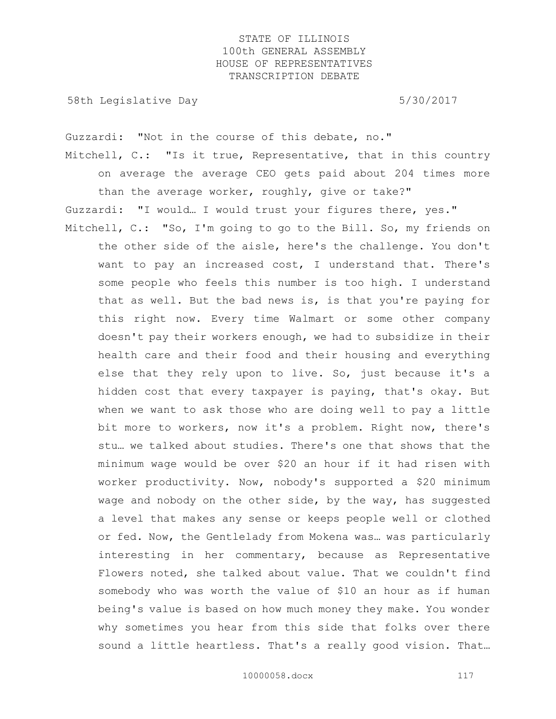58th Legislative Day 5/30/2017

Guzzardi: "Not in the course of this debate, no."

Mitchell, C.: "Is it true, Representative, that in this country on average the average CEO gets paid about 204 times more than the average worker, roughly, give or take?"

Guzzardi: "I would… I would trust your figures there, yes."

Mitchell, C.: "So, I'm going to go to the Bill. So, my friends on the other side of the aisle, here's the challenge. You don't want to pay an increased cost, I understand that. There's some people who feels this number is too high. I understand that as well. But the bad news is, is that you're paying for this right now. Every time Walmart or some other company doesn't pay their workers enough, we had to subsidize in their health care and their food and their housing and everything else that they rely upon to live. So, just because it's a hidden cost that every taxpayer is paying, that's okay. But when we want to ask those who are doing well to pay a little bit more to workers, now it's a problem. Right now, there's stu… we talked about studies. There's one that shows that the minimum wage would be over \$20 an hour if it had risen with worker productivity. Now, nobody's supported a \$20 minimum wage and nobody on the other side, by the way, has suggested a level that makes any sense or keeps people well or clothed or fed. Now, the Gentlelady from Mokena was… was particularly interesting in her commentary, because as Representative Flowers noted, she talked about value. That we couldn't find somebody who was worth the value of \$10 an hour as if human being's value is based on how much money they make. You wonder why sometimes you hear from this side that folks over there sound a little heartless. That's a really good vision. That…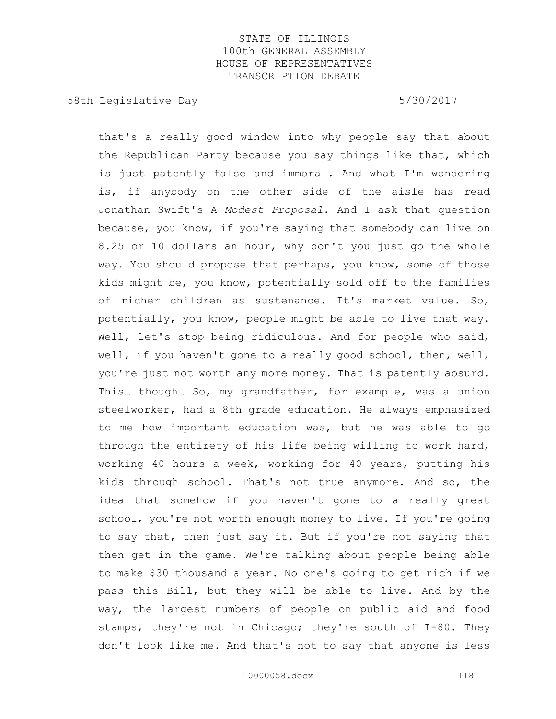58th Legislative Day 5/30/2017

that's a really good window into why people say that about the Republican Party because you say things like that, which is just patently false and immoral. And what I'm wondering is, if anybody on the other side of the aisle has read Jonathan Swift's A *Modest Proposal*. And I ask that question because, you know, if you're saying that somebody can live on 8.25 or 10 dollars an hour, why don't you just go the whole way. You should propose that perhaps, you know, some of those kids might be, you know, potentially sold off to the families of richer children as sustenance. It's market value. So, potentially, you know, people might be able to live that way. Well, let's stop being ridiculous. And for people who said, well, if you haven't gone to a really good school, then, well, you're just not worth any more money. That is patently absurd. This… though… So, my grandfather, for example, was a union steelworker, had a 8th grade education. He always emphasized to me how important education was, but he was able to go through the entirety of his life being willing to work hard, working 40 hours a week, working for 40 years, putting his kids through school. That's not true anymore. And so, the idea that somehow if you haven't gone to a really great school, you're not worth enough money to live. If you're going to say that, then just say it. But if you're not saying that then get in the game. We're talking about people being able to make \$30 thousand a year. No one's going to get rich if we pass this Bill, but they will be able to live. And by the way, the largest numbers of people on public aid and food stamps, they're not in Chicago; they're south of I-80. They don't look like me. And that's not to say that anyone is less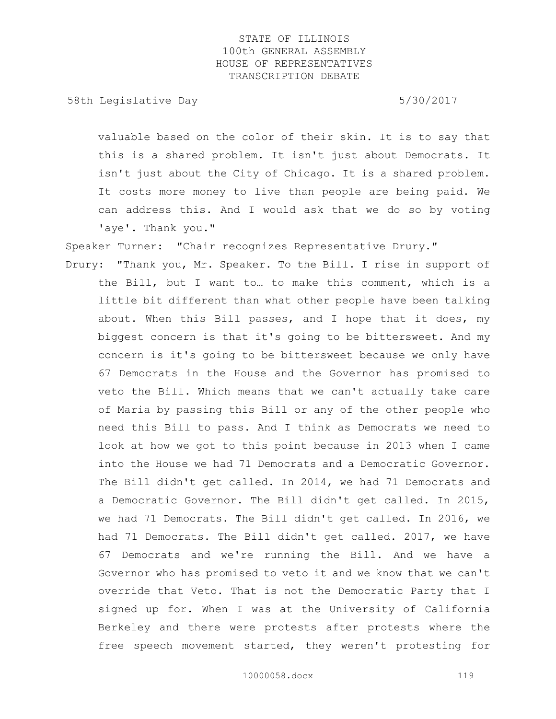58th Legislative Day 5/30/2017

valuable based on the color of their skin. It is to say that this is a shared problem. It isn't just about Democrats. It isn't just about the City of Chicago. It is a shared problem. It costs more money to live than people are being paid. We can address this. And I would ask that we do so by voting 'aye'. Thank you."

Speaker Turner: "Chair recognizes Representative Drury."

Drury: "Thank you, Mr. Speaker. To the Bill. I rise in support of the Bill, but I want to… to make this comment, which is a little bit different than what other people have been talking about. When this Bill passes, and I hope that it does, my biggest concern is that it's going to be bittersweet. And my concern is it's going to be bittersweet because we only have 67 Democrats in the House and the Governor has promised to veto the Bill. Which means that we can't actually take care of Maria by passing this Bill or any of the other people who need this Bill to pass. And I think as Democrats we need to look at how we got to this point because in 2013 when I came into the House we had 71 Democrats and a Democratic Governor. The Bill didn't get called. In 2014, we had 71 Democrats and a Democratic Governor. The Bill didn't get called. In 2015, we had 71 Democrats. The Bill didn't get called. In 2016, we had 71 Democrats. The Bill didn't get called. 2017, we have 67 Democrats and we're running the Bill. And we have a Governor who has promised to veto it and we know that we can't override that Veto. That is not the Democratic Party that I signed up for. When I was at the University of California Berkeley and there were protests after protests where the free speech movement started, they weren't protesting for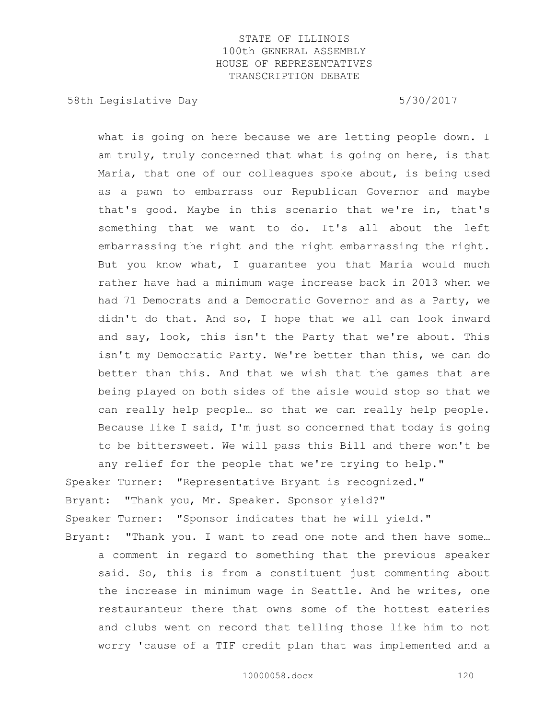58th Legislative Day 5/30/2017

what is going on here because we are letting people down. I am truly, truly concerned that what is going on here, is that Maria, that one of our colleagues spoke about, is being used as a pawn to embarrass our Republican Governor and maybe that's good. Maybe in this scenario that we're in, that's something that we want to do. It's all about the left embarrassing the right and the right embarrassing the right. But you know what, I guarantee you that Maria would much rather have had a minimum wage increase back in 2013 when we had 71 Democrats and a Democratic Governor and as a Party, we didn't do that. And so, I hope that we all can look inward and say, look, this isn't the Party that we're about. This isn't my Democratic Party. We're better than this, we can do better than this. And that we wish that the games that are being played on both sides of the aisle would stop so that we can really help people… so that we can really help people. Because like I said, I'm just so concerned that today is going to be bittersweet. We will pass this Bill and there won't be any relief for the people that we're trying to help."

Speaker Turner: "Representative Bryant is recognized." Bryant: "Thank you, Mr. Speaker. Sponsor yield?" Speaker Turner: "Sponsor indicates that he will yield." Bryant: "Thank you. I want to read one note and then have some...

a comment in regard to something that the previous speaker said. So, this is from a constituent just commenting about the increase in minimum wage in Seattle. And he writes, one restauranteur there that owns some of the hottest eateries and clubs went on record that telling those like him to not worry 'cause of a TIF credit plan that was implemented and a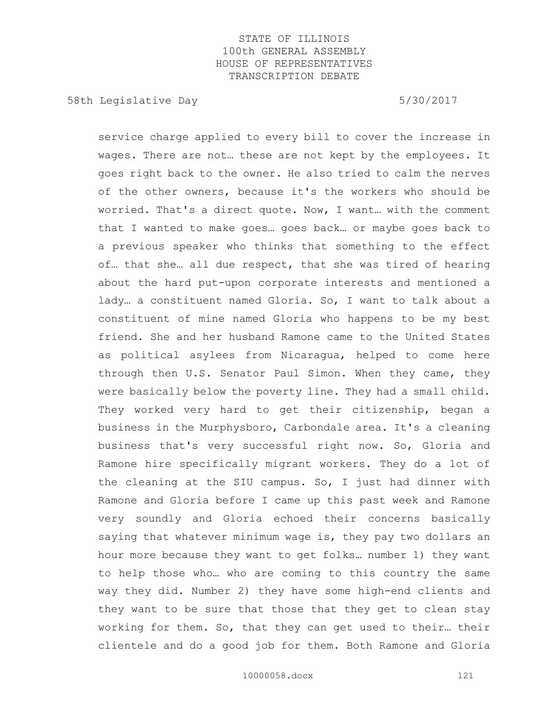58th Legislative Day 5/30/2017

service charge applied to every bill to cover the increase in wages. There are not… these are not kept by the employees. It goes right back to the owner. He also tried to calm the nerves of the other owners, because it's the workers who should be worried. That's a direct quote. Now, I want… with the comment that I wanted to make goes… goes back… or maybe goes back to a previous speaker who thinks that something to the effect of… that she… all due respect, that she was tired of hearing about the hard put-upon corporate interests and mentioned a lady… a constituent named Gloria. So, I want to talk about a constituent of mine named Gloria who happens to be my best friend. She and her husband Ramone came to the United States as political asylees from Nicaragua, helped to come here through then U.S. Senator Paul Simon. When they came, they were basically below the poverty line. They had a small child. They worked very hard to get their citizenship, began a business in the Murphysboro, Carbondale area. It's a cleaning business that's very successful right now. So, Gloria and Ramone hire specifically migrant workers. They do a lot of the cleaning at the SIU campus. So, I just had dinner with Ramone and Gloria before I came up this past week and Ramone very soundly and Gloria echoed their concerns basically saying that whatever minimum wage is, they pay two dollars an hour more because they want to get folks… number 1) they want to help those who… who are coming to this country the same way they did. Number 2) they have some high-end clients and they want to be sure that those that they get to clean stay working for them. So, that they can get used to their… their clientele and do a good job for them. Both Ramone and Gloria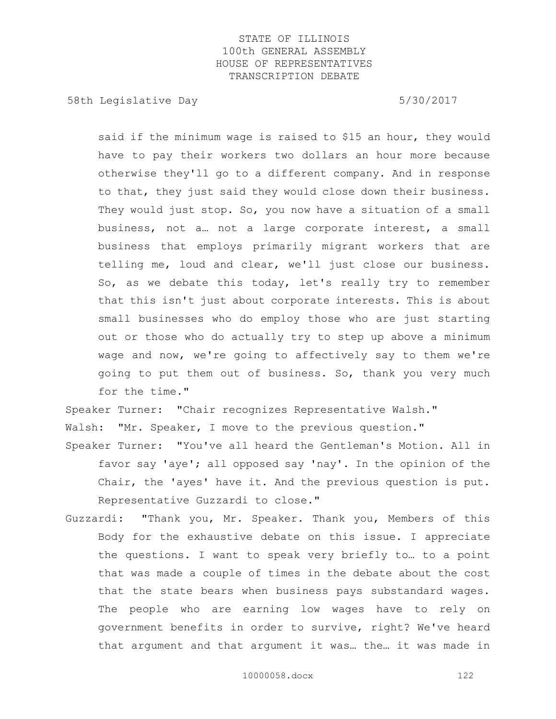58th Legislative Day 5/30/2017

said if the minimum wage is raised to \$15 an hour, they would have to pay their workers two dollars an hour more because otherwise they'll go to a different company. And in response to that, they just said they would close down their business. They would just stop. So, you now have a situation of a small business, not a… not a large corporate interest, a small business that employs primarily migrant workers that are telling me, loud and clear, we'll just close our business. So, as we debate this today, let's really try to remember that this isn't just about corporate interests. This is about small businesses who do employ those who are just starting out or those who do actually try to step up above a minimum wage and now, we're going to affectively say to them we're going to put them out of business. So, thank you very much for the time."

Speaker Turner: "Chair recognizes Representative Walsh."

Walsh: "Mr. Speaker, I move to the previous question."

- Speaker Turner: "You've all heard the Gentleman's Motion. All in favor say 'aye'; all opposed say 'nay'. In the opinion of the Chair, the 'ayes' have it. And the previous question is put. Representative Guzzardi to close."
- Guzzardi: "Thank you, Mr. Speaker. Thank you, Members of this Body for the exhaustive debate on this issue. I appreciate the questions. I want to speak very briefly to… to a point that was made a couple of times in the debate about the cost that the state bears when business pays substandard wages. The people who are earning low wages have to rely on government benefits in order to survive, right? We've heard that argument and that argument it was… the… it was made in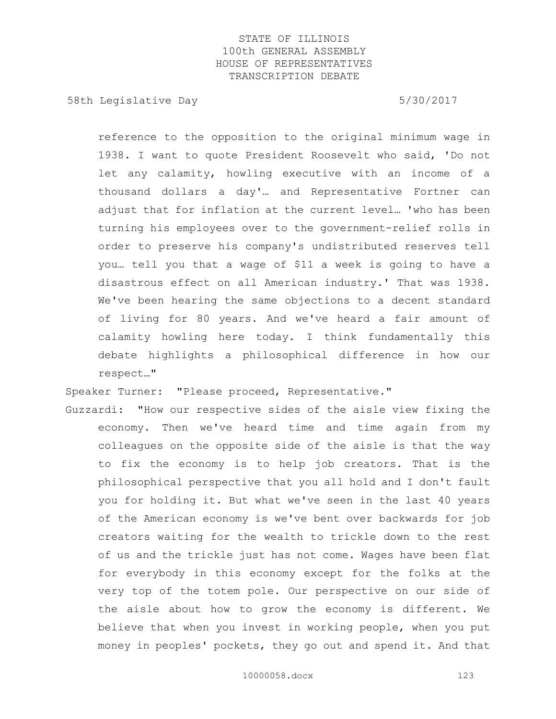58th Legislative Day 5/30/2017

reference to the opposition to the original minimum wage in 1938. I want to quote President Roosevelt who said, 'Do not let any calamity, howling executive with an income of a thousand dollars a day'… and Representative Fortner can adjust that for inflation at the current level… 'who has been turning his employees over to the government-relief rolls in order to preserve his company's undistributed reserves tell you… tell you that a wage of \$11 a week is going to have a disastrous effect on all American industry.' That was 1938. We've been hearing the same objections to a decent standard of living for 80 years. And we've heard a fair amount of calamity howling here today. I think fundamentally this debate highlights a philosophical difference in how our respect…"

Speaker Turner: "Please proceed, Representative."

Guzzardi: "How our respective sides of the aisle view fixing the economy. Then we've heard time and time again from my colleagues on the opposite side of the aisle is that the way to fix the economy is to help job creators. That is the philosophical perspective that you all hold and I don't fault you for holding it. But what we've seen in the last 40 years of the American economy is we've bent over backwards for job creators waiting for the wealth to trickle down to the rest of us and the trickle just has not come. Wages have been flat for everybody in this economy except for the folks at the very top of the totem pole. Our perspective on our side of the aisle about how to grow the economy is different. We believe that when you invest in working people, when you put money in peoples' pockets, they go out and spend it. And that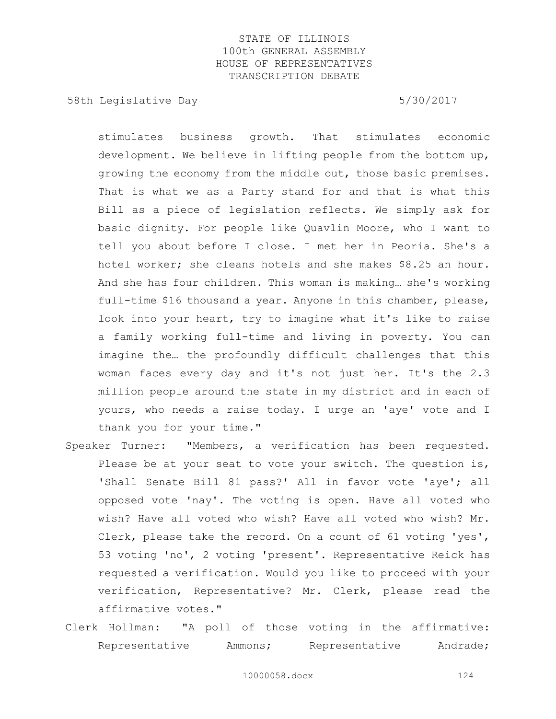58th Legislative Day 5/30/2017

stimulates business growth. That stimulates economic development. We believe in lifting people from the bottom up, growing the economy from the middle out, those basic premises. That is what we as a Party stand for and that is what this Bill as a piece of legislation reflects. We simply ask for basic dignity. For people like Quavlin Moore, who I want to tell you about before I close. I met her in Peoria. She's a hotel worker; she cleans hotels and she makes \$8.25 an hour. And she has four children. This woman is making… she's working full-time \$16 thousand a year. Anyone in this chamber, please, look into your heart, try to imagine what it's like to raise a family working full-time and living in poverty. You can imagine the… the profoundly difficult challenges that this woman faces every day and it's not just her. It's the 2.3 million people around the state in my district and in each of yours, who needs a raise today. I urge an 'aye' vote and I thank you for your time."

- Speaker Turner: "Members, a verification has been requested. Please be at your seat to vote your switch. The question is, 'Shall Senate Bill 81 pass?' All in favor vote 'aye'; all opposed vote 'nay'. The voting is open. Have all voted who wish? Have all voted who wish? Have all voted who wish? Mr. Clerk, please take the record. On a count of 61 voting 'yes', 53 voting 'no', 2 voting 'present'. Representative Reick has requested a verification. Would you like to proceed with your verification, Representative? Mr. Clerk, please read the affirmative votes."
- Clerk Hollman: "A poll of those voting in the affirmative: Representative Ammons; Representative Andrade;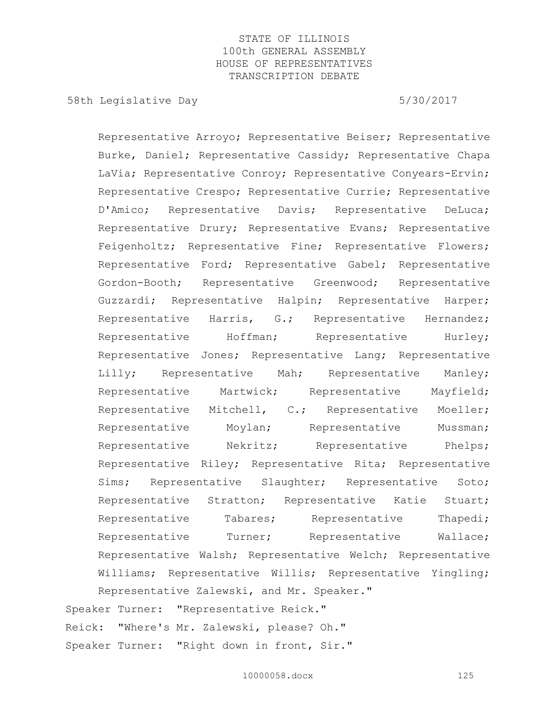58th Legislative Day 5/30/2017

Representative Arroyo; Representative Beiser; Representative Burke, Daniel; Representative Cassidy; Representative Chapa LaVia; Representative Conroy; Representative Conyears-Ervin; Representative Crespo; Representative Currie; Representative D'Amico; Representative Davis; Representative DeLuca; Representative Drury; Representative Evans; Representative Feigenholtz; Representative Fine; Representative Flowers; Representative Ford; Representative Gabel; Representative Gordon-Booth; Representative Greenwood; Representative Guzzardi; Representative Halpin; Representative Harper; Representative Harris, G.; Representative Hernandez; Representative Hoffman; Representative Hurley; Representative Jones; Representative Lang; Representative Lilly; Representative Mah; Representative Manley; Representative Martwick; Representative Mayfield; Representative Mitchell, C.; Representative Moeller; Representative Moylan; Representative Mussman; Representative Nekritz; Representative Phelps; Representative Riley; Representative Rita; Representative Sims; Representative Slaughter; Representative Soto; Representative Stratton; Representative Katie Stuart; Representative Tabares; Representative Thapedi; Representative Turner; Representative Wallace; Representative Walsh; Representative Welch; Representative Williams; Representative Willis; Representative Yingling; Representative Zalewski, and Mr. Speaker." Speaker Turner: "Representative Reick."

Reick: "Where's Mr. Zalewski, please? Oh." Speaker Turner: "Right down in front, Sir."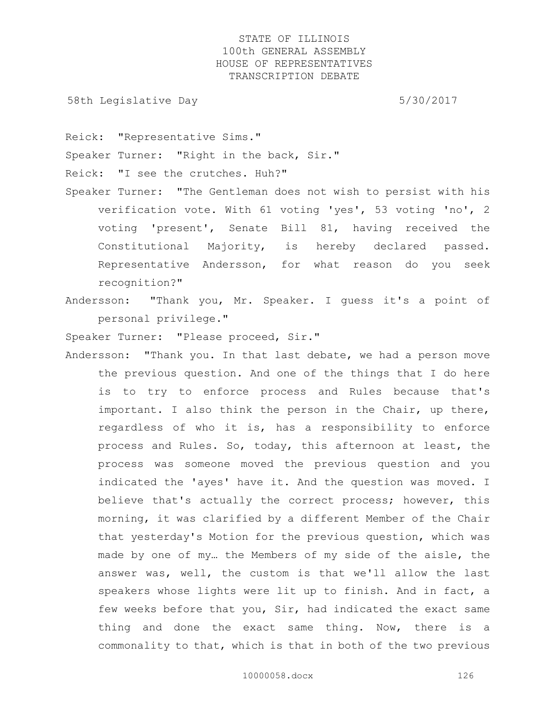58th Legislative Day 5/30/2017

Reick: "Representative Sims."

Speaker Turner: "Right in the back, Sir."

Reick: "I see the crutches. Huh?"

- Speaker Turner: "The Gentleman does not wish to persist with his verification vote. With 61 voting 'yes', 53 voting 'no', 2 voting 'present', Senate Bill 81, having received the Constitutional Majority, is hereby declared passed. Representative Andersson, for what reason do you seek recognition?"
- Andersson: "Thank you, Mr. Speaker. I guess it's a point of personal privilege."

Speaker Turner: "Please proceed, Sir."

Andersson: "Thank you. In that last debate, we had a person move the previous question. And one of the things that I do here is to try to enforce process and Rules because that's important. I also think the person in the Chair, up there, regardless of who it is, has a responsibility to enforce process and Rules. So, today, this afternoon at least, the process was someone moved the previous question and you indicated the 'ayes' have it. And the question was moved. I believe that's actually the correct process; however, this morning, it was clarified by a different Member of the Chair that yesterday's Motion for the previous question, which was made by one of my… the Members of my side of the aisle, the answer was, well, the custom is that we'll allow the last speakers whose lights were lit up to finish. And in fact, a few weeks before that you, Sir, had indicated the exact same thing and done the exact same thing. Now, there is a commonality to that, which is that in both of the two previous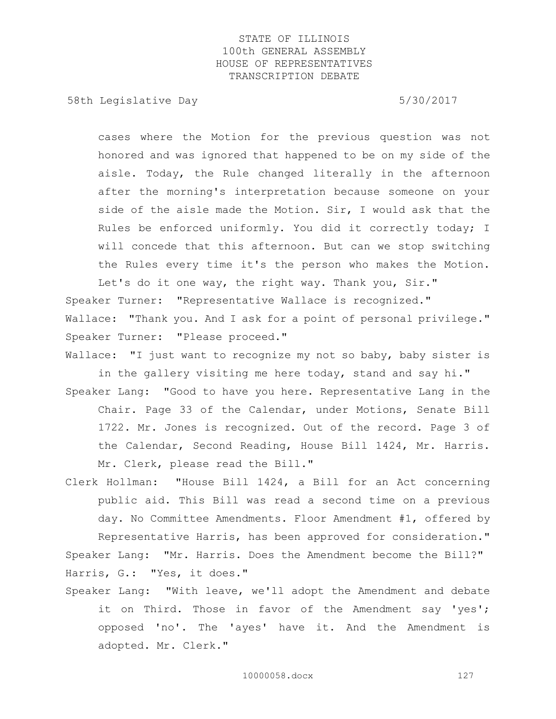58th Legislative Day 5/30/2017

cases where the Motion for the previous question was not honored and was ignored that happened to be on my side of the aisle. Today, the Rule changed literally in the afternoon after the morning's interpretation because someone on your side of the aisle made the Motion. Sir, I would ask that the Rules be enforced uniformly. You did it correctly today; I will concede that this afternoon. But can we stop switching the Rules every time it's the person who makes the Motion.

Let's do it one way, the right way. Thank you, Sir." Speaker Turner: "Representative Wallace is recognized." Wallace: "Thank you. And I ask for a point of personal privilege." Speaker Turner: "Please proceed."

Wallace: "I just want to recognize my not so baby, baby sister is in the gallery visiting me here today, stand and say hi."

- Speaker Lang: "Good to have you here. Representative Lang in the Chair. Page 33 of the Calendar, under Motions, Senate Bill 1722. Mr. Jones is recognized. Out of the record. Page 3 of the Calendar, Second Reading, House Bill 1424, Mr. Harris. Mr. Clerk, please read the Bill."
- Clerk Hollman: "House Bill 1424, a Bill for an Act concerning public aid. This Bill was read a second time on a previous day. No Committee Amendments. Floor Amendment #1, offered by Representative Harris, has been approved for consideration." Speaker Lang: "Mr. Harris. Does the Amendment become the Bill?"

Harris, G.: "Yes, it does."

Speaker Lang: "With leave, we'll adopt the Amendment and debate it on Third. Those in favor of the Amendment say 'yes'; opposed 'no'. The 'ayes' have it. And the Amendment is adopted. Mr. Clerk."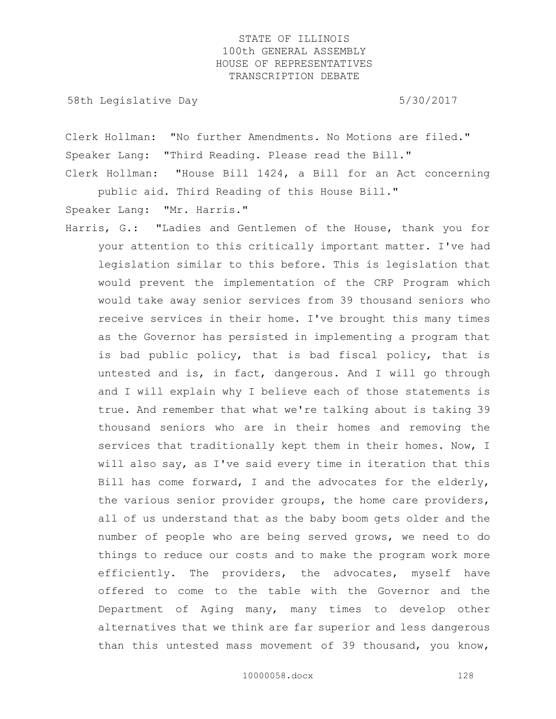58th Legislative Day 5/30/2017

Clerk Hollman: "No further Amendments. No Motions are filed." Speaker Lang: "Third Reading. Please read the Bill." Clerk Hollman: "House Bill 1424, a Bill for an Act concerning

public aid. Third Reading of this House Bill."

Speaker Lang: "Mr. Harris."

Harris, G.: "Ladies and Gentlemen of the House, thank you for your attention to this critically important matter. I've had legislation similar to this before. This is legislation that would prevent the implementation of the CRP Program which would take away senior services from 39 thousand seniors who receive services in their home. I've brought this many times as the Governor has persisted in implementing a program that is bad public policy, that is bad fiscal policy, that is untested and is, in fact, dangerous. And I will go through and I will explain why I believe each of those statements is true. And remember that what we're talking about is taking 39 thousand seniors who are in their homes and removing the services that traditionally kept them in their homes. Now, I will also say, as I've said every time in iteration that this Bill has come forward, I and the advocates for the elderly, the various senior provider groups, the home care providers, all of us understand that as the baby boom gets older and the number of people who are being served grows, we need to do things to reduce our costs and to make the program work more efficiently. The providers, the advocates, myself have offered to come to the table with the Governor and the Department of Aging many, many times to develop other alternatives that we think are far superior and less dangerous than this untested mass movement of 39 thousand, you know,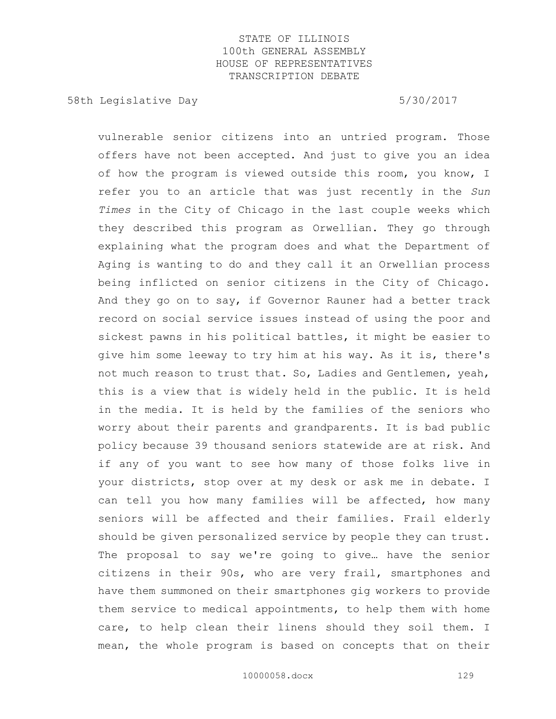58th Legislative Day 5/30/2017

vulnerable senior citizens into an untried program. Those offers have not been accepted. And just to give you an idea of how the program is viewed outside this room, you know, I refer you to an article that was just recently in the *Sun Times* in the City of Chicago in the last couple weeks which they described this program as Orwellian. They go through explaining what the program does and what the Department of Aging is wanting to do and they call it an Orwellian process being inflicted on senior citizens in the City of Chicago. And they go on to say, if Governor Rauner had a better track record on social service issues instead of using the poor and sickest pawns in his political battles, it might be easier to give him some leeway to try him at his way. As it is, there's not much reason to trust that. So, Ladies and Gentlemen, yeah, this is a view that is widely held in the public. It is held in the media. It is held by the families of the seniors who worry about their parents and grandparents. It is bad public policy because 39 thousand seniors statewide are at risk. And if any of you want to see how many of those folks live in your districts, stop over at my desk or ask me in debate. I can tell you how many families will be affected, how many seniors will be affected and their families. Frail elderly should be given personalized service by people they can trust. The proposal to say we're going to give… have the senior citizens in their 90s, who are very frail, smartphones and have them summoned on their smartphones gig workers to provide them service to medical appointments, to help them with home care, to help clean their linens should they soil them. I mean, the whole program is based on concepts that on their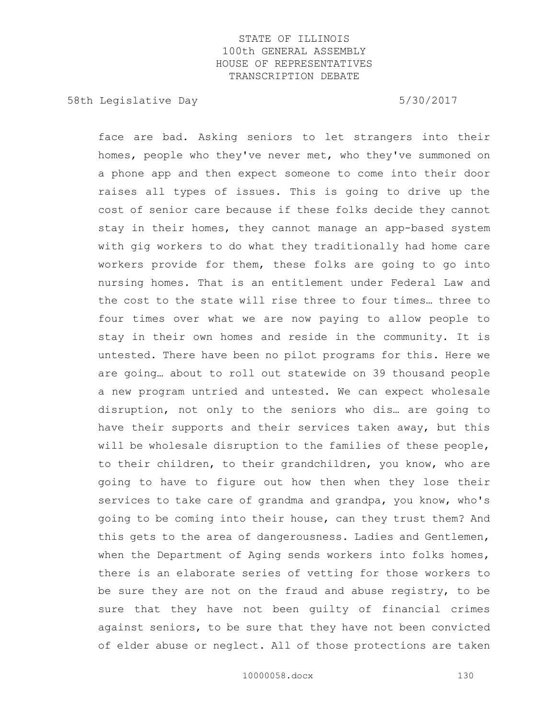58th Legislative Day 5/30/2017

face are bad. Asking seniors to let strangers into their homes, people who they've never met, who they've summoned on a phone app and then expect someone to come into their door raises all types of issues. This is going to drive up the cost of senior care because if these folks decide they cannot stay in their homes, they cannot manage an app-based system with gig workers to do what they traditionally had home care workers provide for them, these folks are going to go into nursing homes. That is an entitlement under Federal Law and the cost to the state will rise three to four times… three to four times over what we are now paying to allow people to stay in their own homes and reside in the community. It is untested. There have been no pilot programs for this. Here we are going… about to roll out statewide on 39 thousand people a new program untried and untested. We can expect wholesale disruption, not only to the seniors who dis… are going to have their supports and their services taken away, but this will be wholesale disruption to the families of these people, to their children, to their grandchildren, you know, who are going to have to figure out how then when they lose their services to take care of grandma and grandpa, you know, who's going to be coming into their house, can they trust them? And this gets to the area of dangerousness. Ladies and Gentlemen, when the Department of Aging sends workers into folks homes, there is an elaborate series of vetting for those workers to be sure they are not on the fraud and abuse registry, to be sure that they have not been guilty of financial crimes against seniors, to be sure that they have not been convicted of elder abuse or neglect. All of those protections are taken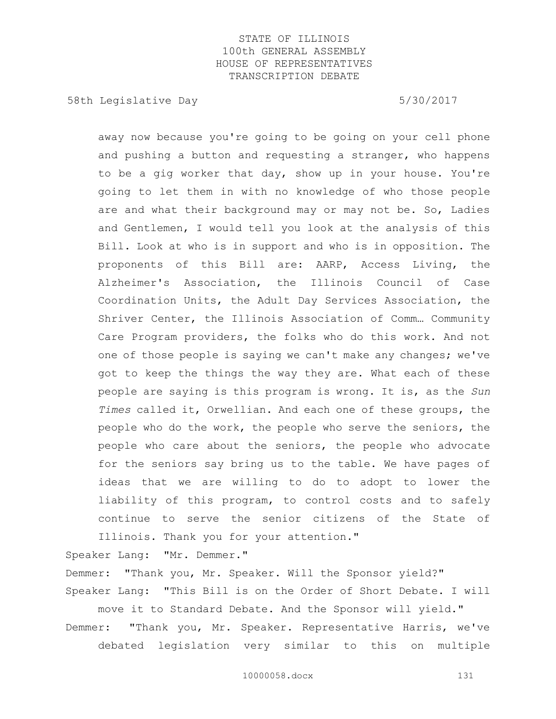58th Legislative Day 5/30/2017

away now because you're going to be going on your cell phone and pushing a button and requesting a stranger, who happens to be a gig worker that day, show up in your house. You're going to let them in with no knowledge of who those people are and what their background may or may not be. So, Ladies and Gentlemen, I would tell you look at the analysis of this Bill. Look at who is in support and who is in opposition. The proponents of this Bill are: AARP, Access Living, the Alzheimer's Association, the Illinois Council of Case Coordination Units, the Adult Day Services Association, the Shriver Center, the Illinois Association of Comm… Community Care Program providers, the folks who do this work. And not one of those people is saying we can't make any changes; we've got to keep the things the way they are. What each of these people are saying is this program is wrong. It is, as the *Sun Times* called it, Orwellian. And each one of these groups, the people who do the work, the people who serve the seniors, the people who care about the seniors, the people who advocate for the seniors say bring us to the table. We have pages of ideas that we are willing to do to adopt to lower the liability of this program, to control costs and to safely continue to serve the senior citizens of the State of Illinois. Thank you for your attention."

Speaker Lang: "Mr. Demmer."

Demmer: "Thank you, Mr. Speaker. Will the Sponsor yield?" Speaker Lang: "This Bill is on the Order of Short Debate. I will move it to Standard Debate. And the Sponsor will yield."

Demmer: "Thank you, Mr. Speaker. Representative Harris, we've debated legislation very similar to this on multiple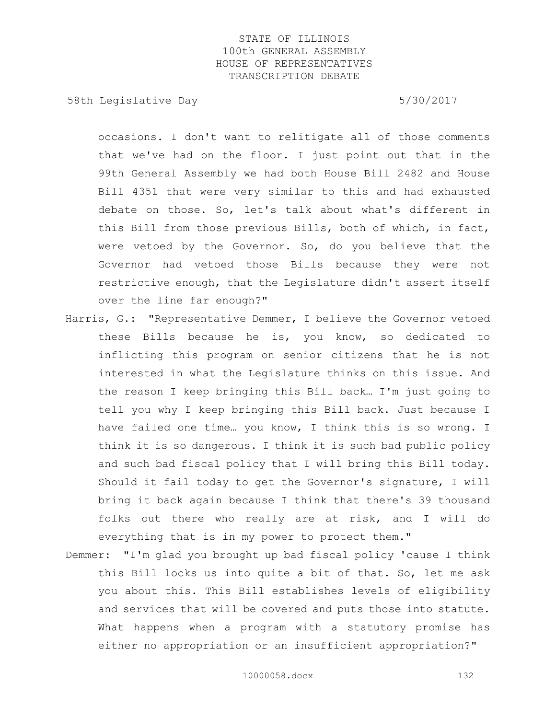58th Legislative Day 5/30/2017

occasions. I don't want to relitigate all of those comments that we've had on the floor. I just point out that in the 99th General Assembly we had both House Bill 2482 and House Bill 4351 that were very similar to this and had exhausted debate on those. So, let's talk about what's different in this Bill from those previous Bills, both of which, in fact, were vetoed by the Governor. So, do you believe that the Governor had vetoed those Bills because they were not restrictive enough, that the Legislature didn't assert itself over the line far enough?"

- Harris, G.: "Representative Demmer, I believe the Governor vetoed these Bills because he is, you know, so dedicated to inflicting this program on senior citizens that he is not interested in what the Legislature thinks on this issue. And the reason I keep bringing this Bill back… I'm just going to tell you why I keep bringing this Bill back. Just because I have failed one time… you know, I think this is so wrong. I think it is so dangerous. I think it is such bad public policy and such bad fiscal policy that I will bring this Bill today. Should it fail today to get the Governor's signature, I will bring it back again because I think that there's 39 thousand folks out there who really are at risk, and I will do everything that is in my power to protect them."
- Demmer: "I'm glad you brought up bad fiscal policy 'cause I think this Bill locks us into quite a bit of that. So, let me ask you about this. This Bill establishes levels of eligibility and services that will be covered and puts those into statute. What happens when a program with a statutory promise has either no appropriation or an insufficient appropriation?"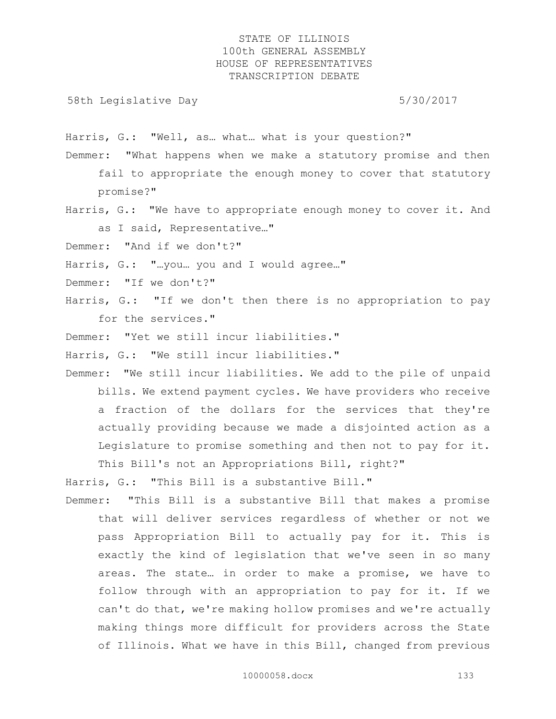58th Legislative Day 6.5 and 5/30/2017

Harris, G.: "Well, as… what… what is your question?"

- Demmer: "What happens when we make a statutory promise and then fail to appropriate the enough money to cover that statutory promise?"
- Harris, G.: "We have to appropriate enough money to cover it. And as I said, Representative…"

Demmer: "And if we don't?"

- Harris, G.: "...you... you and I would agree..."
- Demmer: "If we don't?"
- Harris, G.: "If we don't then there is no appropriation to pay for the services."
- Demmer: "Yet we still incur liabilities."
- Harris, G.: "We still incur liabilities."
- Demmer: "We still incur liabilities. We add to the pile of unpaid bills. We extend payment cycles. We have providers who receive a fraction of the dollars for the services that they're actually providing because we made a disjointed action as a Legislature to promise something and then not to pay for it. This Bill's not an Appropriations Bill, right?"

Harris, G.: "This Bill is a substantive Bill."

Demmer: "This Bill is a substantive Bill that makes a promise that will deliver services regardless of whether or not we pass Appropriation Bill to actually pay for it. This is exactly the kind of legislation that we've seen in so many areas. The state… in order to make a promise, we have to follow through with an appropriation to pay for it. If we can't do that, we're making hollow promises and we're actually making things more difficult for providers across the State of Illinois. What we have in this Bill, changed from previous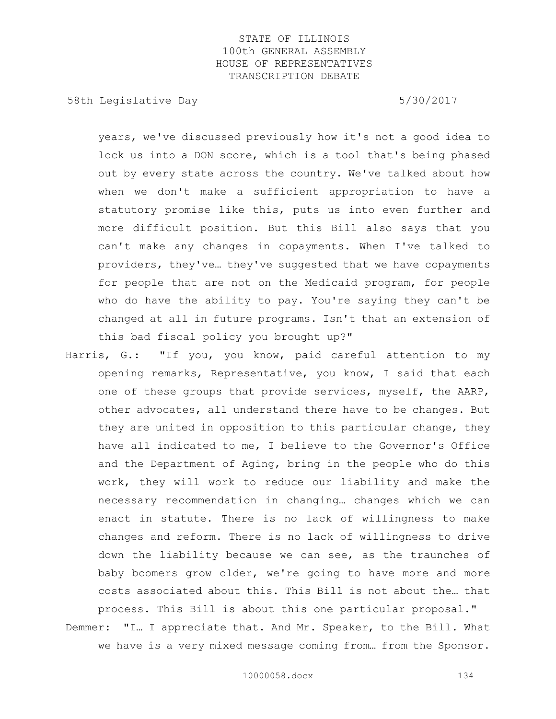58th Legislative Day 5/30/2017

years, we've discussed previously how it's not a good idea to lock us into a DON score, which is a tool that's being phased out by every state across the country. We've talked about how when we don't make a sufficient appropriation to have a statutory promise like this, puts us into even further and more difficult position. But this Bill also says that you can't make any changes in copayments. When I've talked to providers, they've… they've suggested that we have copayments for people that are not on the Medicaid program, for people who do have the ability to pay. You're saying they can't be changed at all in future programs. Isn't that an extension of this bad fiscal policy you brought up?"

Harris, G.: "If you, you know, paid careful attention to my opening remarks, Representative, you know, I said that each one of these groups that provide services, myself, the AARP, other advocates, all understand there have to be changes. But they are united in opposition to this particular change, they have all indicated to me, I believe to the Governor's Office and the Department of Aging, bring in the people who do this work, they will work to reduce our liability and make the necessary recommendation in changing… changes which we can enact in statute. There is no lack of willingness to make changes and reform. There is no lack of willingness to drive down the liability because we can see, as the traunches of baby boomers grow older, we're going to have more and more costs associated about this. This Bill is not about the… that

process. This Bill is about this one particular proposal." Demmer: "I… I appreciate that. And Mr. Speaker, to the Bill. What we have is a very mixed message coming from… from the Sponsor.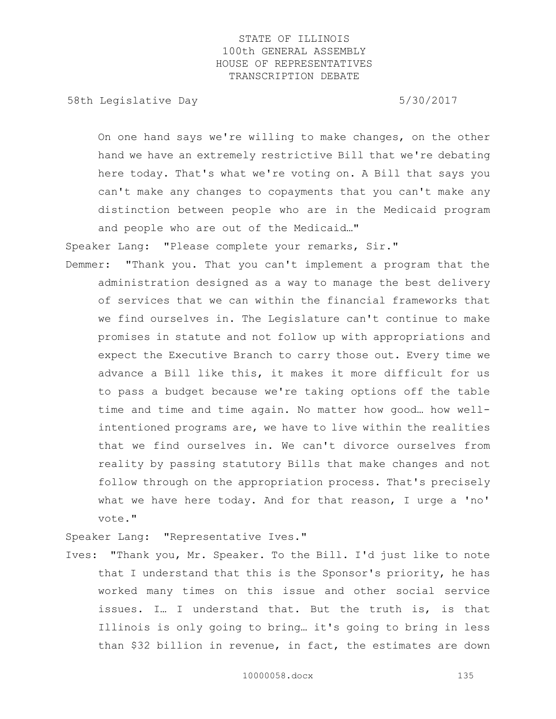58th Legislative Day 5/30/2017

On one hand says we're willing to make changes, on the other hand we have an extremely restrictive Bill that we're debating here today. That's what we're voting on. A Bill that says you can't make any changes to copayments that you can't make any distinction between people who are in the Medicaid program and people who are out of the Medicaid…"

Speaker Lang: "Please complete your remarks, Sir."

Demmer: "Thank you. That you can't implement a program that the administration designed as a way to manage the best delivery of services that we can within the financial frameworks that we find ourselves in. The Legislature can't continue to make promises in statute and not follow up with appropriations and expect the Executive Branch to carry those out. Every time we advance a Bill like this, it makes it more difficult for us to pass a budget because we're taking options off the table time and time and time again. No matter how good… how wellintentioned programs are, we have to live within the realities that we find ourselves in. We can't divorce ourselves from reality by passing statutory Bills that make changes and not follow through on the appropriation process. That's precisely what we have here today. And for that reason, I urge a 'no' vote."

Speaker Lang: "Representative Ives."

Ives: "Thank you, Mr. Speaker. To the Bill. I'd just like to note that I understand that this is the Sponsor's priority, he has worked many times on this issue and other social service issues. I… I understand that. But the truth is, is that Illinois is only going to bring… it's going to bring in less than \$32 billion in revenue, in fact, the estimates are down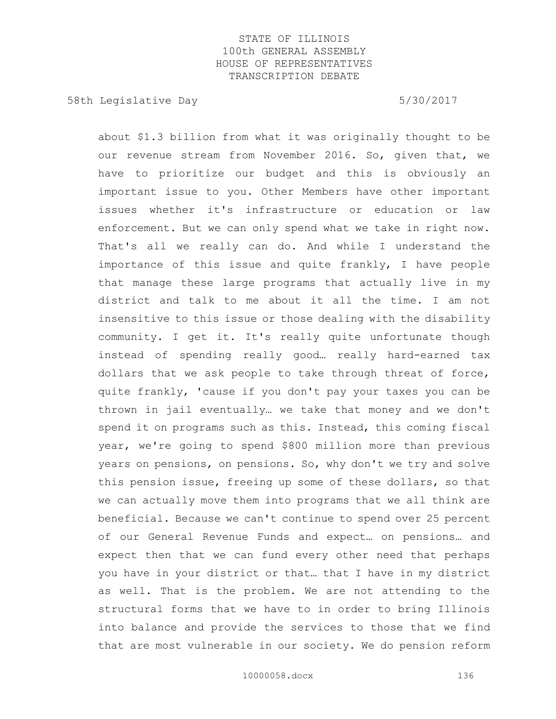58th Legislative Day 5/30/2017

about \$1.3 billion from what it was originally thought to be our revenue stream from November 2016. So, given that, we have to prioritize our budget and this is obviously an important issue to you. Other Members have other important issues whether it's infrastructure or education or law enforcement. But we can only spend what we take in right now. That's all we really can do. And while I understand the importance of this issue and quite frankly, I have people that manage these large programs that actually live in my district and talk to me about it all the time. I am not insensitive to this issue or those dealing with the disability community. I get it. It's really quite unfortunate though instead of spending really good… really hard-earned tax dollars that we ask people to take through threat of force, quite frankly, 'cause if you don't pay your taxes you can be thrown in jail eventually… we take that money and we don't spend it on programs such as this. Instead, this coming fiscal year, we're going to spend \$800 million more than previous years on pensions, on pensions. So, why don't we try and solve this pension issue, freeing up some of these dollars, so that we can actually move them into programs that we all think are beneficial. Because we can't continue to spend over 25 percent of our General Revenue Funds and expect… on pensions… and expect then that we can fund every other need that perhaps you have in your district or that… that I have in my district as well. That is the problem. We are not attending to the structural forms that we have to in order to bring Illinois into balance and provide the services to those that we find that are most vulnerable in our society. We do pension reform

10000058.docx 136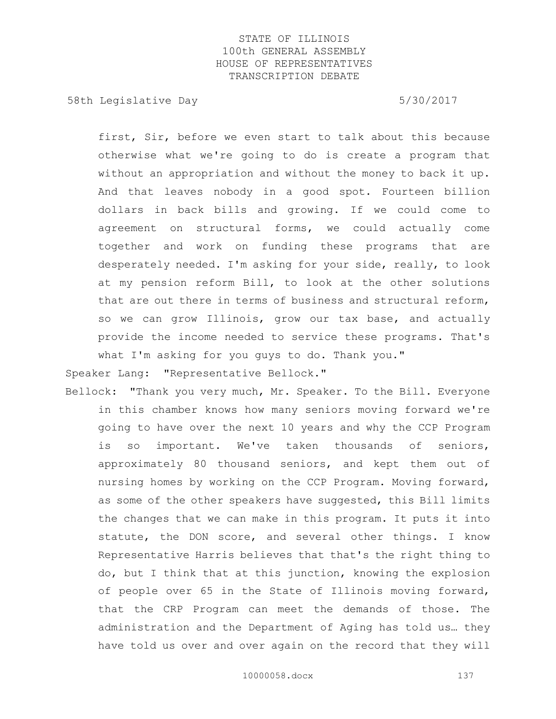58th Legislative Day 5/30/2017

first, Sir, before we even start to talk about this because otherwise what we're going to do is create a program that without an appropriation and without the money to back it up. And that leaves nobody in a good spot. Fourteen billion dollars in back bills and growing. If we could come to agreement on structural forms, we could actually come together and work on funding these programs that are desperately needed. I'm asking for your side, really, to look at my pension reform Bill, to look at the other solutions that are out there in terms of business and structural reform, so we can grow Illinois, grow our tax base, and actually provide the income needed to service these programs. That's what I'm asking for you guys to do. Thank you."

Speaker Lang: "Representative Bellock."

Bellock: "Thank you very much, Mr. Speaker. To the Bill. Everyone in this chamber knows how many seniors moving forward we're going to have over the next 10 years and why the CCP Program is so important. We've taken thousands of seniors, approximately 80 thousand seniors, and kept them out of nursing homes by working on the CCP Program. Moving forward, as some of the other speakers have suggested, this Bill limits the changes that we can make in this program. It puts it into statute, the DON score, and several other things. I know Representative Harris believes that that's the right thing to do, but I think that at this junction, knowing the explosion of people over 65 in the State of Illinois moving forward, that the CRP Program can meet the demands of those. The administration and the Department of Aging has told us… they have told us over and over again on the record that they will

10000058.docx 137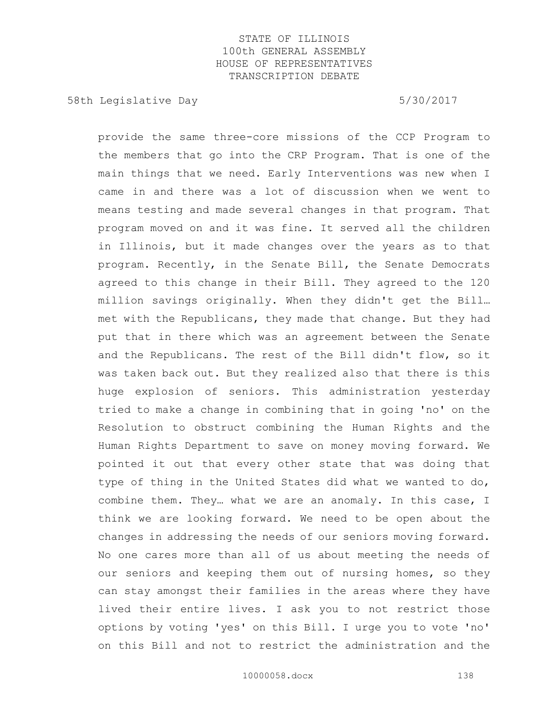58th Legislative Day 5/30/2017

provide the same three-core missions of the CCP Program to the members that go into the CRP Program. That is one of the main things that we need. Early Interventions was new when I came in and there was a lot of discussion when we went to means testing and made several changes in that program. That program moved on and it was fine. It served all the children in Illinois, but it made changes over the years as to that program. Recently, in the Senate Bill, the Senate Democrats agreed to this change in their Bill. They agreed to the 120 million savings originally. When they didn't get the Bill… met with the Republicans, they made that change. But they had put that in there which was an agreement between the Senate and the Republicans. The rest of the Bill didn't flow, so it was taken back out. But they realized also that there is this huge explosion of seniors. This administration yesterday tried to make a change in combining that in going 'no' on the Resolution to obstruct combining the Human Rights and the Human Rights Department to save on money moving forward. We pointed it out that every other state that was doing that type of thing in the United States did what we wanted to do, combine them. They… what we are an anomaly. In this case, I think we are looking forward. We need to be open about the changes in addressing the needs of our seniors moving forward. No one cares more than all of us about meeting the needs of our seniors and keeping them out of nursing homes, so they can stay amongst their families in the areas where they have lived their entire lives. I ask you to not restrict those options by voting 'yes' on this Bill. I urge you to vote 'no' on this Bill and not to restrict the administration and the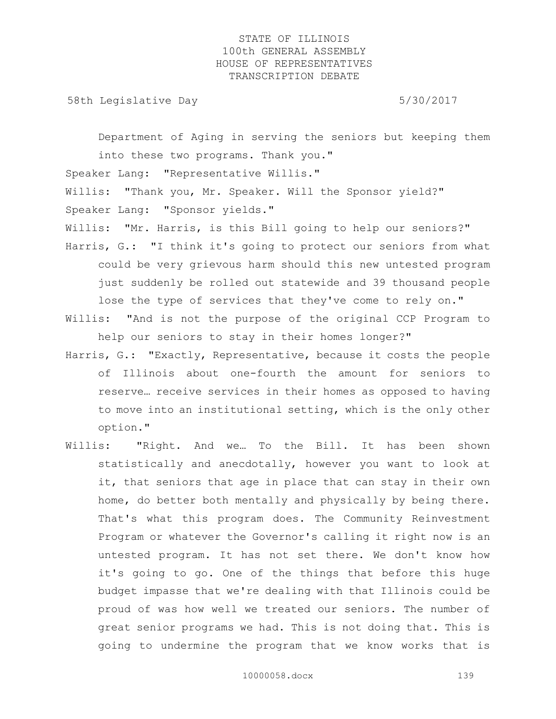58th Legislative Day 5/30/2017

Department of Aging in serving the seniors but keeping them into these two programs. Thank you." Speaker Lang: "Representative Willis." Willis: "Thank you, Mr. Speaker. Will the Sponsor yield?" Speaker Lang: "Sponsor yields." Willis: "Mr. Harris, is this Bill going to help our seniors?" Harris, G.: "I think it's going to protect our seniors from what could be very grievous harm should this new untested program just suddenly be rolled out statewide and 39 thousand people lose the type of services that they've come to rely on."

- Willis: "And is not the purpose of the original CCP Program to help our seniors to stay in their homes longer?"
- Harris, G.: "Exactly, Representative, because it costs the people of Illinois about one-fourth the amount for seniors to reserve… receive services in their homes as opposed to having to move into an institutional setting, which is the only other option."
- Willis: "Right. And we… To the Bill. It has been shown statistically and anecdotally, however you want to look at it, that seniors that age in place that can stay in their own home, do better both mentally and physically by being there. That's what this program does. The Community Reinvestment Program or whatever the Governor's calling it right now is an untested program. It has not set there. We don't know how it's going to go. One of the things that before this huge budget impasse that we're dealing with that Illinois could be proud of was how well we treated our seniors. The number of great senior programs we had. This is not doing that. This is going to undermine the program that we know works that is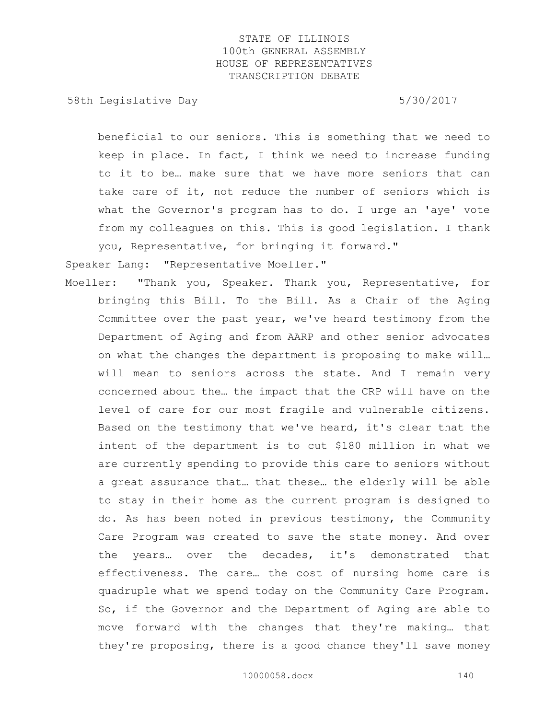58th Legislative Day 5/30/2017

beneficial to our seniors. This is something that we need to keep in place. In fact, I think we need to increase funding to it to be… make sure that we have more seniors that can take care of it, not reduce the number of seniors which is what the Governor's program has to do. I urge an 'aye' vote from my colleagues on this. This is good legislation. I thank you, Representative, for bringing it forward."

Speaker Lang: "Representative Moeller."

Moeller: "Thank you, Speaker. Thank you, Representative, for bringing this Bill. To the Bill. As a Chair of the Aging Committee over the past year, we've heard testimony from the Department of Aging and from AARP and other senior advocates on what the changes the department is proposing to make will… will mean to seniors across the state. And I remain very concerned about the… the impact that the CRP will have on the level of care for our most fragile and vulnerable citizens. Based on the testimony that we've heard, it's clear that the intent of the department is to cut \$180 million in what we are currently spending to provide this care to seniors without a great assurance that… that these… the elderly will be able to stay in their home as the current program is designed to do. As has been noted in previous testimony, the Community Care Program was created to save the state money. And over the years… over the decades, it's demonstrated that effectiveness. The care… the cost of nursing home care is quadruple what we spend today on the Community Care Program. So, if the Governor and the Department of Aging are able to move forward with the changes that they're making… that they're proposing, there is a good chance they'll save money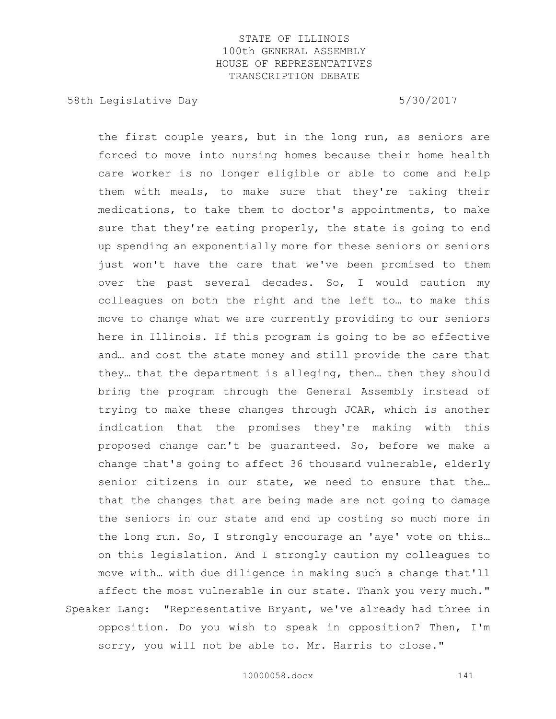58th Legislative Day 5/30/2017

the first couple years, but in the long run, as seniors are forced to move into nursing homes because their home health care worker is no longer eligible or able to come and help them with meals, to make sure that they're taking their medications, to take them to doctor's appointments, to make sure that they're eating properly, the state is going to end up spending an exponentially more for these seniors or seniors just won't have the care that we've been promised to them over the past several decades. So, I would caution my colleagues on both the right and the left to… to make this move to change what we are currently providing to our seniors here in Illinois. If this program is going to be so effective and… and cost the state money and still provide the care that they… that the department is alleging, then… then they should bring the program through the General Assembly instead of trying to make these changes through JCAR, which is another indication that the promises they're making with this proposed change can't be guaranteed. So, before we make a change that's going to affect 36 thousand vulnerable, elderly senior citizens in our state, we need to ensure that the… that the changes that are being made are not going to damage the seniors in our state and end up costing so much more in the long run. So, I strongly encourage an 'aye' vote on this… on this legislation. And I strongly caution my colleagues to move with… with due diligence in making such a change that'll affect the most vulnerable in our state. Thank you very much." Speaker Lang: "Representative Bryant, we've already had three in opposition. Do you wish to speak in opposition? Then, I'm sorry, you will not be able to. Mr. Harris to close."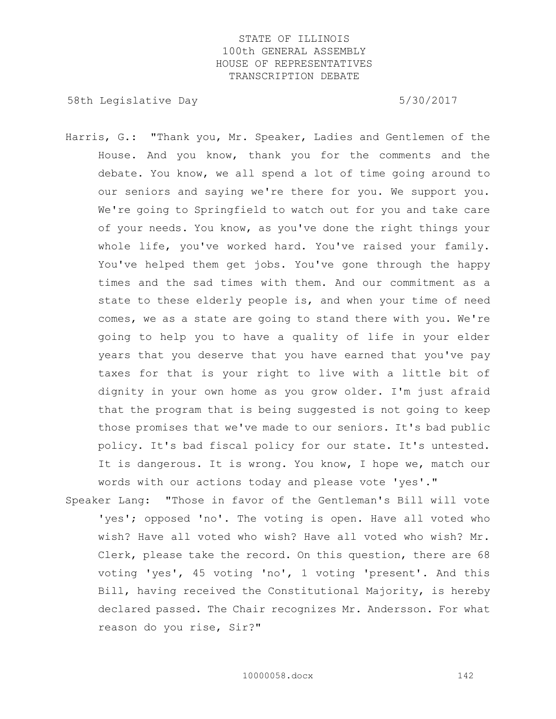58th Legislative Day 5/30/2017

- Harris, G.: "Thank you, Mr. Speaker, Ladies and Gentlemen of the House. And you know, thank you for the comments and the debate. You know, we all spend a lot of time going around to our seniors and saying we're there for you. We support you. We're going to Springfield to watch out for you and take care of your needs. You know, as you've done the right things your whole life, you've worked hard. You've raised your family. You've helped them get jobs. You've gone through the happy times and the sad times with them. And our commitment as a state to these elderly people is, and when your time of need comes, we as a state are going to stand there with you. We're going to help you to have a quality of life in your elder years that you deserve that you have earned that you've pay taxes for that is your right to live with a little bit of dignity in your own home as you grow older. I'm just afraid that the program that is being suggested is not going to keep those promises that we've made to our seniors. It's bad public policy. It's bad fiscal policy for our state. It's untested. It is dangerous. It is wrong. You know, I hope we, match our words with our actions today and please vote 'yes'."
- Speaker Lang: "Those in favor of the Gentleman's Bill will vote 'yes'; opposed 'no'. The voting is open. Have all voted who wish? Have all voted who wish? Have all voted who wish? Mr. Clerk, please take the record. On this question, there are 68 voting 'yes', 45 voting 'no', 1 voting 'present'. And this Bill, having received the Constitutional Majority, is hereby declared passed. The Chair recognizes Mr. Andersson. For what reason do you rise, Sir?"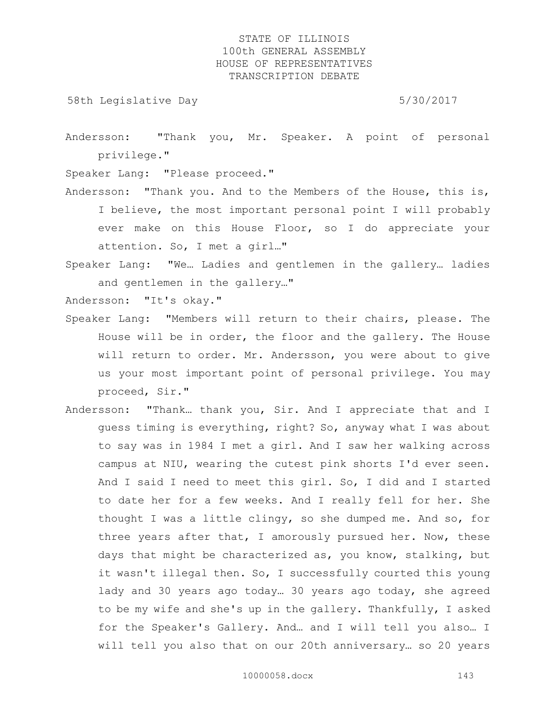58th Legislative Day 5/30/2017

Andersson: "Thank you, Mr. Speaker. A point of personal privilege."

Speaker Lang: "Please proceed."

- Andersson: "Thank you. And to the Members of the House, this is, I believe, the most important personal point I will probably ever make on this House Floor, so I do appreciate your attention. So, I met a girl…"
- Speaker Lang: "We… Ladies and gentlemen in the gallery… ladies and gentlemen in the gallery…"

Andersson: "It's okay."

- Speaker Lang: "Members will return to their chairs, please. The House will be in order, the floor and the gallery. The House will return to order. Mr. Andersson, you were about to give us your most important point of personal privilege. You may proceed, Sir."
- Andersson: "Thank… thank you, Sir. And I appreciate that and I guess timing is everything, right? So, anyway what I was about to say was in 1984 I met a girl. And I saw her walking across campus at NIU, wearing the cutest pink shorts I'd ever seen. And I said I need to meet this girl. So, I did and I started to date her for a few weeks. And I really fell for her. She thought I was a little clingy, so she dumped me. And so, for three years after that, I amorously pursued her. Now, these days that might be characterized as, you know, stalking, but it wasn't illegal then. So, I successfully courted this young lady and 30 years ago today… 30 years ago today, she agreed to be my wife and she's up in the gallery. Thankfully, I asked for the Speaker's Gallery. And… and I will tell you also… I will tell you also that on our 20th anniversary… so 20 years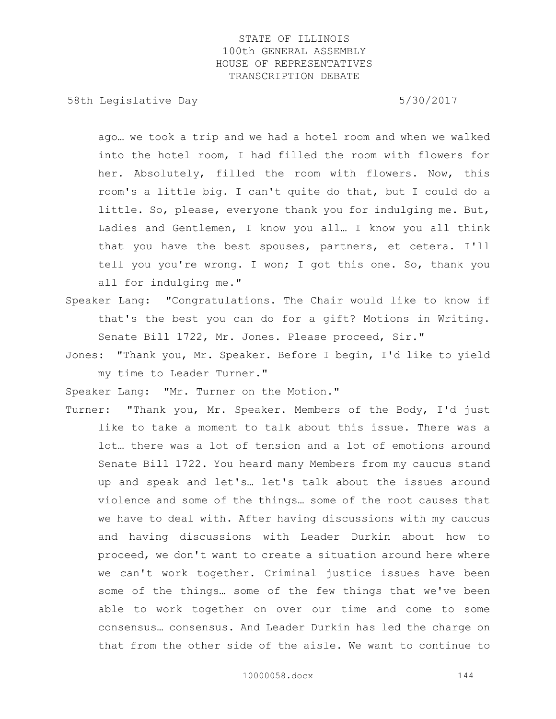58th Legislative Day 5/30/2017

ago… we took a trip and we had a hotel room and when we walked into the hotel room, I had filled the room with flowers for her. Absolutely, filled the room with flowers. Now, this room's a little big. I can't quite do that, but I could do a little. So, please, everyone thank you for indulging me. But, Ladies and Gentlemen, I know you all… I know you all think that you have the best spouses, partners, et cetera. I'll tell you you're wrong. I won; I got this one. So, thank you all for indulging me."

- Speaker Lang: "Congratulations. The Chair would like to know if that's the best you can do for a gift? Motions in Writing. Senate Bill 1722, Mr. Jones. Please proceed, Sir."
- Jones: "Thank you, Mr. Speaker. Before I begin, I'd like to yield my time to Leader Turner."

Speaker Lang: "Mr. Turner on the Motion."

Turner: "Thank you, Mr. Speaker. Members of the Body, I'd just like to take a moment to talk about this issue. There was a lot… there was a lot of tension and a lot of emotions around Senate Bill 1722. You heard many Members from my caucus stand up and speak and let's… let's talk about the issues around violence and some of the things… some of the root causes that we have to deal with. After having discussions with my caucus and having discussions with Leader Durkin about how to proceed, we don't want to create a situation around here where we can't work together. Criminal justice issues have been some of the things… some of the few things that we've been able to work together on over our time and come to some consensus… consensus. And Leader Durkin has led the charge on that from the other side of the aisle. We want to continue to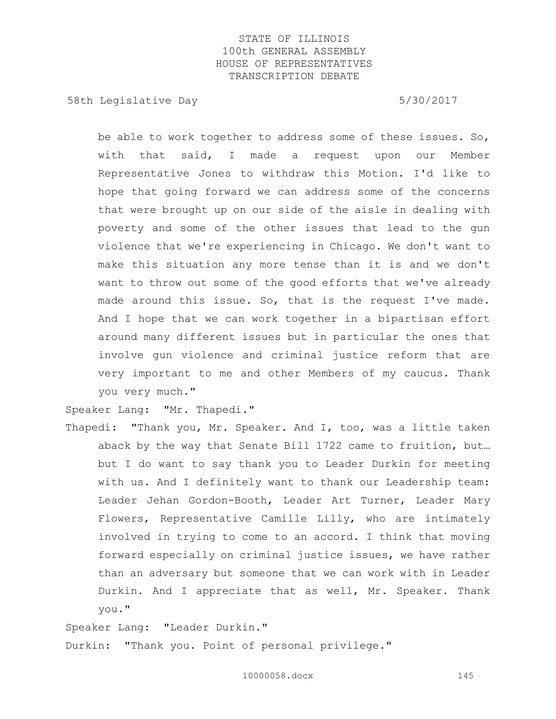58th Legislative Day 5/30/2017

be able to work together to address some of these issues. So, with that said, I made a request upon our Member Representative Jones to withdraw this Motion. I'd like to hope that going forward we can address some of the concerns that were brought up on our side of the aisle in dealing with poverty and some of the other issues that lead to the gun violence that we're experiencing in Chicago. We don't want to make this situation any more tense than it is and we don't want to throw out some of the good efforts that we've already made around this issue. So, that is the request I've made. And I hope that we can work together in a bipartisan effort around many different issues but in particular the ones that involve gun violence and criminal justice reform that are very important to me and other Members of my caucus. Thank you very much."

Speaker Lang: "Mr. Thapedi."

Thapedi: "Thank you, Mr. Speaker. And I, too, was a little taken aback by the way that Senate Bill 1722 came to fruition, but… but I do want to say thank you to Leader Durkin for meeting with us. And I definitely want to thank our Leadership team: Leader Jehan Gordon-Booth, Leader Art Turner, Leader Mary Flowers, Representative Camille Lilly, who are intimately involved in trying to come to an accord. I think that moving forward especially on criminal justice issues, we have rather than an adversary but someone that we can work with in Leader Durkin. And I appreciate that as well, Mr. Speaker. Thank you."

Speaker Lang: "Leader Durkin."

Durkin: "Thank you. Point of personal privilege."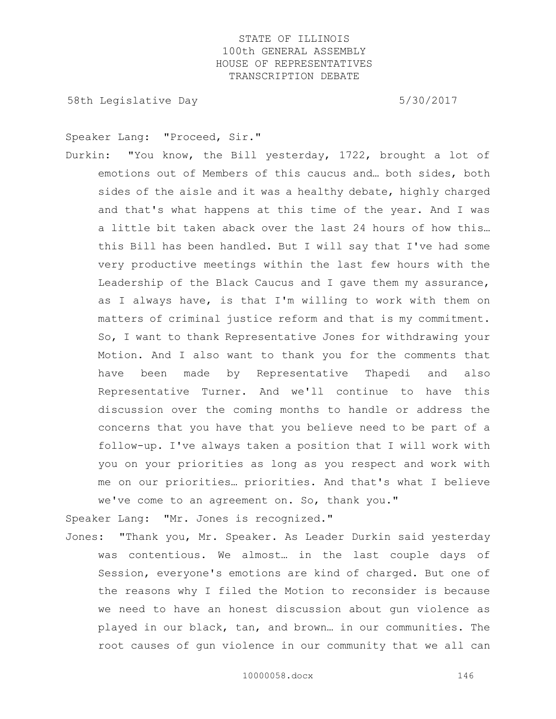58th Legislative Day 5/30/2017

Speaker Lang: "Proceed, Sir."

Durkin: "You know, the Bill yesterday, 1722, brought a lot of emotions out of Members of this caucus and… both sides, both sides of the aisle and it was a healthy debate, highly charged and that's what happens at this time of the year. And I was a little bit taken aback over the last 24 hours of how this… this Bill has been handled. But I will say that I've had some very productive meetings within the last few hours with the Leadership of the Black Caucus and I gave them my assurance, as I always have, is that I'm willing to work with them on matters of criminal justice reform and that is my commitment. So, I want to thank Representative Jones for withdrawing your Motion. And I also want to thank you for the comments that have been made by Representative Thapedi and also Representative Turner. And we'll continue to have this discussion over the coming months to handle or address the concerns that you have that you believe need to be part of a follow-up. I've always taken a position that I will work with you on your priorities as long as you respect and work with me on our priorities… priorities. And that's what I believe we've come to an agreement on. So, thank you."

Speaker Lang: "Mr. Jones is recognized."

Jones: "Thank you, Mr. Speaker. As Leader Durkin said yesterday was contentious. We almost… in the last couple days of Session, everyone's emotions are kind of charged. But one of the reasons why I filed the Motion to reconsider is because we need to have an honest discussion about gun violence as played in our black, tan, and brown… in our communities. The root causes of gun violence in our community that we all can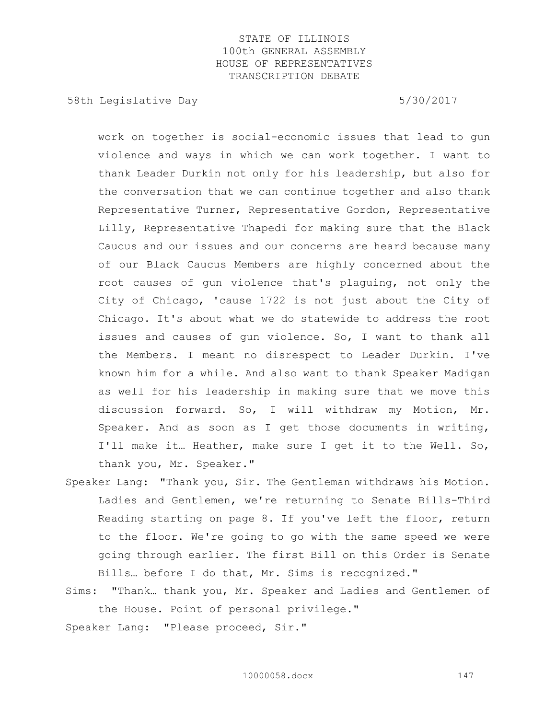58th Legislative Day 5/30/2017

work on together is social-economic issues that lead to gun violence and ways in which we can work together. I want to thank Leader Durkin not only for his leadership, but also for the conversation that we can continue together and also thank Representative Turner, Representative Gordon, Representative Lilly, Representative Thapedi for making sure that the Black Caucus and our issues and our concerns are heard because many of our Black Caucus Members are highly concerned about the root causes of gun violence that's plaguing, not only the City of Chicago, 'cause 1722 is not just about the City of Chicago. It's about what we do statewide to address the root issues and causes of gun violence. So, I want to thank all the Members. I meant no disrespect to Leader Durkin. I've known him for a while. And also want to thank Speaker Madigan as well for his leadership in making sure that we move this discussion forward. So, I will withdraw my Motion, Mr. Speaker. And as soon as I get those documents in writing, I'll make it… Heather, make sure I get it to the Well. So, thank you, Mr. Speaker."

- Speaker Lang: "Thank you, Sir. The Gentleman withdraws his Motion. Ladies and Gentlemen, we're returning to Senate Bills-Third Reading starting on page 8. If you've left the floor, return to the floor. We're going to go with the same speed we were going through earlier. The first Bill on this Order is Senate Bills… before I do that, Mr. Sims is recognized."
- Sims: "Thank… thank you, Mr. Speaker and Ladies and Gentlemen of the House. Point of personal privilege."

Speaker Lang: "Please proceed, Sir."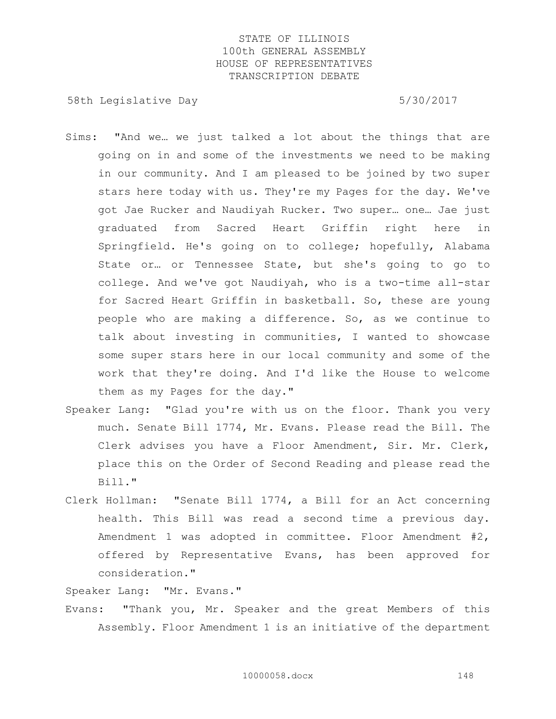58th Legislative Day 5/30/2017

- Sims: "And we… we just talked a lot about the things that are going on in and some of the investments we need to be making in our community. And I am pleased to be joined by two super stars here today with us. They're my Pages for the day. We've got Jae Rucker and Naudiyah Rucker. Two super… one… Jae just graduated from Sacred Heart Griffin right here in Springfield. He's going on to college; hopefully, Alabama State or… or Tennessee State, but she's going to go to college. And we've got Naudiyah, who is a two-time all-star for Sacred Heart Griffin in basketball. So, these are young people who are making a difference. So, as we continue to talk about investing in communities, I wanted to showcase some super stars here in our local community and some of the work that they're doing. And I'd like the House to welcome them as my Pages for the day."
- Speaker Lang: "Glad you're with us on the floor. Thank you very much. Senate Bill 1774, Mr. Evans. Please read the Bill. The Clerk advises you have a Floor Amendment, Sir. Mr. Clerk, place this on the Order of Second Reading and please read the Bill."
- Clerk Hollman: "Senate Bill 1774, a Bill for an Act concerning health. This Bill was read a second time a previous day. Amendment 1 was adopted in committee. Floor Amendment #2, offered by Representative Evans, has been approved for consideration."

Speaker Lang: "Mr. Evans."

Evans: "Thank you, Mr. Speaker and the great Members of this Assembly. Floor Amendment 1 is an initiative of the department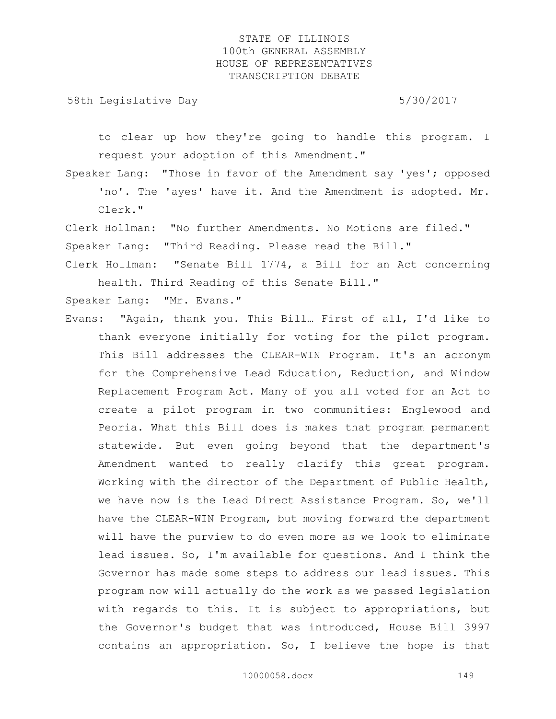58th Legislative Day 5/30/2017

to clear up how they're going to handle this program. I request your adoption of this Amendment."

Speaker Lang: "Those in favor of the Amendment say 'yes'; opposed 'no'. The 'ayes' have it. And the Amendment is adopted. Mr. Clerk."

Clerk Hollman: "No further Amendments. No Motions are filed." Speaker Lang: "Third Reading. Please read the Bill."

Clerk Hollman: "Senate Bill 1774, a Bill for an Act concerning health. Third Reading of this Senate Bill."

Speaker Lang: "Mr. Evans."

Evans: "Again, thank you. This Bill… First of all, I'd like to thank everyone initially for voting for the pilot program. This Bill addresses the CLEAR-WIN Program. It's an acronym for the Comprehensive Lead Education, Reduction, and Window Replacement Program Act. Many of you all voted for an Act to create a pilot program in two communities: Englewood and Peoria. What this Bill does is makes that program permanent statewide. But even going beyond that the department's Amendment wanted to really clarify this great program. Working with the director of the Department of Public Health, we have now is the Lead Direct Assistance Program. So, we'll have the CLEAR-WIN Program, but moving forward the department will have the purview to do even more as we look to eliminate lead issues. So, I'm available for questions. And I think the Governor has made some steps to address our lead issues. This program now will actually do the work as we passed legislation with regards to this. It is subject to appropriations, but the Governor's budget that was introduced, House Bill 3997 contains an appropriation. So, I believe the hope is that

10000058.docx 149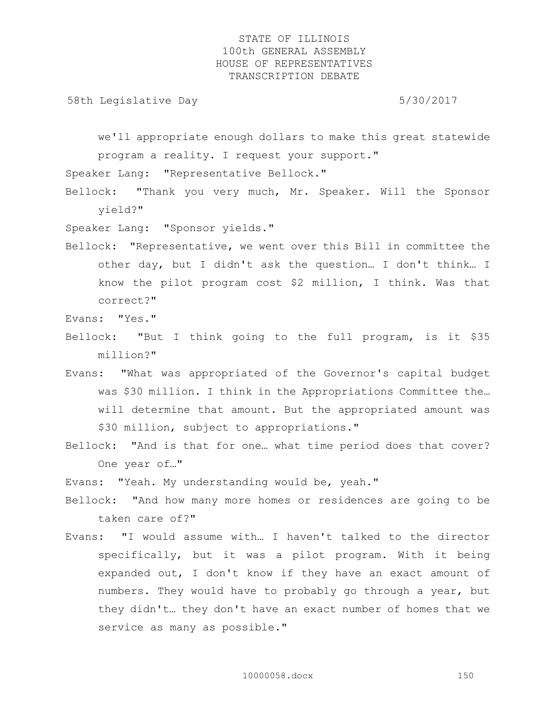58th Legislative Day 5/30/2017

we'll appropriate enough dollars to make this great statewide program a reality. I request your support."

Speaker Lang: "Representative Bellock."

Bellock: "Thank you very much, Mr. Speaker. Will the Sponsor yield?"

Speaker Lang: "Sponsor yields."

Bellock: "Representative, we went over this Bill in committee the other day, but I didn't ask the question… I don't think… I know the pilot program cost \$2 million, I think. Was that correct?"

Evans: "Yes."

- Bellock: "But I think going to the full program, is it \$35 million?"
- Evans: "What was appropriated of the Governor's capital budget was \$30 million. I think in the Appropriations Committee the… will determine that amount. But the appropriated amount was \$30 million, subject to appropriations."
- Bellock: "And is that for one… what time period does that cover? One year of…"

Evans: "Yeah. My understanding would be, yeah."

- Bellock: "And how many more homes or residences are going to be taken care of?"
- Evans: "I would assume with… I haven't talked to the director specifically, but it was a pilot program. With it being expanded out, I don't know if they have an exact amount of numbers. They would have to probably go through a year, but they didn't… they don't have an exact number of homes that we service as many as possible."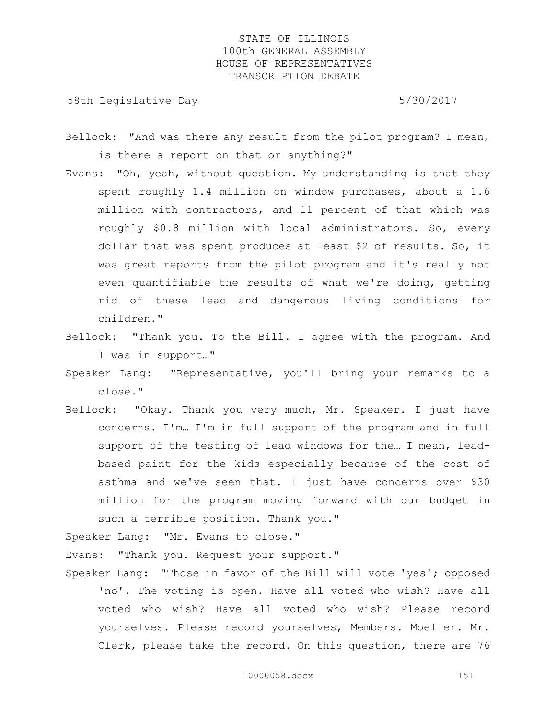58th Legislative Day 5/30/2017

Bellock: "And was there any result from the pilot program? I mean, is there a report on that or anything?"

- Evans: "Oh, yeah, without question. My understanding is that they spent roughly 1.4 million on window purchases, about a 1.6 million with contractors, and 11 percent of that which was roughly \$0.8 million with local administrators. So, every dollar that was spent produces at least \$2 of results. So, it was great reports from the pilot program and it's really not even quantifiable the results of what we're doing, getting rid of these lead and dangerous living conditions for children."
- Bellock: "Thank you. To the Bill. I agree with the program. And I was in support…"
- Speaker Lang: "Representative, you'll bring your remarks to a close."
- Bellock: "Okay. Thank you very much, Mr. Speaker. I just have concerns. I'm… I'm in full support of the program and in full support of the testing of lead windows for the… I mean, leadbased paint for the kids especially because of the cost of asthma and we've seen that. I just have concerns over \$30 million for the program moving forward with our budget in such a terrible position. Thank you."

Speaker Lang: "Mr. Evans to close."

Evans: "Thank you. Request your support."

Speaker Lang: "Those in favor of the Bill will vote 'yes'; opposed 'no'. The voting is open. Have all voted who wish? Have all voted who wish? Have all voted who wish? Please record yourselves. Please record yourselves, Members. Moeller. Mr. Clerk, please take the record. On this question, there are 76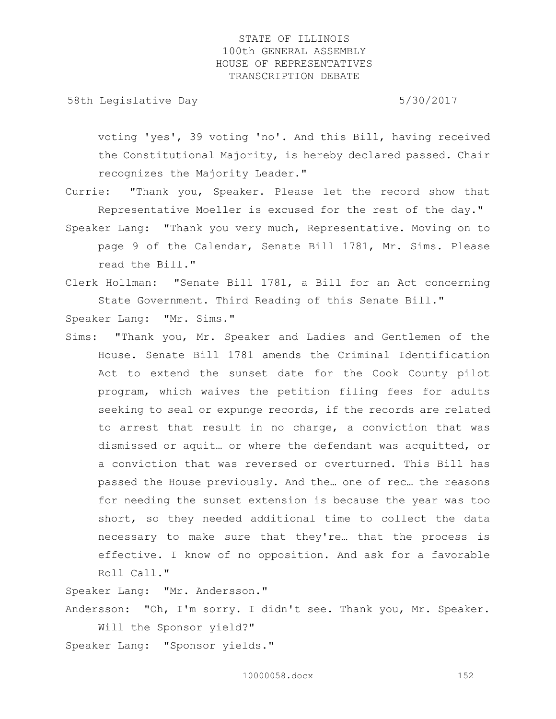58th Legislative Day 5/30/2017

voting 'yes', 39 voting 'no'. And this Bill, having received the Constitutional Majority, is hereby declared passed. Chair recognizes the Majority Leader."

- Currie: "Thank you, Speaker. Please let the record show that Representative Moeller is excused for the rest of the day." Speaker Lang: "Thank you very much, Representative. Moving on to page 9 of the Calendar, Senate Bill 1781, Mr. Sims. Please read the Bill."
- Clerk Hollman: "Senate Bill 1781, a Bill for an Act concerning State Government. Third Reading of this Senate Bill."

Speaker Lang: "Mr. Sims."

Sims: "Thank you, Mr. Speaker and Ladies and Gentlemen of the House. Senate Bill 1781 amends the Criminal Identification Act to extend the sunset date for the Cook County pilot program, which waives the petition filing fees for adults seeking to seal or expunge records, if the records are related to arrest that result in no charge, a conviction that was dismissed or aquit… or where the defendant was acquitted, or a conviction that was reversed or overturned. This Bill has passed the House previously. And the… one of rec… the reasons for needing the sunset extension is because the year was too short, so they needed additional time to collect the data necessary to make sure that they're… that the process is effective. I know of no opposition. And ask for a favorable Roll Call."

Speaker Lang: "Mr. Andersson."

Andersson: "Oh, I'm sorry. I didn't see. Thank you, Mr. Speaker. Will the Sponsor yield?"

Speaker Lang: "Sponsor yields."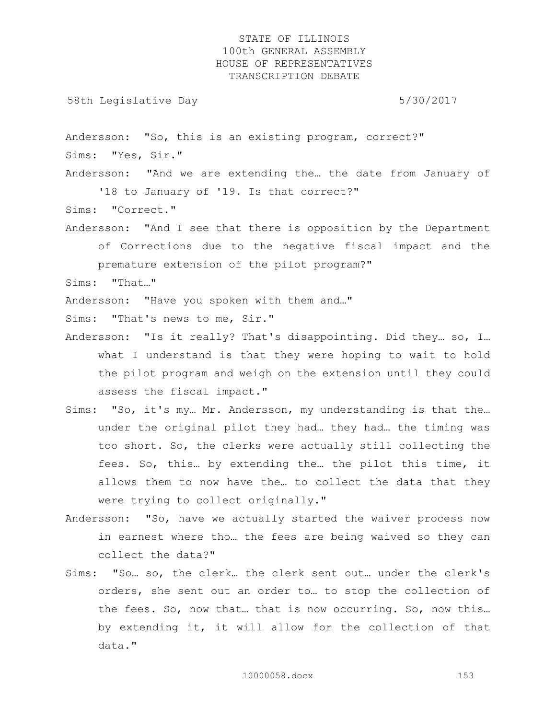58th Legislative Day 5/30/2017

Andersson: "So, this is an existing program, correct?" Sims: "Yes, Sir."

Andersson: "And we are extending the… the date from January of '18 to January of '19. Is that correct?"

Sims: "Correct."

Andersson: "And I see that there is opposition by the Department of Corrections due to the negative fiscal impact and the premature extension of the pilot program?"

Sims: "That…"

Andersson: "Have you spoken with them and…"

Sims: "That's news to me, Sir."

- Andersson: "Is it really? That's disappointing. Did they… so, I… what I understand is that they were hoping to wait to hold the pilot program and weigh on the extension until they could assess the fiscal impact."
- Sims: "So, it's my… Mr. Andersson, my understanding is that the… under the original pilot they had… they had… the timing was too short. So, the clerks were actually still collecting the fees. So, this… by extending the… the pilot this time, it allows them to now have the… to collect the data that they were trying to collect originally."
- Andersson: "So, have we actually started the waiver process now in earnest where tho… the fees are being waived so they can collect the data?"
- Sims: "So… so, the clerk… the clerk sent out… under the clerk's orders, she sent out an order to… to stop the collection of the fees. So, now that… that is now occurring. So, now this… by extending it, it will allow for the collection of that data."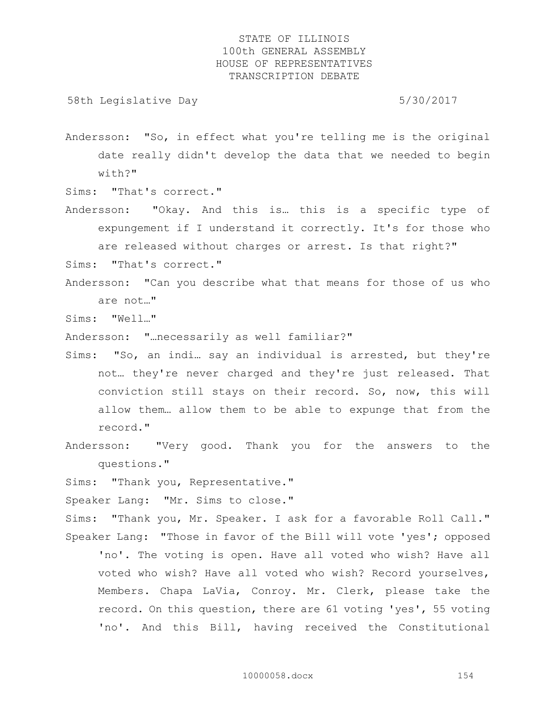58th Legislative Day 5/30/2017

Andersson: "So, in effect what you're telling me is the original date really didn't develop the data that we needed to begin with?"

Sims: "That's correct."

Andersson: "Okay. And this is… this is a specific type of expungement if I understand it correctly. It's for those who are released without charges or arrest. Is that right?"

Sims: "That's correct."

Andersson: "Can you describe what that means for those of us who are not…"

Sims: "Well…"

Andersson: "…necessarily as well familiar?"

- Sims: "So, an indi… say an individual is arrested, but they're not… they're never charged and they're just released. That conviction still stays on their record. So, now, this will allow them… allow them to be able to expunge that from the record."
- Andersson: "Very good. Thank you for the answers to the questions."

Sims: "Thank you, Representative."

Speaker Lang: "Mr. Sims to close."

Sims: "Thank you, Mr. Speaker. I ask for a favorable Roll Call." Speaker Lang: "Those in favor of the Bill will vote 'yes'; opposed

'no'. The voting is open. Have all voted who wish? Have all voted who wish? Have all voted who wish? Record yourselves, Members. Chapa LaVia, Conroy. Mr. Clerk, please take the record. On this question, there are 61 voting 'yes', 55 voting 'no'. And this Bill, having received the Constitutional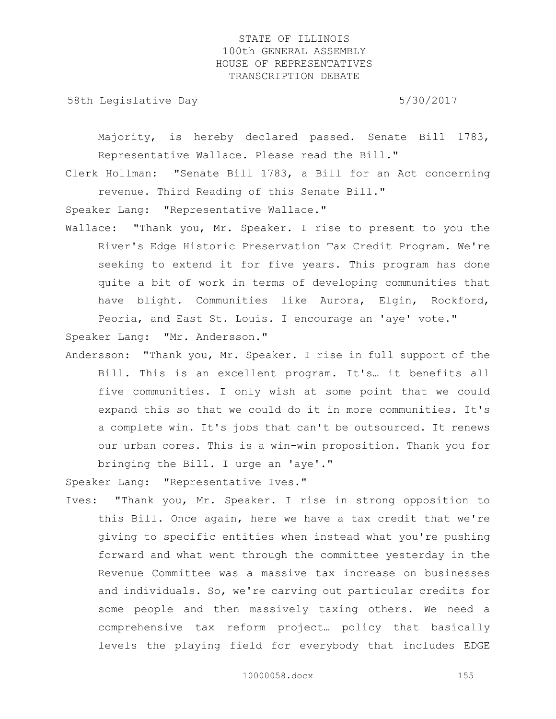58th Legislative Day 5/30/2017

Majority, is hereby declared passed. Senate Bill 1783, Representative Wallace. Please read the Bill."

Clerk Hollman: "Senate Bill 1783, a Bill for an Act concerning revenue. Third Reading of this Senate Bill."

Speaker Lang: "Representative Wallace."

Wallace: "Thank you, Mr. Speaker. I rise to present to you the River's Edge Historic Preservation Tax Credit Program. We're seeking to extend it for five years. This program has done quite a bit of work in terms of developing communities that have blight. Communities like Aurora, Elgin, Rockford, Peoria, and East St. Louis. I encourage an 'aye' vote."

Speaker Lang: "Mr. Andersson."

Andersson: "Thank you, Mr. Speaker. I rise in full support of the Bill. This is an excellent program. It's… it benefits all five communities. I only wish at some point that we could expand this so that we could do it in more communities. It's a complete win. It's jobs that can't be outsourced. It renews our urban cores. This is a win-win proposition. Thank you for bringing the Bill. I urge an 'aye'."

Speaker Lang: "Representative Ives."

Ives: "Thank you, Mr. Speaker. I rise in strong opposition to this Bill. Once again, here we have a tax credit that we're giving to specific entities when instead what you're pushing forward and what went through the committee yesterday in the Revenue Committee was a massive tax increase on businesses and individuals. So, we're carving out particular credits for some people and then massively taxing others. We need a comprehensive tax reform project… policy that basically levels the playing field for everybody that includes EDGE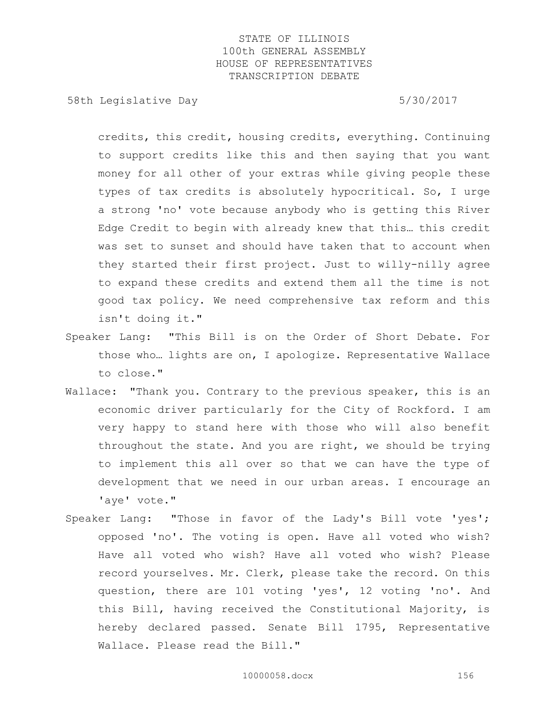58th Legislative Day 5/30/2017

credits, this credit, housing credits, everything. Continuing to support credits like this and then saying that you want money for all other of your extras while giving people these types of tax credits is absolutely hypocritical. So, I urge a strong 'no' vote because anybody who is getting this River Edge Credit to begin with already knew that this… this credit was set to sunset and should have taken that to account when they started their first project. Just to willy-nilly agree to expand these credits and extend them all the time is not good tax policy. We need comprehensive tax reform and this isn't doing it."

- Speaker Lang: "This Bill is on the Order of Short Debate. For those who… lights are on, I apologize. Representative Wallace to close."
- Wallace: "Thank you. Contrary to the previous speaker, this is an economic driver particularly for the City of Rockford. I am very happy to stand here with those who will also benefit throughout the state. And you are right, we should be trying to implement this all over so that we can have the type of development that we need in our urban areas. I encourage an 'aye' vote."
- Speaker Lang: "Those in favor of the Lady's Bill vote 'yes'; opposed 'no'. The voting is open. Have all voted who wish? Have all voted who wish? Have all voted who wish? Please record yourselves. Mr. Clerk, please take the record. On this question, there are 101 voting 'yes', 12 voting 'no'. And this Bill, having received the Constitutional Majority, is hereby declared passed. Senate Bill 1795, Representative Wallace. Please read the Bill."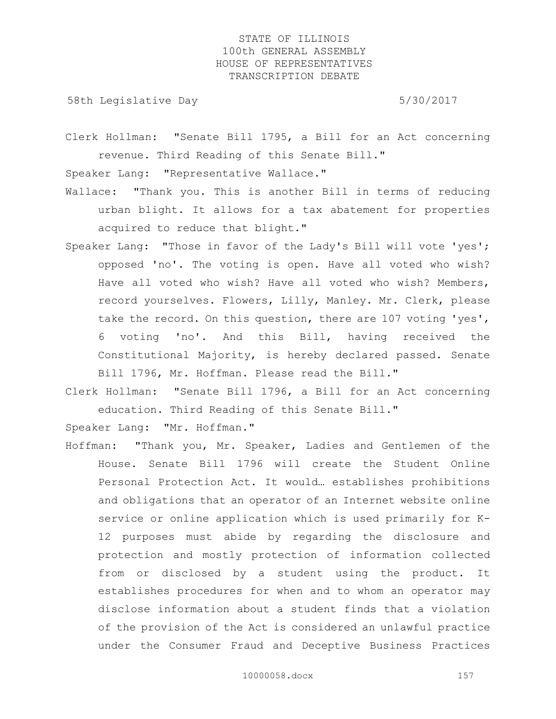58th Legislative Day 5/30/2017

Clerk Hollman: "Senate Bill 1795, a Bill for an Act concerning revenue. Third Reading of this Senate Bill."

Speaker Lang: "Representative Wallace."

- Wallace: "Thank you. This is another Bill in terms of reducing urban blight. It allows for a tax abatement for properties acquired to reduce that blight."
- Speaker Lang: "Those in favor of the Lady's Bill will vote 'yes'; opposed 'no'. The voting is open. Have all voted who wish? Have all voted who wish? Have all voted who wish? Members, record yourselves. Flowers, Lilly, Manley. Mr. Clerk, please take the record. On this question, there are 107 voting 'yes', 6 voting 'no'. And this Bill, having received the Constitutional Majority, is hereby declared passed. Senate Bill 1796, Mr. Hoffman. Please read the Bill."
- Clerk Hollman: "Senate Bill 1796, a Bill for an Act concerning education. Third Reading of this Senate Bill."

Speaker Lang: "Mr. Hoffman."

Hoffman: "Thank you, Mr. Speaker, Ladies and Gentlemen of the House. Senate Bill 1796 will create the Student Online Personal Protection Act. It would… establishes prohibitions and obligations that an operator of an Internet website online service or online application which is used primarily for K-12 purposes must abide by regarding the disclosure and protection and mostly protection of information collected from or disclosed by a student using the product. It establishes procedures for when and to whom an operator may disclose information about a student finds that a violation of the provision of the Act is considered an unlawful practice under the Consumer Fraud and Deceptive Business Practices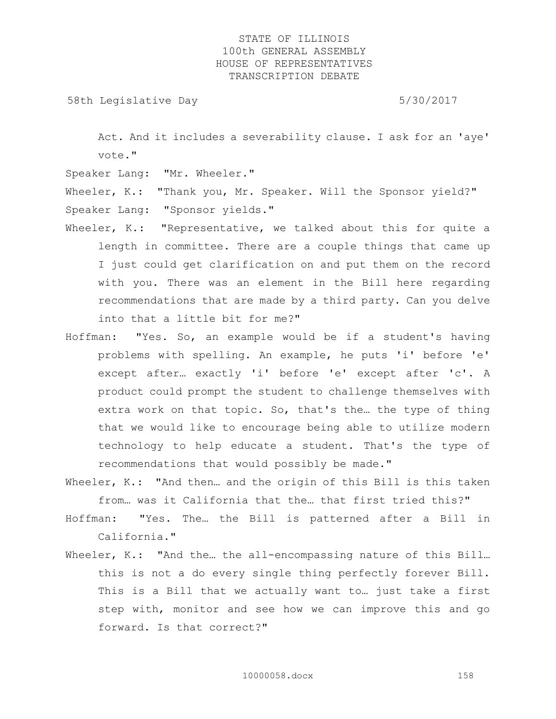58th Legislative Day 5/30/2017

Act. And it includes a severability clause. I ask for an 'aye' vote."

Speaker Lang: "Mr. Wheeler."

Wheeler, K.: "Thank you, Mr. Speaker. Will the Sponsor yield?" Speaker Lang: "Sponsor yields."

- Wheeler, K.: "Representative, we talked about this for quite a length in committee. There are a couple things that came up I just could get clarification on and put them on the record with you. There was an element in the Bill here regarding recommendations that are made by a third party. Can you delve into that a little bit for me?"
- Hoffman: "Yes. So, an example would be if a student's having problems with spelling. An example, he puts 'i' before 'e' except after… exactly 'i' before 'e' except after 'c'. A product could prompt the student to challenge themselves with extra work on that topic. So, that's the... the type of thing that we would like to encourage being able to utilize modern technology to help educate a student. That's the type of recommendations that would possibly be made."
- Wheeler, K.: "And then... and the origin of this Bill is this taken from… was it California that the… that first tried this?"
- Hoffman: "Yes. The… the Bill is patterned after a Bill in California."
- Wheeler, K.: "And the... the all-encompassing nature of this Bill... this is not a do every single thing perfectly forever Bill. This is a Bill that we actually want to… just take a first step with, monitor and see how we can improve this and go forward. Is that correct?"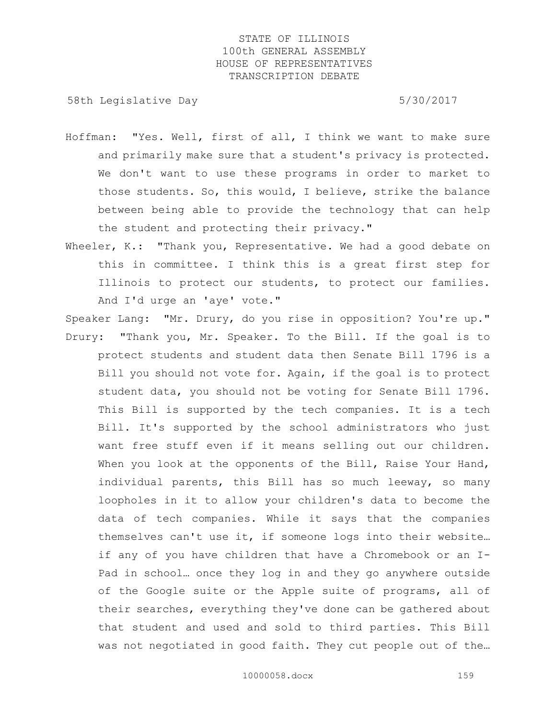58th Legislative Day 6.5730/2017

- Hoffman: "Yes. Well, first of all, I think we want to make sure and primarily make sure that a student's privacy is protected. We don't want to use these programs in order to market to those students. So, this would, I believe, strike the balance between being able to provide the technology that can help the student and protecting their privacy."
- Wheeler, K.: "Thank you, Representative. We had a good debate on this in committee. I think this is a great first step for Illinois to protect our students, to protect our families. And I'd urge an 'aye' vote."

Speaker Lang: "Mr. Drury, do you rise in opposition? You're up." Drury: "Thank you, Mr. Speaker. To the Bill. If the goal is to protect students and student data then Senate Bill 1796 is a Bill you should not vote for. Again, if the goal is to protect student data, you should not be voting for Senate Bill 1796. This Bill is supported by the tech companies. It is a tech Bill. It's supported by the school administrators who just want free stuff even if it means selling out our children. When you look at the opponents of the Bill, Raise Your Hand, individual parents, this Bill has so much leeway, so many loopholes in it to allow your children's data to become the data of tech companies. While it says that the companies themselves can't use it, if someone logs into their website… if any of you have children that have a Chromebook or an I-Pad in school… once they log in and they go anywhere outside of the Google suite or the Apple suite of programs, all of their searches, everything they've done can be gathered about that student and used and sold to third parties. This Bill was not negotiated in good faith. They cut people out of the…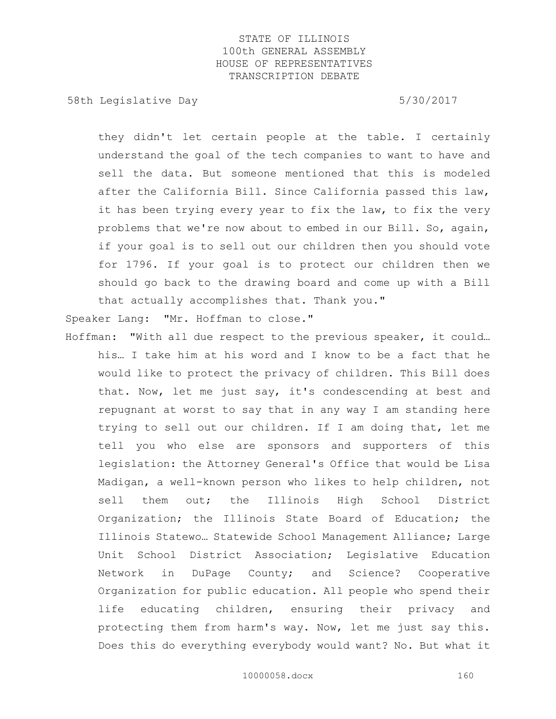58th Legislative Day 5/30/2017

they didn't let certain people at the table. I certainly understand the goal of the tech companies to want to have and sell the data. But someone mentioned that this is modeled after the California Bill. Since California passed this law, it has been trying every year to fix the law, to fix the very problems that we're now about to embed in our Bill. So, again, if your goal is to sell out our children then you should vote for 1796. If your goal is to protect our children then we should go back to the drawing board and come up with a Bill that actually accomplishes that. Thank you."

Speaker Lang: "Mr. Hoffman to close."

Hoffman: "With all due respect to the previous speaker, it could… his… I take him at his word and I know to be a fact that he would like to protect the privacy of children. This Bill does that. Now, let me just say, it's condescending at best and repugnant at worst to say that in any way I am standing here trying to sell out our children. If I am doing that, let me tell you who else are sponsors and supporters of this legislation: the Attorney General's Office that would be Lisa Madigan, a well-known person who likes to help children, not sell them out; the Illinois High School District Organization; the Illinois State Board of Education; the Illinois Statewo… Statewide School Management Alliance; Large Unit School District Association; Legislative Education Network in DuPage County; and Science? Cooperative Organization for public education. All people who spend their life educating children, ensuring their privacy and protecting them from harm's way. Now, let me just say this. Does this do everything everybody would want? No. But what it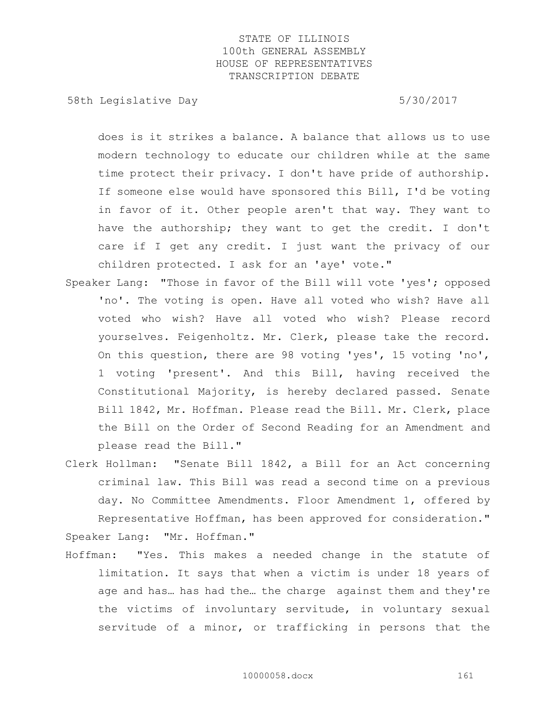58th Legislative Day 5/30/2017

does is it strikes a balance. A balance that allows us to use modern technology to educate our children while at the same time protect their privacy. I don't have pride of authorship. If someone else would have sponsored this Bill, I'd be voting in favor of it. Other people aren't that way. They want to have the authorship; they want to get the credit. I don't care if I get any credit. I just want the privacy of our children protected. I ask for an 'aye' vote."

- Speaker Lang: "Those in favor of the Bill will vote 'yes'; opposed 'no'. The voting is open. Have all voted who wish? Have all voted who wish? Have all voted who wish? Please record yourselves. Feigenholtz. Mr. Clerk, please take the record. On this question, there are 98 voting 'yes', 15 voting 'no', 1 voting 'present'. And this Bill, having received the Constitutional Majority, is hereby declared passed. Senate Bill 1842, Mr. Hoffman. Please read the Bill. Mr. Clerk, place the Bill on the Order of Second Reading for an Amendment and please read the Bill."
- Clerk Hollman: "Senate Bill 1842, a Bill for an Act concerning criminal law. This Bill was read a second time on a previous day. No Committee Amendments. Floor Amendment 1, offered by Representative Hoffman, has been approved for consideration." Speaker Lang: "Mr. Hoffman."
- Hoffman: "Yes. This makes a needed change in the statute of limitation. It says that when a victim is under 18 years of age and has… has had the… the charge against them and they're the victims of involuntary servitude, in voluntary sexual servitude of a minor, or trafficking in persons that the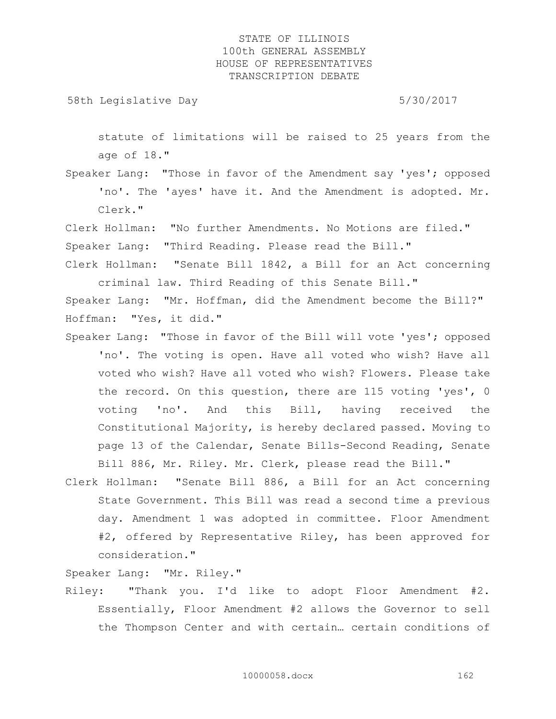58th Legislative Day 5/30/2017

statute of limitations will be raised to 25 years from the age of 18."

Speaker Lang: "Those in favor of the Amendment say 'yes'; opposed 'no'. The 'ayes' have it. And the Amendment is adopted. Mr. Clerk."

Clerk Hollman: "No further Amendments. No Motions are filed." Speaker Lang: "Third Reading. Please read the Bill."

Clerk Hollman: "Senate Bill 1842, a Bill for an Act concerning criminal law. Third Reading of this Senate Bill."

Speaker Lang: "Mr. Hoffman, did the Amendment become the Bill?" Hoffman: "Yes, it did."

- Speaker Lang: "Those in favor of the Bill will vote 'yes'; opposed 'no'. The voting is open. Have all voted who wish? Have all voted who wish? Have all voted who wish? Flowers. Please take the record. On this question, there are 115 voting 'yes', 0 voting 'no'. And this Bill, having received the Constitutional Majority, is hereby declared passed. Moving to page 13 of the Calendar, Senate Bills-Second Reading, Senate Bill 886, Mr. Riley. Mr. Clerk, please read the Bill."
- Clerk Hollman: "Senate Bill 886, a Bill for an Act concerning State Government. This Bill was read a second time a previous day. Amendment 1 was adopted in committee. Floor Amendment #2, offered by Representative Riley, has been approved for consideration."

Speaker Lang: "Mr. Riley."

Riley: "Thank you. I'd like to adopt Floor Amendment #2. Essentially, Floor Amendment #2 allows the Governor to sell the Thompson Center and with certain… certain conditions of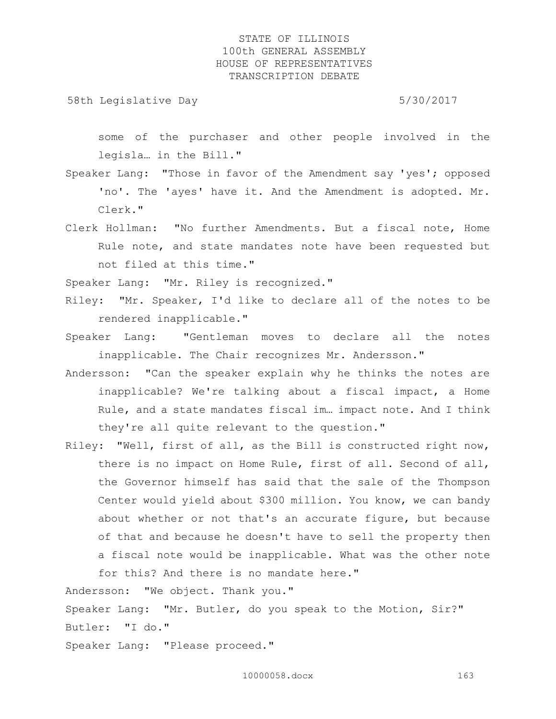58th Legislative Day 5/30/2017

some of the purchaser and other people involved in the legisla… in the Bill."

Speaker Lang: "Those in favor of the Amendment say 'yes'; opposed 'no'. The 'ayes' have it. And the Amendment is adopted. Mr. Clerk."

Clerk Hollman: "No further Amendments. But a fiscal note, Home Rule note, and state mandates note have been requested but not filed at this time."

Speaker Lang: "Mr. Riley is recognized."

Riley: "Mr. Speaker, I'd like to declare all of the notes to be rendered inapplicable."

Speaker Lang: "Gentleman moves to declare all the notes inapplicable. The Chair recognizes Mr. Andersson."

Andersson: "Can the speaker explain why he thinks the notes are inapplicable? We're talking about a fiscal impact, a Home Rule, and a state mandates fiscal im… impact note. And I think they're all quite relevant to the question."

Riley: "Well, first of all, as the Bill is constructed right now, there is no impact on Home Rule, first of all. Second of all, the Governor himself has said that the sale of the Thompson Center would yield about \$300 million. You know, we can bandy about whether or not that's an accurate figure, but because of that and because he doesn't have to sell the property then a fiscal note would be inapplicable. What was the other note for this? And there is no mandate here."

Andersson: "We object. Thank you."

Speaker Lang: "Mr. Butler, do you speak to the Motion, Sir?" Butler: "I do."

Speaker Lang: "Please proceed."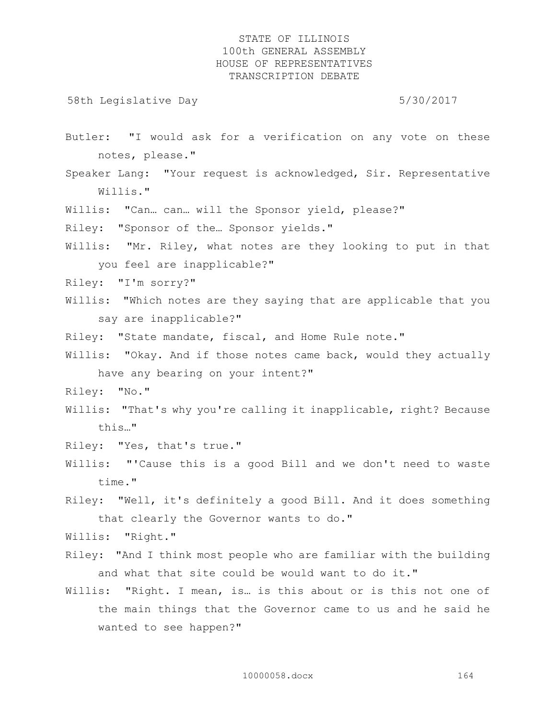58th Legislative Day 5/30/2017

- Butler: "I would ask for a verification on any vote on these notes, please."
- Speaker Lang: "Your request is acknowledged, Sir. Representative Willis."
- Willis: "Can… can… will the Sponsor yield, please?"
- Riley: "Sponsor of the… Sponsor yields."
- Willis: "Mr. Riley, what notes are they looking to put in that you feel are inapplicable?"
- Riley: "I'm sorry?"
- Willis: "Which notes are they saying that are applicable that you say are inapplicable?"
- Riley: "State mandate, fiscal, and Home Rule note."
- Willis: "Okay. And if those notes came back, would they actually have any bearing on your intent?"
- Riley: "No."
- Willis: "That's why you're calling it inapplicable, right? Because this…"
- Riley: "Yes, that's true."
- Willis: "'Cause this is a good Bill and we don't need to waste time."
- Riley: "Well, it's definitely a good Bill. And it does something that clearly the Governor wants to do."

Willis: "Right."

- Riley: "And I think most people who are familiar with the building and what that site could be would want to do it."
- Willis: "Right. I mean, is... is this about or is this not one of the main things that the Governor came to us and he said he wanted to see happen?"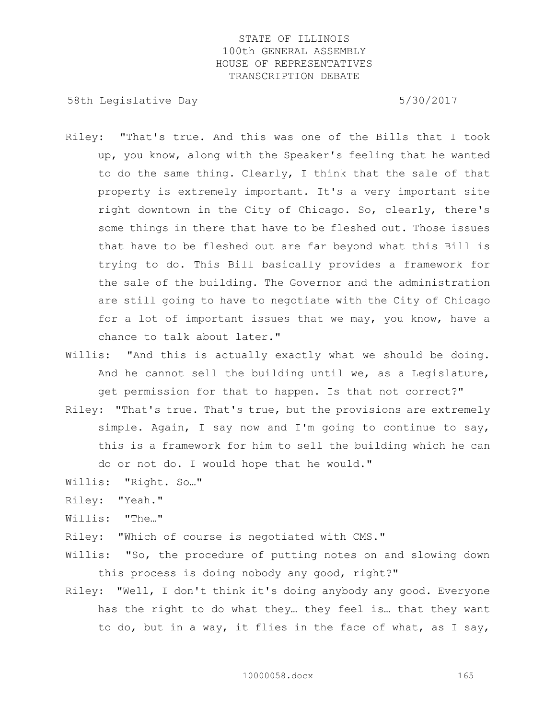58th Legislative Day 5/30/2017

- Riley: "That's true. And this was one of the Bills that I took up, you know, along with the Speaker's feeling that he wanted to do the same thing. Clearly, I think that the sale of that property is extremely important. It's a very important site right downtown in the City of Chicago. So, clearly, there's some things in there that have to be fleshed out. Those issues that have to be fleshed out are far beyond what this Bill is trying to do. This Bill basically provides a framework for the sale of the building. The Governor and the administration are still going to have to negotiate with the City of Chicago for a lot of important issues that we may, you know, have a chance to talk about later."
- Willis: "And this is actually exactly what we should be doing. And he cannot sell the building until we, as a Legislature, get permission for that to happen. Is that not correct?"
- Riley: "That's true. That's true, but the provisions are extremely simple. Again, I say now and I'm going to continue to say, this is a framework for him to sell the building which he can do or not do. I would hope that he would."
- Willis: "Right. So…"
- Riley: "Yeah."
- Willis: "The…"
- Riley: "Which of course is negotiated with CMS."
- Willis: "So, the procedure of putting notes on and slowing down this process is doing nobody any good, right?"
- Riley: "Well, I don't think it's doing anybody any good. Everyone has the right to do what they… they feel is… that they want to do, but in a way, it flies in the face of what, as I say,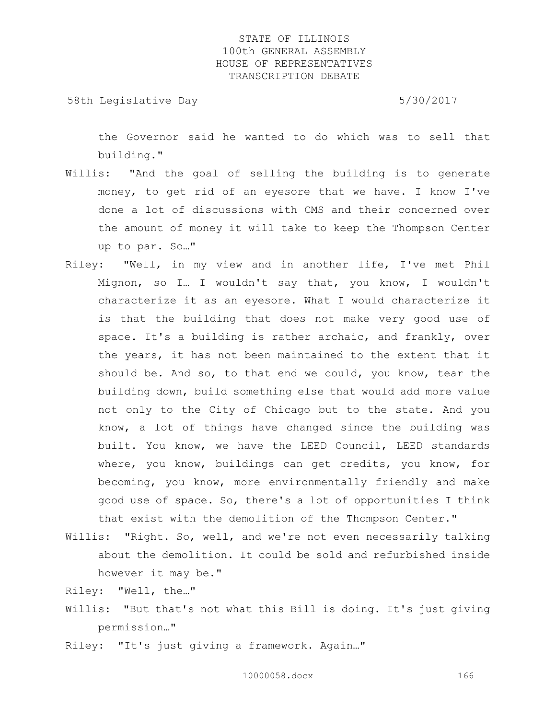58th Legislative Day 5/30/2017

the Governor said he wanted to do which was to sell that building."

- Willis: "And the goal of selling the building is to generate money, to get rid of an eyesore that we have. I know I've done a lot of discussions with CMS and their concerned over the amount of money it will take to keep the Thompson Center up to par. So…"
- Riley: "Well, in my view and in another life, I've met Phil Mignon, so I… I wouldn't say that, you know, I wouldn't characterize it as an eyesore. What I would characterize it is that the building that does not make very good use of space. It's a building is rather archaic, and frankly, over the years, it has not been maintained to the extent that it should be. And so, to that end we could, you know, tear the building down, build something else that would add more value not only to the City of Chicago but to the state. And you know, a lot of things have changed since the building was built. You know, we have the LEED Council, LEED standards where, you know, buildings can get credits, you know, for becoming, you know, more environmentally friendly and make good use of space. So, there's a lot of opportunities I think that exist with the demolition of the Thompson Center."
- Willis: "Right. So, well, and we're not even necessarily talking about the demolition. It could be sold and refurbished inside however it may be."

Riley: "Well, the…"

- Willis: "But that's not what this Bill is doing. It's just giving permission…"
- Riley: "It's just giving a framework. Again…"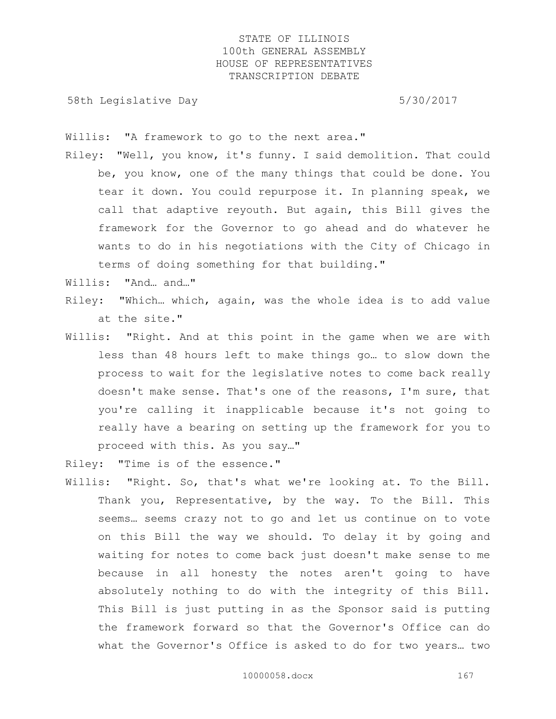58th Legislative Day 6.5730/2017

Willis: "A framework to go to the next area."

Riley: "Well, you know, it's funny. I said demolition. That could be, you know, one of the many things that could be done. You tear it down. You could repurpose it. In planning speak, we call that adaptive reyouth. But again, this Bill gives the framework for the Governor to go ahead and do whatever he wants to do in his negotiations with the City of Chicago in terms of doing something for that building."

Willis: "And… and…"

- Riley: "Which… which, again, was the whole idea is to add value at the site."
- Willis: "Right. And at this point in the game when we are with less than 48 hours left to make things go… to slow down the process to wait for the legislative notes to come back really doesn't make sense. That's one of the reasons, I'm sure, that you're calling it inapplicable because it's not going to really have a bearing on setting up the framework for you to proceed with this. As you say…"
- Riley: "Time is of the essence."
- Willis: "Right. So, that's what we're looking at. To the Bill. Thank you, Representative, by the way. To the Bill. This seems… seems crazy not to go and let us continue on to vote on this Bill the way we should. To delay it by going and waiting for notes to come back just doesn't make sense to me because in all honesty the notes aren't going to have absolutely nothing to do with the integrity of this Bill. This Bill is just putting in as the Sponsor said is putting the framework forward so that the Governor's Office can do what the Governor's Office is asked to do for two years… two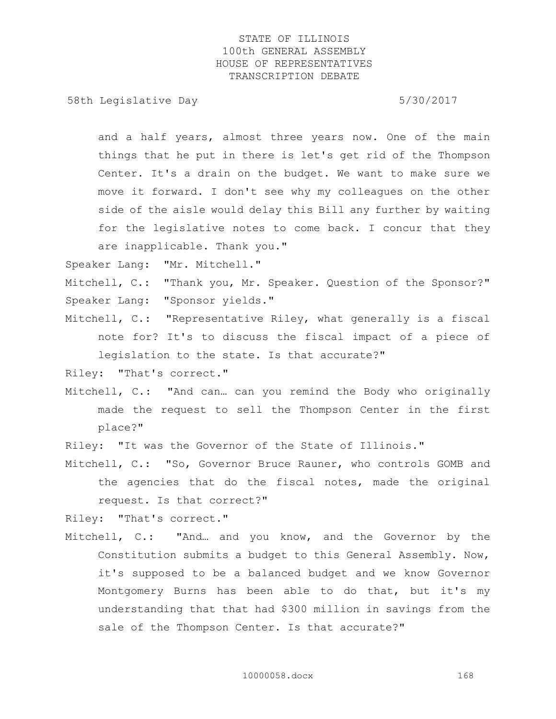58th Legislative Day 5/30/2017

and a half years, almost three years now. One of the main things that he put in there is let's get rid of the Thompson Center. It's a drain on the budget. We want to make sure we move it forward. I don't see why my colleagues on the other side of the aisle would delay this Bill any further by waiting for the legislative notes to come back. I concur that they are inapplicable. Thank you."

Speaker Lang: "Mr. Mitchell."

- Mitchell, C.: "Thank you, Mr. Speaker. Question of the Sponsor?" Speaker Lang: "Sponsor yields."
- Mitchell, C.: "Representative Riley, what generally is a fiscal note for? It's to discuss the fiscal impact of a piece of legislation to the state. Is that accurate?"

Riley: "That's correct."

Mitchell, C.: "And can… can you remind the Body who originally made the request to sell the Thompson Center in the first place?"

Riley: "It was the Governor of the State of Illinois."

Mitchell, C.: "So, Governor Bruce Rauner, who controls GOMB and the agencies that do the fiscal notes, made the original request. Is that correct?"

Riley: "That's correct."

Mitchell, C.: "And… and you know, and the Governor by the Constitution submits a budget to this General Assembly. Now, it's supposed to be a balanced budget and we know Governor Montgomery Burns has been able to do that, but it's my understanding that that had \$300 million in savings from the sale of the Thompson Center. Is that accurate?"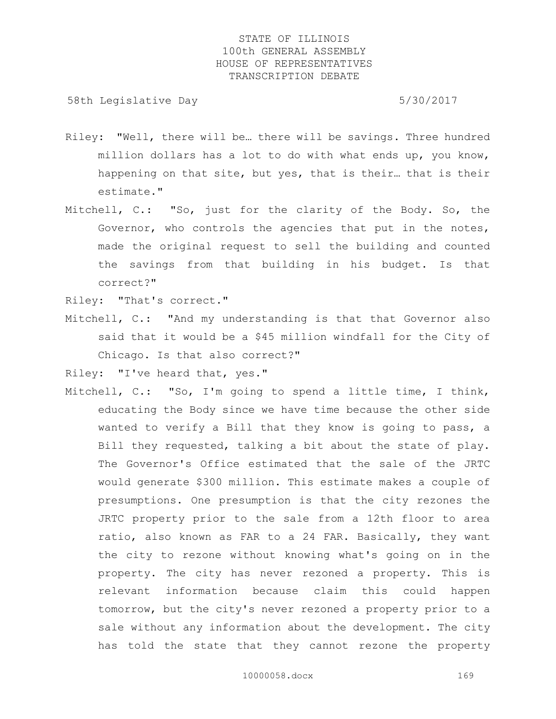58th Legislative Day 5/30/2017

- Riley: "Well, there will be… there will be savings. Three hundred million dollars has a lot to do with what ends up, you know, happening on that site, but yes, that is their… that is their estimate."
- Mitchell, C.: "So, just for the clarity of the Body. So, the Governor, who controls the agencies that put in the notes, made the original request to sell the building and counted the savings from that building in his budget. Is that correct?"

Riley: "That's correct."

Mitchell, C.: "And my understanding is that that Governor also said that it would be a \$45 million windfall for the City of Chicago. Is that also correct?"

Riley: "I've heard that, yes."

Mitchell, C.: "So, I'm going to spend a little time, I think, educating the Body since we have time because the other side wanted to verify a Bill that they know is going to pass, a Bill they requested, talking a bit about the state of play. The Governor's Office estimated that the sale of the JRTC would generate \$300 million. This estimate makes a couple of presumptions. One presumption is that the city rezones the JRTC property prior to the sale from a 12th floor to area ratio, also known as FAR to a 24 FAR. Basically, they want the city to rezone without knowing what's going on in the property. The city has never rezoned a property. This is relevant information because claim this could happen tomorrow, but the city's never rezoned a property prior to a sale without any information about the development. The city has told the state that they cannot rezone the property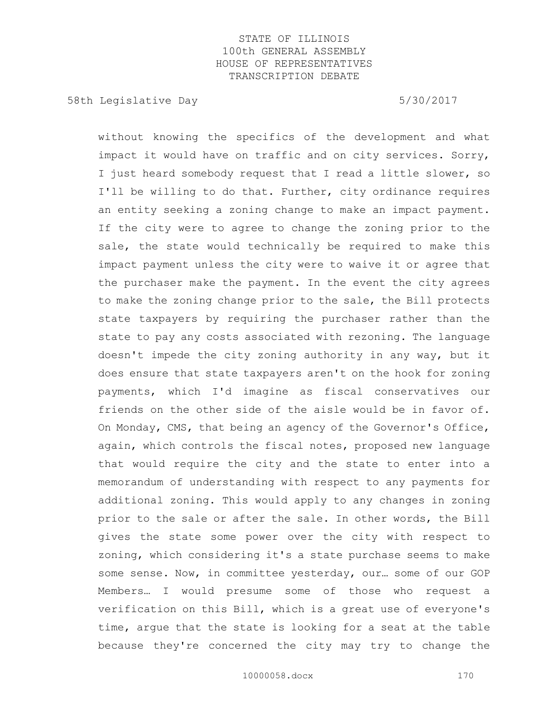58th Legislative Day 5/30/2017

without knowing the specifics of the development and what impact it would have on traffic and on city services. Sorry, I just heard somebody request that I read a little slower, so I'll be willing to do that. Further, city ordinance requires an entity seeking a zoning change to make an impact payment. If the city were to agree to change the zoning prior to the sale, the state would technically be required to make this impact payment unless the city were to waive it or agree that the purchaser make the payment. In the event the city agrees to make the zoning change prior to the sale, the Bill protects state taxpayers by requiring the purchaser rather than the state to pay any costs associated with rezoning. The language doesn't impede the city zoning authority in any way, but it does ensure that state taxpayers aren't on the hook for zoning payments, which I'd imagine as fiscal conservatives our friends on the other side of the aisle would be in favor of. On Monday, CMS, that being an agency of the Governor's Office, again, which controls the fiscal notes, proposed new language that would require the city and the state to enter into a memorandum of understanding with respect to any payments for additional zoning. This would apply to any changes in zoning prior to the sale or after the sale. In other words, the Bill gives the state some power over the city with respect to zoning, which considering it's a state purchase seems to make some sense. Now, in committee yesterday, our… some of our GOP Members… I would presume some of those who request a verification on this Bill, which is a great use of everyone's time, argue that the state is looking for a seat at the table because they're concerned the city may try to change the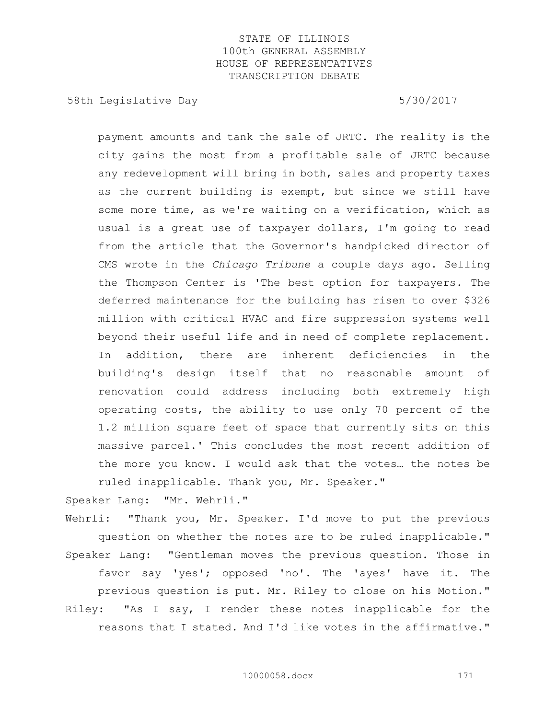58th Legislative Day 5/30/2017

payment amounts and tank the sale of JRTC. The reality is the city gains the most from a profitable sale of JRTC because any redevelopment will bring in both, sales and property taxes as the current building is exempt, but since we still have some more time, as we're waiting on a verification, which as usual is a great use of taxpayer dollars, I'm going to read from the article that the Governor's handpicked director of CMS wrote in the *Chicago Tribune* a couple days ago. Selling the Thompson Center is 'The best option for taxpayers. The deferred maintenance for the building has risen to over \$326 million with critical HVAC and fire suppression systems well beyond their useful life and in need of complete replacement. In addition, there are inherent deficiencies in the building's design itself that no reasonable amount of renovation could address including both extremely high operating costs, the ability to use only 70 percent of the 1.2 million square feet of space that currently sits on this massive parcel.' This concludes the most recent addition of the more you know. I would ask that the votes… the notes be ruled inapplicable. Thank you, Mr. Speaker."

Speaker Lang: "Mr. Wehrli."

Wehrli: "Thank you, Mr. Speaker. I'd move to put the previous question on whether the notes are to be ruled inapplicable." Speaker Lang: "Gentleman moves the previous question. Those in favor say 'yes'; opposed 'no'. The 'ayes' have it. The previous question is put. Mr. Riley to close on his Motion." Riley: "As I say, I render these notes inapplicable for the reasons that I stated. And I'd like votes in the affirmative."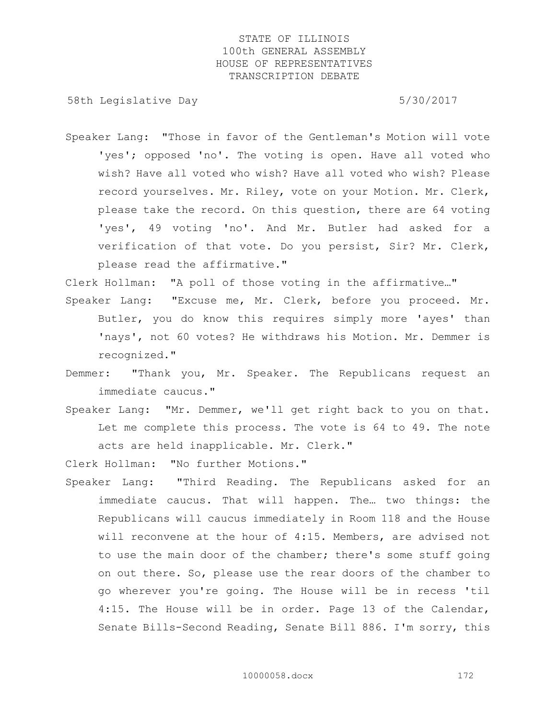58th Legislative Day 5/30/2017

Speaker Lang: "Those in favor of the Gentleman's Motion will vote 'yes'; opposed 'no'. The voting is open. Have all voted who wish? Have all voted who wish? Have all voted who wish? Please record yourselves. Mr. Riley, vote on your Motion. Mr. Clerk, please take the record. On this question, there are 64 voting 'yes', 49 voting 'no'. And Mr. Butler had asked for a verification of that vote. Do you persist, Sir? Mr. Clerk, please read the affirmative."

Clerk Hollman: "A poll of those voting in the affirmative…"

- Speaker Lang: "Excuse me, Mr. Clerk, before you proceed. Mr. Butler, you do know this requires simply more 'ayes' than 'nays', not 60 votes? He withdraws his Motion. Mr. Demmer is recognized."
- Demmer: "Thank you, Mr. Speaker. The Republicans request an immediate caucus."
- Speaker Lang: "Mr. Demmer, we'll get right back to you on that. Let me complete this process. The vote is 64 to 49. The note acts are held inapplicable. Mr. Clerk."

Clerk Hollman: "No further Motions."

Speaker Lang: "Third Reading. The Republicans asked for an immediate caucus. That will happen. The… two things: the Republicans will caucus immediately in Room 118 and the House will reconvene at the hour of 4:15. Members, are advised not to use the main door of the chamber; there's some stuff going on out there. So, please use the rear doors of the chamber to go wherever you're going. The House will be in recess 'til 4:15. The House will be in order. Page 13 of the Calendar, Senate Bills-Second Reading, Senate Bill 886. I'm sorry, this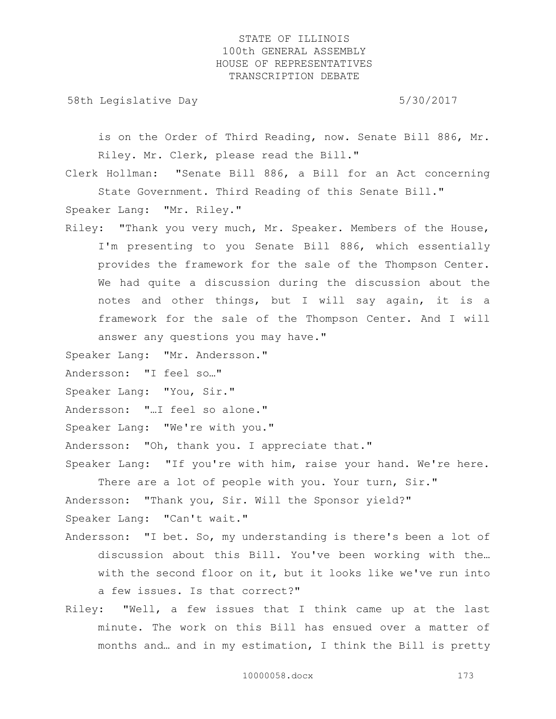58th Legislative Day 5/30/2017

is on the Order of Third Reading, now. Senate Bill 886, Mr. Riley. Mr. Clerk, please read the Bill."

Clerk Hollman: "Senate Bill 886, a Bill for an Act concerning State Government. Third Reading of this Senate Bill."

Speaker Lang: "Mr. Riley."

Riley: "Thank you very much, Mr. Speaker. Members of the House, I'm presenting to you Senate Bill 886, which essentially provides the framework for the sale of the Thompson Center. We had quite a discussion during the discussion about the notes and other things, but I will say again, it is a framework for the sale of the Thompson Center. And I will answer any questions you may have."

Speaker Lang: "Mr. Andersson."

Andersson: "I feel so…"

Speaker Lang: "You, Sir."

Andersson: "…I feel so alone."

Speaker Lang: "We're with you."

Andersson: "Oh, thank you. I appreciate that."

Speaker Lang: "If you're with him, raise your hand. We're here. There are a lot of people with you. Your turn, Sir."

Andersson: "Thank you, Sir. Will the Sponsor yield?" Speaker Lang: "Can't wait."

- Andersson: "I bet. So, my understanding is there's been a lot of discussion about this Bill. You've been working with the… with the second floor on it, but it looks like we've run into a few issues. Is that correct?"
- Riley: "Well, a few issues that I think came up at the last minute. The work on this Bill has ensued over a matter of months and… and in my estimation, I think the Bill is pretty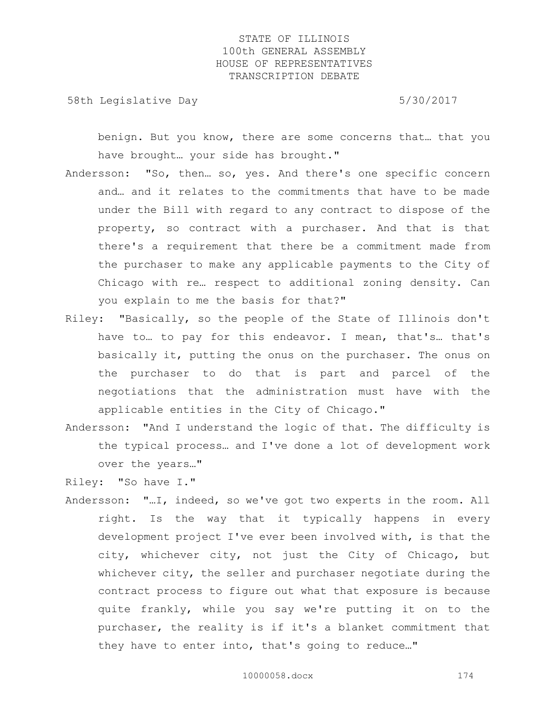58th Legislative Day 5/30/2017

benign. But you know, there are some concerns that… that you have brought… your side has brought."

- Andersson: "So, then… so, yes. And there's one specific concern and… and it relates to the commitments that have to be made under the Bill with regard to any contract to dispose of the property, so contract with a purchaser. And that is that there's a requirement that there be a commitment made from the purchaser to make any applicable payments to the City of Chicago with re… respect to additional zoning density. Can you explain to me the basis for that?"
- Riley: "Basically, so the people of the State of Illinois don't have to… to pay for this endeavor. I mean, that's… that's basically it, putting the onus on the purchaser. The onus on the purchaser to do that is part and parcel of the negotiations that the administration must have with the applicable entities in the City of Chicago."
- Andersson: "And I understand the logic of that. The difficulty is the typical process… and I've done a lot of development work over the years…"
- Riley: "So have I."
- Andersson: "…I, indeed, so we've got two experts in the room. All right. Is the way that it typically happens in every development project I've ever been involved with, is that the city, whichever city, not just the City of Chicago, but whichever city, the seller and purchaser negotiate during the contract process to figure out what that exposure is because quite frankly, while you say we're putting it on to the purchaser, the reality is if it's a blanket commitment that they have to enter into, that's going to reduce…"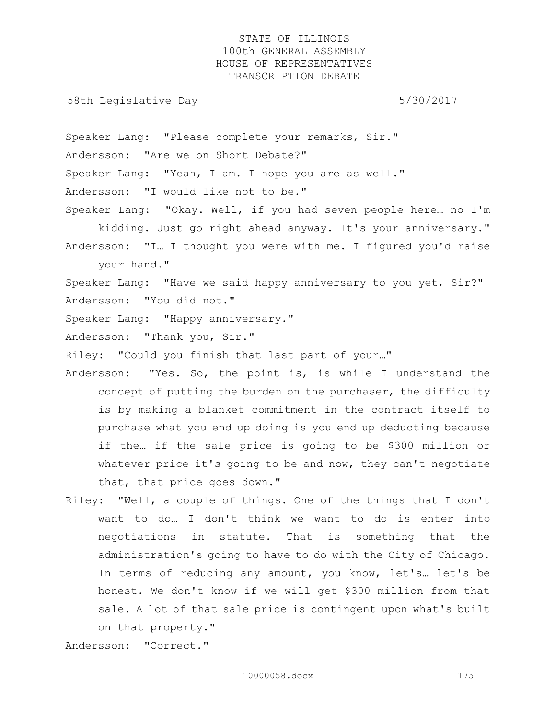58th Legislative Day 5/30/2017

Speaker Lang: "Please complete your remarks, Sir." Andersson: "Are we on Short Debate?" Speaker Lang: "Yeah, I am. I hope you are as well." Andersson: "I would like not to be."

Speaker Lang: "Okay. Well, if you had seven people here… no I'm kidding. Just go right ahead anyway. It's your anniversary." Andersson: "I… I thought you were with me. I figured you'd raise your hand."

Speaker Lang: "Have we said happy anniversary to you yet, Sir?" Andersson: "You did not."

Speaker Lang: "Happy anniversary."

Andersson: "Thank you, Sir."

Riley: "Could you finish that last part of your…"

- Andersson: "Yes. So, the point is, is while I understand the concept of putting the burden on the purchaser, the difficulty is by making a blanket commitment in the contract itself to purchase what you end up doing is you end up deducting because if the… if the sale price is going to be \$300 million or whatever price it's going to be and now, they can't negotiate that, that price goes down."
- Riley: "Well, a couple of things. One of the things that I don't want to do… I don't think we want to do is enter into negotiations in statute. That is something that the administration's going to have to do with the City of Chicago. In terms of reducing any amount, you know, let's… let's be honest. We don't know if we will get \$300 million from that sale. A lot of that sale price is contingent upon what's built on that property."

Andersson: "Correct."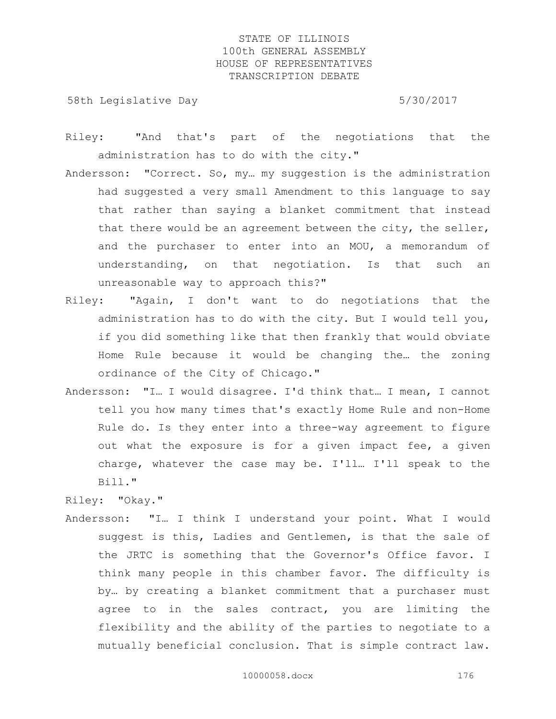58th Legislative Day 5/30/2017

- Riley: "And that's part of the negotiations that the administration has to do with the city."
- Andersson: "Correct. So, my… my suggestion is the administration had suggested a very small Amendment to this language to say that rather than saying a blanket commitment that instead that there would be an agreement between the city, the seller, and the purchaser to enter into an MOU, a memorandum of understanding, on that negotiation. Is that such an unreasonable way to approach this?"
- Riley: "Again, I don't want to do negotiations that the administration has to do with the city. But I would tell you, if you did something like that then frankly that would obviate Home Rule because it would be changing the… the zoning ordinance of the City of Chicago."
- Andersson: "I… I would disagree. I'd think that… I mean, I cannot tell you how many times that's exactly Home Rule and non-Home Rule do. Is they enter into a three-way agreement to figure out what the exposure is for a given impact fee, a given charge, whatever the case may be. I'll… I'll speak to the Bill."

Andersson: "I… I think I understand your point. What I would suggest is this, Ladies and Gentlemen, is that the sale of the JRTC is something that the Governor's Office favor. I think many people in this chamber favor. The difficulty is by… by creating a blanket commitment that a purchaser must agree to in the sales contract, you are limiting the flexibility and the ability of the parties to negotiate to a mutually beneficial conclusion. That is simple contract law.

Riley: "Okay."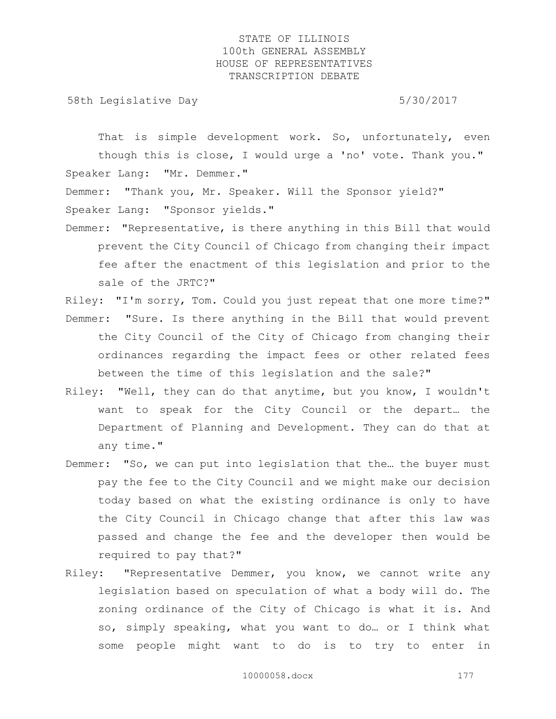58th Legislative Day 5/30/2017

That is simple development work. So, unfortunately, even though this is close, I would urge a 'no' vote. Thank you." Speaker Lang: "Mr. Demmer."

Demmer: "Thank you, Mr. Speaker. Will the Sponsor yield?" Speaker Lang: "Sponsor yields."

Demmer: "Representative, is there anything in this Bill that would prevent the City Council of Chicago from changing their impact fee after the enactment of this legislation and prior to the sale of the JRTC?"

Riley: "I'm sorry, Tom. Could you just repeat that one more time?" Demmer: "Sure. Is there anything in the Bill that would prevent the City Council of the City of Chicago from changing their ordinances regarding the impact fees or other related fees between the time of this legislation and the sale?"

- Riley: "Well, they can do that anytime, but you know, I wouldn't want to speak for the City Council or the depart… the Department of Planning and Development. They can do that at any time."
- Demmer: "So, we can put into legislation that the… the buyer must pay the fee to the City Council and we might make our decision today based on what the existing ordinance is only to have the City Council in Chicago change that after this law was passed and change the fee and the developer then would be required to pay that?"
- Riley: "Representative Demmer, you know, we cannot write any legislation based on speculation of what a body will do. The zoning ordinance of the City of Chicago is what it is. And so, simply speaking, what you want to do… or I think what some people might want to do is to try to enter in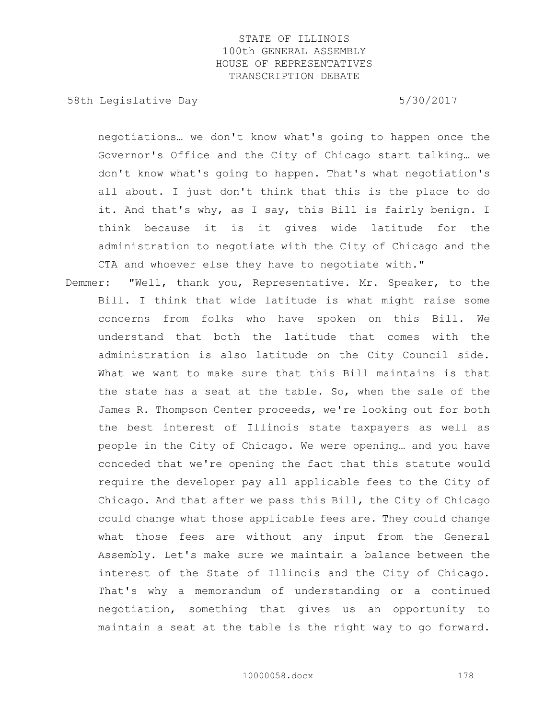58th Legislative Day 5/30/2017

negotiations… we don't know what's going to happen once the Governor's Office and the City of Chicago start talking… we don't know what's going to happen. That's what negotiation's all about. I just don't think that this is the place to do it. And that's why, as I say, this Bill is fairly benign. I think because it is it gives wide latitude for the administration to negotiate with the City of Chicago and the CTA and whoever else they have to negotiate with."

Demmer: "Well, thank you, Representative. Mr. Speaker, to the Bill. I think that wide latitude is what might raise some concerns from folks who have spoken on this Bill. We understand that both the latitude that comes with the administration is also latitude on the City Council side. What we want to make sure that this Bill maintains is that the state has a seat at the table. So, when the sale of the James R. Thompson Center proceeds, we're looking out for both the best interest of Illinois state taxpayers as well as people in the City of Chicago. We were opening… and you have conceded that we're opening the fact that this statute would require the developer pay all applicable fees to the City of Chicago. And that after we pass this Bill, the City of Chicago could change what those applicable fees are. They could change what those fees are without any input from the General Assembly. Let's make sure we maintain a balance between the interest of the State of Illinois and the City of Chicago. That's why a memorandum of understanding or a continued negotiation, something that gives us an opportunity to maintain a seat at the table is the right way to go forward.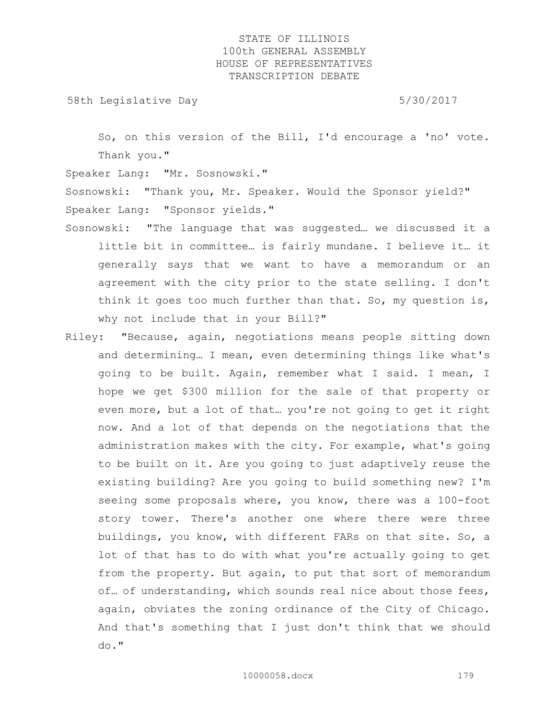58th Legislative Day 5/30/2017

So, on this version of the Bill, I'd encourage a 'no' vote. Thank you."

Speaker Lang: "Mr. Sosnowski."

Sosnowski: "Thank you, Mr. Speaker. Would the Sponsor yield?" Speaker Lang: "Sponsor yields."

- Sosnowski: "The language that was suggested… we discussed it a little bit in committee… is fairly mundane. I believe it… it generally says that we want to have a memorandum or an agreement with the city prior to the state selling. I don't think it goes too much further than that. So, my question is, why not include that in your Bill?"
- Riley: "Because, again, negotiations means people sitting down and determining… I mean, even determining things like what's going to be built. Again, remember what I said. I mean, I hope we get \$300 million for the sale of that property or even more, but a lot of that… you're not going to get it right now. And a lot of that depends on the negotiations that the administration makes with the city. For example, what's going to be built on it. Are you going to just adaptively reuse the existing building? Are you going to build something new? I'm seeing some proposals where, you know, there was a 100-foot story tower. There's another one where there were three buildings, you know, with different FARs on that site. So, a lot of that has to do with what you're actually going to get from the property. But again, to put that sort of memorandum of… of understanding, which sounds real nice about those fees, again, obviates the zoning ordinance of the City of Chicago. And that's something that I just don't think that we should do."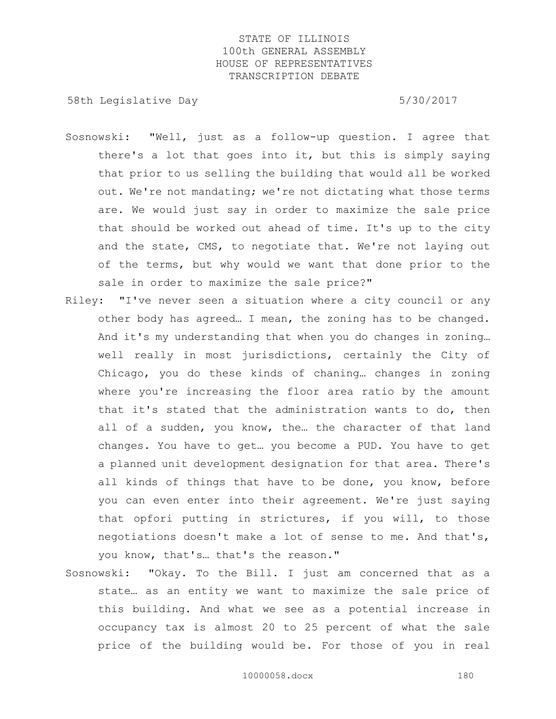58th Legislative Day 5/30/2017

- Sosnowski: "Well, just as a follow-up question. I agree that there's a lot that goes into it, but this is simply saying that prior to us selling the building that would all be worked out. We're not mandating; we're not dictating what those terms are. We would just say in order to maximize the sale price that should be worked out ahead of time. It's up to the city and the state, CMS, to negotiate that. We're not laying out of the terms, but why would we want that done prior to the sale in order to maximize the sale price?"
- Riley: "I've never seen a situation where a city council or any other body has agreed… I mean, the zoning has to be changed. And it's my understanding that when you do changes in zoning… well really in most jurisdictions, certainly the City of Chicago, you do these kinds of chaning… changes in zoning where you're increasing the floor area ratio by the amount that it's stated that the administration wants to do, then all of a sudden, you know, the... the character of that land changes. You have to get… you become a PUD. You have to get a planned unit development designation for that area. There's all kinds of things that have to be done, you know, before you can even enter into their agreement. We're just saying that opfori putting in strictures, if you will, to those negotiations doesn't make a lot of sense to me. And that's, you know, that's… that's the reason."
- Sosnowski: "Okay. To the Bill. I just am concerned that as a state… as an entity we want to maximize the sale price of this building. And what we see as a potential increase in occupancy tax is almost 20 to 25 percent of what the sale price of the building would be. For those of you in real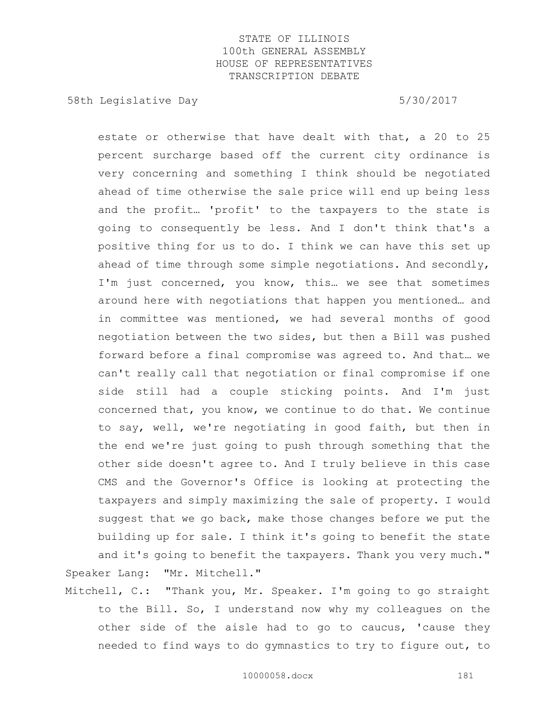58th Legislative Day 5/30/2017

estate or otherwise that have dealt with that, a 20 to 25 percent surcharge based off the current city ordinance is very concerning and something I think should be negotiated ahead of time otherwise the sale price will end up being less and the profit… 'profit' to the taxpayers to the state is going to consequently be less. And I don't think that's a positive thing for us to do. I think we can have this set up ahead of time through some simple negotiations. And secondly, I'm just concerned, you know, this… we see that sometimes around here with negotiations that happen you mentioned… and in committee was mentioned, we had several months of good negotiation between the two sides, but then a Bill was pushed forward before a final compromise was agreed to. And that… we can't really call that negotiation or final compromise if one side still had a couple sticking points. And I'm just concerned that, you know, we continue to do that. We continue to say, well, we're negotiating in good faith, but then in the end we're just going to push through something that the other side doesn't agree to. And I truly believe in this case CMS and the Governor's Office is looking at protecting the taxpayers and simply maximizing the sale of property. I would suggest that we go back, make those changes before we put the building up for sale. I think it's going to benefit the state and it's going to benefit the taxpayers. Thank you very much."

Mitchell, C.: "Thank you, Mr. Speaker. I'm going to go straight to the Bill. So, I understand now why my colleagues on the other side of the aisle had to go to caucus, 'cause they needed to find ways to do gymnastics to try to figure out, to

Speaker Lang: "Mr. Mitchell."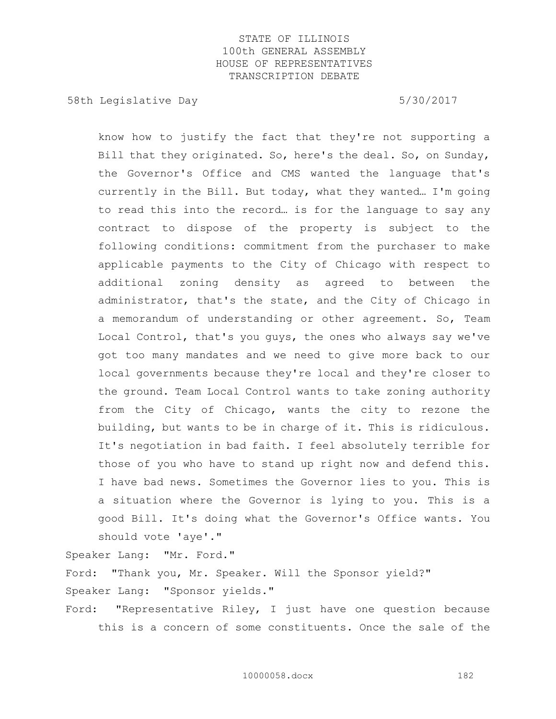58th Legislative Day 5/30/2017

know how to justify the fact that they're not supporting a Bill that they originated. So, here's the deal. So, on Sunday, the Governor's Office and CMS wanted the language that's currently in the Bill. But today, what they wanted… I'm going to read this into the record… is for the language to say any contract to dispose of the property is subject to the following conditions: commitment from the purchaser to make applicable payments to the City of Chicago with respect to additional zoning density as agreed to between the administrator, that's the state, and the City of Chicago in a memorandum of understanding or other agreement. So, Team Local Control, that's you guys, the ones who always say we've got too many mandates and we need to give more back to our local governments because they're local and they're closer to the ground. Team Local Control wants to take zoning authority from the City of Chicago, wants the city to rezone the building, but wants to be in charge of it. This is ridiculous. It's negotiation in bad faith. I feel absolutely terrible for those of you who have to stand up right now and defend this. I have bad news. Sometimes the Governor lies to you. This is a situation where the Governor is lying to you. This is a good Bill. It's doing what the Governor's Office wants. You should vote 'aye'."

Speaker Lang: "Mr. Ford."

Ford: "Thank you, Mr. Speaker. Will the Sponsor yield?" Speaker Lang: "Sponsor yields."

Ford: "Representative Riley, I just have one question because this is a concern of some constituents. Once the sale of the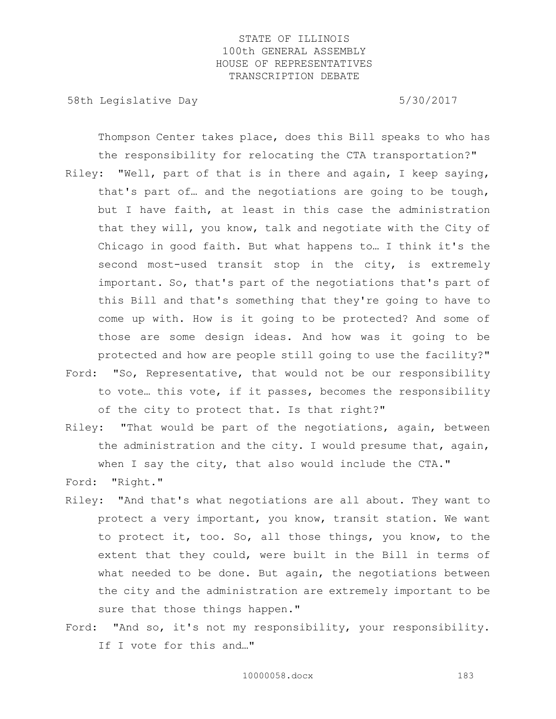58th Legislative Day 5/30/2017

Thompson Center takes place, does this Bill speaks to who has the responsibility for relocating the CTA transportation?"

- Riley: "Well, part of that is in there and again, I keep saying, that's part of… and the negotiations are going to be tough, but I have faith, at least in this case the administration that they will, you know, talk and negotiate with the City of Chicago in good faith. But what happens to… I think it's the second most-used transit stop in the city, is extremely important. So, that's part of the negotiations that's part of this Bill and that's something that they're going to have to come up with. How is it going to be protected? And some of those are some design ideas. And how was it going to be protected and how are people still going to use the facility?"
- Ford: "So, Representative, that would not be our responsibility to vote… this vote, if it passes, becomes the responsibility of the city to protect that. Is that right?"
- Riley: "That would be part of the negotiations, again, between the administration and the city. I would presume that, again, when I say the city, that also would include the CTA."
- Ford: "Right."
- Riley: "And that's what negotiations are all about. They want to protect a very important, you know, transit station. We want to protect it, too. So, all those things, you know, to the extent that they could, were built in the Bill in terms of what needed to be done. But again, the negotiations between the city and the administration are extremely important to be sure that those things happen."
- Ford: "And so, it's not my responsibility, your responsibility. If I vote for this and…"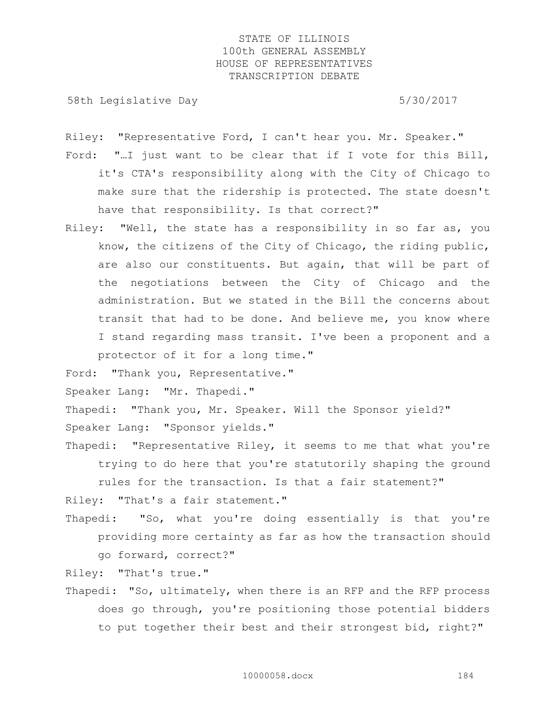58th Legislative Day 5/30/2017

Riley: "Representative Ford, I can't hear you. Mr. Speaker."

- Ford: "…I just want to be clear that if I vote for this Bill, it's CTA's responsibility along with the City of Chicago to make sure that the ridership is protected. The state doesn't have that responsibility. Is that correct?"
- Riley: "Well, the state has a responsibility in so far as, you know, the citizens of the City of Chicago, the riding public, are also our constituents. But again, that will be part of the negotiations between the City of Chicago and the administration. But we stated in the Bill the concerns about transit that had to be done. And believe me, you know where I stand regarding mass transit. I've been a proponent and a protector of it for a long time."

Ford: "Thank you, Representative."

Speaker Lang: "Mr. Thapedi."

Thapedi: "Thank you, Mr. Speaker. Will the Sponsor yield?"

Speaker Lang: "Sponsor yields."

Thapedi: "Representative Riley, it seems to me that what you're trying to do here that you're statutorily shaping the ground rules for the transaction. Is that a fair statement?"

Riley: "That's a fair statement."

Thapedi: "So, what you're doing essentially is that you're providing more certainty as far as how the transaction should go forward, correct?"

Riley: "That's true."

Thapedi: "So, ultimately, when there is an RFP and the RFP process does go through, you're positioning those potential bidders to put together their best and their strongest bid, right?"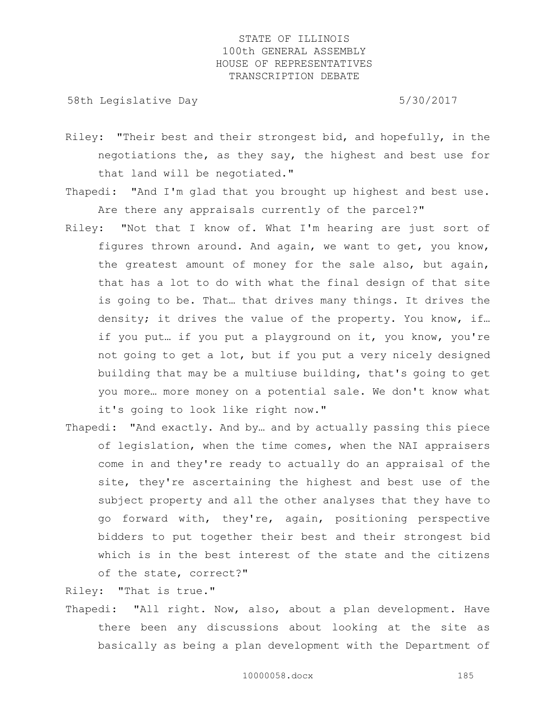58th Legislative Day 5/30/2017

- Riley: "Their best and their strongest bid, and hopefully, in the negotiations the, as they say, the highest and best use for that land will be negotiated."
- Thapedi: "And I'm glad that you brought up highest and best use. Are there any appraisals currently of the parcel?"
- Riley: "Not that I know of. What I'm hearing are just sort of figures thrown around. And again, we want to get, you know, the greatest amount of money for the sale also, but again, that has a lot to do with what the final design of that site is going to be. That… that drives many things. It drives the density; it drives the value of the property. You know, if… if you put… if you put a playground on it, you know, you're not going to get a lot, but if you put a very nicely designed building that may be a multiuse building, that's going to get you more… more money on a potential sale. We don't know what it's going to look like right now."
- Thapedi: "And exactly. And by… and by actually passing this piece of legislation, when the time comes, when the NAI appraisers come in and they're ready to actually do an appraisal of the site, they're ascertaining the highest and best use of the subject property and all the other analyses that they have to go forward with, they're, again, positioning perspective bidders to put together their best and their strongest bid which is in the best interest of the state and the citizens of the state, correct?"

Riley: "That is true."

Thapedi: "All right. Now, also, about a plan development. Have there been any discussions about looking at the site as basically as being a plan development with the Department of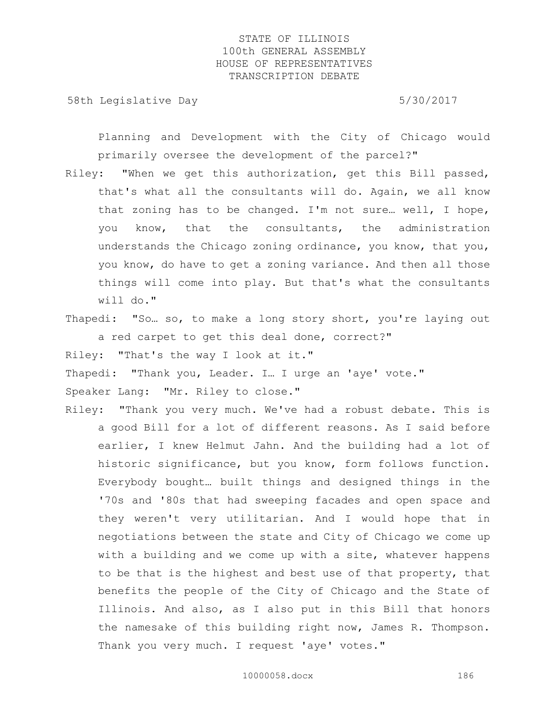58th Legislative Day 5/30/2017

Planning and Development with the City of Chicago would primarily oversee the development of the parcel?"

- Riley: "When we get this authorization, get this Bill passed, that's what all the consultants will do. Again, we all know that zoning has to be changed. I'm not sure… well, I hope, you know, that the consultants, the administration understands the Chicago zoning ordinance, you know, that you, you know, do have to get a zoning variance. And then all those things will come into play. But that's what the consultants will do."
- Thapedi: "So… so, to make a long story short, you're laying out a red carpet to get this deal done, correct?"

Riley: "That's the way I look at it."

Thapedi: "Thank you, Leader. I… I urge an 'aye' vote."

Speaker Lang: "Mr. Riley to close."

Riley: "Thank you very much. We've had a robust debate. This is a good Bill for a lot of different reasons. As I said before earlier, I knew Helmut Jahn. And the building had a lot of historic significance, but you know, form follows function. Everybody bought… built things and designed things in the '70s and '80s that had sweeping facades and open space and they weren't very utilitarian. And I would hope that in negotiations between the state and City of Chicago we come up with a building and we come up with a site, whatever happens to be that is the highest and best use of that property, that benefits the people of the City of Chicago and the State of Illinois. And also, as I also put in this Bill that honors the namesake of this building right now, James R. Thompson. Thank you very much. I request 'aye' votes."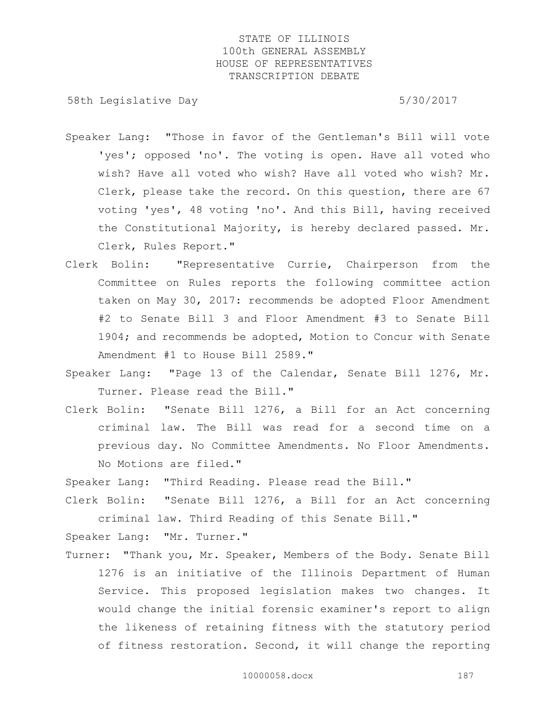58th Legislative Day 5/30/2017

- Speaker Lang: "Those in favor of the Gentleman's Bill will vote 'yes'; opposed 'no'. The voting is open. Have all voted who wish? Have all voted who wish? Have all voted who wish? Mr. Clerk, please take the record. On this question, there are 67 voting 'yes', 48 voting 'no'. And this Bill, having received the Constitutional Majority, is hereby declared passed. Mr. Clerk, Rules Report."
- Clerk Bolin: "Representative Currie, Chairperson from the Committee on Rules reports the following committee action taken on May 30, 2017: recommends be adopted Floor Amendment #2 to Senate Bill 3 and Floor Amendment #3 to Senate Bill 1904; and recommends be adopted, Motion to Concur with Senate Amendment #1 to House Bill 2589."
- Speaker Lang: "Page 13 of the Calendar, Senate Bill 1276, Mr. Turner. Please read the Bill."
- Clerk Bolin: "Senate Bill 1276, a Bill for an Act concerning criminal law. The Bill was read for a second time on a previous day. No Committee Amendments. No Floor Amendments. No Motions are filed."

Speaker Lang: "Third Reading. Please read the Bill."

Clerk Bolin: "Senate Bill 1276, a Bill for an Act concerning criminal law. Third Reading of this Senate Bill."

Speaker Lang: "Mr. Turner."

Turner: "Thank you, Mr. Speaker, Members of the Body. Senate Bill 1276 is an initiative of the Illinois Department of Human Service. This proposed legislation makes two changes. It would change the initial forensic examiner's report to align the likeness of retaining fitness with the statutory period of fitness restoration. Second, it will change the reporting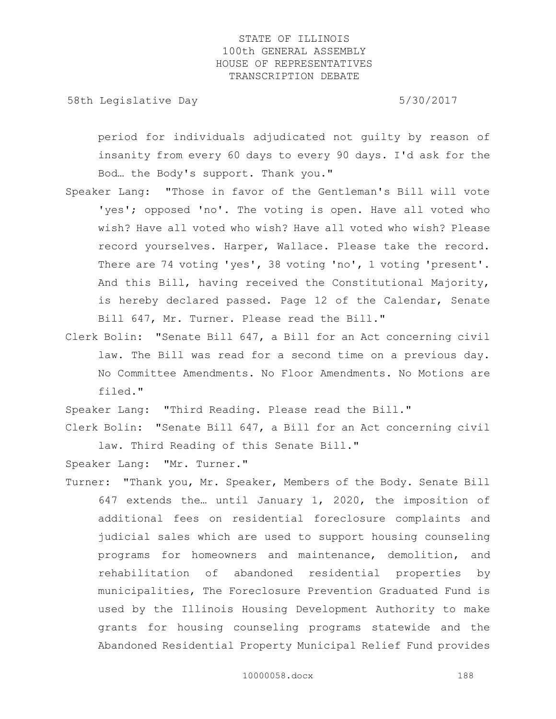58th Legislative Day 5/30/2017

period for individuals adjudicated not guilty by reason of insanity from every 60 days to every 90 days. I'd ask for the Bod… the Body's support. Thank you."

- Speaker Lang: "Those in favor of the Gentleman's Bill will vote 'yes'; opposed 'no'. The voting is open. Have all voted who wish? Have all voted who wish? Have all voted who wish? Please record yourselves. Harper, Wallace. Please take the record. There are 74 voting 'yes', 38 voting 'no', 1 voting 'present'. And this Bill, having received the Constitutional Majority, is hereby declared passed. Page 12 of the Calendar, Senate Bill 647, Mr. Turner. Please read the Bill."
- Clerk Bolin: "Senate Bill 647, a Bill for an Act concerning civil law. The Bill was read for a second time on a previous day. No Committee Amendments. No Floor Amendments. No Motions are filed."

Speaker Lang: "Third Reading. Please read the Bill." Clerk Bolin: "Senate Bill 647, a Bill for an Act concerning civil

law. Third Reading of this Senate Bill."

Speaker Lang: "Mr. Turner."

Turner: "Thank you, Mr. Speaker, Members of the Body. Senate Bill 647 extends the… until January 1, 2020, the imposition of additional fees on residential foreclosure complaints and judicial sales which are used to support housing counseling programs for homeowners and maintenance, demolition, and rehabilitation of abandoned residential properties by municipalities, The Foreclosure Prevention Graduated Fund is used by the Illinois Housing Development Authority to make grants for housing counseling programs statewide and the Abandoned Residential Property Municipal Relief Fund provides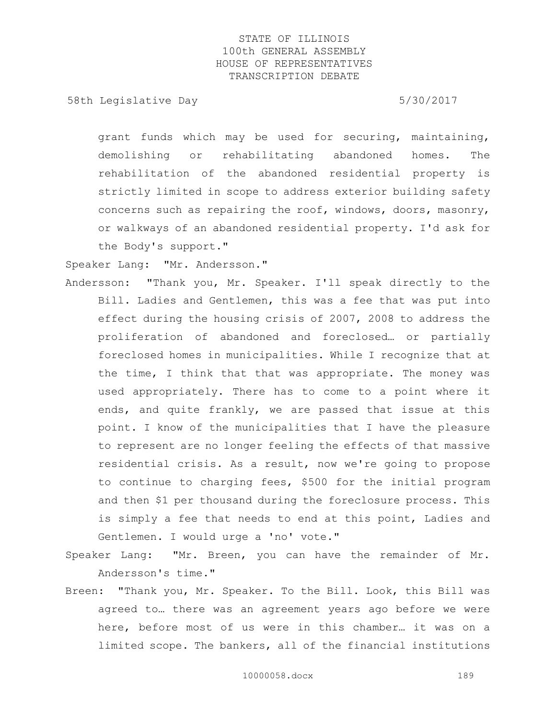58th Legislative Day 5/30/2017

grant funds which may be used for securing, maintaining, demolishing or rehabilitating abandoned homes. The rehabilitation of the abandoned residential property is strictly limited in scope to address exterior building safety concerns such as repairing the roof, windows, doors, masonry, or walkways of an abandoned residential property. I'd ask for the Body's support."

Speaker Lang: "Mr. Andersson."

- Andersson: "Thank you, Mr. Speaker. I'll speak directly to the Bill. Ladies and Gentlemen, this was a fee that was put into effect during the housing crisis of 2007, 2008 to address the proliferation of abandoned and foreclosed… or partially foreclosed homes in municipalities. While I recognize that at the time, I think that that was appropriate. The money was used appropriately. There has to come to a point where it ends, and quite frankly, we are passed that issue at this point. I know of the municipalities that I have the pleasure to represent are no longer feeling the effects of that massive residential crisis. As a result, now we're going to propose to continue to charging fees, \$500 for the initial program and then \$1 per thousand during the foreclosure process. This is simply a fee that needs to end at this point, Ladies and Gentlemen. I would urge a 'no' vote."
- Speaker Lang: "Mr. Breen, you can have the remainder of Mr. Andersson's time."
- Breen: "Thank you, Mr. Speaker. To the Bill. Look, this Bill was agreed to… there was an agreement years ago before we were here, before most of us were in this chamber… it was on a limited scope. The bankers, all of the financial institutions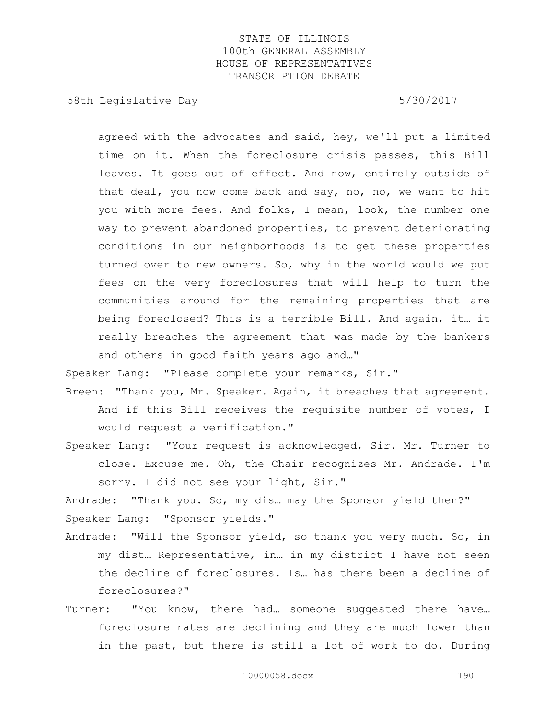58th Legislative Day 5/30/2017

agreed with the advocates and said, hey, we'll put a limited time on it. When the foreclosure crisis passes, this Bill leaves. It goes out of effect. And now, entirely outside of that deal, you now come back and say, no, no, we want to hit you with more fees. And folks, I mean, look, the number one way to prevent abandoned properties, to prevent deteriorating conditions in our neighborhoods is to get these properties turned over to new owners. So, why in the world would we put fees on the very foreclosures that will help to turn the communities around for the remaining properties that are being foreclosed? This is a terrible Bill. And again, it… it really breaches the agreement that was made by the bankers and others in good faith years ago and…"

Speaker Lang: "Please complete your remarks, Sir."

Breen: "Thank you, Mr. Speaker. Again, it breaches that agreement. And if this Bill receives the requisite number of votes, I would request a verification."

Speaker Lang: "Your request is acknowledged, Sir. Mr. Turner to close. Excuse me. Oh, the Chair recognizes Mr. Andrade. I'm sorry. I did not see your light, Sir."

Andrade: "Thank you. So, my dis… may the Sponsor yield then?" Speaker Lang: "Sponsor yields."

- Andrade: "Will the Sponsor yield, so thank you very much. So, in my dist… Representative, in… in my district I have not seen the decline of foreclosures. Is… has there been a decline of foreclosures?"
- Turner: "You know, there had… someone suggested there have… foreclosure rates are declining and they are much lower than in the past, but there is still a lot of work to do. During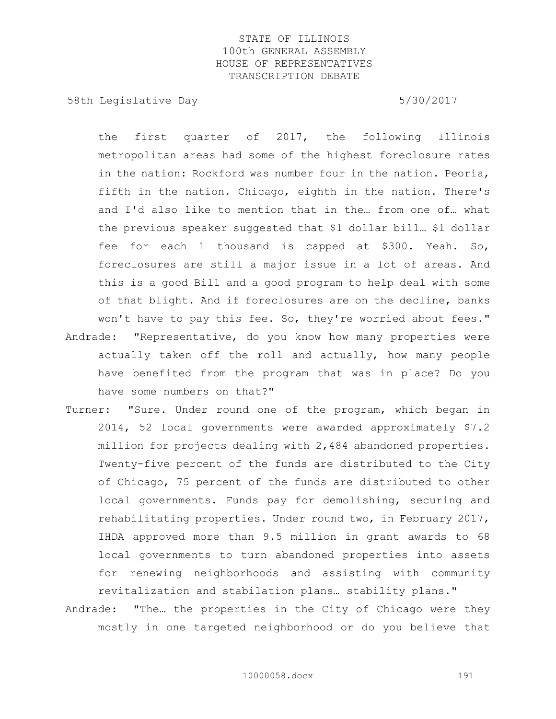58th Legislative Day 5/30/2017

the first quarter of 2017, the following Illinois metropolitan areas had some of the highest foreclosure rates in the nation: Rockford was number four in the nation. Peoria, fifth in the nation. Chicago, eighth in the nation. There's and I'd also like to mention that in the… from one of… what the previous speaker suggested that \$1 dollar bill… \$1 dollar fee for each 1 thousand is capped at \$300. Yeah. So, foreclosures are still a major issue in a lot of areas. And this is a good Bill and a good program to help deal with some of that blight. And if foreclosures are on the decline, banks won't have to pay this fee. So, they're worried about fees."

- Andrade: "Representative, do you know how many properties were actually taken off the roll and actually, how many people have benefited from the program that was in place? Do you have some numbers on that?"
- Turner: "Sure. Under round one of the program, which began in 2014, 52 local governments were awarded approximately \$7.2 million for projects dealing with 2,484 abandoned properties. Twenty-five percent of the funds are distributed to the City of Chicago, 75 percent of the funds are distributed to other local governments. Funds pay for demolishing, securing and rehabilitating properties. Under round two, in February 2017, IHDA approved more than 9.5 million in grant awards to 68 local governments to turn abandoned properties into assets for renewing neighborhoods and assisting with community revitalization and stabilation plans… stability plans."
- Andrade: "The… the properties in the City of Chicago were they mostly in one targeted neighborhood or do you believe that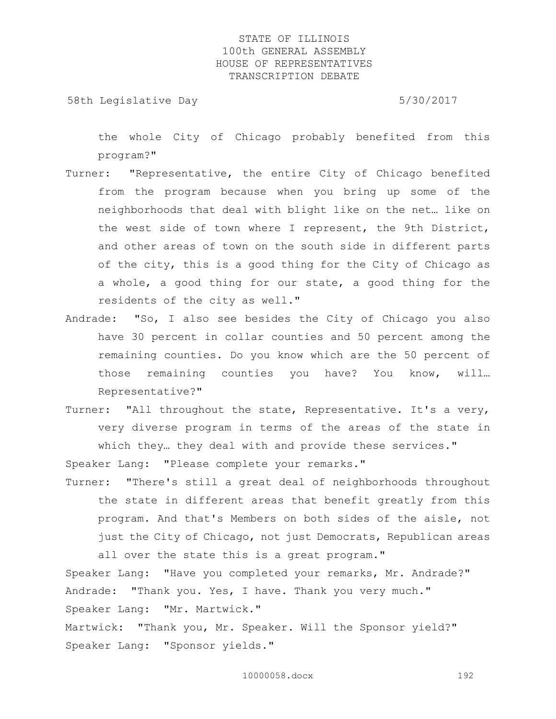58th Legislative Day 5/30/2017

the whole City of Chicago probably benefited from this program?"

- Turner: "Representative, the entire City of Chicago benefited from the program because when you bring up some of the neighborhoods that deal with blight like on the net… like on the west side of town where I represent, the 9th District, and other areas of town on the south side in different parts of the city, this is a good thing for the City of Chicago as a whole, a good thing for our state, a good thing for the residents of the city as well."
- Andrade: "So, I also see besides the City of Chicago you also have 30 percent in collar counties and 50 percent among the remaining counties. Do you know which are the 50 percent of those remaining counties you have? You know, will… Representative?"
- Turner: "All throughout the state, Representative. It's a very, very diverse program in terms of the areas of the state in which they… they deal with and provide these services."

Speaker Lang: "Please complete your remarks."

Turner: "There's still a great deal of neighborhoods throughout the state in different areas that benefit greatly from this program. And that's Members on both sides of the aisle, not just the City of Chicago, not just Democrats, Republican areas

all over the state this is a great program." Speaker Lang: "Have you completed your remarks, Mr. Andrade?" Andrade: "Thank you. Yes, I have. Thank you very much." Speaker Lang: "Mr. Martwick." Martwick: "Thank you, Mr. Speaker. Will the Sponsor yield?" Speaker Lang: "Sponsor yields."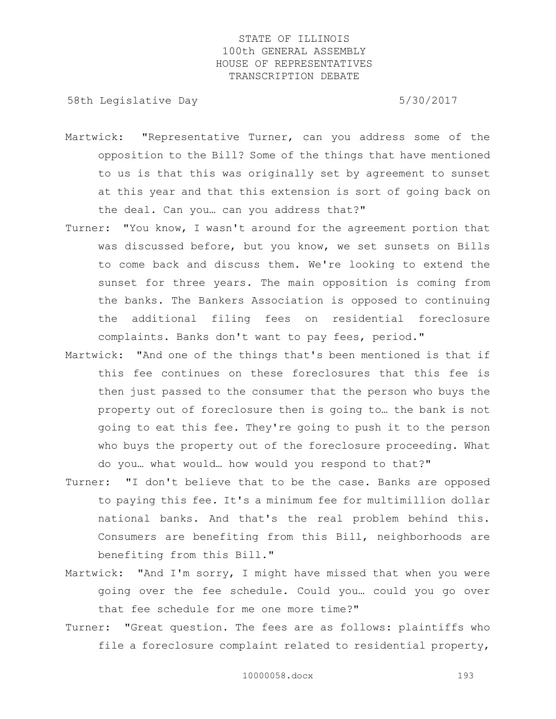58th Legislative Day 5/30/2017

- Martwick: "Representative Turner, can you address some of the opposition to the Bill? Some of the things that have mentioned to us is that this was originally set by agreement to sunset at this year and that this extension is sort of going back on the deal. Can you… can you address that?"
- Turner: "You know, I wasn't around for the agreement portion that was discussed before, but you know, we set sunsets on Bills to come back and discuss them. We're looking to extend the sunset for three years. The main opposition is coming from the banks. The Bankers Association is opposed to continuing the additional filing fees on residential foreclosure complaints. Banks don't want to pay fees, period."
- Martwick: "And one of the things that's been mentioned is that if this fee continues on these foreclosures that this fee is then just passed to the consumer that the person who buys the property out of foreclosure then is going to… the bank is not going to eat this fee. They're going to push it to the person who buys the property out of the foreclosure proceeding. What do you… what would… how would you respond to that?"
- Turner: "I don't believe that to be the case. Banks are opposed to paying this fee. It's a minimum fee for multimillion dollar national banks. And that's the real problem behind this. Consumers are benefiting from this Bill, neighborhoods are benefiting from this Bill."
- Martwick: "And I'm sorry, I might have missed that when you were going over the fee schedule. Could you… could you go over that fee schedule for me one more time?"
- Turner: "Great question. The fees are as follows: plaintiffs who file a foreclosure complaint related to residential property,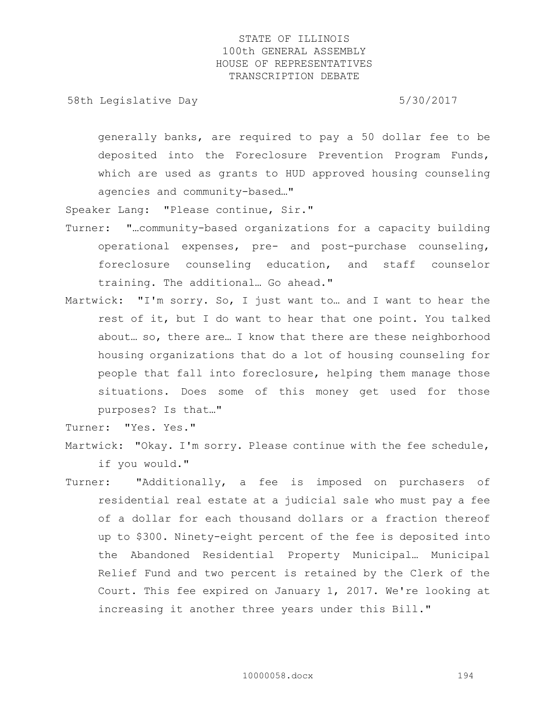58th Legislative Day 5/30/2017

generally banks, are required to pay a 50 dollar fee to be deposited into the Foreclosure Prevention Program Funds, which are used as grants to HUD approved housing counseling agencies and community-based…"

Speaker Lang: "Please continue, Sir."

- Turner: "…community-based organizations for a capacity building operational expenses, pre- and post-purchase counseling, foreclosure counseling education, and staff counselor training. The additional… Go ahead."
- Martwick: "I'm sorry. So, I just want to… and I want to hear the rest of it, but I do want to hear that one point. You talked about… so, there are… I know that there are these neighborhood housing organizations that do a lot of housing counseling for people that fall into foreclosure, helping them manage those situations. Does some of this money get used for those purposes? Is that…"

Turner: "Yes. Yes."

- Martwick: "Okay. I'm sorry. Please continue with the fee schedule, if you would."
- Turner: "Additionally, a fee is imposed on purchasers of residential real estate at a judicial sale who must pay a fee of a dollar for each thousand dollars or a fraction thereof up to \$300. Ninety-eight percent of the fee is deposited into the Abandoned Residential Property Municipal… Municipal Relief Fund and two percent is retained by the Clerk of the Court. This fee expired on January 1, 2017. We're looking at increasing it another three years under this Bill."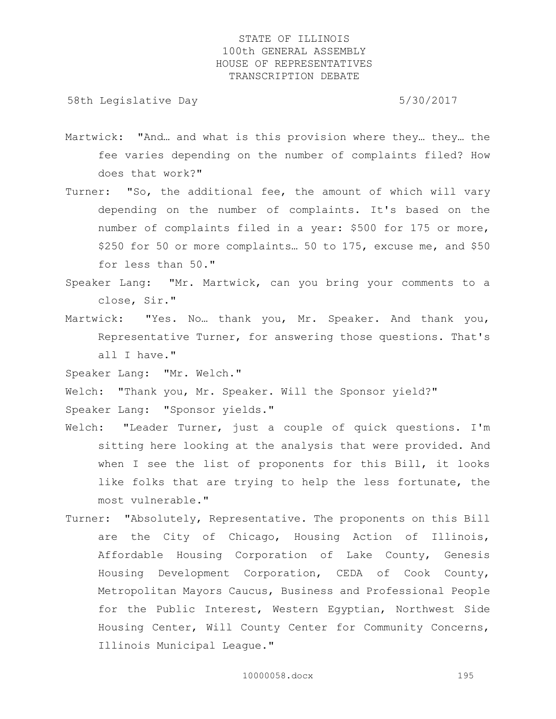58th Legislative Day 5/30/2017

- Martwick: "And… and what is this provision where they… they… the fee varies depending on the number of complaints filed? How does that work?"
- Turner: "So, the additional fee, the amount of which will vary depending on the number of complaints. It's based on the number of complaints filed in a year: \$500 for 175 or more, \$250 for 50 or more complaints… 50 to 175, excuse me, and \$50 for less than 50."
- Speaker Lang: "Mr. Martwick, can you bring your comments to a close, Sir."
- Martwick: "Yes. No… thank you, Mr. Speaker. And thank you, Representative Turner, for answering those questions. That's all I have."

Speaker Lang: "Mr. Welch."

Welch: "Thank you, Mr. Speaker. Will the Sponsor yield?" Speaker Lang: "Sponsor yields."

- Welch: "Leader Turner, just a couple of quick questions. I'm sitting here looking at the analysis that were provided. And when I see the list of proponents for this Bill, it looks like folks that are trying to help the less fortunate, the most vulnerable."
- Turner: "Absolutely, Representative. The proponents on this Bill are the City of Chicago, Housing Action of Illinois, Affordable Housing Corporation of Lake County, Genesis Housing Development Corporation, CEDA of Cook County, Metropolitan Mayors Caucus, Business and Professional People for the Public Interest, Western Egyptian, Northwest Side Housing Center, Will County Center for Community Concerns, Illinois Municipal League."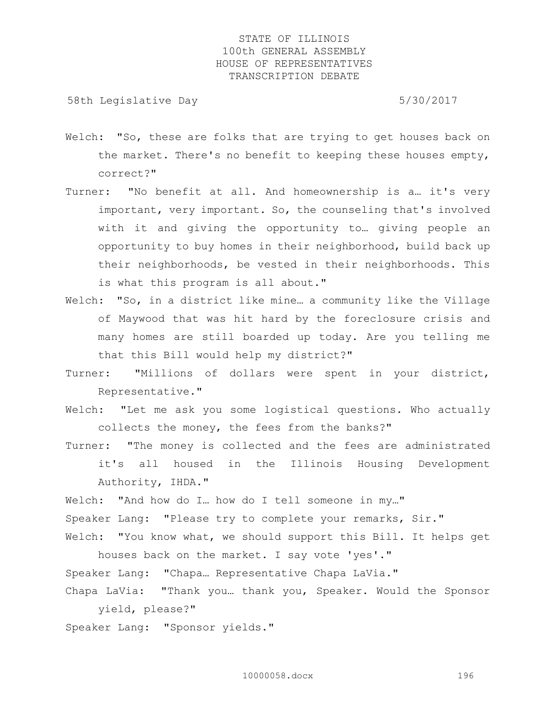58th Legislative Day 5/30/2017

- Welch: "So, these are folks that are trying to get houses back on the market. There's no benefit to keeping these houses empty, correct?"
- Turner: "No benefit at all. And homeownership is a… it's very important, very important. So, the counseling that's involved with it and giving the opportunity to… giving people an opportunity to buy homes in their neighborhood, build back up their neighborhoods, be vested in their neighborhoods. This is what this program is all about."
- Welch: "So, in a district like mine... a community like the Village of Maywood that was hit hard by the foreclosure crisis and many homes are still boarded up today. Are you telling me that this Bill would help my district?"
- Turner: "Millions of dollars were spent in your district, Representative."
- Welch: "Let me ask you some logistical questions. Who actually collects the money, the fees from the banks?"
- Turner: "The money is collected and the fees are administrated it's all housed in the Illinois Housing Development Authority, IHDA."

Welch: "And how do I... how do I tell someone in my..." Speaker Lang: "Please try to complete your remarks, Sir." Welch: "You know what, we should support this Bill. It helps get

houses back on the market. I say vote 'yes'." Speaker Lang: "Chapa… Representative Chapa LaVia." Chapa LaVia: "Thank you… thank you, Speaker. Would the Sponsor

yield, please?" Speaker Lang: "Sponsor yields."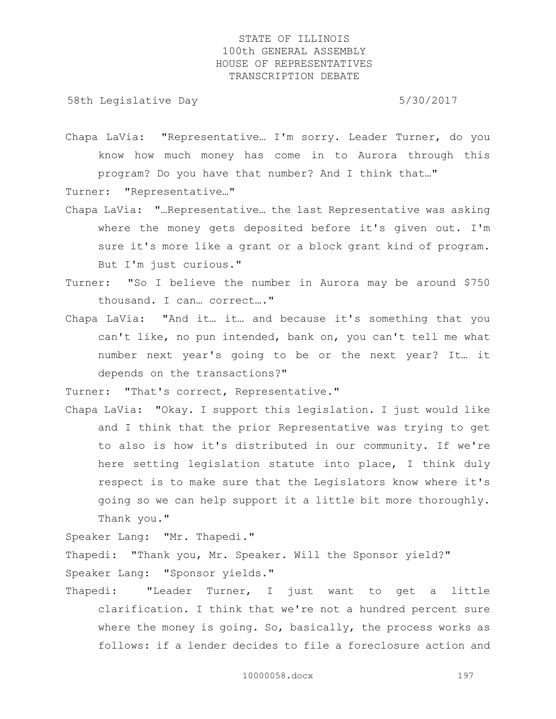58th Legislative Day 5/30/2017

- Chapa LaVia: "Representative… I'm sorry. Leader Turner, do you know how much money has come in to Aurora through this program? Do you have that number? And I think that…" Turner: "Representative…"
- Chapa LaVia: "…Representative… the last Representative was asking where the money gets deposited before it's given out. I'm sure it's more like a grant or a block grant kind of program. But I'm just curious."
- Turner: "So I believe the number in Aurora may be around \$750 thousand. I can… correct…."
- Chapa LaVia: "And it… it… and because it's something that you can't like, no pun intended, bank on, you can't tell me what number next year's going to be or the next year? It… it depends on the transactions?"

Turner: "That's correct, Representative."

Chapa LaVia: "Okay. I support this legislation. I just would like and I think that the prior Representative was trying to get to also is how it's distributed in our community. If we're here setting legislation statute into place, I think duly respect is to make sure that the Legislators know where it's going so we can help support it a little bit more thoroughly. Thank you."

Speaker Lang: "Mr. Thapedi."

Thapedi: "Thank you, Mr. Speaker. Will the Sponsor yield?" Speaker Lang: "Sponsor yields."

Thapedi: "Leader Turner, I just want to get a little clarification. I think that we're not a hundred percent sure where the money is going. So, basically, the process works as follows: if a lender decides to file a foreclosure action and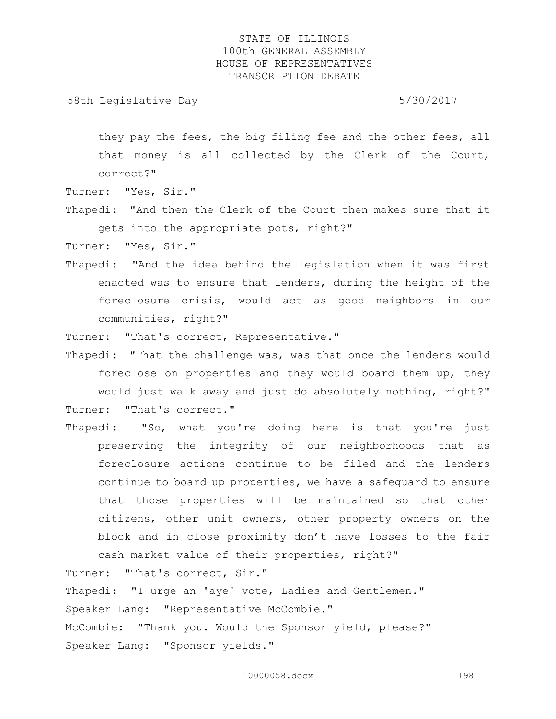58th Legislative Day 5/30/2017

they pay the fees, the big filing fee and the other fees, all that money is all collected by the Clerk of the Court, correct?"

Turner: "Yes, Sir."

Thapedi: "And then the Clerk of the Court then makes sure that it gets into the appropriate pots, right?"

Turner: "Yes, Sir."

Thapedi: "And the idea behind the legislation when it was first enacted was to ensure that lenders, during the height of the foreclosure crisis, would act as good neighbors in our communities, right?"

Turner: "That's correct, Representative."

Thapedi: "That the challenge was, was that once the lenders would foreclose on properties and they would board them up, they would just walk away and just do absolutely nothing, right?" Turner: "That's correct."

Thapedi: "So, what you're doing here is that you're just preserving the integrity of our neighborhoods that as foreclosure actions continue to be filed and the lenders continue to board up properties, we have a safeguard to ensure that those properties will be maintained so that other citizens, other unit owners, other property owners on the block and in close proximity don't have losses to the fair cash market value of their properties, right?"

Turner: "That's correct, Sir." Thapedi: "I urge an 'aye' vote, Ladies and Gentlemen." Speaker Lang: "Representative McCombie." McCombie: "Thank you. Would the Sponsor yield, please?" Speaker Lang: "Sponsor yields."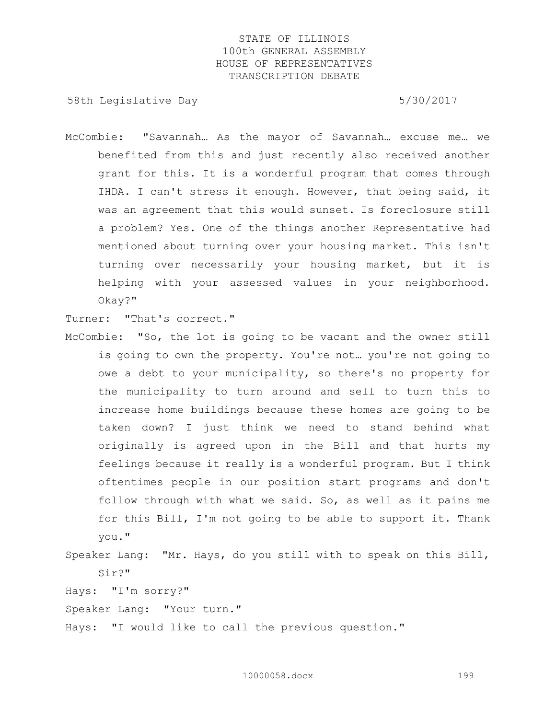58th Legislative Day 5/30/2017

McCombie: "Savannah… As the mayor of Savannah… excuse me… we benefited from this and just recently also received another grant for this. It is a wonderful program that comes through IHDA. I can't stress it enough. However, that being said, it was an agreement that this would sunset. Is foreclosure still a problem? Yes. One of the things another Representative had mentioned about turning over your housing market. This isn't turning over necessarily your housing market, but it is helping with your assessed values in your neighborhood. Okay?"

Turner: "That's correct."

- McCombie: "So, the lot is going to be vacant and the owner still is going to own the property. You're not… you're not going to owe a debt to your municipality, so there's no property for the municipality to turn around and sell to turn this to increase home buildings because these homes are going to be taken down? I just think we need to stand behind what originally is agreed upon in the Bill and that hurts my feelings because it really is a wonderful program. But I think oftentimes people in our position start programs and don't follow through with what we said. So, as well as it pains me for this Bill, I'm not going to be able to support it. Thank you."
- Speaker Lang: "Mr. Hays, do you still with to speak on this Bill, Sir?"

Hays: "I'm sorry?"

Speaker Lang: "Your turn."

Hays: "I would like to call the previous question."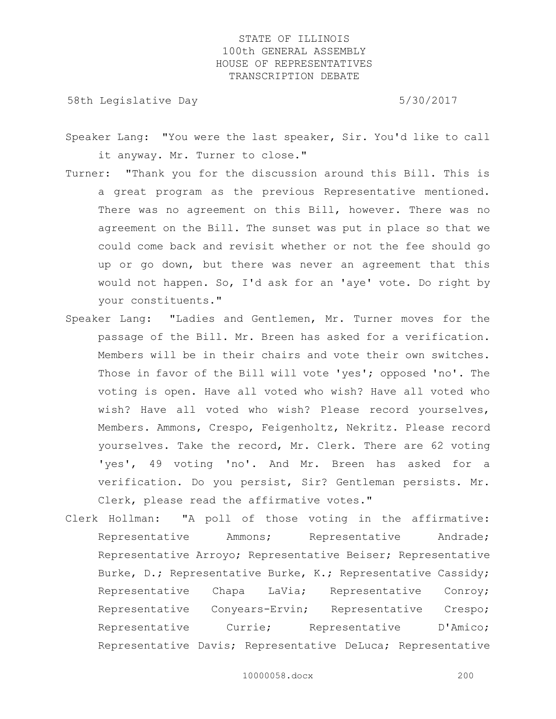58th Legislative Day 5/30/2017

- Speaker Lang: "You were the last speaker, Sir. You'd like to call it anyway. Mr. Turner to close."
- Turner: "Thank you for the discussion around this Bill. This is a great program as the previous Representative mentioned. There was no agreement on this Bill, however. There was no agreement on the Bill. The sunset was put in place so that we could come back and revisit whether or not the fee should go up or go down, but there was never an agreement that this would not happen. So, I'd ask for an 'aye' vote. Do right by your constituents."
- Speaker Lang: "Ladies and Gentlemen, Mr. Turner moves for the passage of the Bill. Mr. Breen has asked for a verification. Members will be in their chairs and vote their own switches. Those in favor of the Bill will vote 'yes'; opposed 'no'. The voting is open. Have all voted who wish? Have all voted who wish? Have all voted who wish? Please record yourselves, Members. Ammons, Crespo, Feigenholtz, Nekritz. Please record yourselves. Take the record, Mr. Clerk. There are 62 voting 'yes', 49 voting 'no'. And Mr. Breen has asked for a verification. Do you persist, Sir? Gentleman persists. Mr. Clerk, please read the affirmative votes."
- Clerk Hollman: "A poll of those voting in the affirmative: Representative Ammons; Representative Andrade; Representative Arroyo; Representative Beiser; Representative Burke, D.; Representative Burke, K.; Representative Cassidy; Representative Chapa LaVia; Representative Conroy; Representative Conyears-Ervin; Representative Crespo; Representative Currie; Representative D'Amico; Representative Davis; Representative DeLuca; Representative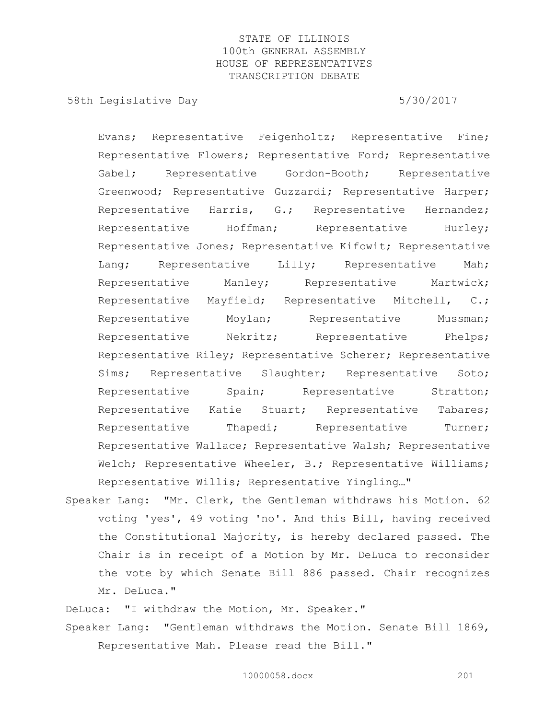58th Legislative Day 5/30/2017

Evans; Representative Feigenholtz; Representative Fine; Representative Flowers; Representative Ford; Representative Gabel; Representative Gordon-Booth; Representative Greenwood; Representative Guzzardi; Representative Harper; Representative Harris, G.; Representative Hernandez; Representative Hoffman; Representative Hurley; Representative Jones; Representative Kifowit; Representative Lang; Representative Lilly; Representative Mah; Representative Manley; Representative Martwick; Representative Mayfield; Representative Mitchell, C.; Representative Moylan; Representative Mussman; Representative Nekritz; Representative Phelps; Representative Riley; Representative Scherer; Representative Sims; Representative Slaughter; Representative Soto; Representative Spain; Representative Stratton; Representative Katie Stuart; Representative Tabares; Representative Thapedi; Representative Turner; Representative Wallace; Representative Walsh; Representative Welch; Representative Wheeler, B.; Representative Williams; Representative Willis; Representative Yingling…"

Speaker Lang: "Mr. Clerk, the Gentleman withdraws his Motion. 62 voting 'yes', 49 voting 'no'. And this Bill, having received the Constitutional Majority, is hereby declared passed. The Chair is in receipt of a Motion by Mr. DeLuca to reconsider the vote by which Senate Bill 886 passed. Chair recognizes Mr. DeLuca."

DeLuca: "I withdraw the Motion, Mr. Speaker." Speaker Lang: "Gentleman withdraws the Motion. Senate Bill 1869, Representative Mah. Please read the Bill."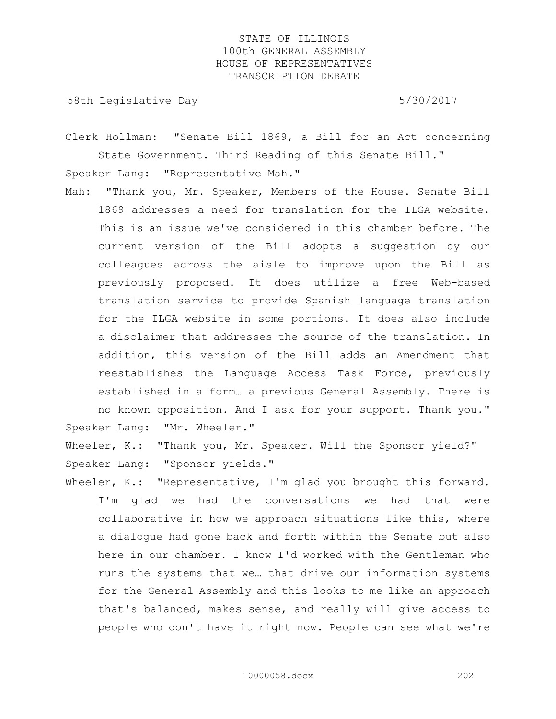58th Legislative Day 5/30/2017

Clerk Hollman: "Senate Bill 1869, a Bill for an Act concerning State Government. Third Reading of this Senate Bill."

Speaker Lang: "Representative Mah."

Mah: "Thank you, Mr. Speaker, Members of the House. Senate Bill 1869 addresses a need for translation for the ILGA website. This is an issue we've considered in this chamber before. The current version of the Bill adopts a suggestion by our colleagues across the aisle to improve upon the Bill as previously proposed. It does utilize a free Web-based translation service to provide Spanish language translation for the ILGA website in some portions. It does also include a disclaimer that addresses the source of the translation. In addition, this version of the Bill adds an Amendment that reestablishes the Language Access Task Force, previously established in a form… a previous General Assembly. There is no known opposition. And I ask for your support. Thank you." Speaker Lang: "Mr. Wheeler."

Wheeler, K.: "Thank you, Mr. Speaker. Will the Sponsor yield?" Speaker Lang: "Sponsor yields."

Wheeler, K.: "Representative, I'm glad you brought this forward. I'm glad we had the conversations we had that were collaborative in how we approach situations like this, where a dialogue had gone back and forth within the Senate but also here in our chamber. I know I'd worked with the Gentleman who runs the systems that we… that drive our information systems for the General Assembly and this looks to me like an approach that's balanced, makes sense, and really will give access to people who don't have it right now. People can see what we're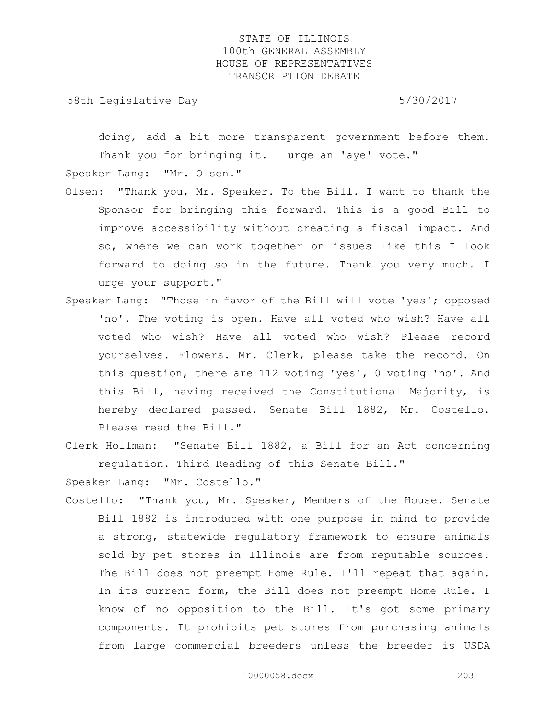58th Legislative Day 5/30/2017

doing, add a bit more transparent government before them. Thank you for bringing it. I urge an 'aye' vote." Speaker Lang: "Mr. Olsen."

- Olsen: "Thank you, Mr. Speaker. To the Bill. I want to thank the Sponsor for bringing this forward. This is a good Bill to improve accessibility without creating a fiscal impact. And so, where we can work together on issues like this I look forward to doing so in the future. Thank you very much. I urge your support."
- Speaker Lang: "Those in favor of the Bill will vote 'yes'; opposed 'no'. The voting is open. Have all voted who wish? Have all voted who wish? Have all voted who wish? Please record yourselves. Flowers. Mr. Clerk, please take the record. On this question, there are 112 voting 'yes', 0 voting 'no'. And this Bill, having received the Constitutional Majority, is hereby declared passed. Senate Bill 1882, Mr. Costello. Please read the Bill."
- Clerk Hollman: "Senate Bill 1882, a Bill for an Act concerning regulation. Third Reading of this Senate Bill."

Speaker Lang: "Mr. Costello."

Costello: "Thank you, Mr. Speaker, Members of the House. Senate Bill 1882 is introduced with one purpose in mind to provide a strong, statewide regulatory framework to ensure animals sold by pet stores in Illinois are from reputable sources. The Bill does not preempt Home Rule. I'll repeat that again. In its current form, the Bill does not preempt Home Rule. I know of no opposition to the Bill. It's got some primary components. It prohibits pet stores from purchasing animals from large commercial breeders unless the breeder is USDA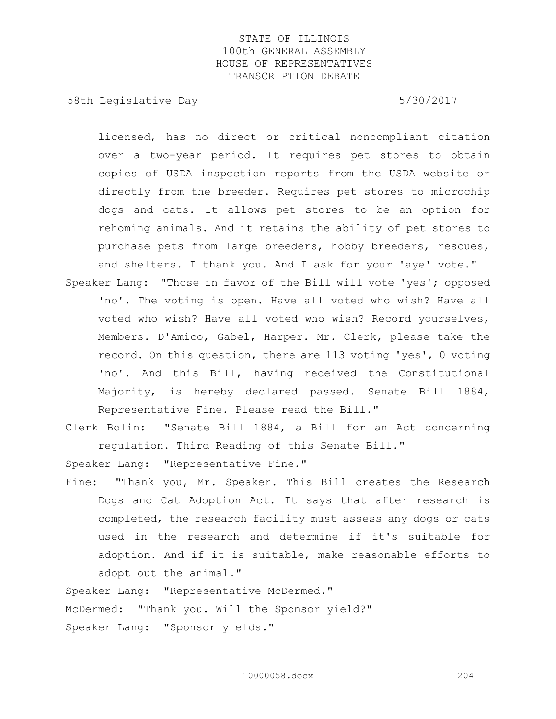58th Legislative Day 5/30/2017

licensed, has no direct or critical noncompliant citation over a two-year period. It requires pet stores to obtain copies of USDA inspection reports from the USDA website or directly from the breeder. Requires pet stores to microchip dogs and cats. It allows pet stores to be an option for rehoming animals. And it retains the ability of pet stores to purchase pets from large breeders, hobby breeders, rescues, and shelters. I thank you. And I ask for your 'aye' vote."

- Speaker Lang: "Those in favor of the Bill will vote 'yes'; opposed 'no'. The voting is open. Have all voted who wish? Have all voted who wish? Have all voted who wish? Record yourselves, Members. D'Amico, Gabel, Harper. Mr. Clerk, please take the record. On this question, there are 113 voting 'yes', 0 voting 'no'. And this Bill, having received the Constitutional Majority, is hereby declared passed. Senate Bill 1884, Representative Fine. Please read the Bill."
- Clerk Bolin: "Senate Bill 1884, a Bill for an Act concerning regulation. Third Reading of this Senate Bill."

Speaker Lang: "Representative Fine."

Fine: "Thank you, Mr. Speaker. This Bill creates the Research Dogs and Cat Adoption Act. It says that after research is completed, the research facility must assess any dogs or cats used in the research and determine if it's suitable for adoption. And if it is suitable, make reasonable efforts to adopt out the animal."

Speaker Lang: "Representative McDermed."

McDermed: "Thank you. Will the Sponsor yield?" Speaker Lang: "Sponsor yields."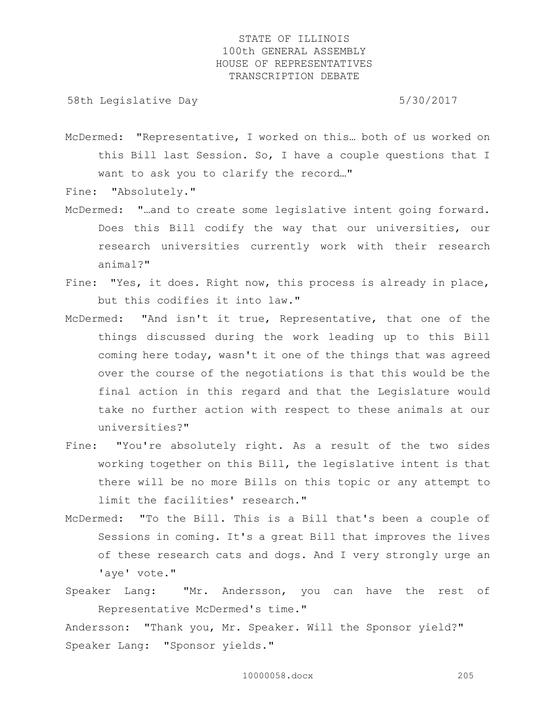58th Legislative Day 5/30/2017

McDermed: "Representative, I worked on this… both of us worked on this Bill last Session. So, I have a couple questions that I want to ask you to clarify the record…"

Fine: "Absolutely."

- McDermed: "…and to create some legislative intent going forward. Does this Bill codify the way that our universities, our research universities currently work with their research animal?"
- Fine: "Yes, it does. Right now, this process is already in place, but this codifies it into law."
- McDermed: "And isn't it true, Representative, that one of the things discussed during the work leading up to this Bill coming here today, wasn't it one of the things that was agreed over the course of the negotiations is that this would be the final action in this regard and that the Legislature would take no further action with respect to these animals at our universities?"
- Fine: "You're absolutely right. As a result of the two sides working together on this Bill, the legislative intent is that there will be no more Bills on this topic or any attempt to limit the facilities' research."
- McDermed: "To the Bill. This is a Bill that's been a couple of Sessions in coming. It's a great Bill that improves the lives of these research cats and dogs. And I very strongly urge an 'aye' vote."
- Speaker Lang: "Mr. Andersson, you can have the rest of Representative McDermed's time."

Andersson: "Thank you, Mr. Speaker. Will the Sponsor yield?" Speaker Lang: "Sponsor yields."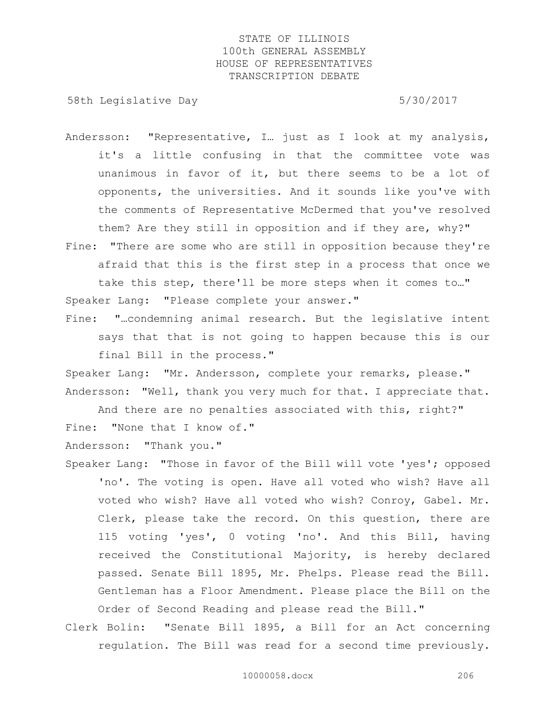58th Legislative Day 5/30/2017

- Andersson: "Representative, I… just as I look at my analysis, it's a little confusing in that the committee vote was unanimous in favor of it, but there seems to be a lot of opponents, the universities. And it sounds like you've with the comments of Representative McDermed that you've resolved them? Are they still in opposition and if they are, why?"
- Fine: "There are some who are still in opposition because they're afraid that this is the first step in a process that once we take this step, there'll be more steps when it comes to…" Speaker Lang: "Please complete your answer."
- Fine: "…condemning animal research. But the legislative intent says that that is not going to happen because this is our final Bill in the process."

Speaker Lang: "Mr. Andersson, complete your remarks, please." Andersson: "Well, thank you very much for that. I appreciate that.

And there are no penalties associated with this, right?" Fine: "None that I know of."

Andersson: "Thank you."

- Speaker Lang: "Those in favor of the Bill will vote 'yes'; opposed 'no'. The voting is open. Have all voted who wish? Have all voted who wish? Have all voted who wish? Conroy, Gabel. Mr. Clerk, please take the record. On this question, there are 115 voting 'yes', 0 voting 'no'. And this Bill, having received the Constitutional Majority, is hereby declared passed. Senate Bill 1895, Mr. Phelps. Please read the Bill. Gentleman has a Floor Amendment. Please place the Bill on the Order of Second Reading and please read the Bill."
- Clerk Bolin: "Senate Bill 1895, a Bill for an Act concerning regulation. The Bill was read for a second time previously.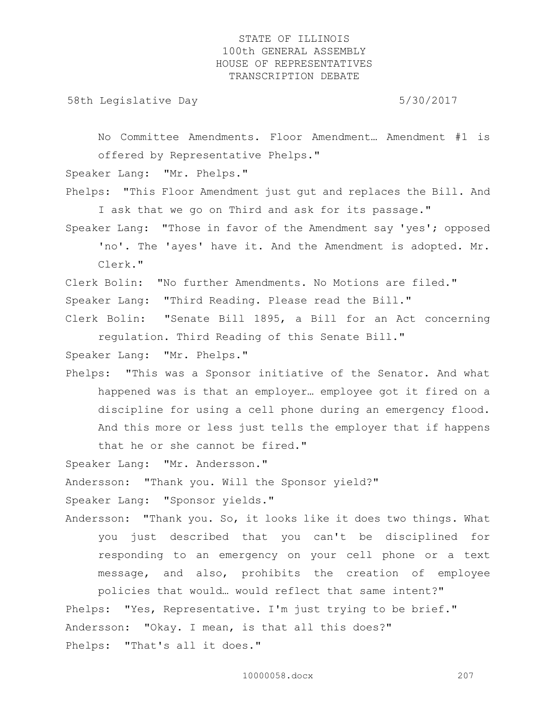58th Legislative Day 6/30/2017

No Committee Amendments. Floor Amendment… Amendment #1 is offered by Representative Phelps."

Speaker Lang: "Mr. Phelps."

Phelps: "This Floor Amendment just gut and replaces the Bill. And I ask that we go on Third and ask for its passage."

Speaker Lang: "Those in favor of the Amendment say 'yes'; opposed 'no'. The 'ayes' have it. And the Amendment is adopted. Mr. Clerk."

Clerk Bolin: "No further Amendments. No Motions are filed." Speaker Lang: "Third Reading. Please read the Bill."

Clerk Bolin: "Senate Bill 1895, a Bill for an Act concerning regulation. Third Reading of this Senate Bill."

Speaker Lang: "Mr. Phelps."

Phelps: "This was a Sponsor initiative of the Senator. And what happened was is that an employer… employee got it fired on a discipline for using a cell phone during an emergency flood. And this more or less just tells the employer that if happens that he or she cannot be fired."

Speaker Lang: "Mr. Andersson."

Andersson: "Thank you. Will the Sponsor yield?"

Speaker Lang: "Sponsor yields."

Andersson: "Thank you. So, it looks like it does two things. What you just described that you can't be disciplined for responding to an emergency on your cell phone or a text message, and also, prohibits the creation of employee policies that would… would reflect that same intent?"

Phelps: "Yes, Representative. I'm just trying to be brief." Andersson: "Okay. I mean, is that all this does?" Phelps: "That's all it does."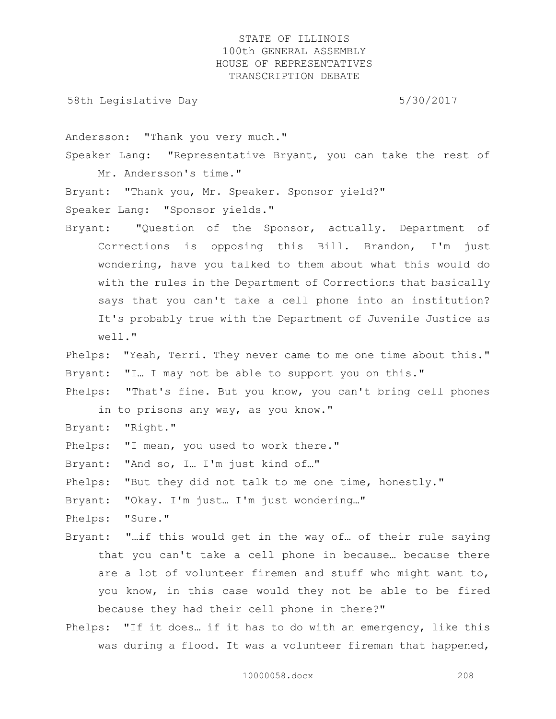58th Legislative Day 5/30/2017

Andersson: "Thank you very much."

Speaker Lang: "Representative Bryant, you can take the rest of Mr. Andersson's time."

Bryant: "Thank you, Mr. Speaker. Sponsor yield?"

Speaker Lang: "Sponsor yields."

Bryant: "Question of the Sponsor, actually. Department of Corrections is opposing this Bill. Brandon, I'm just wondering, have you talked to them about what this would do with the rules in the Department of Corrections that basically says that you can't take a cell phone into an institution? It's probably true with the Department of Juvenile Justice as well."

Phelps: "Yeah, Terri. They never came to me one time about this." Bryant: "I... I may not be able to support you on this."

Phelps: "That's fine. But you know, you can't bring cell phones in to prisons any way, as you know."

- Bryant: "Right."
- Phelps: "I mean, you used to work there."

Bryant: "And so, I… I'm just kind of…"

Phelps: "But they did not talk to me one time, honestly."

Bryant: "Okay. I'm just… I'm just wondering…"

- Phelps: "Sure."
- Bryant: "…if this would get in the way of… of their rule saying that you can't take a cell phone in because… because there are a lot of volunteer firemen and stuff who might want to, you know, in this case would they not be able to be fired because they had their cell phone in there?"
- Phelps: "If it does… if it has to do with an emergency, like this was during a flood. It was a volunteer fireman that happened,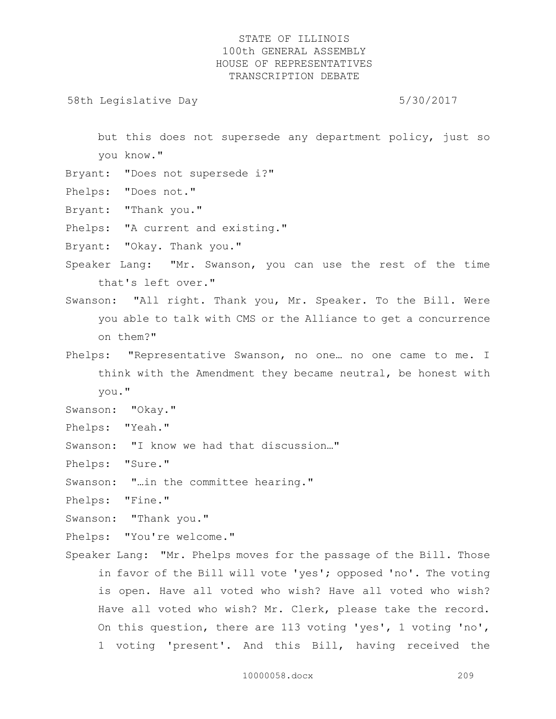58th Legislative Day 5/30/2017

but this does not supersede any department policy, just so you know."

- Bryant: "Does not supersede i?"
- Phelps: "Does not."
- Bryant: "Thank you."
- Phelps: "A current and existing."
- Bryant: "Okay. Thank you."
- Speaker Lang: "Mr. Swanson, you can use the rest of the time that's left over."
- Swanson: "All right. Thank you, Mr. Speaker. To the Bill. Were you able to talk with CMS or the Alliance to get a concurrence on them?"
- Phelps: "Representative Swanson, no one… no one came to me. I think with the Amendment they became neutral, be honest with you."
- Swanson: "Okay."
- Phelps: "Yeah."
- Swanson: "I know we had that discussion…"
- Phelps: "Sure."
- Swanson: "…in the committee hearing."
- Phelps: "Fine."
- Swanson: "Thank you."
- Phelps: "You're welcome."
- Speaker Lang: "Mr. Phelps moves for the passage of the Bill. Those in favor of the Bill will vote 'yes'; opposed 'no'. The voting is open. Have all voted who wish? Have all voted who wish? Have all voted who wish? Mr. Clerk, please take the record. On this question, there are 113 voting 'yes', 1 voting 'no', 1 voting 'present'. And this Bill, having received the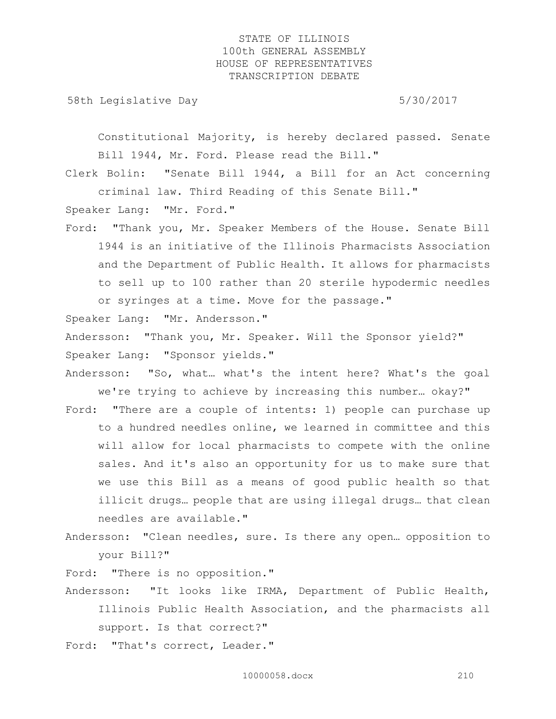58th Legislative Day 5/30/2017

Constitutional Majority, is hereby declared passed. Senate Bill 1944, Mr. Ford. Please read the Bill."

Clerk Bolin: "Senate Bill 1944, a Bill for an Act concerning criminal law. Third Reading of this Senate Bill."

Speaker Lang: "Mr. Ford."

Ford: "Thank you, Mr. Speaker Members of the House. Senate Bill 1944 is an initiative of the Illinois Pharmacists Association and the Department of Public Health. It allows for pharmacists to sell up to 100 rather than 20 sterile hypodermic needles or syringes at a time. Move for the passage."

Speaker Lang: "Mr. Andersson."

Andersson: "Thank you, Mr. Speaker. Will the Sponsor yield?" Speaker Lang: "Sponsor yields."

- Andersson: "So, what… what's the intent here? What's the goal we're trying to achieve by increasing this number… okay?"
- Ford: "There are a couple of intents: 1) people can purchase up to a hundred needles online, we learned in committee and this will allow for local pharmacists to compete with the online sales. And it's also an opportunity for us to make sure that we use this Bill as a means of good public health so that illicit drugs… people that are using illegal drugs… that clean needles are available."
- Andersson: "Clean needles, sure. Is there any open… opposition to your Bill?"

Ford: "There is no opposition."

- Andersson: "It looks like IRMA, Department of Public Health, Illinois Public Health Association, and the pharmacists all support. Is that correct?"
- Ford: "That's correct, Leader."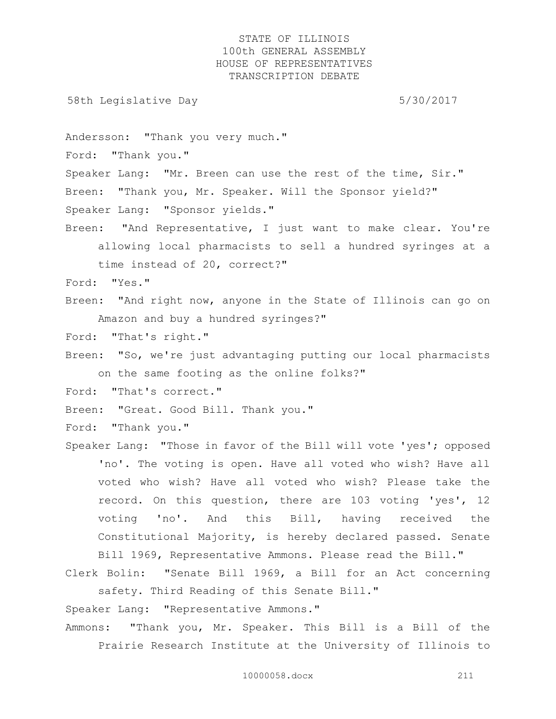58th Legislative Day 5/30/2017

Andersson: "Thank you very much."

Ford: "Thank you."

Speaker Lang: "Mr. Breen can use the rest of the time, Sir." Breen: "Thank you, Mr. Speaker. Will the Sponsor yield?" Speaker Lang: "Sponsor yields."

Breen: "And Representative, I just want to make clear. You're allowing local pharmacists to sell a hundred syringes at a time instead of 20, correct?"

Ford: "Yes."

Breen: "And right now, anyone in the State of Illinois can go on Amazon and buy a hundred syringes?"

Ford: "That's right."

Breen: "So, we're just advantaging putting our local pharmacists on the same footing as the online folks?"

Ford: "That's correct."

Breen: "Great. Good Bill. Thank you."

Ford: "Thank you."

Speaker Lang: "Those in favor of the Bill will vote 'yes'; opposed 'no'. The voting is open. Have all voted who wish? Have all voted who wish? Have all voted who wish? Please take the record. On this question, there are 103 voting 'yes', 12 voting 'no'. And this Bill, having received the Constitutional Majority, is hereby declared passed. Senate Bill 1969, Representative Ammons. Please read the Bill."

Clerk Bolin: "Senate Bill 1969, a Bill for an Act concerning safety. Third Reading of this Senate Bill."

Speaker Lang: "Representative Ammons."

Ammons: "Thank you, Mr. Speaker. This Bill is a Bill of the Prairie Research Institute at the University of Illinois to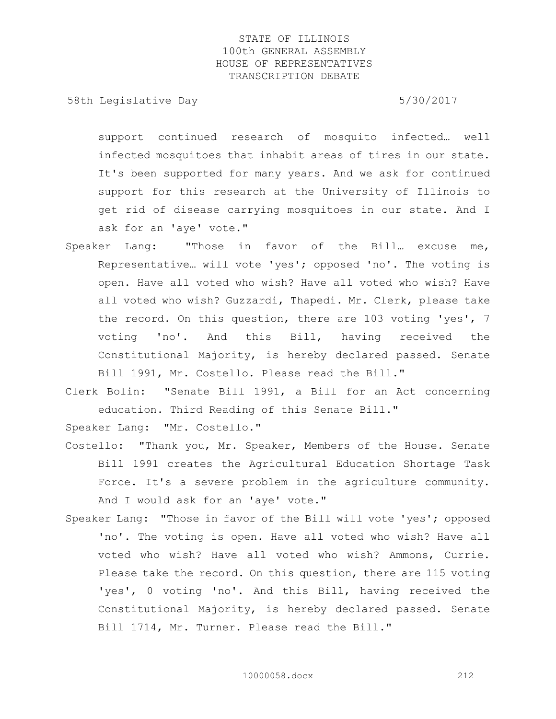58th Legislative Day 5/30/2017

support continued research of mosquito infected… well infected mosquitoes that inhabit areas of tires in our state. It's been supported for many years. And we ask for continued support for this research at the University of Illinois to get rid of disease carrying mosquitoes in our state. And I ask for an 'aye' vote."

- Speaker Lang: "Those in favor of the Bill… excuse me, Representative… will vote 'yes'; opposed 'no'. The voting is open. Have all voted who wish? Have all voted who wish? Have all voted who wish? Guzzardi, Thapedi. Mr. Clerk, please take the record. On this question, there are 103 voting 'yes', 7 voting 'no'. And this Bill, having received the Constitutional Majority, is hereby declared passed. Senate Bill 1991, Mr. Costello. Please read the Bill."
- Clerk Bolin: "Senate Bill 1991, a Bill for an Act concerning education. Third Reading of this Senate Bill."

Speaker Lang: "Mr. Costello."

- Costello: "Thank you, Mr. Speaker, Members of the House. Senate Bill 1991 creates the Agricultural Education Shortage Task Force. It's a severe problem in the agriculture community. And I would ask for an 'aye' vote."
- Speaker Lang: "Those in favor of the Bill will vote 'yes'; opposed 'no'. The voting is open. Have all voted who wish? Have all voted who wish? Have all voted who wish? Ammons, Currie. Please take the record. On this question, there are 115 voting 'yes', 0 voting 'no'. And this Bill, having received the Constitutional Majority, is hereby declared passed. Senate Bill 1714, Mr. Turner. Please read the Bill."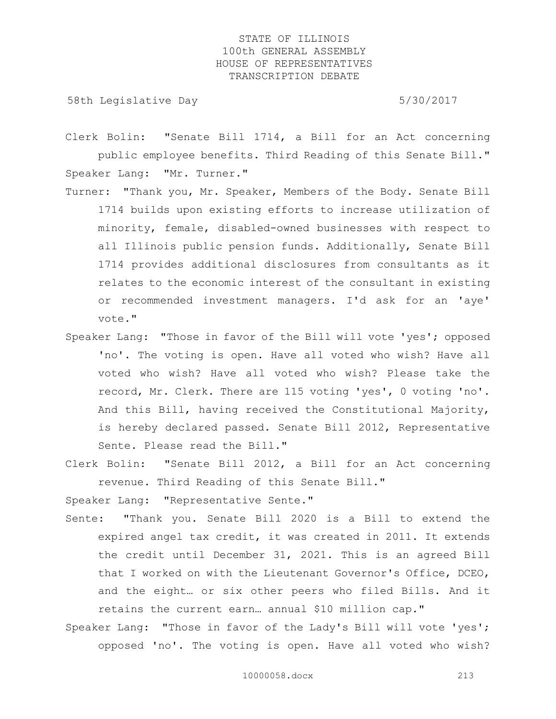58th Legislative Day 5/30/2017

Clerk Bolin: "Senate Bill 1714, a Bill for an Act concerning public employee benefits. Third Reading of this Senate Bill." Speaker Lang: "Mr. Turner."

- Turner: "Thank you, Mr. Speaker, Members of the Body. Senate Bill 1714 builds upon existing efforts to increase utilization of minority, female, disabled-owned businesses with respect to all Illinois public pension funds. Additionally, Senate Bill 1714 provides additional disclosures from consultants as it relates to the economic interest of the consultant in existing or recommended investment managers. I'd ask for an 'aye' vote."
- Speaker Lang: "Those in favor of the Bill will vote 'yes'; opposed 'no'. The voting is open. Have all voted who wish? Have all voted who wish? Have all voted who wish? Please take the record, Mr. Clerk. There are 115 voting 'yes', 0 voting 'no'. And this Bill, having received the Constitutional Majority, is hereby declared passed. Senate Bill 2012, Representative Sente. Please read the Bill."
- Clerk Bolin: "Senate Bill 2012, a Bill for an Act concerning revenue. Third Reading of this Senate Bill."

Speaker Lang: "Representative Sente."

- Sente: "Thank you. Senate Bill 2020 is a Bill to extend the expired angel tax credit, it was created in 2011. It extends the credit until December 31, 2021. This is an agreed Bill that I worked on with the Lieutenant Governor's Office, DCEO, and the eight… or six other peers who filed Bills. And it retains the current earn… annual \$10 million cap."
- Speaker Lang: "Those in favor of the Lady's Bill will vote 'yes'; opposed 'no'. The voting is open. Have all voted who wish?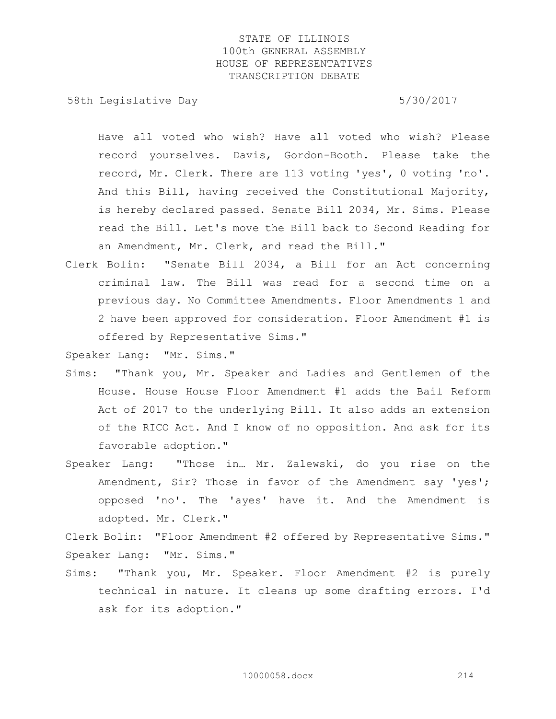58th Legislative Day 5/30/2017

Have all voted who wish? Have all voted who wish? Please record yourselves. Davis, Gordon-Booth. Please take the record, Mr. Clerk. There are 113 voting 'yes', 0 voting 'no'. And this Bill, having received the Constitutional Majority, is hereby declared passed. Senate Bill 2034, Mr. Sims. Please read the Bill. Let's move the Bill back to Second Reading for an Amendment, Mr. Clerk, and read the Bill."

Clerk Bolin: "Senate Bill 2034, a Bill for an Act concerning criminal law. The Bill was read for a second time on a previous day. No Committee Amendments. Floor Amendments 1 and 2 have been approved for consideration. Floor Amendment #1 is offered by Representative Sims."

Speaker Lang: "Mr. Sims."

- Sims: "Thank you, Mr. Speaker and Ladies and Gentlemen of the House. House House Floor Amendment #1 adds the Bail Reform Act of 2017 to the underlying Bill. It also adds an extension of the RICO Act. And I know of no opposition. And ask for its favorable adoption."
- Speaker Lang: "Those in… Mr. Zalewski, do you rise on the Amendment, Sir? Those in favor of the Amendment say 'yes'; opposed 'no'. The 'ayes' have it. And the Amendment is adopted. Mr. Clerk."

Clerk Bolin: "Floor Amendment #2 offered by Representative Sims." Speaker Lang: "Mr. Sims."

Sims: "Thank you, Mr. Speaker. Floor Amendment #2 is purely technical in nature. It cleans up some drafting errors. I'd ask for its adoption."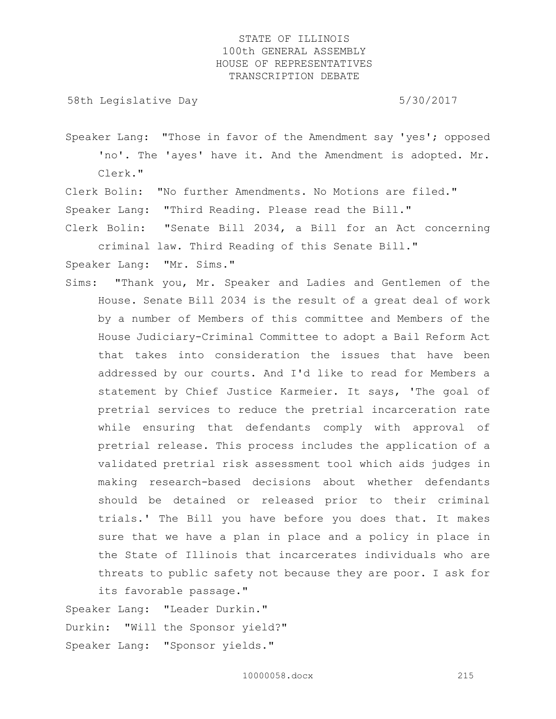58th Legislative Day 5/30/2017

Speaker Lang: "Those in favor of the Amendment say 'yes'; opposed 'no'. The 'ayes' have it. And the Amendment is adopted. Mr. Clerk."

Clerk Bolin: "No further Amendments. No Motions are filed."

Speaker Lang: "Third Reading. Please read the Bill."

Clerk Bolin: "Senate Bill 2034, a Bill for an Act concerning criminal law. Third Reading of this Senate Bill."

Speaker Lang: "Mr. Sims."

Sims: "Thank you, Mr. Speaker and Ladies and Gentlemen of the House. Senate Bill 2034 is the result of a great deal of work by a number of Members of this committee and Members of the House Judiciary-Criminal Committee to adopt a Bail Reform Act that takes into consideration the issues that have been addressed by our courts. And I'd like to read for Members a statement by Chief Justice Karmeier. It says, 'The goal of pretrial services to reduce the pretrial incarceration rate while ensuring that defendants comply with approval of pretrial release. This process includes the application of a validated pretrial risk assessment tool which aids judges in making research-based decisions about whether defendants should be detained or released prior to their criminal trials.' The Bill you have before you does that. It makes sure that we have a plan in place and a policy in place in the State of Illinois that incarcerates individuals who are threats to public safety not because they are poor. I ask for its favorable passage."

Speaker Lang: "Leader Durkin." Durkin: "Will the Sponsor yield?" Speaker Lang: "Sponsor yields."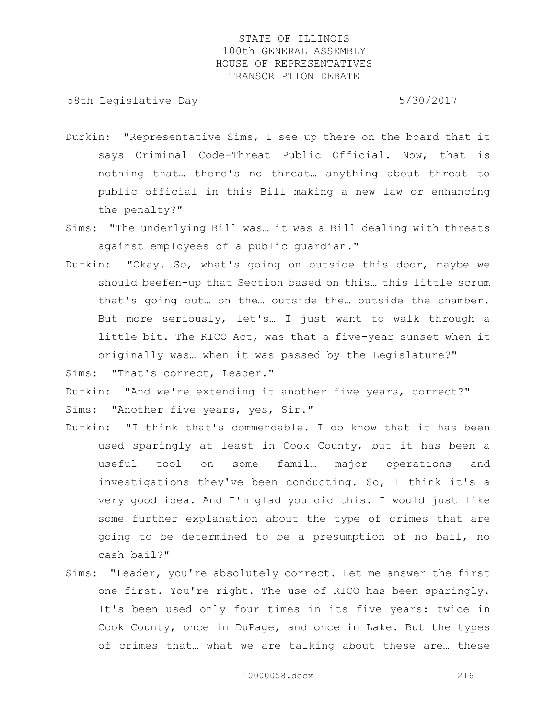58th Legislative Day 6.5730/2017

- Durkin: "Representative Sims, I see up there on the board that it says Criminal Code-Threat Public Official. Now, that is nothing that… there's no threat… anything about threat to public official in this Bill making a new law or enhancing the penalty?"
- Sims: "The underlying Bill was… it was a Bill dealing with threats against employees of a public guardian."
- Durkin: "Okay. So, what's going on outside this door, maybe we should beefen-up that Section based on this… this little scrum that's going out… on the… outside the… outside the chamber. But more seriously, let's… I just want to walk through a little bit. The RICO Act, was that a five-year sunset when it originally was… when it was passed by the Legislature?"

Sims: "That's correct, Leader."

Durkin: "And we're extending it another five years, correct?" Sims: "Another five years, yes, Sir."

- Durkin: "I think that's commendable. I do know that it has been used sparingly at least in Cook County, but it has been a useful tool on some famil… major operations and investigations they've been conducting. So, I think it's a very good idea. And I'm glad you did this. I would just like some further explanation about the type of crimes that are going to be determined to be a presumption of no bail, no cash bail?"
- Sims: "Leader, you're absolutely correct. Let me answer the first one first. You're right. The use of RICO has been sparingly. It's been used only four times in its five years: twice in Cook County, once in DuPage, and once in Lake. But the types of crimes that… what we are talking about these are… these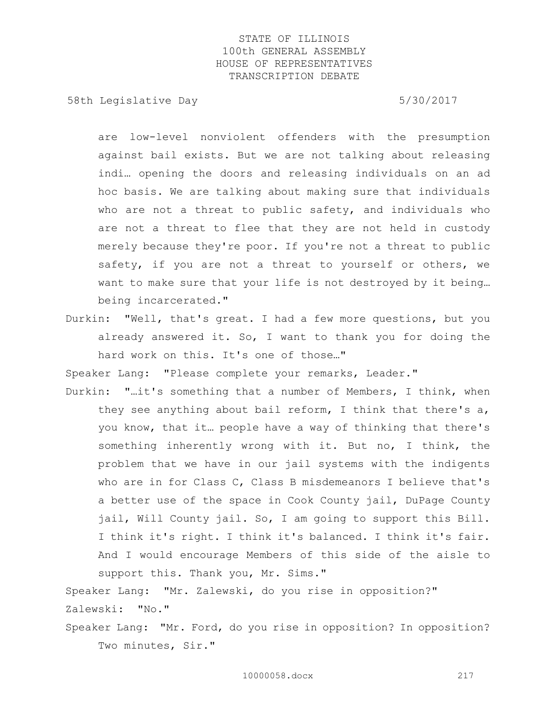58th Legislative Day 6.5730/2017

are low-level nonviolent offenders with the presumption against bail exists. But we are not talking about releasing indi… opening the doors and releasing individuals on an ad hoc basis. We are talking about making sure that individuals who are not a threat to public safety, and individuals who are not a threat to flee that they are not held in custody merely because they're poor. If you're not a threat to public safety, if you are not a threat to yourself or others, we want to make sure that your life is not destroyed by it being… being incarcerated."

Durkin: "Well, that's great. I had a few more questions, but you already answered it. So, I want to thank you for doing the hard work on this. It's one of those…"

Speaker Lang: "Please complete your remarks, Leader."

Durkin: "…it's something that a number of Members, I think, when they see anything about bail reform, I think that there's a, you know, that it… people have a way of thinking that there's something inherently wrong with it. But no, I think, the problem that we have in our jail systems with the indigents who are in for Class C, Class B misdemeanors I believe that's a better use of the space in Cook County jail, DuPage County jail, Will County jail. So, I am going to support this Bill. I think it's right. I think it's balanced. I think it's fair. And I would encourage Members of this side of the aisle to support this. Thank you, Mr. Sims."

Speaker Lang: "Mr. Zalewski, do you rise in opposition?" Zalewski: "No."

Speaker Lang: "Mr. Ford, do you rise in opposition? In opposition? Two minutes, Sir."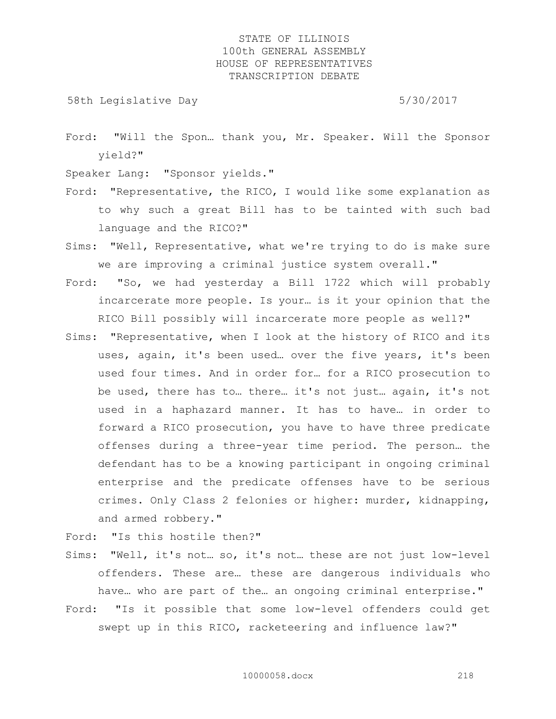58th Legislative Day 5/30/2017

Ford: "Will the Spon… thank you, Mr. Speaker. Will the Sponsor yield?"

Speaker Lang: "Sponsor yields."

- Ford: "Representative, the RICO, I would like some explanation as to why such a great Bill has to be tainted with such bad language and the RICO?"
- Sims: "Well, Representative, what we're trying to do is make sure we are improving a criminal justice system overall."
- Ford: "So, we had yesterday a Bill 1722 which will probably incarcerate more people. Is your… is it your opinion that the RICO Bill possibly will incarcerate more people as well?"
- Sims: "Representative, when I look at the history of RICO and its uses, again, it's been used… over the five years, it's been used four times. And in order for… for a RICO prosecution to be used, there has to… there… it's not just… again, it's not used in a haphazard manner. It has to have… in order to forward a RICO prosecution, you have to have three predicate offenses during a three-year time period. The person… the defendant has to be a knowing participant in ongoing criminal enterprise and the predicate offenses have to be serious crimes. Only Class 2 felonies or higher: murder, kidnapping, and armed robbery."

Ford: "Is this hostile then?"

- Sims: "Well, it's not… so, it's not… these are not just low-level offenders. These are… these are dangerous individuals who have… who are part of the… an ongoing criminal enterprise."
- Ford: "Is it possible that some low-level offenders could get swept up in this RICO, racketeering and influence law?"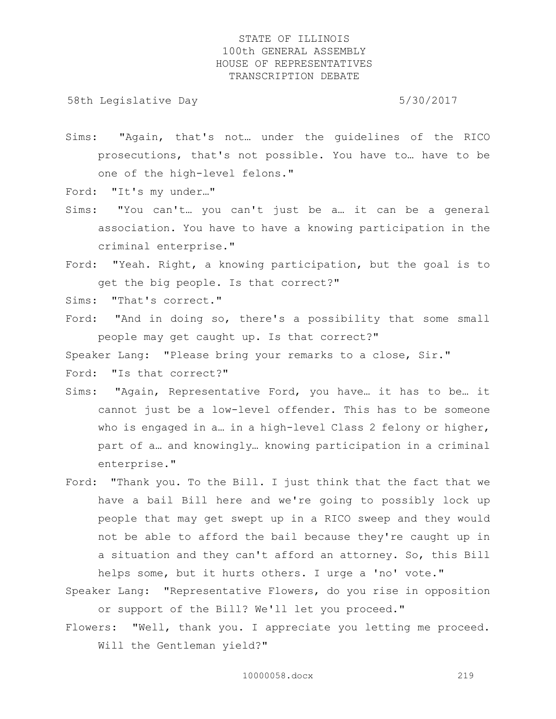58th Legislative Day 5/30/2017

Sims: "Again, that's not… under the guidelines of the RICO prosecutions, that's not possible. You have to… have to be one of the high-level felons."

Ford: "It's my under…"

- Sims: "You can't… you can't just be a… it can be a general association. You have to have a knowing participation in the criminal enterprise."
- Ford: "Yeah. Right, a knowing participation, but the goal is to get the big people. Is that correct?"

Sims: "That's correct."

Ford: "And in doing so, there's a possibility that some small people may get caught up. Is that correct?"

Speaker Lang: "Please bring your remarks to a close, Sir."

Ford: "Is that correct?"

- Sims: "Again, Representative Ford, you have… it has to be… it cannot just be a low-level offender. This has to be someone who is engaged in a... in a high-level Class 2 felony or higher, part of a… and knowingly… knowing participation in a criminal enterprise."
- Ford: "Thank you. To the Bill. I just think that the fact that we have a bail Bill here and we're going to possibly lock up people that may get swept up in a RICO sweep and they would not be able to afford the bail because they're caught up in a situation and they can't afford an attorney. So, this Bill helps some, but it hurts others. I urge a 'no' vote."

Speaker Lang: "Representative Flowers, do you rise in opposition or support of the Bill? We'll let you proceed."

Flowers: "Well, thank you. I appreciate you letting me proceed. Will the Gentleman yield?"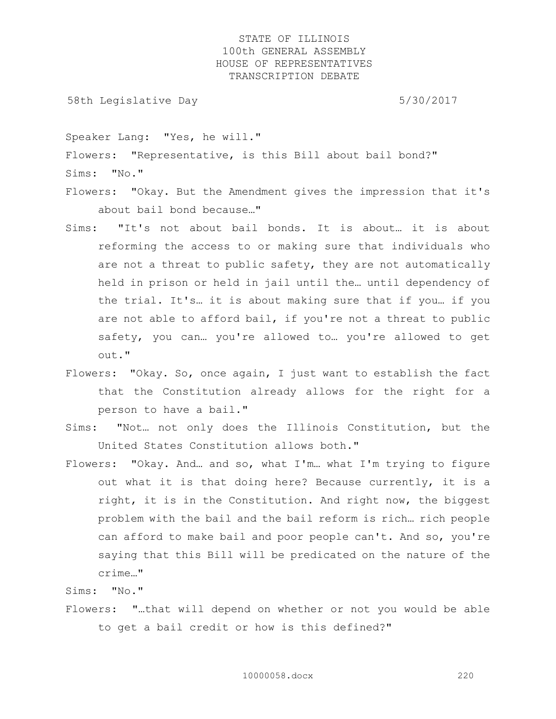58th Legislative Day 5/30/2017

Speaker Lang: "Yes, he will."

Flowers: "Representative, is this Bill about bail bond?"

Sims: "No."

Flowers: "Okay. But the Amendment gives the impression that it's about bail bond because…"

- Sims: "It's not about bail bonds. It is about… it is about reforming the access to or making sure that individuals who are not a threat to public safety, they are not automatically held in prison or held in jail until the… until dependency of the trial. It's… it is about making sure that if you… if you are not able to afford bail, if you're not a threat to public safety, you can… you're allowed to… you're allowed to get out."
- Flowers: "Okay. So, once again, I just want to establish the fact that the Constitution already allows for the right for a person to have a bail."
- Sims: "Not… not only does the Illinois Constitution, but the United States Constitution allows both."
- Flowers: "Okay. And… and so, what I'm… what I'm trying to figure out what it is that doing here? Because currently, it is a right, it is in the Constitution. And right now, the biggest problem with the bail and the bail reform is rich… rich people can afford to make bail and poor people can't. And so, you're saying that this Bill will be predicated on the nature of the crime…"

Sims: "No."

Flowers: "…that will depend on whether or not you would be able to get a bail credit or how is this defined?"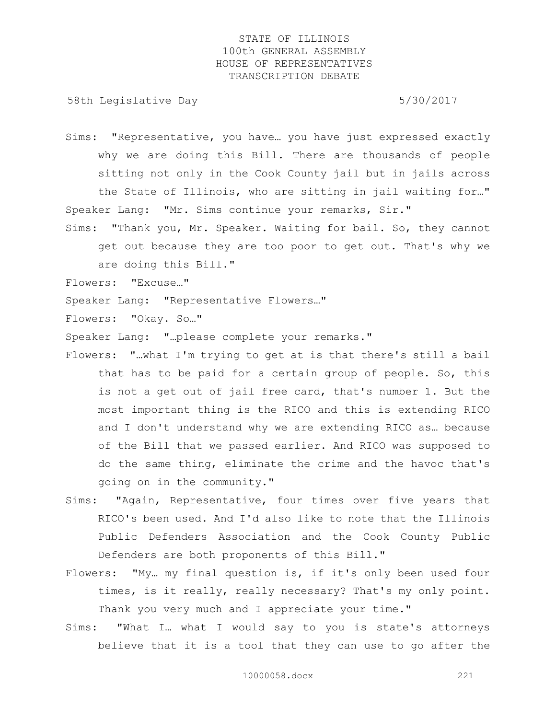58th Legislative Day 5/30/2017

- Sims: "Representative, you have… you have just expressed exactly why we are doing this Bill. There are thousands of people sitting not only in the Cook County jail but in jails across the State of Illinois, who are sitting in jail waiting for…" Speaker Lang: "Mr. Sims continue your remarks, Sir."
- Sims: "Thank you, Mr. Speaker. Waiting for bail. So, they cannot get out because they are too poor to get out. That's why we are doing this Bill."

Flowers: "Excuse…"

Speaker Lang: "Representative Flowers…"

Flowers: "Okay. So…"

Speaker Lang: "…please complete your remarks."

- Flowers: "…what I'm trying to get at is that there's still a bail that has to be paid for a certain group of people. So, this is not a get out of jail free card, that's number 1. But the most important thing is the RICO and this is extending RICO and I don't understand why we are extending RICO as… because of the Bill that we passed earlier. And RICO was supposed to do the same thing, eliminate the crime and the havoc that's going on in the community."
- Sims: "Again, Representative, four times over five years that RICO's been used. And I'd also like to note that the Illinois Public Defenders Association and the Cook County Public Defenders are both proponents of this Bill."
- Flowers: "My… my final question is, if it's only been used four times, is it really, really necessary? That's my only point. Thank you very much and I appreciate your time."
- Sims: "What I… what I would say to you is state's attorneys believe that it is a tool that they can use to go after the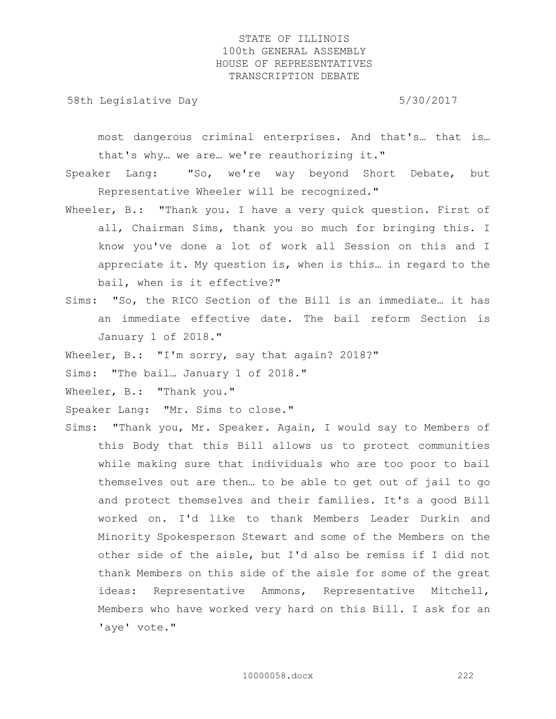58th Legislative Day 5/30/2017

most dangerous criminal enterprises. And that's… that is… that's why… we are… we're reauthorizing it."

Speaker Lang: "So, we're way beyond Short Debate, but Representative Wheeler will be recognized."

- Wheeler, B.: "Thank you. I have a very quick question. First of all, Chairman Sims, thank you so much for bringing this. I know you've done a lot of work all Session on this and I appreciate it. My question is, when is this… in regard to the bail, when is it effective?"
- Sims: "So, the RICO Section of the Bill is an immediate… it has an immediate effective date. The bail reform Section is January 1 of 2018."

Wheeler, B.: "I'm sorry, say that again? 2018?"

Sims: "The bail… January 1 of 2018."

Wheeler, B.: "Thank you."

Speaker Lang: "Mr. Sims to close."

Sims: "Thank you, Mr. Speaker. Again, I would say to Members of this Body that this Bill allows us to protect communities while making sure that individuals who are too poor to bail themselves out are then… to be able to get out of jail to go and protect themselves and their families. It's a good Bill worked on. I'd like to thank Members Leader Durkin and Minority Spokesperson Stewart and some of the Members on the other side of the aisle, but I'd also be remiss if I did not thank Members on this side of the aisle for some of the great ideas: Representative Ammons, Representative Mitchell, Members who have worked very hard on this Bill. I ask for an 'aye' vote."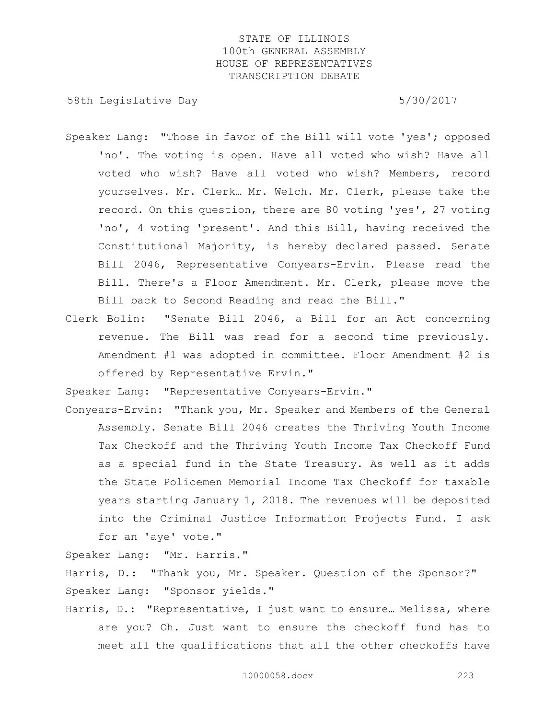58th Legislative Day 5/30/2017

- Speaker Lang: "Those in favor of the Bill will vote 'yes'; opposed 'no'. The voting is open. Have all voted who wish? Have all voted who wish? Have all voted who wish? Members, record yourselves. Mr. Clerk… Mr. Welch. Mr. Clerk, please take the record. On this question, there are 80 voting 'yes', 27 voting 'no', 4 voting 'present'. And this Bill, having received the Constitutional Majority, is hereby declared passed. Senate Bill 2046, Representative Conyears-Ervin. Please read the Bill. There's a Floor Amendment. Mr. Clerk, please move the Bill back to Second Reading and read the Bill."
- Clerk Bolin: "Senate Bill 2046, a Bill for an Act concerning revenue. The Bill was read for a second time previously. Amendment #1 was adopted in committee. Floor Amendment #2 is offered by Representative Ervin."

Speaker Lang: "Representative Conyears-Ervin."

Conyears-Ervin: "Thank you, Mr. Speaker and Members of the General Assembly. Senate Bill 2046 creates the Thriving Youth Income Tax Checkoff and the Thriving Youth Income Tax Checkoff Fund as a special fund in the State Treasury. As well as it adds the State Policemen Memorial Income Tax Checkoff for taxable years starting January 1, 2018. The revenues will be deposited into the Criminal Justice Information Projects Fund. I ask for an 'aye' vote."

Speaker Lang: "Mr. Harris."

Harris, D.: "Thank you, Mr. Speaker. Question of the Sponsor?" Speaker Lang: "Sponsor yields."

Harris, D.: "Representative, I just want to ensure... Melissa, where are you? Oh. Just want to ensure the checkoff fund has to meet all the qualifications that all the other checkoffs have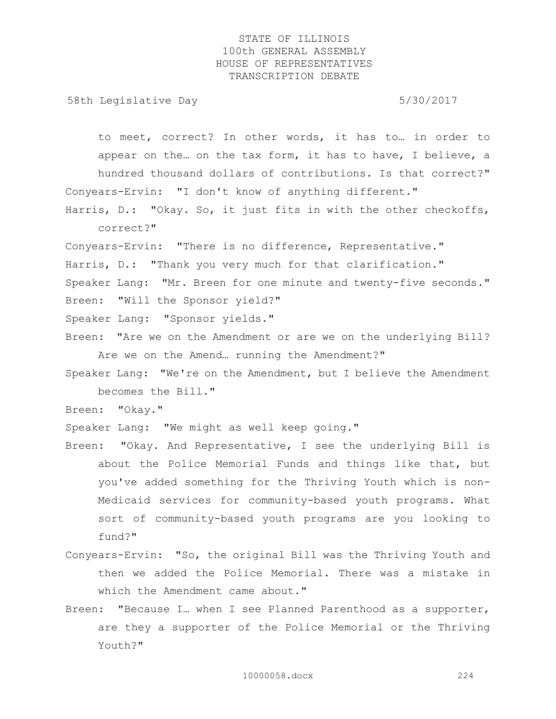58th Legislative Day 5/30/2017

to meet, correct? In other words, it has to… in order to appear on the… on the tax form, it has to have, I believe, a hundred thousand dollars of contributions. Is that correct?" Conyears-Ervin: "I don't know of anything different."

Harris, D.: "Okay. So, it just fits in with the other checkoffs, correct?"

Conyears-Ervin: "There is no difference, Representative."

- Harris, D.: "Thank you very much for that clarification."
- Speaker Lang: "Mr. Breen for one minute and twenty-five seconds."
- Breen: "Will the Sponsor yield?"

Speaker Lang: "Sponsor yields."

- Breen: "Are we on the Amendment or are we on the underlying Bill? Are we on the Amend… running the Amendment?"
- Speaker Lang: "We're on the Amendment, but I believe the Amendment becomes the Bill."

Breen: "Okay."

Speaker Lang: "We might as well keep going."

- Breen: "Okay. And Representative, I see the underlying Bill is about the Police Memorial Funds and things like that, but you've added something for the Thriving Youth which is non-Medicaid services for community-based youth programs. What sort of community-based youth programs are you looking to fund?"
- Conyears-Ervin: "So, the original Bill was the Thriving Youth and then we added the Police Memorial. There was a mistake in which the Amendment came about."
- Breen: "Because I… when I see Planned Parenthood as a supporter, are they a supporter of the Police Memorial or the Thriving Youth?"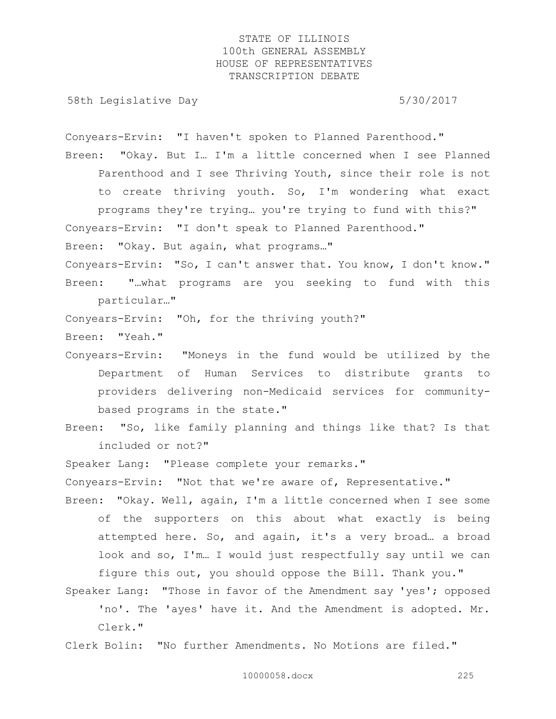58th Legislative Day 6/30/2017

Conyears-Ervin: "I haven't spoken to Planned Parenthood."

Breen: "Okay. But I… I'm a little concerned when I see Planned Parenthood and I see Thriving Youth, since their role is not to create thriving youth. So, I'm wondering what exact

programs they're trying… you're trying to fund with this?" Conyears-Ervin: "I don't speak to Planned Parenthood." Breen: "Okay. But again, what programs…"

Conyears-Ervin: "So, I can't answer that. You know, I don't know." Breen: "…what programs are you seeking to fund with this particular…"

Conyears-Ervin: "Oh, for the thriving youth?"

- Breen: "Yeah."
- Conyears-Ervin: "Moneys in the fund would be utilized by the Department of Human Services to distribute grants to providers delivering non-Medicaid services for communitybased programs in the state."

Breen: "So, like family planning and things like that? Is that included or not?"

Speaker Lang: "Please complete your remarks."

Conyears-Ervin: "Not that we're aware of, Representative."

- Breen: "Okay. Well, again, I'm a little concerned when I see some of the supporters on this about what exactly is being attempted here. So, and again, it's a very broad… a broad look and so, I'm… I would just respectfully say until we can figure this out, you should oppose the Bill. Thank you."
- Speaker Lang: "Those in favor of the Amendment say 'yes'; opposed 'no'. The 'ayes' have it. And the Amendment is adopted. Mr. Clerk."

Clerk Bolin: "No further Amendments. No Motions are filed."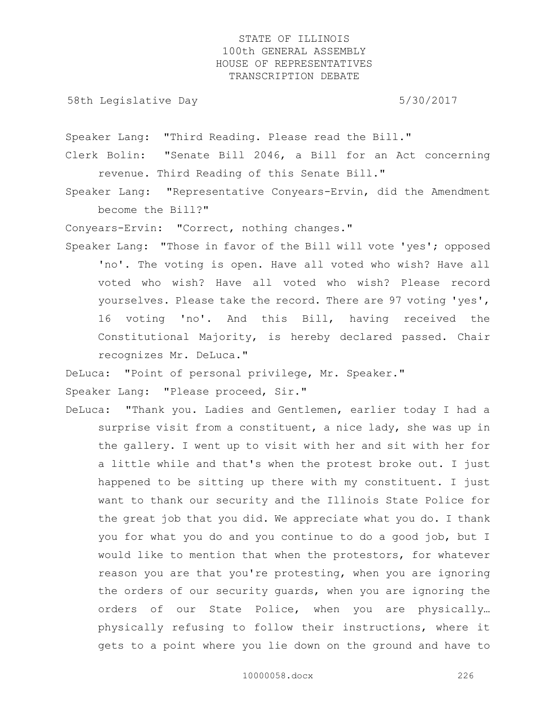58th Legislative Day 5/30/2017

Speaker Lang: "Third Reading. Please read the Bill."

Clerk Bolin: "Senate Bill 2046, a Bill for an Act concerning revenue. Third Reading of this Senate Bill."

Speaker Lang: "Representative Conyears-Ervin, did the Amendment become the Bill?"

Conyears-Ervin: "Correct, nothing changes."

Speaker Lang: "Those in favor of the Bill will vote 'yes'; opposed 'no'. The voting is open. Have all voted who wish? Have all voted who wish? Have all voted who wish? Please record yourselves. Please take the record. There are 97 voting 'yes', 16 voting 'no'. And this Bill, having received the Constitutional Majority, is hereby declared passed. Chair recognizes Mr. DeLuca."

DeLuca: "Point of personal privilege, Mr. Speaker."

Speaker Lang: "Please proceed, Sir."

DeLuca: "Thank you. Ladies and Gentlemen, earlier today I had a surprise visit from a constituent, a nice lady, she was up in the gallery. I went up to visit with her and sit with her for a little while and that's when the protest broke out. I just happened to be sitting up there with my constituent. I just want to thank our security and the Illinois State Police for the great job that you did. We appreciate what you do. I thank you for what you do and you continue to do a good job, but I would like to mention that when the protestors, for whatever reason you are that you're protesting, when you are ignoring the orders of our security guards, when you are ignoring the orders of our State Police, when you are physically… physically refusing to follow their instructions, where it gets to a point where you lie down on the ground and have to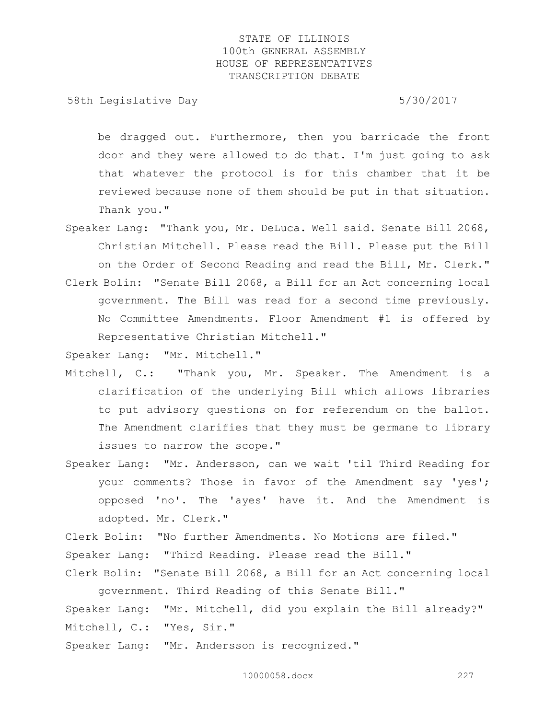58th Legislative Day 5/30/2017

be dragged out. Furthermore, then you barricade the front door and they were allowed to do that. I'm just going to ask that whatever the protocol is for this chamber that it be reviewed because none of them should be put in that situation. Thank you."

- Speaker Lang: "Thank you, Mr. DeLuca. Well said. Senate Bill 2068, Christian Mitchell. Please read the Bill. Please put the Bill on the Order of Second Reading and read the Bill, Mr. Clerk." Clerk Bolin: "Senate Bill 2068, a Bill for an Act concerning local
- government. The Bill was read for a second time previously. No Committee Amendments. Floor Amendment #1 is offered by Representative Christian Mitchell."

Speaker Lang: "Mr. Mitchell."

- Mitchell, C.: "Thank you, Mr. Speaker. The Amendment is a clarification of the underlying Bill which allows libraries to put advisory questions on for referendum on the ballot. The Amendment clarifies that they must be germane to library issues to narrow the scope."
- Speaker Lang: "Mr. Andersson, can we wait 'til Third Reading for your comments? Those in favor of the Amendment say 'yes'; opposed 'no'. The 'ayes' have it. And the Amendment is adopted. Mr. Clerk."

Clerk Bolin: "No further Amendments. No Motions are filed."

Speaker Lang: "Third Reading. Please read the Bill."

Clerk Bolin: "Senate Bill 2068, a Bill for an Act concerning local government. Third Reading of this Senate Bill."

Speaker Lang: "Mr. Mitchell, did you explain the Bill already?" Mitchell, C.: "Yes, Sir."

Speaker Lang: "Mr. Andersson is recognized."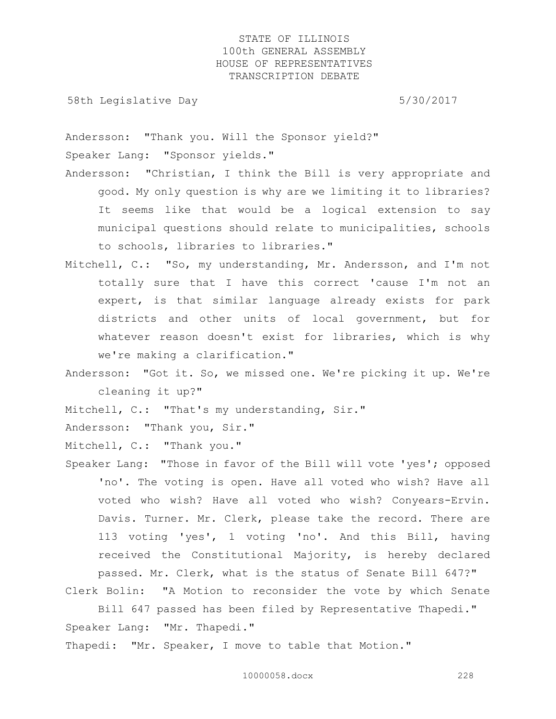58th Legislative Day 5/30/2017

Andersson: "Thank you. Will the Sponsor yield?" Speaker Lang: "Sponsor yields."

- Andersson: "Christian, I think the Bill is very appropriate and good. My only question is why are we limiting it to libraries? It seems like that would be a logical extension to say municipal questions should relate to municipalities, schools to schools, libraries to libraries."
- Mitchell, C.: "So, my understanding, Mr. Andersson, and I'm not totally sure that I have this correct 'cause I'm not an expert, is that similar language already exists for park districts and other units of local government, but for whatever reason doesn't exist for libraries, which is why we're making a clarification."
- Andersson: "Got it. So, we missed one. We're picking it up. We're cleaning it up?"

Mitchell, C.: "That's my understanding, Sir."

Andersson: "Thank you, Sir."

Mitchell, C.: "Thank you."

Speaker Lang: "Those in favor of the Bill will vote 'yes'; opposed 'no'. The voting is open. Have all voted who wish? Have all voted who wish? Have all voted who wish? Conyears-Ervin. Davis. Turner. Mr. Clerk, please take the record. There are 113 voting 'yes', 1 voting 'no'. And this Bill, having received the Constitutional Majority, is hereby declared passed. Mr. Clerk, what is the status of Senate Bill 647?"

Clerk Bolin: "A Motion to reconsider the vote by which Senate

Bill 647 passed has been filed by Representative Thapedi." Speaker Lang: "Mr. Thapedi."

Thapedi: "Mr. Speaker, I move to table that Motion."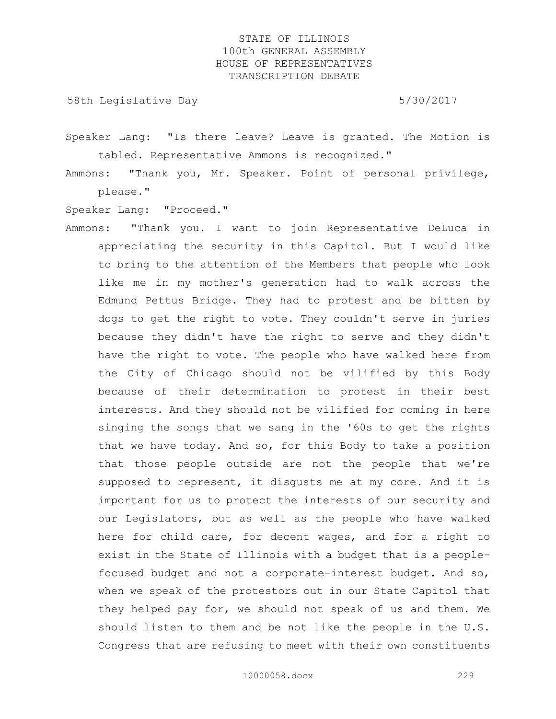58th Legislative Day 5/30/2017

Speaker Lang: "Is there leave? Leave is granted. The Motion is tabled. Representative Ammons is recognized."

Ammons: "Thank you, Mr. Speaker. Point of personal privilege, please."

Speaker Lang: "Proceed."

Ammons: "Thank you. I want to join Representative DeLuca in appreciating the security in this Capitol. But I would like to bring to the attention of the Members that people who look like me in my mother's generation had to walk across the Edmund Pettus Bridge. They had to protest and be bitten by dogs to get the right to vote. They couldn't serve in juries because they didn't have the right to serve and they didn't have the right to vote. The people who have walked here from the City of Chicago should not be vilified by this Body because of their determination to protest in their best interests. And they should not be vilified for coming in here singing the songs that we sang in the '60s to get the rights that we have today. And so, for this Body to take a position that those people outside are not the people that we're supposed to represent, it disgusts me at my core. And it is important for us to protect the interests of our security and our Legislators, but as well as the people who have walked here for child care, for decent wages, and for a right to exist in the State of Illinois with a budget that is a peoplefocused budget and not a corporate-interest budget. And so, when we speak of the protestors out in our State Capitol that they helped pay for, we should not speak of us and them. We should listen to them and be not like the people in the U.S. Congress that are refusing to meet with their own constituents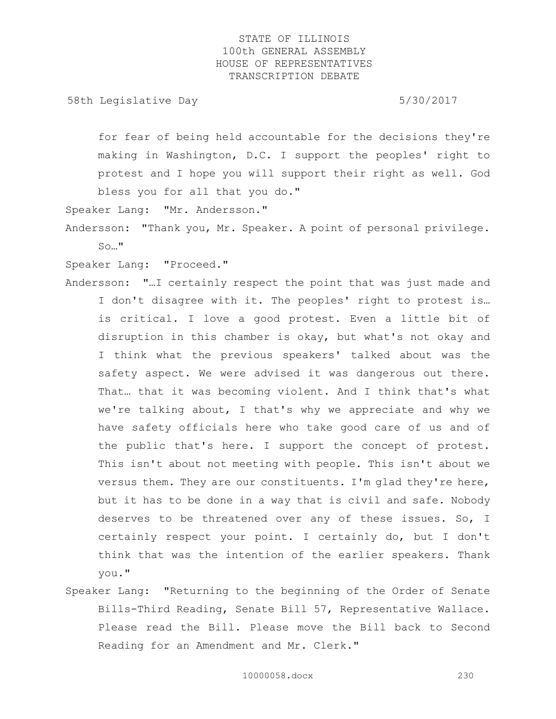58th Legislative Day 5/30/2017

for fear of being held accountable for the decisions they're making in Washington, D.C. I support the peoples' right to protest and I hope you will support their right as well. God bless you for all that you do."

Speaker Lang: "Mr. Andersson."

Andersson: "Thank you, Mr. Speaker. A point of personal privilege. So…"

Speaker Lang: "Proceed."

- Andersson: "…I certainly respect the point that was just made and I don't disagree with it. The peoples' right to protest is… is critical. I love a good protest. Even a little bit of disruption in this chamber is okay, but what's not okay and I think what the previous speakers' talked about was the safety aspect. We were advised it was dangerous out there. That… that it was becoming violent. And I think that's what we're talking about, I that's why we appreciate and why we have safety officials here who take good care of us and of the public that's here. I support the concept of protest. This isn't about not meeting with people. This isn't about we versus them. They are our constituents. I'm glad they're here, but it has to be done in a way that is civil and safe. Nobody deserves to be threatened over any of these issues. So, I certainly respect your point. I certainly do, but I don't think that was the intention of the earlier speakers. Thank you."
- Speaker Lang: "Returning to the beginning of the Order of Senate Bills-Third Reading, Senate Bill 57, Representative Wallace. Please read the Bill. Please move the Bill back to Second Reading for an Amendment and Mr. Clerk."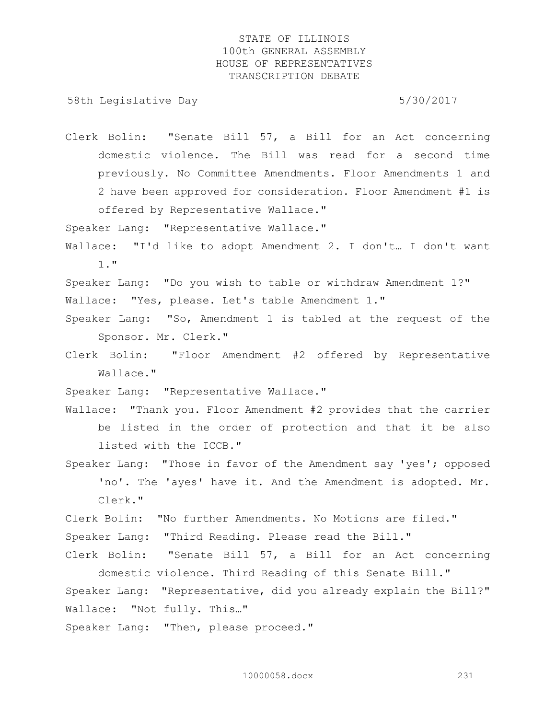58th Legislative Day 5/30/2017

Clerk Bolin: "Senate Bill 57, a Bill for an Act concerning domestic violence. The Bill was read for a second time previously. No Committee Amendments. Floor Amendments 1 and 2 have been approved for consideration. Floor Amendment #1 is offered by Representative Wallace."

Speaker Lang: "Representative Wallace."

Wallace: "I'd like to adopt Amendment 2. I don't… I don't want 1."

Speaker Lang: "Do you wish to table or withdraw Amendment 1?" Wallace: "Yes, please. Let's table Amendment 1."

- Speaker Lang: "So, Amendment 1 is tabled at the request of the Sponsor. Mr. Clerk."
- Clerk Bolin: "Floor Amendment #2 offered by Representative Wallace."

Speaker Lang: "Representative Wallace."

- Wallace: "Thank you. Floor Amendment #2 provides that the carrier be listed in the order of protection and that it be also listed with the ICCB."
- Speaker Lang: "Those in favor of the Amendment say 'yes'; opposed 'no'. The 'ayes' have it. And the Amendment is adopted. Mr. Clerk."

Clerk Bolin: "No further Amendments. No Motions are filed."

Speaker Lang: "Third Reading. Please read the Bill."

Clerk Bolin: "Senate Bill 57, a Bill for an Act concerning domestic violence. Third Reading of this Senate Bill."

Speaker Lang: "Representative, did you already explain the Bill?" Wallace: "Not fully. This…"

Speaker Lang: "Then, please proceed."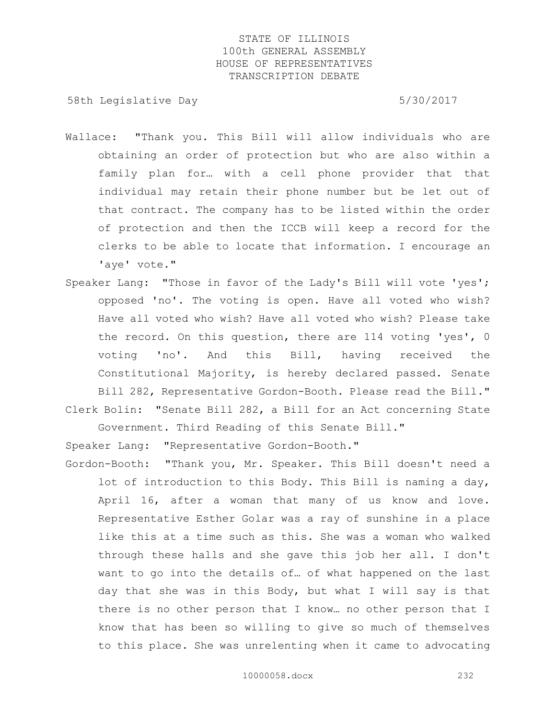58th Legislative Day 5/30/2017

- Wallace: "Thank you. This Bill will allow individuals who are obtaining an order of protection but who are also within a family plan for… with a cell phone provider that that individual may retain their phone number but be let out of that contract. The company has to be listed within the order of protection and then the ICCB will keep a record for the clerks to be able to locate that information. I encourage an 'aye' vote."
- Speaker Lang: "Those in favor of the Lady's Bill will vote 'yes'; opposed 'no'. The voting is open. Have all voted who wish? Have all voted who wish? Have all voted who wish? Please take the record. On this question, there are 114 voting 'yes', 0 voting 'no'. And this Bill, having received the Constitutional Majority, is hereby declared passed. Senate Bill 282, Representative Gordon-Booth. Please read the Bill." Clerk Bolin: "Senate Bill 282, a Bill for an Act concerning State

Government. Third Reading of this Senate Bill."

Speaker Lang: "Representative Gordon-Booth."

Gordon-Booth: "Thank you, Mr. Speaker. This Bill doesn't need a lot of introduction to this Body. This Bill is naming a day, April 16, after a woman that many of us know and love. Representative Esther Golar was a ray of sunshine in a place like this at a time such as this. She was a woman who walked through these halls and she gave this job her all. I don't want to go into the details of… of what happened on the last day that she was in this Body, but what I will say is that there is no other person that I know… no other person that I know that has been so willing to give so much of themselves to this place. She was unrelenting when it came to advocating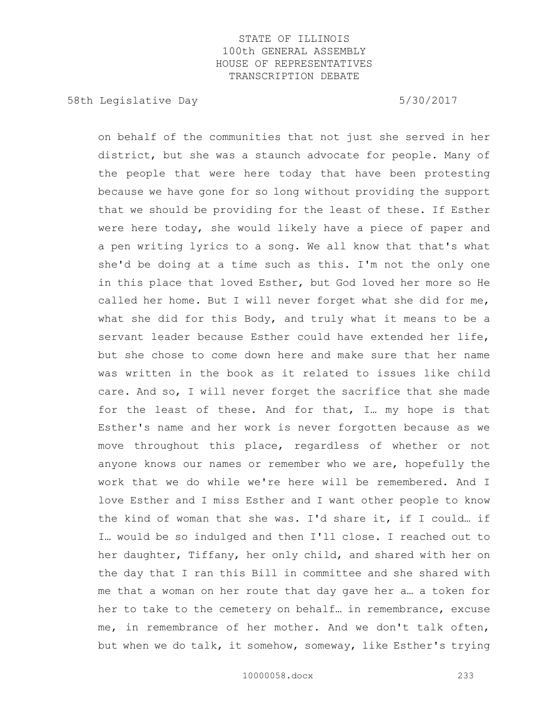58th Legislative Day 5/30/2017

on behalf of the communities that not just she served in her district, but she was a staunch advocate for people. Many of the people that were here today that have been protesting because we have gone for so long without providing the support that we should be providing for the least of these. If Esther were here today, she would likely have a piece of paper and a pen writing lyrics to a song. We all know that that's what she'd be doing at a time such as this. I'm not the only one in this place that loved Esther, but God loved her more so He called her home. But I will never forget what she did for me, what she did for this Body, and truly what it means to be a servant leader because Esther could have extended her life, but she chose to come down here and make sure that her name was written in the book as it related to issues like child care. And so, I will never forget the sacrifice that she made for the least of these. And for that, I… my hope is that Esther's name and her work is never forgotten because as we move throughout this place, regardless of whether or not anyone knows our names or remember who we are, hopefully the work that we do while we're here will be remembered. And I love Esther and I miss Esther and I want other people to know the kind of woman that she was. I'd share it, if I could… if I… would be so indulged and then I'll close. I reached out to her daughter, Tiffany, her only child, and shared with her on the day that I ran this Bill in committee and she shared with me that a woman on her route that day gave her a… a token for her to take to the cemetery on behalf… in remembrance, excuse me, in remembrance of her mother. And we don't talk often, but when we do talk, it somehow, someway, like Esther's trying

10000058.docx 233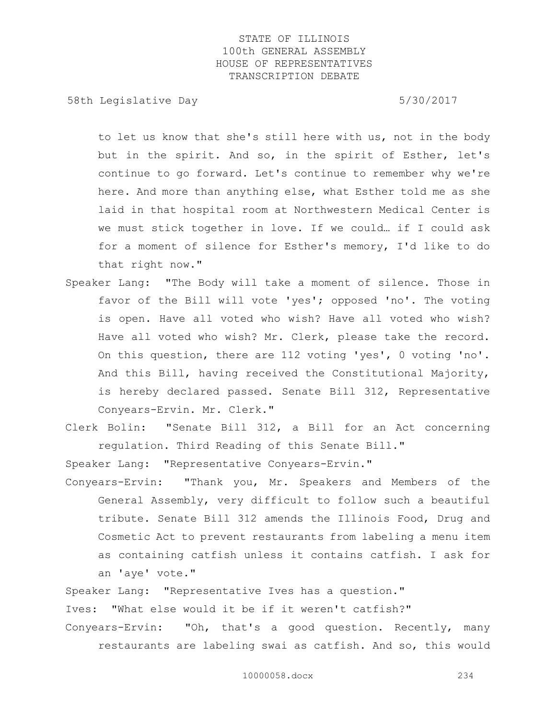58th Legislative Day 5/30/2017

to let us know that she's still here with us, not in the body but in the spirit. And so, in the spirit of Esther, let's continue to go forward. Let's continue to remember why we're here. And more than anything else, what Esther told me as she laid in that hospital room at Northwestern Medical Center is we must stick together in love. If we could… if I could ask for a moment of silence for Esther's memory, I'd like to do that right now."

- Speaker Lang: "The Body will take a moment of silence. Those in favor of the Bill will vote 'yes'; opposed 'no'. The voting is open. Have all voted who wish? Have all voted who wish? Have all voted who wish? Mr. Clerk, please take the record. On this question, there are 112 voting 'yes', 0 voting 'no'. And this Bill, having received the Constitutional Majority, is hereby declared passed. Senate Bill 312, Representative Conyears-Ervin. Mr. Clerk."
- Clerk Bolin: "Senate Bill 312, a Bill for an Act concerning regulation. Third Reading of this Senate Bill."

Speaker Lang: "Representative Conyears-Ervin."

Conyears-Ervin: "Thank you, Mr. Speakers and Members of the General Assembly, very difficult to follow such a beautiful tribute. Senate Bill 312 amends the Illinois Food, Drug and Cosmetic Act to prevent restaurants from labeling a menu item as containing catfish unless it contains catfish. I ask for an 'aye' vote."

Speaker Lang: "Representative Ives has a question."

Ives: "What else would it be if it weren't catfish?"

Conyears-Ervin: "Oh, that's a good question. Recently, many restaurants are labeling swai as catfish. And so, this would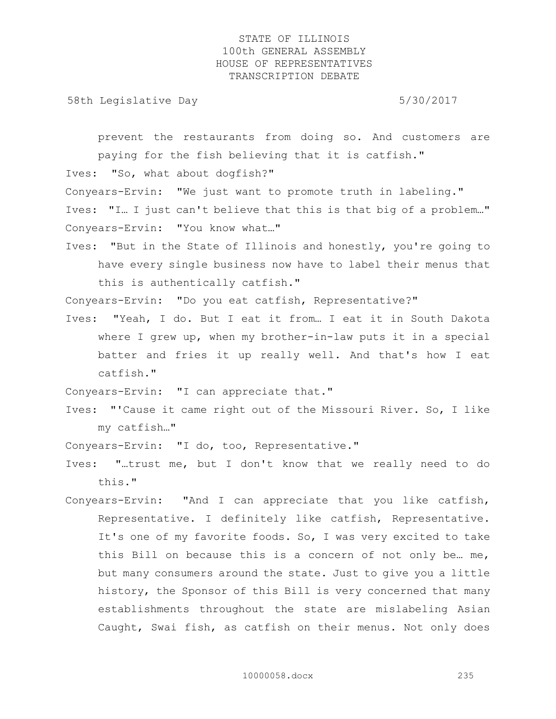58th Legislative Day 5/30/2017

prevent the restaurants from doing so. And customers are paying for the fish believing that it is catfish."

Ives: "So, what about dogfish?"

Conyears-Ervin: "We just want to promote truth in labeling."

Ives: "I… I just can't believe that this is that big of a problem…" Conyears-Ervin: "You know what…"

Ives: "But in the State of Illinois and honestly, you're going to have every single business now have to label their menus that this is authentically catfish."

Conyears-Ervin: "Do you eat catfish, Representative?"

Ives: "Yeah, I do. But I eat it from… I eat it in South Dakota where I grew up, when my brother-in-law puts it in a special batter and fries it up really well. And that's how I eat catfish."

Conyears-Ervin: "I can appreciate that."

Ives: "'Cause it came right out of the Missouri River. So, I like my catfish…"

Conyears-Ervin: "I do, too, Representative."

- Ives: "…trust me, but I don't know that we really need to do this."
- Conyears-Ervin: "And I can appreciate that you like catfish, Representative. I definitely like catfish, Representative. It's one of my favorite foods. So, I was very excited to take this Bill on because this is a concern of not only be… me, but many consumers around the state. Just to give you a little history, the Sponsor of this Bill is very concerned that many establishments throughout the state are mislabeling Asian Caught, Swai fish, as catfish on their menus. Not only does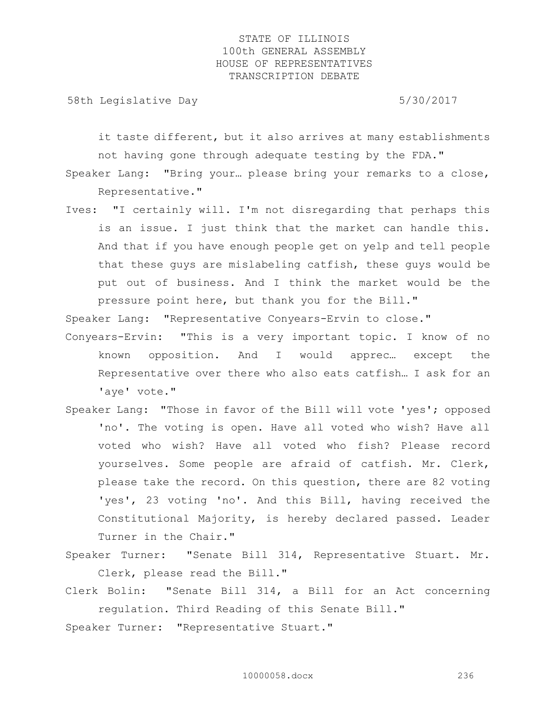58th Legislative Day 5/30/2017

it taste different, but it also arrives at many establishments not having gone through adequate testing by the FDA."

Speaker Lang: "Bring your… please bring your remarks to a close, Representative."

Ives: "I certainly will. I'm not disregarding that perhaps this is an issue. I just think that the market can handle this. And that if you have enough people get on yelp and tell people that these guys are mislabeling catfish, these guys would be put out of business. And I think the market would be the pressure point here, but thank you for the Bill."

Speaker Lang: "Representative Conyears-Ervin to close."

- Conyears-Ervin: "This is a very important topic. I know of no known opposition. And I would apprec… except the Representative over there who also eats catfish… I ask for an 'aye' vote."
- Speaker Lang: "Those in favor of the Bill will vote 'yes'; opposed 'no'. The voting is open. Have all voted who wish? Have all voted who wish? Have all voted who fish? Please record yourselves. Some people are afraid of catfish. Mr. Clerk, please take the record. On this question, there are 82 voting 'yes', 23 voting 'no'. And this Bill, having received the Constitutional Majority, is hereby declared passed. Leader Turner in the Chair."
- Speaker Turner: "Senate Bill 314, Representative Stuart. Mr. Clerk, please read the Bill."
- Clerk Bolin: "Senate Bill 314, a Bill for an Act concerning regulation. Third Reading of this Senate Bill."

Speaker Turner: "Representative Stuart."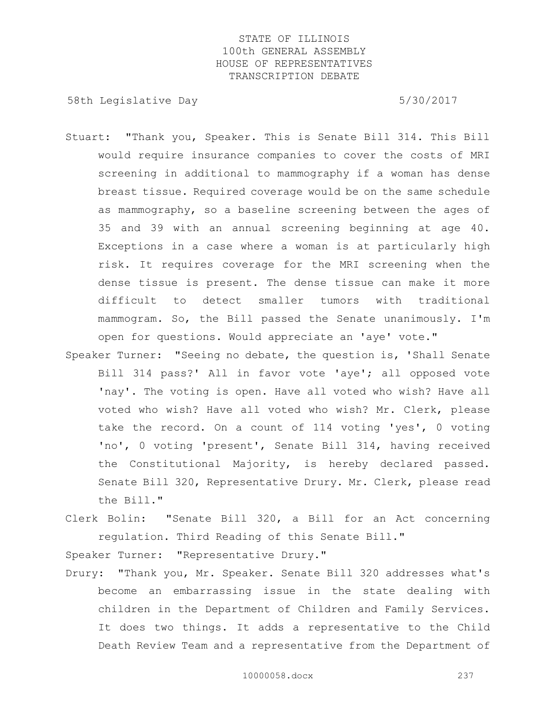58th Legislative Day 5/30/2017

- Stuart: "Thank you, Speaker. This is Senate Bill 314. This Bill would require insurance companies to cover the costs of MRI screening in additional to mammography if a woman has dense breast tissue. Required coverage would be on the same schedule as mammography, so a baseline screening between the ages of 35 and 39 with an annual screening beginning at age 40. Exceptions in a case where a woman is at particularly high risk. It requires coverage for the MRI screening when the dense tissue is present. The dense tissue can make it more difficult to detect smaller tumors with traditional mammogram. So, the Bill passed the Senate unanimously. I'm open for questions. Would appreciate an 'aye' vote."
- Speaker Turner: "Seeing no debate, the question is, 'Shall Senate Bill 314 pass?' All in favor vote 'aye'; all opposed vote 'nay'. The voting is open. Have all voted who wish? Have all voted who wish? Have all voted who wish? Mr. Clerk, please take the record. On a count of 114 voting 'yes', 0 voting 'no', 0 voting 'present', Senate Bill 314, having received the Constitutional Majority, is hereby declared passed. Senate Bill 320, Representative Drury. Mr. Clerk, please read the Bill."
- Clerk Bolin: "Senate Bill 320, a Bill for an Act concerning regulation. Third Reading of this Senate Bill."

Speaker Turner: "Representative Drury."

Drury: "Thank you, Mr. Speaker. Senate Bill 320 addresses what's become an embarrassing issue in the state dealing with children in the Department of Children and Family Services. It does two things. It adds a representative to the Child Death Review Team and a representative from the Department of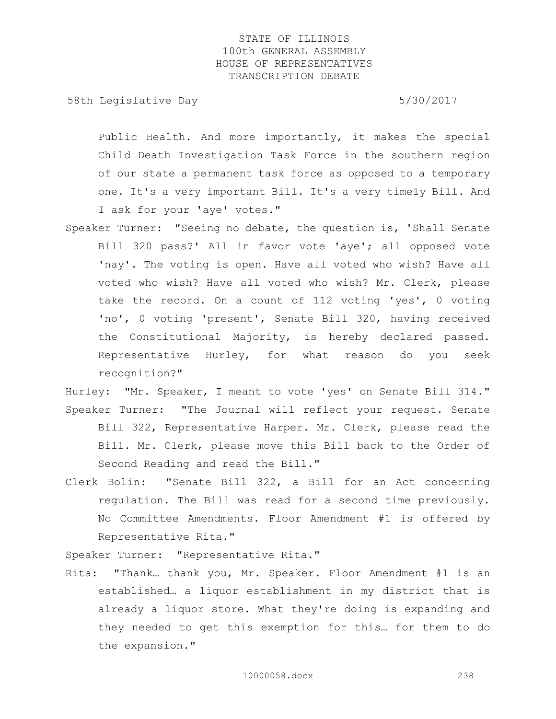58th Legislative Day 5/30/2017

Public Health. And more importantly, it makes the special Child Death Investigation Task Force in the southern region of our state a permanent task force as opposed to a temporary one. It's a very important Bill. It's a very timely Bill. And I ask for your 'aye' votes."

- Speaker Turner: "Seeing no debate, the question is, 'Shall Senate Bill 320 pass?' All in favor vote 'aye'; all opposed vote 'nay'. The voting is open. Have all voted who wish? Have all voted who wish? Have all voted who wish? Mr. Clerk, please take the record. On a count of 112 voting 'yes', 0 voting 'no', 0 voting 'present', Senate Bill 320, having received the Constitutional Majority, is hereby declared passed. Representative Hurley, for what reason do you seek recognition?"
- Hurley: "Mr. Speaker, I meant to vote 'yes' on Senate Bill 314." Speaker Turner: "The Journal will reflect your request. Senate Bill 322, Representative Harper. Mr. Clerk, please read the Bill. Mr. Clerk, please move this Bill back to the Order of Second Reading and read the Bill."
- Clerk Bolin: "Senate Bill 322, a Bill for an Act concerning regulation. The Bill was read for a second time previously. No Committee Amendments. Floor Amendment #1 is offered by Representative Rita."

Speaker Turner: "Representative Rita."

Rita: "Thank… thank you, Mr. Speaker. Floor Amendment #1 is an established… a liquor establishment in my district that is already a liquor store. What they're doing is expanding and they needed to get this exemption for this… for them to do the expansion."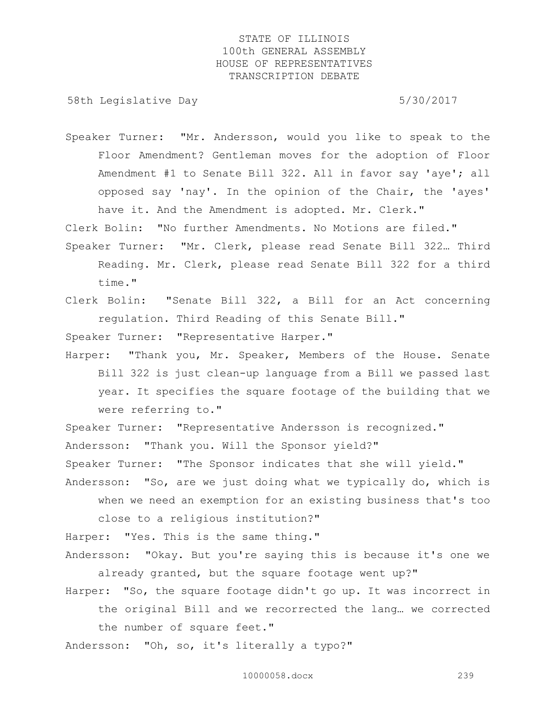58th Legislative Day 5/30/2017

Speaker Turner: "Mr. Andersson, would you like to speak to the Floor Amendment? Gentleman moves for the adoption of Floor Amendment #1 to Senate Bill 322. All in favor say 'aye'; all opposed say 'nay'. In the opinion of the Chair, the 'ayes' have it. And the Amendment is adopted. Mr. Clerk."

Clerk Bolin: "No further Amendments. No Motions are filed."

- Speaker Turner: "Mr. Clerk, please read Senate Bill 322… Third Reading. Mr. Clerk, please read Senate Bill 322 for a third time."
- Clerk Bolin: "Senate Bill 322, a Bill for an Act concerning regulation. Third Reading of this Senate Bill."

Speaker Turner: "Representative Harper."

Harper: "Thank you, Mr. Speaker, Members of the House. Senate Bill 322 is just clean-up language from a Bill we passed last year. It specifies the square footage of the building that we were referring to."

Speaker Turner: "Representative Andersson is recognized."

Andersson: "Thank you. Will the Sponsor yield?"

Speaker Turner: "The Sponsor indicates that she will yield."

Andersson: "So, are we just doing what we typically do, which is when we need an exemption for an existing business that's too close to a religious institution?"

Harper: "Yes. This is the same thing."

- Andersson: "Okay. But you're saying this is because it's one we already granted, but the square footage went up?"
- Harper: "So, the square footage didn't go up. It was incorrect in the original Bill and we recorrected the lang… we corrected the number of square feet."

Andersson: "Oh, so, it's literally a typo?"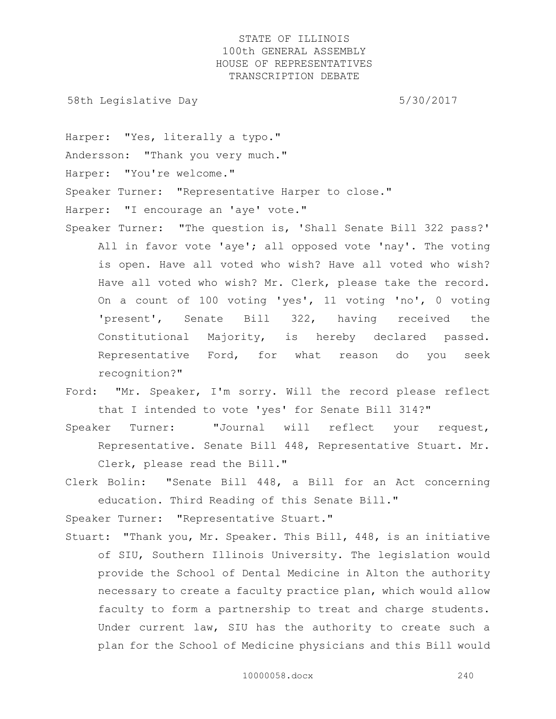58th Legislative Day 5/30/2017

Harper: "Yes, literally a typo." Andersson: "Thank you very much." Harper: "You're welcome." Speaker Turner: "Representative Harper to close." Harper: "I encourage an 'aye' vote."

- Speaker Turner: "The question is, 'Shall Senate Bill 322 pass?' All in favor vote 'aye'; all opposed vote 'nay'. The voting is open. Have all voted who wish? Have all voted who wish? Have all voted who wish? Mr. Clerk, please take the record. On a count of 100 voting 'yes', 11 voting 'no', 0 voting 'present', Senate Bill 322, having received the Constitutional Majority, is hereby declared passed. Representative Ford, for what reason do you seek recognition?"
- Ford: "Mr. Speaker, I'm sorry. Will the record please reflect that I intended to vote 'yes' for Senate Bill 314?"
- Speaker Turner: "Journal will reflect your request, Representative. Senate Bill 448, Representative Stuart. Mr. Clerk, please read the Bill."
- Clerk Bolin: "Senate Bill 448, a Bill for an Act concerning education. Third Reading of this Senate Bill."

Speaker Turner: "Representative Stuart."

Stuart: "Thank you, Mr. Speaker. This Bill, 448, is an initiative of SIU, Southern Illinois University. The legislation would provide the School of Dental Medicine in Alton the authority necessary to create a faculty practice plan, which would allow faculty to form a partnership to treat and charge students. Under current law, SIU has the authority to create such a plan for the School of Medicine physicians and this Bill would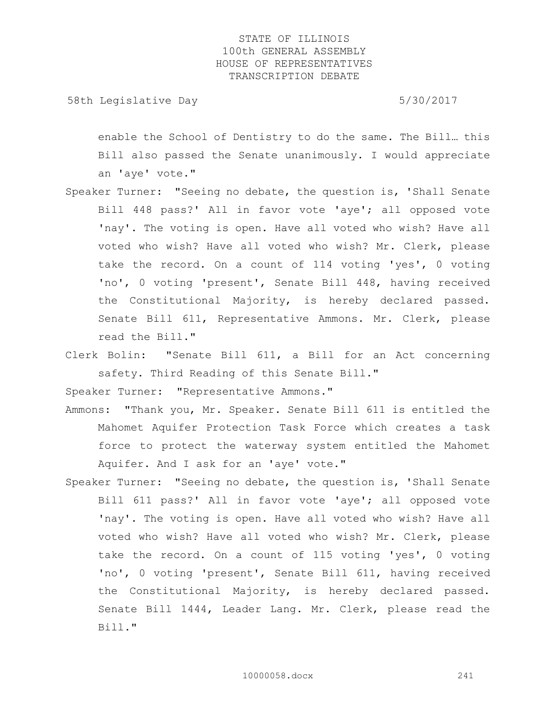58th Legislative Day 5/30/2017

enable the School of Dentistry to do the same. The Bill… this Bill also passed the Senate unanimously. I would appreciate an 'aye' vote."

- Speaker Turner: "Seeing no debate, the question is, 'Shall Senate Bill 448 pass?' All in favor vote 'aye'; all opposed vote 'nay'. The voting is open. Have all voted who wish? Have all voted who wish? Have all voted who wish? Mr. Clerk, please take the record. On a count of 114 voting 'yes', 0 voting 'no', 0 voting 'present', Senate Bill 448, having received the Constitutional Majority, is hereby declared passed. Senate Bill 611, Representative Ammons. Mr. Clerk, please read the Bill."
- Clerk Bolin: "Senate Bill 611, a Bill for an Act concerning safety. Third Reading of this Senate Bill."

Speaker Turner: "Representative Ammons."

- Ammons: "Thank you, Mr. Speaker. Senate Bill 611 is entitled the Mahomet Aquifer Protection Task Force which creates a task force to protect the waterway system entitled the Mahomet Aquifer. And I ask for an 'aye' vote."
- Speaker Turner: "Seeing no debate, the question is, 'Shall Senate Bill 611 pass?' All in favor vote 'aye'; all opposed vote 'nay'. The voting is open. Have all voted who wish? Have all voted who wish? Have all voted who wish? Mr. Clerk, please take the record. On a count of 115 voting 'yes', 0 voting 'no', 0 voting 'present', Senate Bill 611, having received the Constitutional Majority, is hereby declared passed. Senate Bill 1444, Leader Lang. Mr. Clerk, please read the Bill."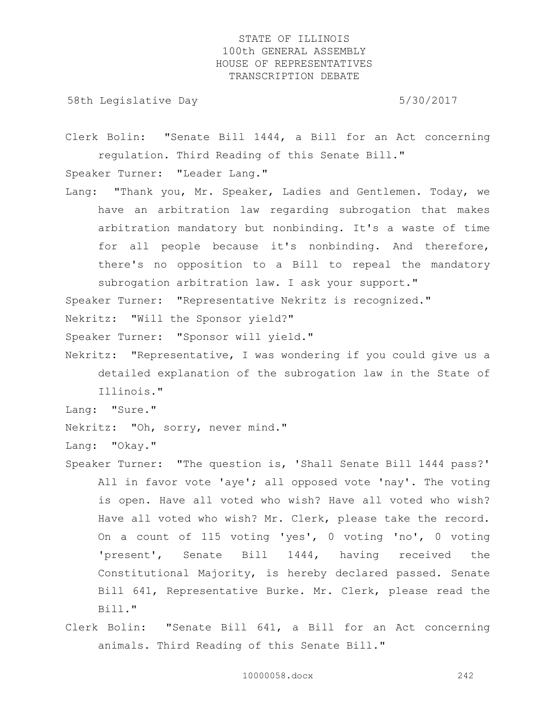58th Legislative Day 5/30/2017

Clerk Bolin: "Senate Bill 1444, a Bill for an Act concerning regulation. Third Reading of this Senate Bill."

Speaker Turner: "Leader Lang."

Lang: "Thank you, Mr. Speaker, Ladies and Gentlemen. Today, we have an arbitration law regarding subrogation that makes arbitration mandatory but nonbinding. It's a waste of time for all people because it's nonbinding. And therefore, there's no opposition to a Bill to repeal the mandatory subrogation arbitration law. I ask your support."

Speaker Turner: "Representative Nekritz is recognized."

Nekritz: "Will the Sponsor yield?"

Speaker Turner: "Sponsor will yield."

Nekritz: "Representative, I was wondering if you could give us a detailed explanation of the subrogation law in the State of Illinois."

Lang: "Sure."

Nekritz: "Oh, sorry, never mind."

Lang: "Okay."

- Speaker Turner: "The question is, 'Shall Senate Bill 1444 pass?' All in favor vote 'aye'; all opposed vote 'nay'. The voting is open. Have all voted who wish? Have all voted who wish? Have all voted who wish? Mr. Clerk, please take the record. On a count of 115 voting 'yes', 0 voting 'no', 0 voting 'present', Senate Bill 1444, having received the Constitutional Majority, is hereby declared passed. Senate Bill 641, Representative Burke. Mr. Clerk, please read the Bill."
- Clerk Bolin: "Senate Bill 641, a Bill for an Act concerning animals. Third Reading of this Senate Bill."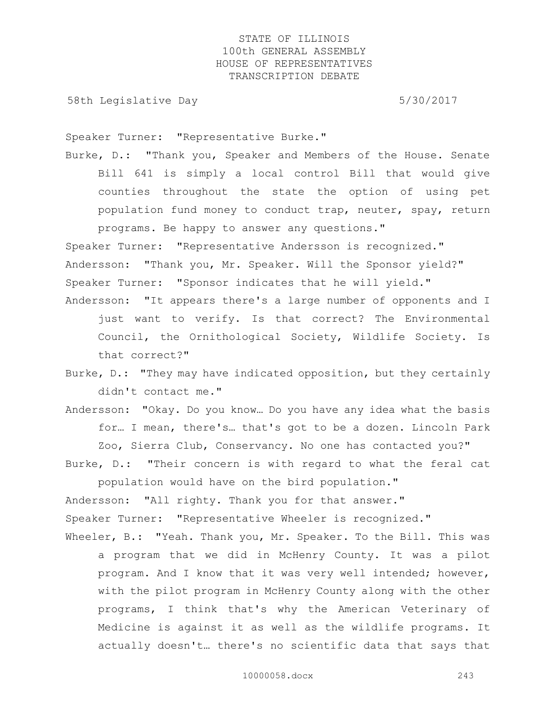58th Legislative Day 5/30/2017

Speaker Turner: "Representative Burke."

Burke, D.: "Thank you, Speaker and Members of the House. Senate Bill 641 is simply a local control Bill that would give counties throughout the state the option of using pet population fund money to conduct trap, neuter, spay, return programs. Be happy to answer any questions."

Speaker Turner: "Representative Andersson is recognized." Andersson: "Thank you, Mr. Speaker. Will the Sponsor yield?" Speaker Turner: "Sponsor indicates that he will yield."

- Andersson: "It appears there's a large number of opponents and I just want to verify. Is that correct? The Environmental Council, the Ornithological Society, Wildlife Society. Is that correct?"
- Burke, D.: "They may have indicated opposition, but they certainly didn't contact me."
- Andersson: "Okay. Do you know… Do you have any idea what the basis for… I mean, there's… that's got to be a dozen. Lincoln Park Zoo, Sierra Club, Conservancy. No one has contacted you?"
- Burke, D.: "Their concern is with regard to what the feral cat population would have on the bird population."

Andersson: "All righty. Thank you for that answer." Speaker Turner: "Representative Wheeler is recognized."

Wheeler, B.: "Yeah. Thank you, Mr. Speaker. To the Bill. This was a program that we did in McHenry County. It was a pilot program. And I know that it was very well intended; however, with the pilot program in McHenry County along with the other programs, I think that's why the American Veterinary of Medicine is against it as well as the wildlife programs. It actually doesn't… there's no scientific data that says that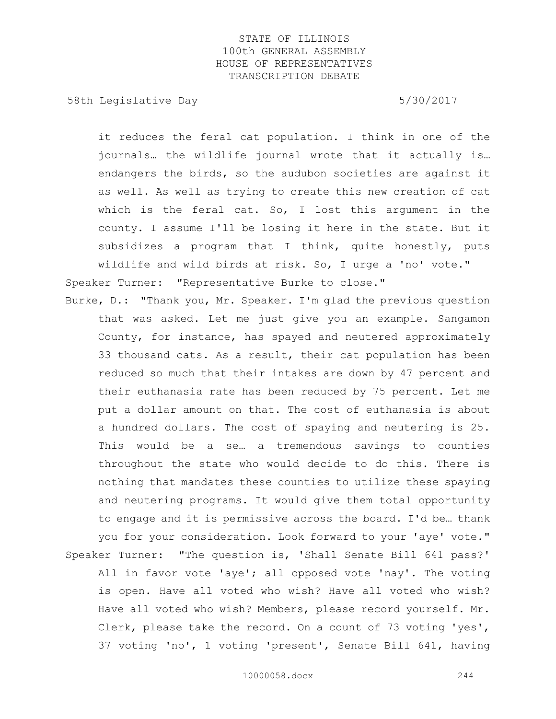58th Legislative Day 5/30/2017

it reduces the feral cat population. I think in one of the journals… the wildlife journal wrote that it actually is… endangers the birds, so the audubon societies are against it as well. As well as trying to create this new creation of cat which is the feral cat. So, I lost this argument in the county. I assume I'll be losing it here in the state. But it subsidizes a program that I think, quite honestly, puts wildlife and wild birds at risk. So, I urge a 'no' vote." Speaker Turner: "Representative Burke to close."

Burke, D.: "Thank you, Mr. Speaker. I'm glad the previous question that was asked. Let me just give you an example. Sangamon County, for instance, has spayed and neutered approximately 33 thousand cats. As a result, their cat population has been reduced so much that their intakes are down by 47 percent and their euthanasia rate has been reduced by 75 percent. Let me put a dollar amount on that. The cost of euthanasia is about a hundred dollars. The cost of spaying and neutering is 25. This would be a se… a tremendous savings to counties throughout the state who would decide to do this. There is nothing that mandates these counties to utilize these spaying and neutering programs. It would give them total opportunity to engage and it is permissive across the board. I'd be… thank you for your consideration. Look forward to your 'aye' vote." Speaker Turner: "The question is, 'Shall Senate Bill 641 pass?' All in favor vote 'aye'; all opposed vote 'nay'. The voting is open. Have all voted who wish? Have all voted who wish? Have all voted who wish? Members, please record yourself. Mr. Clerk, please take the record. On a count of 73 voting 'yes', 37 voting 'no', 1 voting 'present', Senate Bill 641, having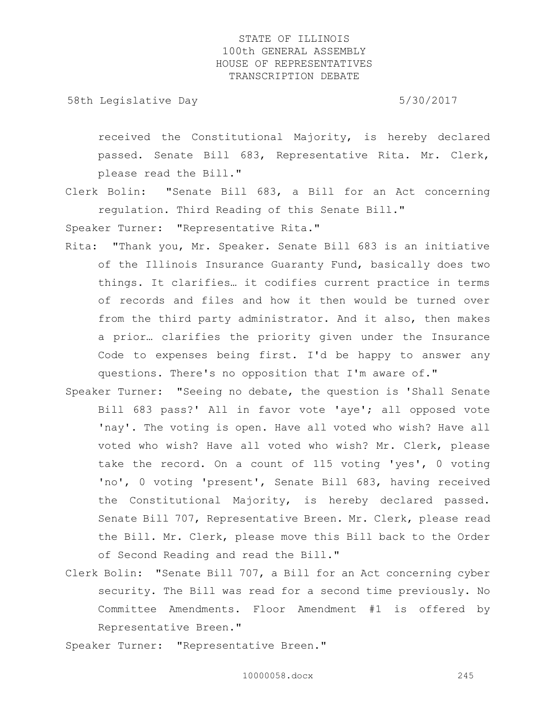58th Legislative Day 5/30/2017

received the Constitutional Majority, is hereby declared passed. Senate Bill 683, Representative Rita. Mr. Clerk, please read the Bill."

Clerk Bolin: "Senate Bill 683, a Bill for an Act concerning regulation. Third Reading of this Senate Bill."

Speaker Turner: "Representative Rita."

- Rita: "Thank you, Mr. Speaker. Senate Bill 683 is an initiative of the Illinois Insurance Guaranty Fund, basically does two things. It clarifies… it codifies current practice in terms of records and files and how it then would be turned over from the third party administrator. And it also, then makes a prior… clarifies the priority given under the Insurance Code to expenses being first. I'd be happy to answer any questions. There's no opposition that I'm aware of."
- Speaker Turner: "Seeing no debate, the question is 'Shall Senate Bill 683 pass?' All in favor vote 'aye'; all opposed vote 'nay'. The voting is open. Have all voted who wish? Have all voted who wish? Have all voted who wish? Mr. Clerk, please take the record. On a count of 115 voting 'yes', 0 voting 'no', 0 voting 'present', Senate Bill 683, having received the Constitutional Majority, is hereby declared passed. Senate Bill 707, Representative Breen. Mr. Clerk, please read the Bill. Mr. Clerk, please move this Bill back to the Order of Second Reading and read the Bill."
- Clerk Bolin: "Senate Bill 707, a Bill for an Act concerning cyber security. The Bill was read for a second time previously. No Committee Amendments. Floor Amendment #1 is offered by Representative Breen."

Speaker Turner: "Representative Breen."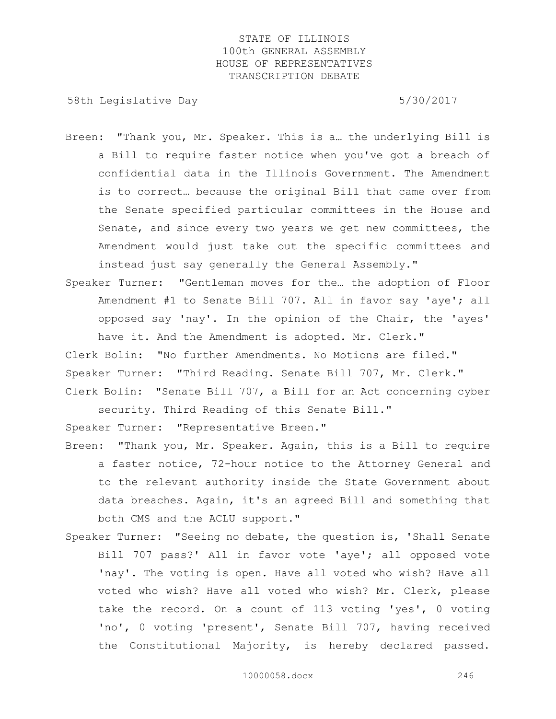58th Legislative Day 5/30/2017

- Breen: "Thank you, Mr. Speaker. This is a… the underlying Bill is a Bill to require faster notice when you've got a breach of confidential data in the Illinois Government. The Amendment is to correct… because the original Bill that came over from the Senate specified particular committees in the House and Senate, and since every two years we get new committees, the Amendment would just take out the specific committees and instead just say generally the General Assembly."
- Speaker Turner: "Gentleman moves for the… the adoption of Floor Amendment #1 to Senate Bill 707. All in favor say 'aye'; all opposed say 'nay'. In the opinion of the Chair, the 'ayes' have it. And the Amendment is adopted. Mr. Clerk."

Clerk Bolin: "No further Amendments. No Motions are filed." Speaker Turner: "Third Reading. Senate Bill 707, Mr. Clerk." Clerk Bolin: "Senate Bill 707, a Bill for an Act concerning cyber

security. Third Reading of this Senate Bill."

Speaker Turner: "Representative Breen."

- Breen: "Thank you, Mr. Speaker. Again, this is a Bill to require a faster notice, 72-hour notice to the Attorney General and to the relevant authority inside the State Government about data breaches. Again, it's an agreed Bill and something that both CMS and the ACLU support."
- Speaker Turner: "Seeing no debate, the question is, 'Shall Senate Bill 707 pass?' All in favor vote 'aye'; all opposed vote 'nay'. The voting is open. Have all voted who wish? Have all voted who wish? Have all voted who wish? Mr. Clerk, please take the record. On a count of 113 voting 'yes', 0 voting 'no', 0 voting 'present', Senate Bill 707, having received the Constitutional Majority, is hereby declared passed.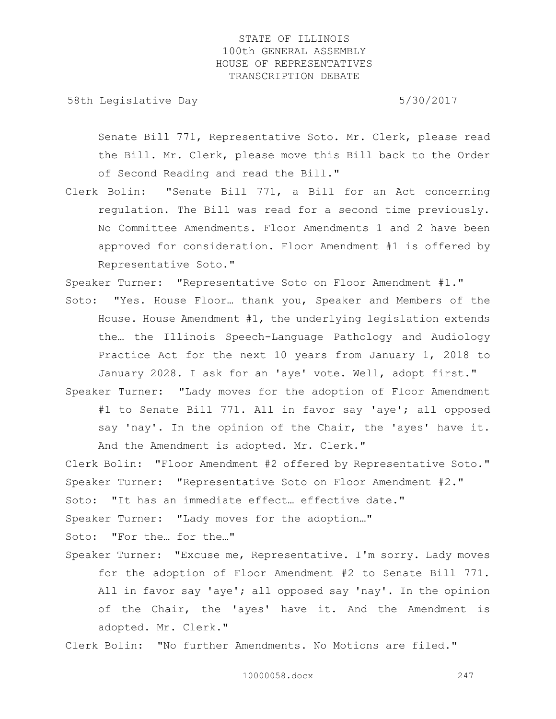58th Legislative Day 5/30/2017

Senate Bill 771, Representative Soto. Mr. Clerk, please read the Bill. Mr. Clerk, please move this Bill back to the Order of Second Reading and read the Bill."

Clerk Bolin: "Senate Bill 771, a Bill for an Act concerning regulation. The Bill was read for a second time previously. No Committee Amendments. Floor Amendments 1 and 2 have been approved for consideration. Floor Amendment #1 is offered by Representative Soto."

Speaker Turner: "Representative Soto on Floor Amendment #1."

- Soto: "Yes. House Floor… thank you, Speaker and Members of the House. House Amendment #1, the underlying legislation extends the… the Illinois Speech-Language Pathology and Audiology Practice Act for the next 10 years from January 1, 2018 to January 2028. I ask for an 'aye' vote. Well, adopt first."
- Speaker Turner: "Lady moves for the adoption of Floor Amendment #1 to Senate Bill 771. All in favor say 'aye'; all opposed say 'nay'. In the opinion of the Chair, the 'ayes' have it. And the Amendment is adopted. Mr. Clerk."

Clerk Bolin: "Floor Amendment #2 offered by Representative Soto." Speaker Turner: "Representative Soto on Floor Amendment #2." Soto: "It has an immediate effect… effective date." Speaker Turner: "Lady moves for the adoption…"

Soto: "For the… for the…"

Speaker Turner: "Excuse me, Representative. I'm sorry. Lady moves for the adoption of Floor Amendment #2 to Senate Bill 771. All in favor say 'aye'; all opposed say 'nay'. In the opinion of the Chair, the 'ayes' have it. And the Amendment is adopted. Mr. Clerk."

Clerk Bolin: "No further Amendments. No Motions are filed."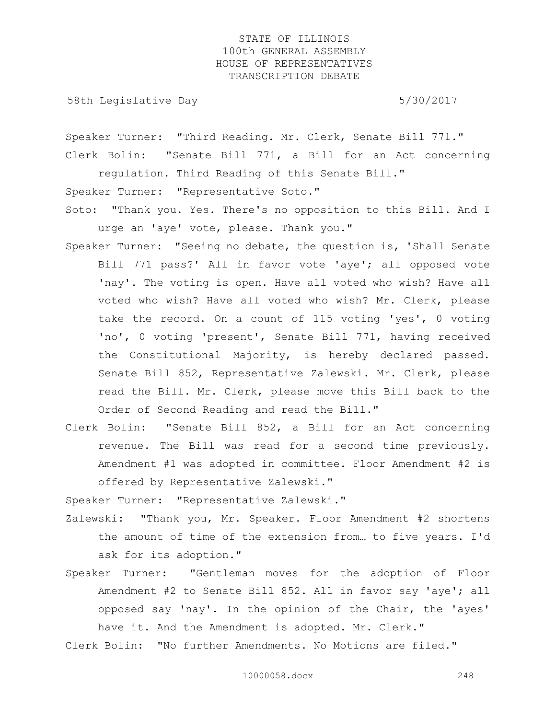58th Legislative Day 5/30/2017

Speaker Turner: "Third Reading. Mr. Clerk, Senate Bill 771."

Clerk Bolin: "Senate Bill 771, a Bill for an Act concerning regulation. Third Reading of this Senate Bill." Speaker Turner: "Representative Soto."

Soto: "Thank you. Yes. There's no opposition to this Bill. And I

urge an 'aye' vote, please. Thank you."

Speaker Turner: "Seeing no debate, the question is, 'Shall Senate Bill 771 pass?' All in favor vote 'aye'; all opposed vote 'nay'. The voting is open. Have all voted who wish? Have all voted who wish? Have all voted who wish? Mr. Clerk, please take the record. On a count of 115 voting 'yes', 0 voting 'no', 0 voting 'present', Senate Bill 771, having received the Constitutional Majority, is hereby declared passed. Senate Bill 852, Representative Zalewski. Mr. Clerk, please read the Bill. Mr. Clerk, please move this Bill back to the Order of Second Reading and read the Bill."

Clerk Bolin: "Senate Bill 852, a Bill for an Act concerning revenue. The Bill was read for a second time previously. Amendment #1 was adopted in committee. Floor Amendment #2 is offered by Representative Zalewski."

Speaker Turner: "Representative Zalewski."

- Zalewski: "Thank you, Mr. Speaker. Floor Amendment #2 shortens the amount of time of the extension from… to five years. I'd ask for its adoption."
- Speaker Turner: "Gentleman moves for the adoption of Floor Amendment #2 to Senate Bill 852. All in favor say 'aye'; all opposed say 'nay'. In the opinion of the Chair, the 'ayes' have it. And the Amendment is adopted. Mr. Clerk."

Clerk Bolin: "No further Amendments. No Motions are filed."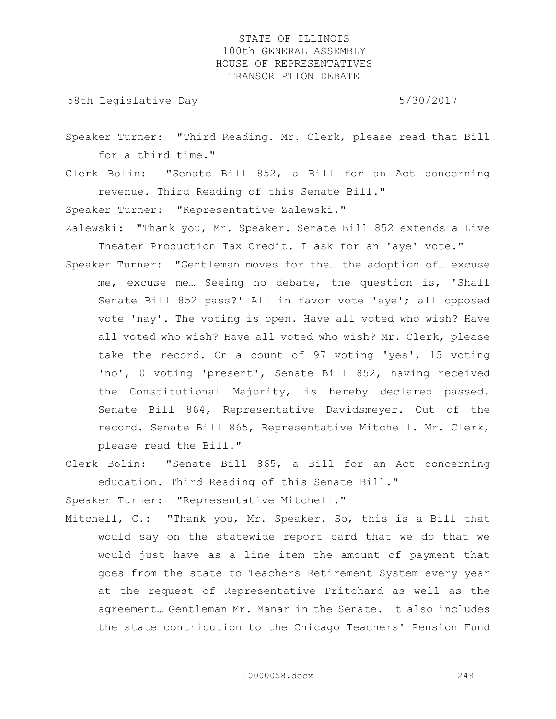58th Legislative Day 5/30/2017

- Speaker Turner: "Third Reading. Mr. Clerk, please read that Bill for a third time."
- Clerk Bolin: "Senate Bill 852, a Bill for an Act concerning revenue. Third Reading of this Senate Bill."

Speaker Turner: "Representative Zalewski."

- Zalewski: "Thank you, Mr. Speaker. Senate Bill 852 extends a Live Theater Production Tax Credit. I ask for an 'aye' vote."
- Speaker Turner: "Gentleman moves for the… the adoption of… excuse me, excuse me… Seeing no debate, the question is, 'Shall Senate Bill 852 pass?' All in favor vote 'aye'; all opposed vote 'nay'. The voting is open. Have all voted who wish? Have all voted who wish? Have all voted who wish? Mr. Clerk, please take the record. On a count of 97 voting 'yes', 15 voting 'no', 0 voting 'present', Senate Bill 852, having received the Constitutional Majority, is hereby declared passed. Senate Bill 864, Representative Davidsmeyer. Out of the record. Senate Bill 865, Representative Mitchell. Mr. Clerk, please read the Bill."
- Clerk Bolin: "Senate Bill 865, a Bill for an Act concerning education. Third Reading of this Senate Bill."

Speaker Turner: "Representative Mitchell."

Mitchell, C.: "Thank you, Mr. Speaker. So, this is a Bill that would say on the statewide report card that we do that we would just have as a line item the amount of payment that goes from the state to Teachers Retirement System every year at the request of Representative Pritchard as well as the agreement… Gentleman Mr. Manar in the Senate. It also includes the state contribution to the Chicago Teachers' Pension Fund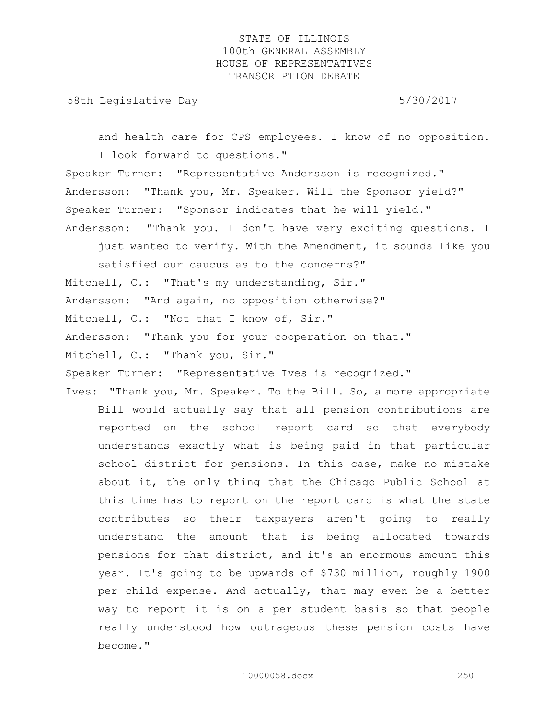58th Legislative Day 5/30/2017

and health care for CPS employees. I know of no opposition. I look forward to questions."

Speaker Turner: "Representative Andersson is recognized." Andersson: "Thank you, Mr. Speaker. Will the Sponsor yield?" Speaker Turner: "Sponsor indicates that he will yield." Andersson: "Thank you. I don't have very exciting questions. I

just wanted to verify. With the Amendment, it sounds like you

satisfied our caucus as to the concerns?" Mitchell, C.: "That's my understanding, Sir." Andersson: "And again, no opposition otherwise?" Mitchell, C.: "Not that I know of, Sir." Andersson: "Thank you for your cooperation on that." Mitchell, C.: "Thank you, Sir." Speaker Turner: "Representative Ives is recognized."

Ives: "Thank you, Mr. Speaker. To the Bill. So, a more appropriate Bill would actually say that all pension contributions are reported on the school report card so that everybody understands exactly what is being paid in that particular school district for pensions. In this case, make no mistake about it, the only thing that the Chicago Public School at this time has to report on the report card is what the state contributes so their taxpayers aren't going to really understand the amount that is being allocated towards pensions for that district, and it's an enormous amount this year. It's going to be upwards of \$730 million, roughly 1900 per child expense. And actually, that may even be a better way to report it is on a per student basis so that people really understood how outrageous these pension costs have become."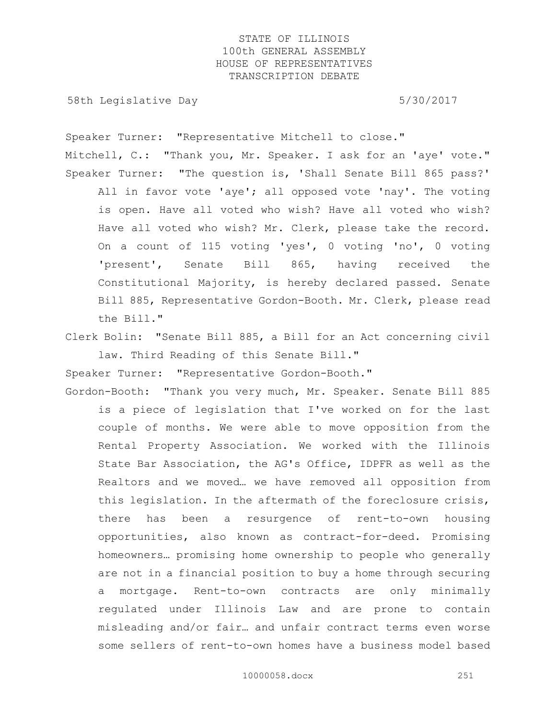58th Legislative Day 5/30/2017

Speaker Turner: "Representative Mitchell to close." Mitchell, C.: "Thank you, Mr. Speaker. I ask for an 'aye' vote." Speaker Turner: "The question is, 'Shall Senate Bill 865 pass?' All in favor vote 'aye'; all opposed vote 'nay'. The voting is open. Have all voted who wish? Have all voted who wish? Have all voted who wish? Mr. Clerk, please take the record. On a count of 115 voting 'yes', 0 voting 'no', 0 voting 'present', Senate Bill 865, having received the Constitutional Majority, is hereby declared passed. Senate Bill 885, Representative Gordon-Booth. Mr. Clerk, please read the Bill."

Clerk Bolin: "Senate Bill 885, a Bill for an Act concerning civil law. Third Reading of this Senate Bill."

Speaker Turner: "Representative Gordon-Booth."

Gordon-Booth: "Thank you very much, Mr. Speaker. Senate Bill 885 is a piece of legislation that I've worked on for the last couple of months. We were able to move opposition from the Rental Property Association. We worked with the Illinois State Bar Association, the AG's Office, IDPFR as well as the Realtors and we moved… we have removed all opposition from this legislation. In the aftermath of the foreclosure crisis, there has been a resurgence of rent-to-own housing opportunities, also known as contract-for-deed. Promising homeowners… promising home ownership to people who generally are not in a financial position to buy a home through securing a mortgage. Rent-to-own contracts are only minimally regulated under Illinois Law and are prone to contain misleading and/or fair… and unfair contract terms even worse some sellers of rent-to-own homes have a business model based

10000058.docx 251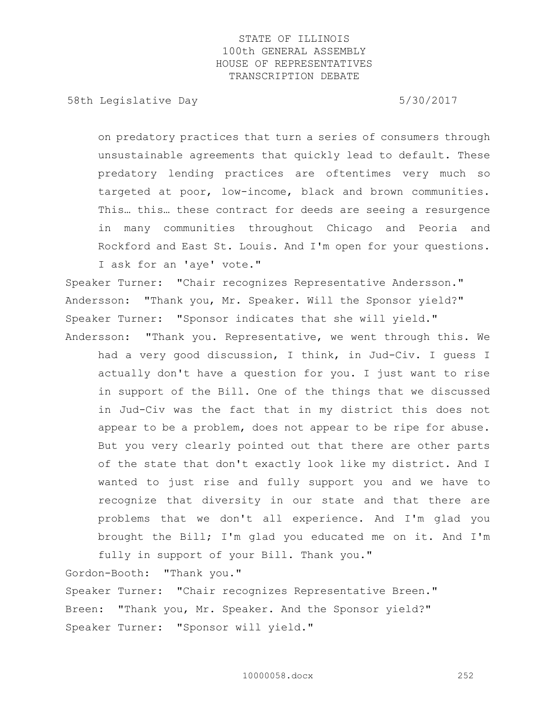58th Legislative Day 5/30/2017

on predatory practices that turn a series of consumers through unsustainable agreements that quickly lead to default. These predatory lending practices are oftentimes very much so targeted at poor, low-income, black and brown communities. This… this… these contract for deeds are seeing a resurgence in many communities throughout Chicago and Peoria and Rockford and East St. Louis. And I'm open for your questions. I ask for an 'aye' vote."

Speaker Turner: "Chair recognizes Representative Andersson." Andersson: "Thank you, Mr. Speaker. Will the Sponsor yield?" Speaker Turner: "Sponsor indicates that she will yield." Andersson: "Thank you. Representative, we went through this. We

had a very good discussion, I think, in Jud-Civ. I guess I actually don't have a question for you. I just want to rise in support of the Bill. One of the things that we discussed in Jud-Civ was the fact that in my district this does not appear to be a problem, does not appear to be ripe for abuse. But you very clearly pointed out that there are other parts of the state that don't exactly look like my district. And I wanted to just rise and fully support you and we have to recognize that diversity in our state and that there are problems that we don't all experience. And I'm glad you brought the Bill; I'm glad you educated me on it. And I'm

fully in support of your Bill. Thank you." Gordon-Booth: "Thank you." Speaker Turner: "Chair recognizes Representative Breen." Breen: "Thank you, Mr. Speaker. And the Sponsor yield?" Speaker Turner: "Sponsor will yield."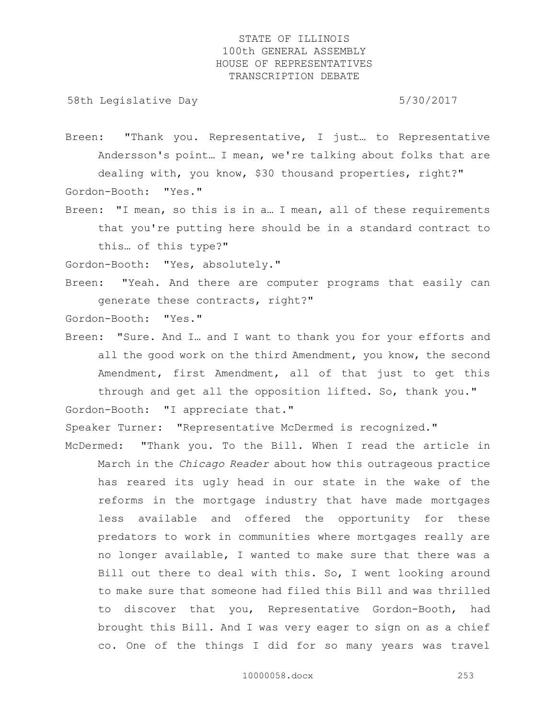58th Legislative Day 5/30/2017

Breen: "Thank you. Representative, I just… to Representative Andersson's point… I mean, we're talking about folks that are dealing with, you know, \$30 thousand properties, right?" Gordon-Booth: "Yes."

Breen: "I mean, so this is in a… I mean, all of these requirements that you're putting here should be in a standard contract to this… of this type?"

Gordon-Booth: "Yes, absolutely."

Breen: "Yeah. And there are computer programs that easily can generate these contracts, right?"

Gordon-Booth: "Yes."

Breen: "Sure. And I… and I want to thank you for your efforts and all the good work on the third Amendment, you know, the second Amendment, first Amendment, all of that just to get this through and get all the opposition lifted. So, thank you." Gordon-Booth: "I appreciate that."

Speaker Turner: "Representative McDermed is recognized."

McDermed: "Thank you. To the Bill. When I read the article in March in the *Chicago Reader* about how this outrageous practice has reared its ugly head in our state in the wake of the reforms in the mortgage industry that have made mortgages less available and offered the opportunity for these predators to work in communities where mortgages really are no longer available, I wanted to make sure that there was a Bill out there to deal with this. So, I went looking around to make sure that someone had filed this Bill and was thrilled to discover that you, Representative Gordon-Booth, had brought this Bill. And I was very eager to sign on as a chief co. One of the things I did for so many years was travel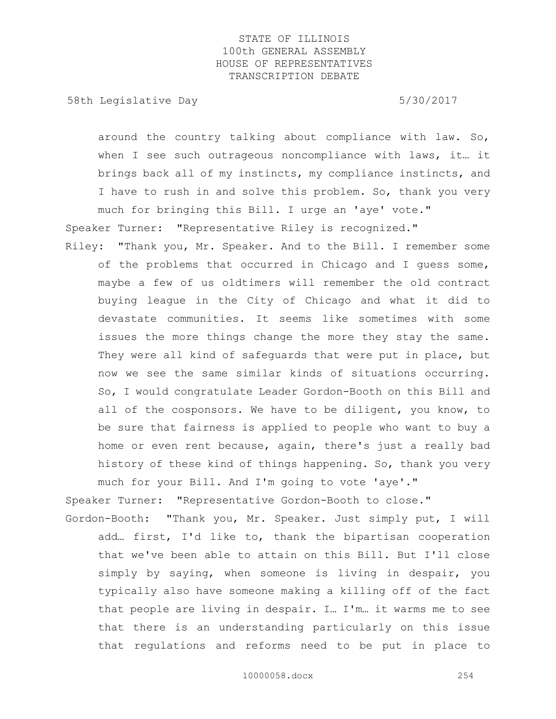58th Legislative Day 5/30/2017

around the country talking about compliance with law. So, when I see such outrageous noncompliance with laws, it… it brings back all of my instincts, my compliance instincts, and I have to rush in and solve this problem. So, thank you very

much for bringing this Bill. I urge an 'aye' vote." Speaker Turner: "Representative Riley is recognized." Riley: "Thank you, Mr. Speaker. And to the Bill. I remember some

of the problems that occurred in Chicago and I guess some, maybe a few of us oldtimers will remember the old contract buying league in the City of Chicago and what it did to devastate communities. It seems like sometimes with some issues the more things change the more they stay the same. They were all kind of safeguards that were put in place, but now we see the same similar kinds of situations occurring. So, I would congratulate Leader Gordon-Booth on this Bill and all of the cosponsors. We have to be diligent, you know, to be sure that fairness is applied to people who want to buy a home or even rent because, again, there's just a really bad history of these kind of things happening. So, thank you very much for your Bill. And I'm going to vote 'aye'."

Speaker Turner: "Representative Gordon-Booth to close."

Gordon-Booth: "Thank you, Mr. Speaker. Just simply put, I will add… first, I'd like to, thank the bipartisan cooperation that we've been able to attain on this Bill. But I'll close simply by saying, when someone is living in despair, you typically also have someone making a killing off of the fact that people are living in despair. I… I'm… it warms me to see that there is an understanding particularly on this issue that regulations and reforms need to be put in place to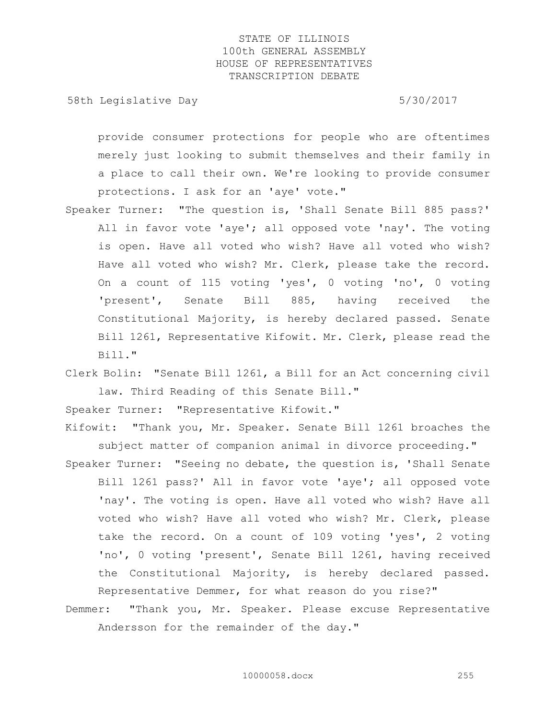58th Legislative Day 5/30/2017

provide consumer protections for people who are oftentimes merely just looking to submit themselves and their family in a place to call their own. We're looking to provide consumer protections. I ask for an 'aye' vote."

- Speaker Turner: "The question is, 'Shall Senate Bill 885 pass?' All in favor vote 'aye'; all opposed vote 'nay'. The voting is open. Have all voted who wish? Have all voted who wish? Have all voted who wish? Mr. Clerk, please take the record. On a count of 115 voting 'yes', 0 voting 'no', 0 voting 'present', Senate Bill 885, having received the Constitutional Majority, is hereby declared passed. Senate Bill 1261, Representative Kifowit. Mr. Clerk, please read the Bill."
- Clerk Bolin: "Senate Bill 1261, a Bill for an Act concerning civil law. Third Reading of this Senate Bill."

Speaker Turner: "Representative Kifowit."

- Kifowit: "Thank you, Mr. Speaker. Senate Bill 1261 broaches the subject matter of companion animal in divorce proceeding."
- Speaker Turner: "Seeing no debate, the question is, 'Shall Senate Bill 1261 pass?' All in favor vote 'aye'; all opposed vote 'nay'. The voting is open. Have all voted who wish? Have all voted who wish? Have all voted who wish? Mr. Clerk, please take the record. On a count of 109 voting 'yes', 2 voting 'no', 0 voting 'present', Senate Bill 1261, having received the Constitutional Majority, is hereby declared passed. Representative Demmer, for what reason do you rise?"
- Demmer: "Thank you, Mr. Speaker. Please excuse Representative Andersson for the remainder of the day."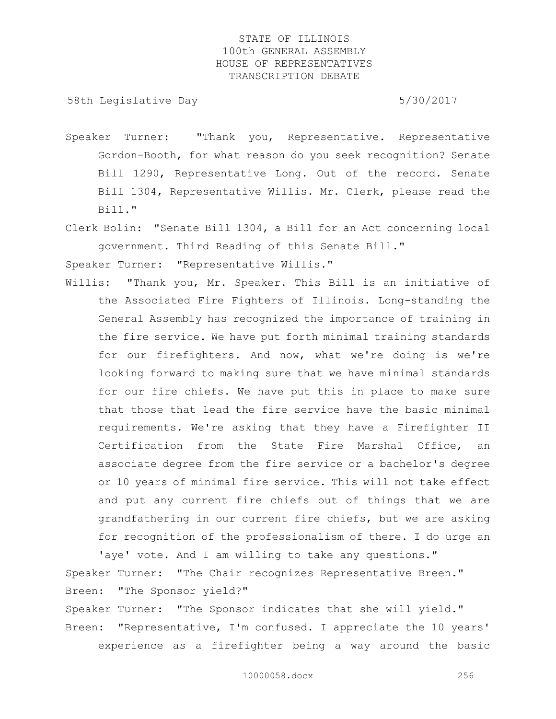58th Legislative Day 5/30/2017

- Speaker Turner: "Thank you, Representative. Representative Gordon-Booth, for what reason do you seek recognition? Senate Bill 1290, Representative Long. Out of the record. Senate Bill 1304, Representative Willis. Mr. Clerk, please read the Bill."
- Clerk Bolin: "Senate Bill 1304, a Bill for an Act concerning local government. Third Reading of this Senate Bill."

Speaker Turner: "Representative Willis."

Willis: "Thank you, Mr. Speaker. This Bill is an initiative of the Associated Fire Fighters of Illinois. Long-standing the General Assembly has recognized the importance of training in the fire service. We have put forth minimal training standards for our firefighters. And now, what we're doing is we're looking forward to making sure that we have minimal standards for our fire chiefs. We have put this in place to make sure that those that lead the fire service have the basic minimal requirements. We're asking that they have a Firefighter II Certification from the State Fire Marshal Office, an associate degree from the fire service or a bachelor's degree or 10 years of minimal fire service. This will not take effect and put any current fire chiefs out of things that we are grandfathering in our current fire chiefs, but we are asking for recognition of the professionalism of there. I do urge an

'aye' vote. And I am willing to take any questions." Speaker Turner: "The Chair recognizes Representative Breen." Breen: "The Sponsor yield?"

Speaker Turner: "The Sponsor indicates that she will yield." Breen: "Representative, I'm confused. I appreciate the 10 years' experience as a firefighter being a way around the basic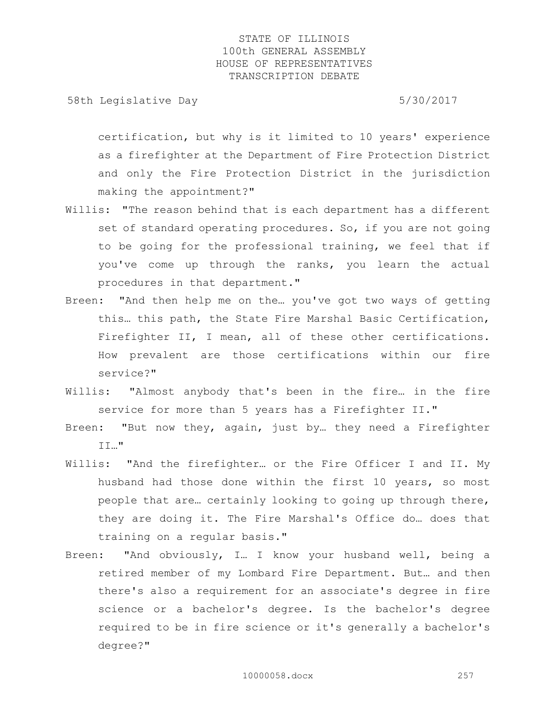58th Legislative Day 5/30/2017

certification, but why is it limited to 10 years' experience as a firefighter at the Department of Fire Protection District and only the Fire Protection District in the jurisdiction making the appointment?"

- Willis: "The reason behind that is each department has a different set of standard operating procedures. So, if you are not going to be going for the professional training, we feel that if you've come up through the ranks, you learn the actual procedures in that department."
- Breen: "And then help me on the… you've got two ways of getting this… this path, the State Fire Marshal Basic Certification, Firefighter II, I mean, all of these other certifications. How prevalent are those certifications within our fire service?"
- Willis: "Almost anybody that's been in the fire… in the fire service for more than 5 years has a Firefighter II."
- Breen: "But now they, again, just by... they need a Firefighter II…"
- Willis: "And the firefighter… or the Fire Officer I and II. My husband had those done within the first 10 years, so most people that are… certainly looking to going up through there, they are doing it. The Fire Marshal's Office do… does that training on a regular basis."
- Breen: "And obviously, I… I know your husband well, being a retired member of my Lombard Fire Department. But… and then there's also a requirement for an associate's degree in fire science or a bachelor's degree. Is the bachelor's degree required to be in fire science or it's generally a bachelor's degree?"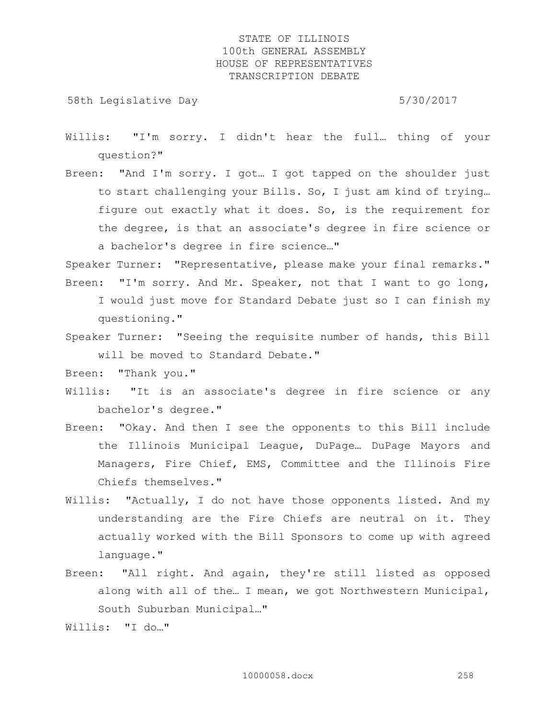58th Legislative Day 5/30/2017

- Willis: "I'm sorry. I didn't hear the full… thing of your question?"
- Breen: "And I'm sorry. I got… I got tapped on the shoulder just to start challenging your Bills. So, I just am kind of trying… figure out exactly what it does. So, is the requirement for the degree, is that an associate's degree in fire science or a bachelor's degree in fire science…"

Speaker Turner: "Representative, please make your final remarks." Breen: "I'm sorry. And Mr. Speaker, not that I want to go long, I would just move for Standard Debate just so I can finish my

questioning."

Speaker Turner: "Seeing the requisite number of hands, this Bill will be moved to Standard Debate."

Breen: "Thank you."

- Willis: "It is an associate's degree in fire science or any bachelor's degree."
- Breen: "Okay. And then I see the opponents to this Bill include the Illinois Municipal League, DuPage… DuPage Mayors and Managers, Fire Chief, EMS, Committee and the Illinois Fire Chiefs themselves."
- Willis: "Actually, I do not have those opponents listed. And my understanding are the Fire Chiefs are neutral on it. They actually worked with the Bill Sponsors to come up with agreed language."
- Breen: "All right. And again, they're still listed as opposed along with all of the… I mean, we got Northwestern Municipal, South Suburban Municipal…"

Willis: "I do…"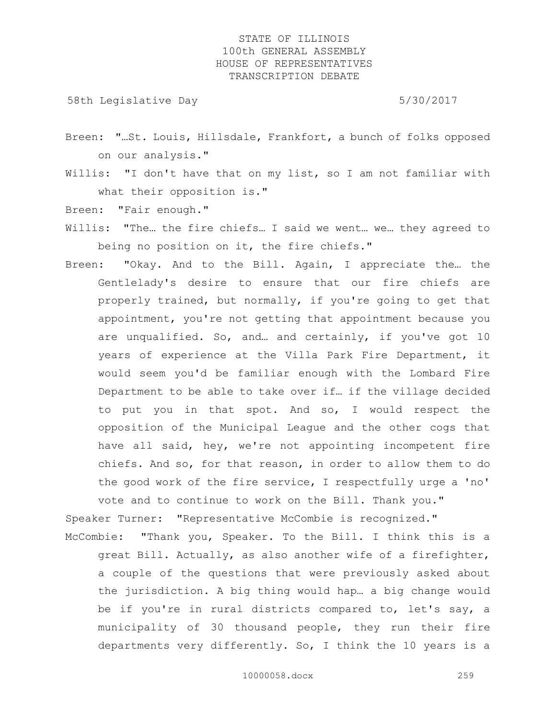58th Legislative Day 5/30/2017

- Breen: "…St. Louis, Hillsdale, Frankfort, a bunch of folks opposed on our analysis."
- Willis: "I don't have that on my list, so I am not familiar with what their opposition is."

Breen: "Fair enough."

- Willis: "The… the fire chiefs… I said we went… we… they agreed to being no position on it, the fire chiefs."
- Breen: "Okay. And to the Bill. Again, I appreciate the… the Gentlelady's desire to ensure that our fire chiefs are properly trained, but normally, if you're going to get that appointment, you're not getting that appointment because you are unqualified. So, and… and certainly, if you've got 10 years of experience at the Villa Park Fire Department, it would seem you'd be familiar enough with the Lombard Fire Department to be able to take over if… if the village decided to put you in that spot. And so, I would respect the opposition of the Municipal League and the other cogs that have all said, hey, we're not appointing incompetent fire chiefs. And so, for that reason, in order to allow them to do the good work of the fire service, I respectfully urge a 'no' vote and to continue to work on the Bill. Thank you."

Speaker Turner: "Representative McCombie is recognized."

McCombie: "Thank you, Speaker. To the Bill. I think this is a great Bill. Actually, as also another wife of a firefighter, a couple of the questions that were previously asked about the jurisdiction. A big thing would hap… a big change would be if you're in rural districts compared to, let's say, a municipality of 30 thousand people, they run their fire departments very differently. So, I think the 10 years is a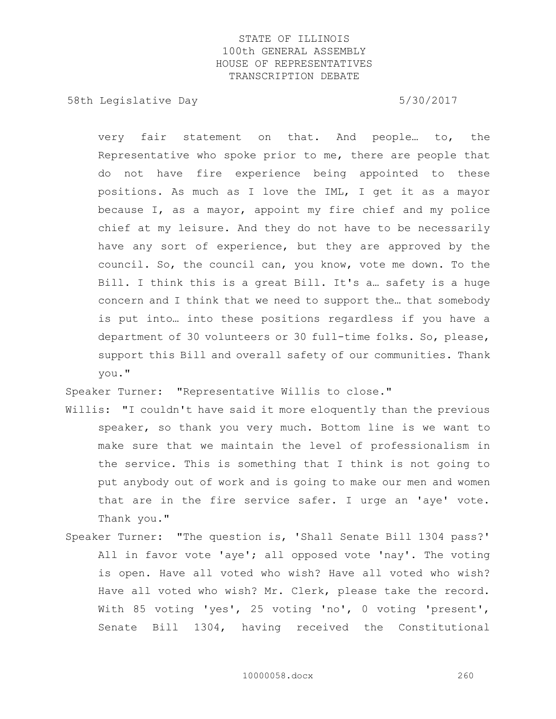58th Legislative Day 5/30/2017

very fair statement on that. And people… to, the Representative who spoke prior to me, there are people that do not have fire experience being appointed to these positions. As much as I love the IML, I get it as a mayor because I, as a mayor, appoint my fire chief and my police chief at my leisure. And they do not have to be necessarily have any sort of experience, but they are approved by the council. So, the council can, you know, vote me down. To the Bill. I think this is a great Bill. It's a… safety is a huge concern and I think that we need to support the… that somebody is put into… into these positions regardless if you have a department of 30 volunteers or 30 full-time folks. So, please, support this Bill and overall safety of our communities. Thank you."

Speaker Turner: "Representative Willis to close."

- Willis: "I couldn't have said it more eloquently than the previous speaker, so thank you very much. Bottom line is we want to make sure that we maintain the level of professionalism in the service. This is something that I think is not going to put anybody out of work and is going to make our men and women that are in the fire service safer. I urge an 'aye' vote. Thank you."
- Speaker Turner: "The question is, 'Shall Senate Bill 1304 pass?' All in favor vote 'aye'; all opposed vote 'nay'. The voting is open. Have all voted who wish? Have all voted who wish? Have all voted who wish? Mr. Clerk, please take the record. With 85 voting 'yes', 25 voting 'no', 0 voting 'present', Senate Bill 1304, having received the Constitutional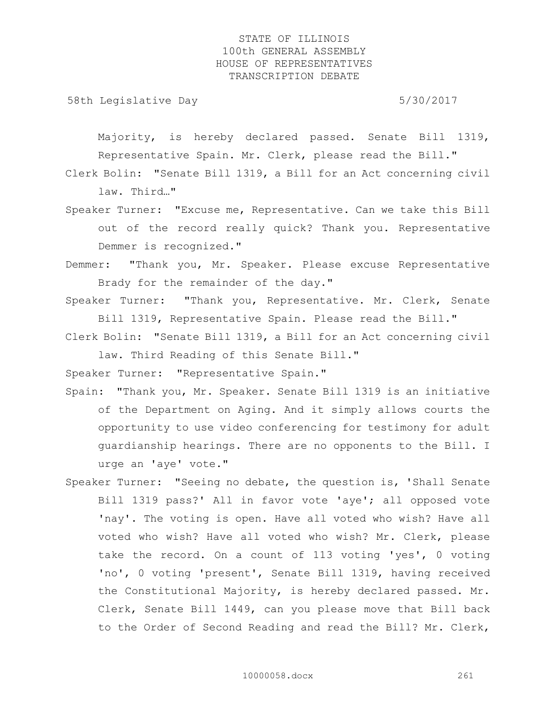58th Legislative Day 5/30/2017

Majority, is hereby declared passed. Senate Bill 1319, Representative Spain. Mr. Clerk, please read the Bill."

- Clerk Bolin: "Senate Bill 1319, a Bill for an Act concerning civil law. Third…"
- Speaker Turner: "Excuse me, Representative. Can we take this Bill out of the record really quick? Thank you. Representative Demmer is recognized."
- Demmer: "Thank you, Mr. Speaker. Please excuse Representative Brady for the remainder of the day."
- Speaker Turner: "Thank you, Representative. Mr. Clerk, Senate Bill 1319, Representative Spain. Please read the Bill."
- Clerk Bolin: "Senate Bill 1319, a Bill for an Act concerning civil law. Third Reading of this Senate Bill."

Speaker Turner: "Representative Spain."

- Spain: "Thank you, Mr. Speaker. Senate Bill 1319 is an initiative of the Department on Aging. And it simply allows courts the opportunity to use video conferencing for testimony for adult guardianship hearings. There are no opponents to the Bill. I urge an 'aye' vote."
- Speaker Turner: "Seeing no debate, the question is, 'Shall Senate Bill 1319 pass?' All in favor vote 'aye'; all opposed vote 'nay'. The voting is open. Have all voted who wish? Have all voted who wish? Have all voted who wish? Mr. Clerk, please take the record. On a count of 113 voting 'yes', 0 voting 'no', 0 voting 'present', Senate Bill 1319, having received the Constitutional Majority, is hereby declared passed. Mr. Clerk, Senate Bill 1449, can you please move that Bill back to the Order of Second Reading and read the Bill? Mr. Clerk,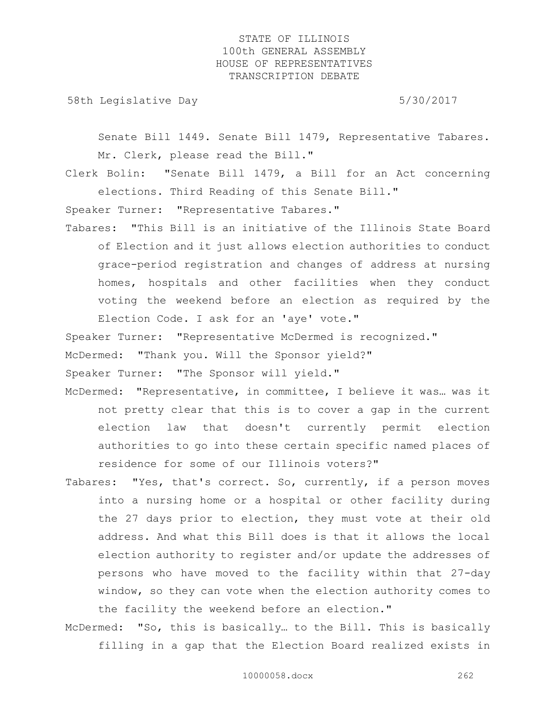58th Legislative Day 5/30/2017

Senate Bill 1449. Senate Bill 1479, Representative Tabares. Mr. Clerk, please read the Bill."

Clerk Bolin: "Senate Bill 1479, a Bill for an Act concerning elections. Third Reading of this Senate Bill."

Speaker Turner: "Representative Tabares."

Tabares: "This Bill is an initiative of the Illinois State Board of Election and it just allows election authorities to conduct grace-period registration and changes of address at nursing homes, hospitals and other facilities when they conduct voting the weekend before an election as required by the Election Code. I ask for an 'aye' vote."

Speaker Turner: "Representative McDermed is recognized."

McDermed: "Thank you. Will the Sponsor yield?"

Speaker Turner: "The Sponsor will yield."

- McDermed: "Representative, in committee, I believe it was… was it not pretty clear that this is to cover a gap in the current election law that doesn't currently permit election authorities to go into these certain specific named places of residence for some of our Illinois voters?"
- Tabares: "Yes, that's correct. So, currently, if a person moves into a nursing home or a hospital or other facility during the 27 days prior to election, they must vote at their old address. And what this Bill does is that it allows the local election authority to register and/or update the addresses of persons who have moved to the facility within that 27-day window, so they can vote when the election authority comes to the facility the weekend before an election."
- McDermed: "So, this is basically… to the Bill. This is basically filling in a gap that the Election Board realized exists in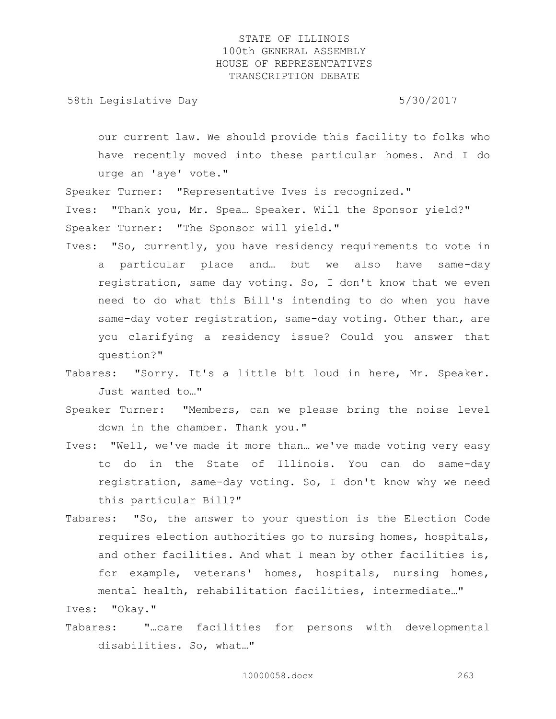58th Legislative Day 6/30/2017

our current law. We should provide this facility to folks who have recently moved into these particular homes. And I do urge an 'aye' vote."

Speaker Turner: "Representative Ives is recognized."

Ives: "Thank you, Mr. Spea… Speaker. Will the Sponsor yield?" Speaker Turner: "The Sponsor will yield."

- Ives: "So, currently, you have residency requirements to vote in a particular place and… but we also have same-day registration, same day voting. So, I don't know that we even need to do what this Bill's intending to do when you have same-day voter registration, same-day voting. Other than, are you clarifying a residency issue? Could you answer that question?"
- Tabares: "Sorry. It's a little bit loud in here, Mr. Speaker. Just wanted to…"
- Speaker Turner: "Members, can we please bring the noise level down in the chamber. Thank you."
- Ives: "Well, we've made it more than… we've made voting very easy to do in the State of Illinois. You can do same-day registration, same-day voting. So, I don't know why we need this particular Bill?"
- Tabares: "So, the answer to your question is the Election Code requires election authorities go to nursing homes, hospitals, and other facilities. And what I mean by other facilities is, for example, veterans' homes, hospitals, nursing homes, mental health, rehabilitation facilities, intermediate…"

Ives: "Okay."

Tabares: "…care facilities for persons with developmental disabilities. So, what…"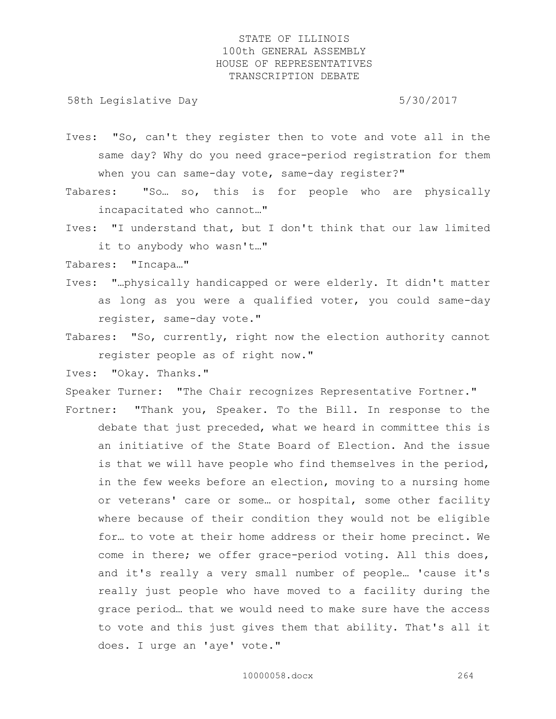58th Legislative Day 5/30/2017

- Ives: "So, can't they register then to vote and vote all in the same day? Why do you need grace-period registration for them when you can same-day vote, same-day register?"
- Tabares: "So… so, this is for people who are physically incapacitated who cannot…"
- Ives: "I understand that, but I don't think that our law limited it to anybody who wasn't…"

Tabares: "Incapa…"

- Ives: "…physically handicapped or were elderly. It didn't matter as long as you were a qualified voter, you could same-day register, same-day vote."
- Tabares: "So, currently, right now the election authority cannot register people as of right now."

Ives: "Okay. Thanks."

Speaker Turner: "The Chair recognizes Representative Fortner."

Fortner: "Thank you, Speaker. To the Bill. In response to the debate that just preceded, what we heard in committee this is an initiative of the State Board of Election. And the issue is that we will have people who find themselves in the period, in the few weeks before an election, moving to a nursing home or veterans' care or some… or hospital, some other facility where because of their condition they would not be eligible for… to vote at their home address or their home precinct. We come in there; we offer grace-period voting. All this does, and it's really a very small number of people… 'cause it's really just people who have moved to a facility during the grace period… that we would need to make sure have the access to vote and this just gives them that ability. That's all it does. I urge an 'aye' vote."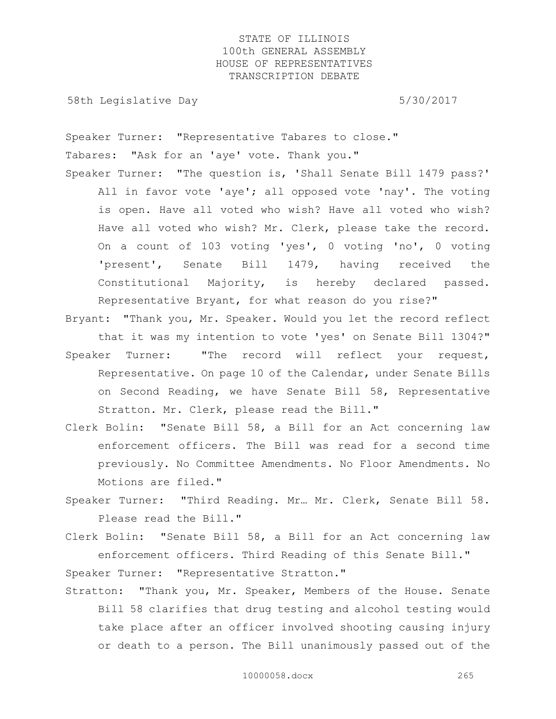58th Legislative Day 5/30/2017

Speaker Turner: "Representative Tabares to close." Tabares: "Ask for an 'aye' vote. Thank you." Speaker Turner: "The question is, 'Shall Senate Bill 1479 pass?'

- All in favor vote 'aye'; all opposed vote 'nay'. The voting is open. Have all voted who wish? Have all voted who wish? Have all voted who wish? Mr. Clerk, please take the record. On a count of 103 voting 'yes', 0 voting 'no', 0 voting 'present', Senate Bill 1479, having received the Constitutional Majority, is hereby declared passed. Representative Bryant, for what reason do you rise?"
- Bryant: "Thank you, Mr. Speaker. Would you let the record reflect that it was my intention to vote 'yes' on Senate Bill 1304?" Speaker Turner: "The record will reflect your request, Representative. On page 10 of the Calendar, under Senate Bills on Second Reading, we have Senate Bill 58, Representative Stratton. Mr. Clerk, please read the Bill."
- Clerk Bolin: "Senate Bill 58, a Bill for an Act concerning law enforcement officers. The Bill was read for a second time previously. No Committee Amendments. No Floor Amendments. No Motions are filed."
- Speaker Turner: "Third Reading. Mr… Mr. Clerk, Senate Bill 58. Please read the Bill."
- Clerk Bolin: "Senate Bill 58, a Bill for an Act concerning law enforcement officers. Third Reading of this Senate Bill."

Speaker Turner: "Representative Stratton."

Stratton: "Thank you, Mr. Speaker, Members of the House. Senate Bill 58 clarifies that drug testing and alcohol testing would take place after an officer involved shooting causing injury or death to a person. The Bill unanimously passed out of the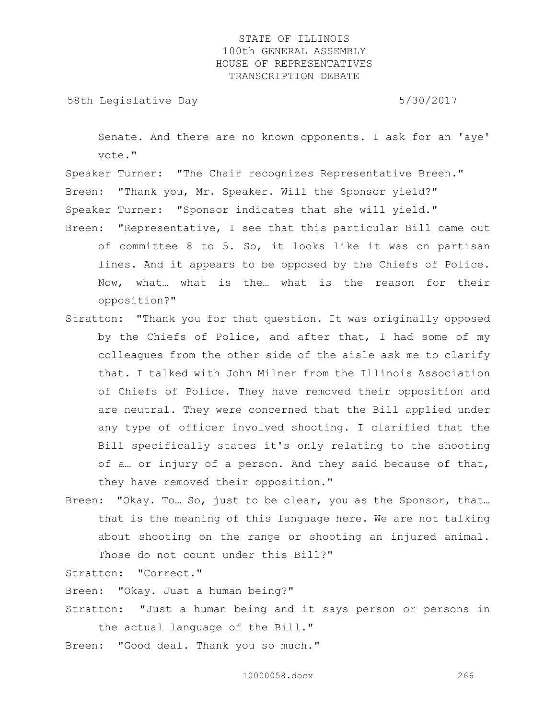58th Legislative Day 5/30/2017

Senate. And there are no known opponents. I ask for an 'aye' vote."

Speaker Turner: "The Chair recognizes Representative Breen." Breen: "Thank you, Mr. Speaker. Will the Sponsor yield?" Speaker Turner: "Sponsor indicates that she will yield."

- Breen: "Representative, I see that this particular Bill came out of committee 8 to 5. So, it looks like it was on partisan lines. And it appears to be opposed by the Chiefs of Police. Now, what… what is the… what is the reason for their opposition?"
- Stratton: "Thank you for that question. It was originally opposed by the Chiefs of Police, and after that, I had some of my colleagues from the other side of the aisle ask me to clarify that. I talked with John Milner from the Illinois Association of Chiefs of Police. They have removed their opposition and are neutral. They were concerned that the Bill applied under any type of officer involved shooting. I clarified that the Bill specifically states it's only relating to the shooting of a… or injury of a person. And they said because of that, they have removed their opposition."
- Breen: "Okay. To… So, just to be clear, you as the Sponsor, that… that is the meaning of this language here. We are not talking about shooting on the range or shooting an injured animal. Those do not count under this Bill?"

Stratton: "Correct."

Breen: "Okay. Just a human being?"

- Stratton: "Just a human being and it says person or persons in the actual language of the Bill."
- Breen: "Good deal. Thank you so much."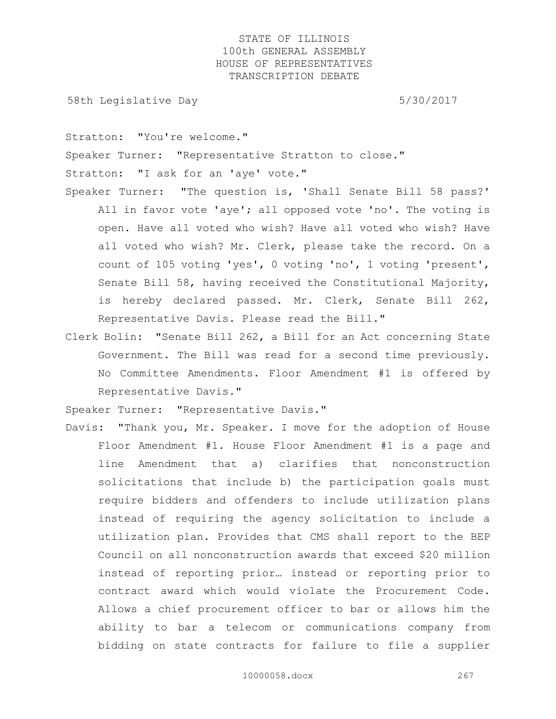58th Legislative Day 5/30/2017

Stratton: "You're welcome."

Speaker Turner: "Representative Stratton to close."

Stratton: "I ask for an 'aye' vote."

- Speaker Turner: "The question is, 'Shall Senate Bill 58 pass?' All in favor vote 'aye'; all opposed vote 'no'. The voting is open. Have all voted who wish? Have all voted who wish? Have all voted who wish? Mr. Clerk, please take the record. On a count of 105 voting 'yes', 0 voting 'no', 1 voting 'present', Senate Bill 58, having received the Constitutional Majority, is hereby declared passed. Mr. Clerk, Senate Bill 262, Representative Davis. Please read the Bill."
- Clerk Bolin: "Senate Bill 262, a Bill for an Act concerning State Government. The Bill was read for a second time previously. No Committee Amendments. Floor Amendment #1 is offered by Representative Davis."

Speaker Turner: "Representative Davis."

Davis: "Thank you, Mr. Speaker. I move for the adoption of House Floor Amendment #1. House Floor Amendment #1 is a page and line Amendment that a) clarifies that nonconstruction solicitations that include b) the participation goals must require bidders and offenders to include utilization plans instead of requiring the agency solicitation to include a utilization plan. Provides that CMS shall report to the BEP Council on all nonconstruction awards that exceed \$20 million instead of reporting prior… instead or reporting prior to contract award which would violate the Procurement Code. Allows a chief procurement officer to bar or allows him the ability to bar a telecom or communications company from bidding on state contracts for failure to file a supplier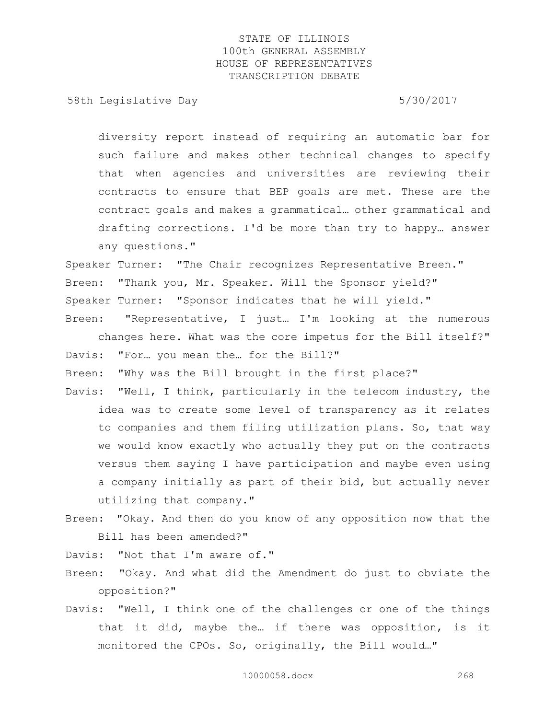58th Legislative Day 5/30/2017

diversity report instead of requiring an automatic bar for such failure and makes other technical changes to specify that when agencies and universities are reviewing their contracts to ensure that BEP goals are met. These are the contract goals and makes a grammatical… other grammatical and drafting corrections. I'd be more than try to happy… answer any questions."

Speaker Turner: "The Chair recognizes Representative Breen." Breen: "Thank you, Mr. Speaker. Will the Sponsor yield?" Speaker Turner: "Sponsor indicates that he will yield."

Breen: "Representative, I just… I'm looking at the numerous changes here. What was the core impetus for the Bill itself?" Davis: "For… you mean the… for the Bill?"

Breen: "Why was the Bill brought in the first place?"

- Davis: "Well, I think, particularly in the telecom industry, the idea was to create some level of transparency as it relates to companies and them filing utilization plans. So, that way we would know exactly who actually they put on the contracts versus them saying I have participation and maybe even using a company initially as part of their bid, but actually never utilizing that company."
- Breen: "Okay. And then do you know of any opposition now that the Bill has been amended?"

Davis: "Not that I'm aware of."

- Breen: "Okay. And what did the Amendment do just to obviate the opposition?"
- Davis: "Well, I think one of the challenges or one of the things that it did, maybe the… if there was opposition, is it monitored the CPOs. So, originally, the Bill would…"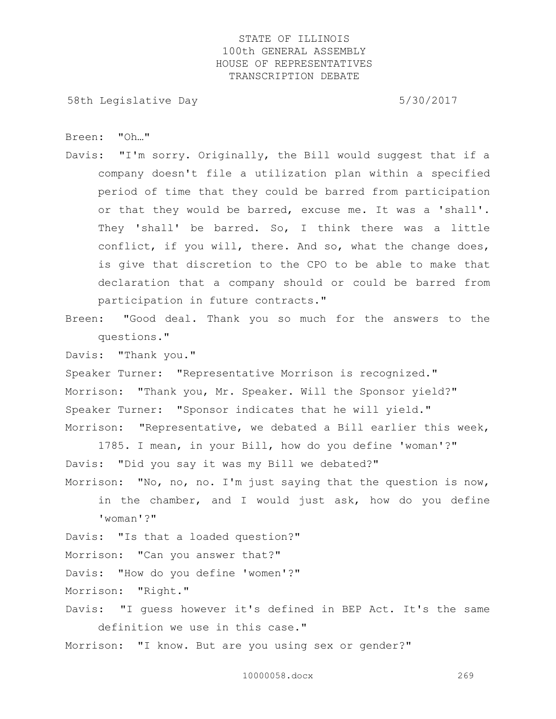58th Legislative Day 5/30/2017

Breen: "Oh…"

Davis: "I'm sorry. Originally, the Bill would suggest that if a company doesn't file a utilization plan within a specified period of time that they could be barred from participation or that they would be barred, excuse me. It was a 'shall'. They 'shall' be barred. So, I think there was a little conflict, if you will, there. And so, what the change does, is give that discretion to the CPO to be able to make that declaration that a company should or could be barred from participation in future contracts."

Breen: "Good deal. Thank you so much for the answers to the questions."

Davis: "Thank you."

Speaker Turner: "Representative Morrison is recognized." Morrison: "Thank you, Mr. Speaker. Will the Sponsor yield?" Speaker Turner: "Sponsor indicates that he will yield." Morrison: "Representative, we debated a Bill earlier this week,

1785. I mean, in your Bill, how do you define 'woman'?" Davis: "Did you say it was my Bill we debated?" Morrison: "No, no, no. I'm just saying that the question is now,

in the chamber, and I would just ask, how do you define 'woman'?"

Davis: "Is that a loaded question?"

Morrison: "Can you answer that?"

Davis: "How do you define 'women'?"

Morrison: "Right."

Davis: "I guess however it's defined in BEP Act. It's the same definition we use in this case."

Morrison: "I know. But are you using sex or gender?"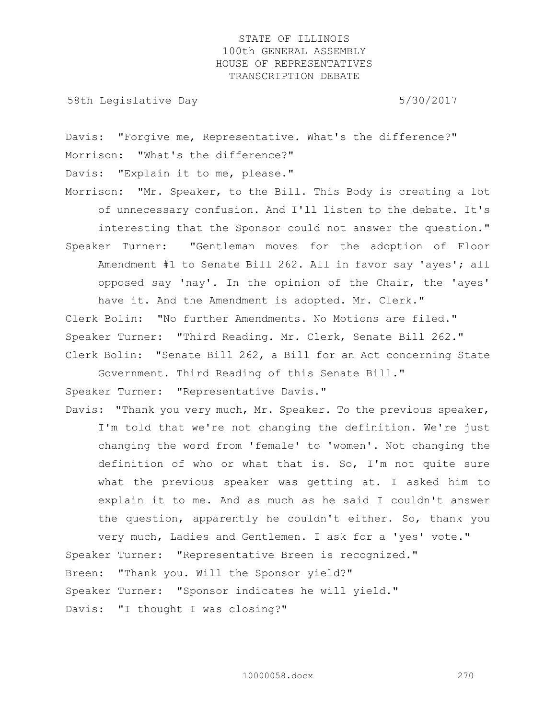58th Legislative Day 5/30/2017

Davis: "Forgive me, Representative. What's the difference?" Morrison: "What's the difference?" Davis: "Explain it to me, please."

Morrison: "Mr. Speaker, to the Bill. This Body is creating a lot of unnecessary confusion. And I'll listen to the debate. It's interesting that the Sponsor could not answer the question." Speaker Turner: "Gentleman moves for the adoption of Floor Amendment #1 to Senate Bill 262. All in favor say 'ayes'; all opposed say 'nay'. In the opinion of the Chair, the 'ayes' have it. And the Amendment is adopted. Mr. Clerk."

Clerk Bolin: "No further Amendments. No Motions are filed." Speaker Turner: "Third Reading. Mr. Clerk, Senate Bill 262." Clerk Bolin: "Senate Bill 262, a Bill for an Act concerning State

Government. Third Reading of this Senate Bill." Speaker Turner: "Representative Davis."

Davis: "Thank you very much, Mr. Speaker. To the previous speaker, I'm told that we're not changing the definition. We're just changing the word from 'female' to 'women'. Not changing the definition of who or what that is. So, I'm not quite sure what the previous speaker was getting at. I asked him to explain it to me. And as much as he said I couldn't answer the question, apparently he couldn't either. So, thank you very much, Ladies and Gentlemen. I ask for a 'yes' vote."

Speaker Turner: "Representative Breen is recognized." Breen: "Thank you. Will the Sponsor yield?" Speaker Turner: "Sponsor indicates he will yield." Davis: "I thought I was closing?"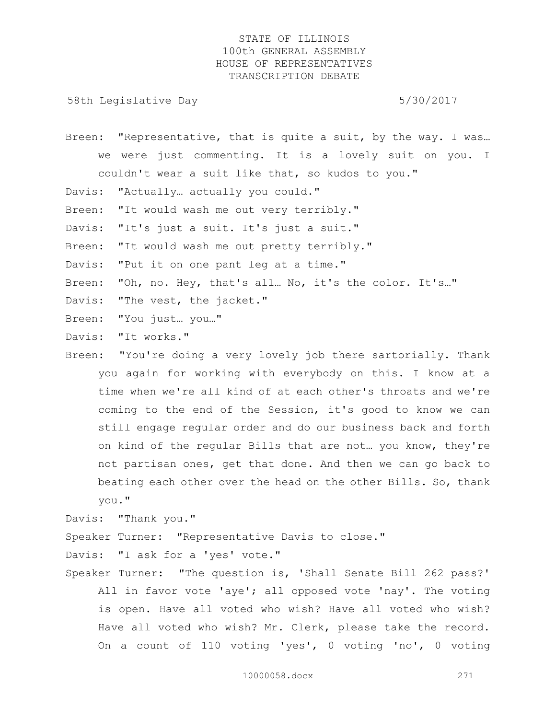58th Legislative Day 5/30/2017

Breen: "Representative, that is quite a suit, by the way. I was... we were just commenting. It is a lovely suit on you. I couldn't wear a suit like that, so kudos to you."

Davis: "Actually… actually you could."

Breen: "It would wash me out very terribly."

Davis: "It's just a suit. It's just a suit."

Breen: "It would wash me out pretty terribly."

Davis: "Put it on one pant leg at a time."

Breen: "Oh, no. Hey, that's all… No, it's the color. It's…"

Davis: "The vest, the jacket."

Breen: "You just… you…"

Davis: "It works."

Breen: "You're doing a very lovely job there sartorially. Thank you again for working with everybody on this. I know at a time when we're all kind of at each other's throats and we're coming to the end of the Session, it's good to know we can still engage regular order and do our business back and forth on kind of the regular Bills that are not… you know, they're not partisan ones, get that done. And then we can go back to beating each other over the head on the other Bills. So, thank you."

Davis: "Thank you."

Speaker Turner: "Representative Davis to close."

Davis: "I ask for a 'yes' vote."

Speaker Turner: "The question is, 'Shall Senate Bill 262 pass?' All in favor vote 'aye'; all opposed vote 'nay'. The voting is open. Have all voted who wish? Have all voted who wish? Have all voted who wish? Mr. Clerk, please take the record. On a count of 110 voting 'yes', 0 voting 'no', 0 voting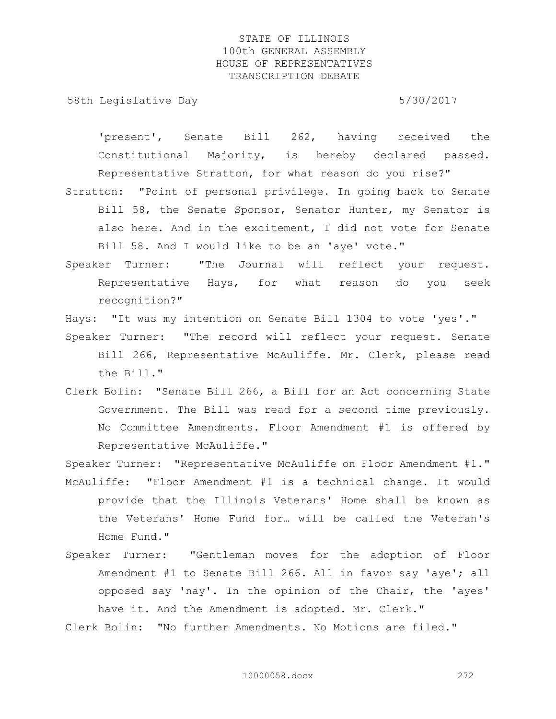58th Legislative Day 5/30/2017

'present', Senate Bill 262, having received the Constitutional Majority, is hereby declared passed. Representative Stratton, for what reason do you rise?" Stratton: "Point of personal privilege. In going back to Senate

- Bill 58, the Senate Sponsor, Senator Hunter, my Senator is also here. And in the excitement, I did not vote for Senate Bill 58. And I would like to be an 'aye' vote."
- Speaker Turner: "The Journal will reflect your request. Representative Hays, for what reason do you seek recognition?"

Hays: "It was my intention on Senate Bill 1304 to vote 'yes'." Speaker Turner: "The record will reflect your request. Senate Bill 266, Representative McAuliffe. Mr. Clerk, please read the Bill."

Clerk Bolin: "Senate Bill 266, a Bill for an Act concerning State Government. The Bill was read for a second time previously. No Committee Amendments. Floor Amendment #1 is offered by Representative McAuliffe."

Speaker Turner: "Representative McAuliffe on Floor Amendment #1." McAuliffe: "Floor Amendment #1 is a technical change. It would

- provide that the Illinois Veterans' Home shall be known as the Veterans' Home Fund for… will be called the Veteran's Home Fund."
- Speaker Turner: "Gentleman moves for the adoption of Floor Amendment #1 to Senate Bill 266. All in favor say 'aye'; all opposed say 'nay'. In the opinion of the Chair, the 'ayes' have it. And the Amendment is adopted. Mr. Clerk."
- Clerk Bolin: "No further Amendments. No Motions are filed."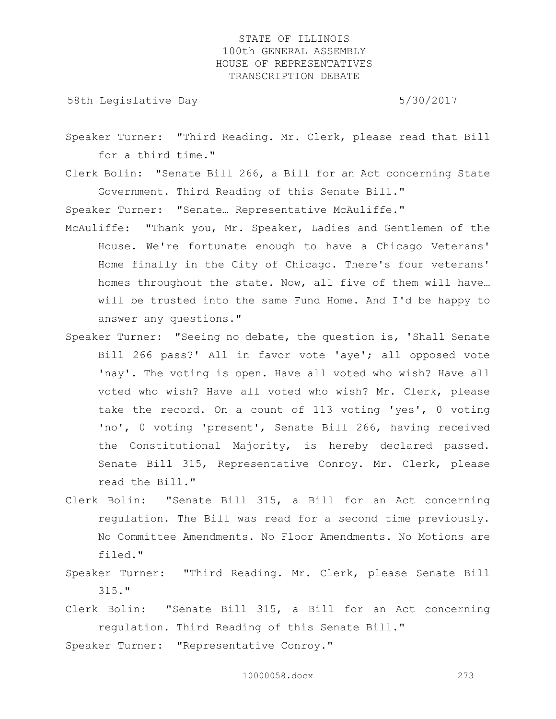58th Legislative Day 5/30/2017

Speaker Turner: "Third Reading. Mr. Clerk, please read that Bill for a third time."

Clerk Bolin: "Senate Bill 266, a Bill for an Act concerning State Government. Third Reading of this Senate Bill."

Speaker Turner: "Senate… Representative McAuliffe."

- McAuliffe: "Thank you, Mr. Speaker, Ladies and Gentlemen of the House. We're fortunate enough to have a Chicago Veterans' Home finally in the City of Chicago. There's four veterans' homes throughout the state. Now, all five of them will have… will be trusted into the same Fund Home. And I'd be happy to answer any questions."
- Speaker Turner: "Seeing no debate, the question is, 'Shall Senate Bill 266 pass?' All in favor vote 'aye'; all opposed vote 'nay'. The voting is open. Have all voted who wish? Have all voted who wish? Have all voted who wish? Mr. Clerk, please take the record. On a count of 113 voting 'yes', 0 voting 'no', 0 voting 'present', Senate Bill 266, having received the Constitutional Majority, is hereby declared passed. Senate Bill 315, Representative Conroy. Mr. Clerk, please read the Bill."
- Clerk Bolin: "Senate Bill 315, a Bill for an Act concerning regulation. The Bill was read for a second time previously. No Committee Amendments. No Floor Amendments. No Motions are filed."
- Speaker Turner: "Third Reading. Mr. Clerk, please Senate Bill 315."
- Clerk Bolin: "Senate Bill 315, a Bill for an Act concerning regulation. Third Reading of this Senate Bill."

Speaker Turner: "Representative Conroy."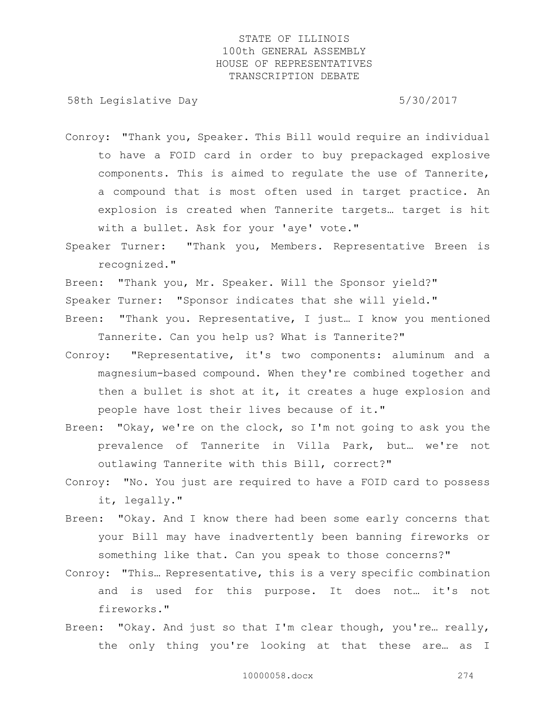58th Legislative Day 5/30/2017

- Conroy: "Thank you, Speaker. This Bill would require an individual to have a FOID card in order to buy prepackaged explosive components. This is aimed to regulate the use of Tannerite, a compound that is most often used in target practice. An explosion is created when Tannerite targets… target is hit with a bullet. Ask for your 'aye' vote."
- Speaker Turner: "Thank you, Members. Representative Breen is recognized."
- Breen: "Thank you, Mr. Speaker. Will the Sponsor yield?"
- Speaker Turner: "Sponsor indicates that she will yield."
- Breen: "Thank you. Representative, I just… I know you mentioned Tannerite. Can you help us? What is Tannerite?"
- Conroy: "Representative, it's two components: aluminum and a magnesium-based compound. When they're combined together and then a bullet is shot at it, it creates a huge explosion and people have lost their lives because of it."
- Breen: "Okay, we're on the clock, so I'm not going to ask you the prevalence of Tannerite in Villa Park, but… we're not outlawing Tannerite with this Bill, correct?"
- Conroy: "No. You just are required to have a FOID card to possess it, legally."
- Breen: "Okay. And I know there had been some early concerns that your Bill may have inadvertently been banning fireworks or something like that. Can you speak to those concerns?"
- Conroy: "This… Representative, this is a very specific combination and is used for this purpose. It does not… it's not fireworks."
- Breen: "Okay. And just so that I'm clear though, you're… really, the only thing you're looking at that these are… as I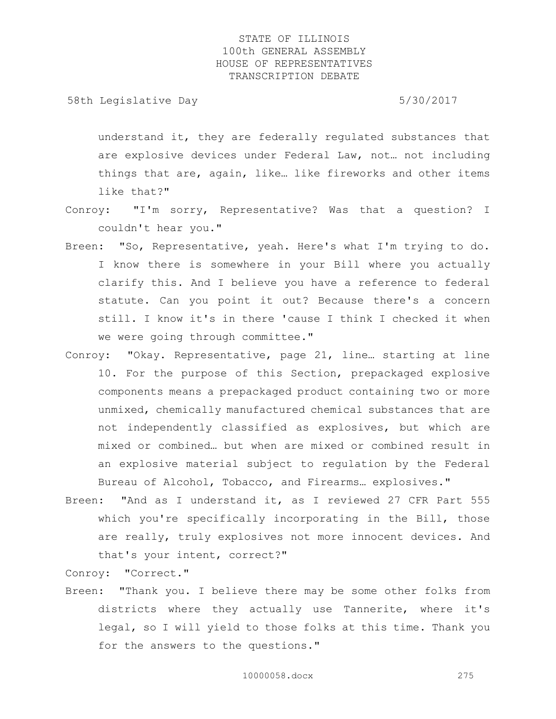58th Legislative Day 6.5730/2017

understand it, they are federally regulated substances that are explosive devices under Federal Law, not… not including things that are, again, like… like fireworks and other items like that?"

- Conroy: "I'm sorry, Representative? Was that a question? I couldn't hear you."
- Breen: "So, Representative, yeah. Here's what I'm trying to do. I know there is somewhere in your Bill where you actually clarify this. And I believe you have a reference to federal statute. Can you point it out? Because there's a concern still. I know it's in there 'cause I think I checked it when we were going through committee."
- Conroy: "Okay. Representative, page 21, line… starting at line 10. For the purpose of this Section, prepackaged explosive components means a prepackaged product containing two or more unmixed, chemically manufactured chemical substances that are not independently classified as explosives, but which are mixed or combined… but when are mixed or combined result in an explosive material subject to regulation by the Federal Bureau of Alcohol, Tobacco, and Firearms… explosives."
- Breen: "And as I understand it, as I reviewed 27 CFR Part 555 which you're specifically incorporating in the Bill, those are really, truly explosives not more innocent devices. And that's your intent, correct?"

Conroy: "Correct."

Breen: "Thank you. I believe there may be some other folks from districts where they actually use Tannerite, where it's legal, so I will yield to those folks at this time. Thank you for the answers to the questions."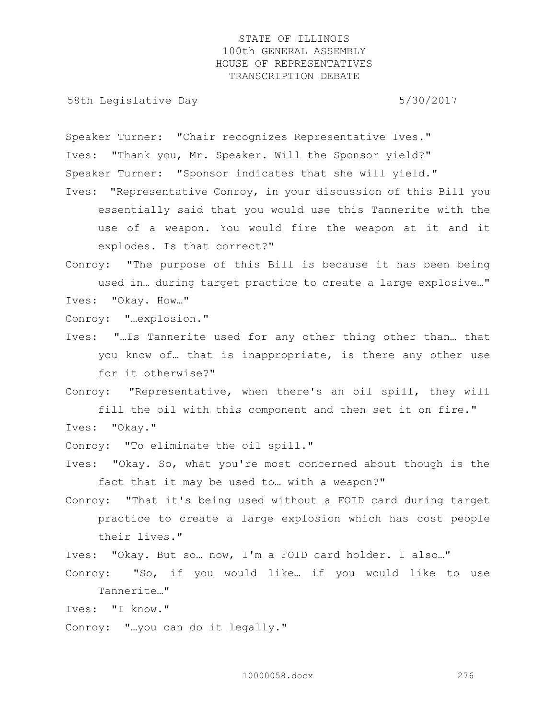58th Legislative Day 5/30/2017

Speaker Turner: "Chair recognizes Representative Ives." Ives: "Thank you, Mr. Speaker. Will the Sponsor yield?" Speaker Turner: "Sponsor indicates that she will yield."

Ives: "Representative Conroy, in your discussion of this Bill you essentially said that you would use this Tannerite with the use of a weapon. You would fire the weapon at it and it explodes. Is that correct?"

Conroy: "The purpose of this Bill is because it has been being used in… during target practice to create a large explosive…" Ives: "Okay. How…"

Conroy: "…explosion."

Ives: "…Is Tannerite used for any other thing other than… that you know of… that is inappropriate, is there any other use for it otherwise?"

Conroy: "Representative, when there's an oil spill, they will fill the oil with this component and then set it on fire." Ives: "Okay."

Conroy: "To eliminate the oil spill."

Ives: "Okay. So, what you're most concerned about though is the fact that it may be used to… with a weapon?"

Conroy: "That it's being used without a FOID card during target practice to create a large explosion which has cost people their lives."

Ives: "Okay. But so… now, I'm a FOID card holder. I also…"

Conroy: "So, if you would like… if you would like to use Tannerite…"

Ives: "I know."

Conroy: "…you can do it legally."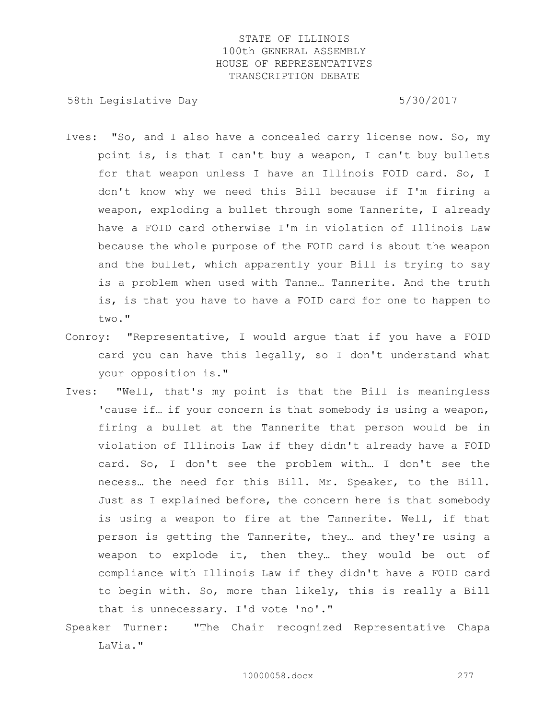58th Legislative Day 5/30/2017

- Ives: "So, and I also have a concealed carry license now. So, my point is, is that I can't buy a weapon, I can't buy bullets for that weapon unless I have an Illinois FOID card. So, I don't know why we need this Bill because if I'm firing a weapon, exploding a bullet through some Tannerite, I already have a FOID card otherwise I'm in violation of Illinois Law because the whole purpose of the FOID card is about the weapon and the bullet, which apparently your Bill is trying to say is a problem when used with Tanne… Tannerite. And the truth is, is that you have to have a FOID card for one to happen to two."
- Conroy: "Representative, I would argue that if you have a FOID card you can have this legally, so I don't understand what your opposition is."
- Ives: "Well, that's my point is that the Bill is meaningless 'cause if... if your concern is that somebody is using a weapon, firing a bullet at the Tannerite that person would be in violation of Illinois Law if they didn't already have a FOID card. So, I don't see the problem with… I don't see the necess… the need for this Bill. Mr. Speaker, to the Bill. Just as I explained before, the concern here is that somebody is using a weapon to fire at the Tannerite. Well, if that person is getting the Tannerite, they… and they're using a weapon to explode it, then they… they would be out of compliance with Illinois Law if they didn't have a FOID card to begin with. So, more than likely, this is really a Bill that is unnecessary. I'd vote 'no'."
- Speaker Turner: "The Chair recognized Representative Chapa LaVia."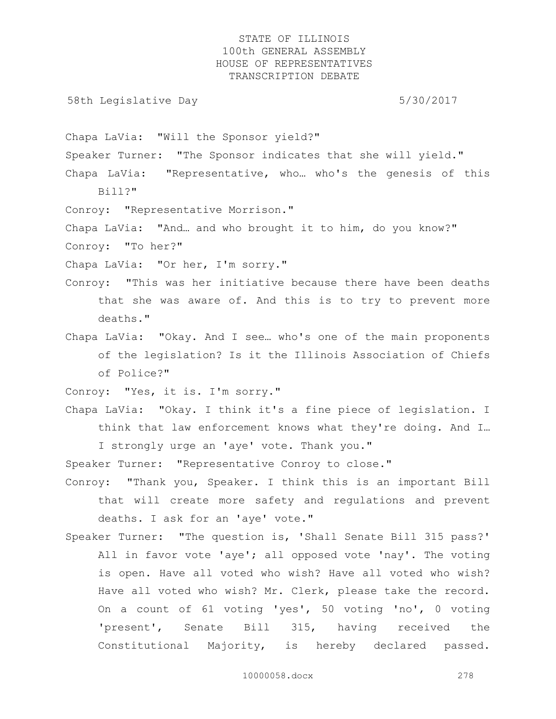58th Legislative Day 5/30/2017

Chapa LaVia: "Will the Sponsor yield?"

Speaker Turner: "The Sponsor indicates that she will yield."

Chapa LaVia: "Representative, who… who's the genesis of this Bill?"

Conroy: "Representative Morrison."

Chapa LaVia: "And… and who brought it to him, do you know?" Conroy: "To her?"

Chapa LaVia: "Or her, I'm sorry."

- Conroy: "This was her initiative because there have been deaths that she was aware of. And this is to try to prevent more deaths."
- Chapa LaVia: "Okay. And I see… who's one of the main proponents of the legislation? Is it the Illinois Association of Chiefs of Police?"

Conroy: "Yes, it is. I'm sorry."

Chapa LaVia: "Okay. I think it's a fine piece of legislation. I think that law enforcement knows what they're doing. And I…

I strongly urge an 'aye' vote. Thank you."

Speaker Turner: "Representative Conroy to close."

- Conroy: "Thank you, Speaker. I think this is an important Bill that will create more safety and regulations and prevent deaths. I ask for an 'aye' vote."
- Speaker Turner: "The question is, 'Shall Senate Bill 315 pass?' All in favor vote 'aye'; all opposed vote 'nay'. The voting is open. Have all voted who wish? Have all voted who wish? Have all voted who wish? Mr. Clerk, please take the record. On a count of 61 voting 'yes', 50 voting 'no', 0 voting 'present', Senate Bill 315, having received the Constitutional Majority, is hereby declared passed.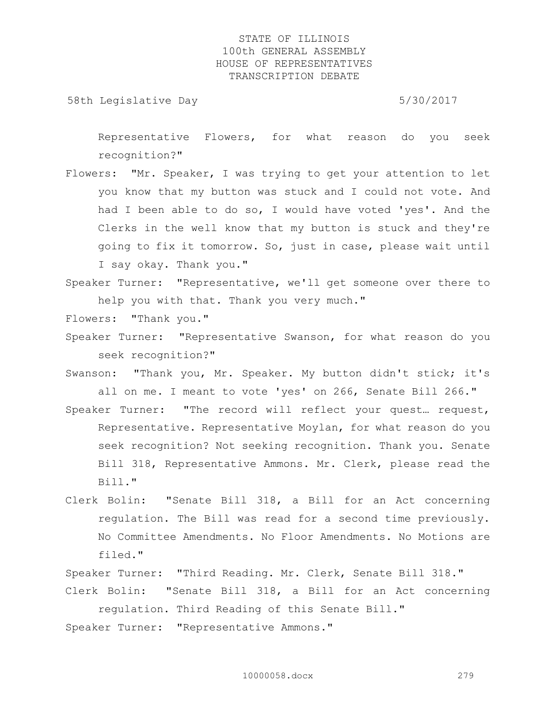58th Legislative Day 5/30/2017

Representative Flowers, for what reason do you seek recognition?"

- Flowers: "Mr. Speaker, I was trying to get your attention to let you know that my button was stuck and I could not vote. And had I been able to do so, I would have voted 'yes'. And the Clerks in the well know that my button is stuck and they're going to fix it tomorrow. So, just in case, please wait until I say okay. Thank you."
- Speaker Turner: "Representative, we'll get someone over there to help you with that. Thank you very much."
- Flowers: "Thank you."
- Speaker Turner: "Representative Swanson, for what reason do you seek recognition?"
- Swanson: "Thank you, Mr. Speaker. My button didn't stick; it's all on me. I meant to vote 'yes' on 266, Senate Bill 266."
- Speaker Turner: "The record will reflect your quest… request, Representative. Representative Moylan, for what reason do you seek recognition? Not seeking recognition. Thank you. Senate Bill 318, Representative Ammons. Mr. Clerk, please read the Bill."
- Clerk Bolin: "Senate Bill 318, a Bill for an Act concerning regulation. The Bill was read for a second time previously. No Committee Amendments. No Floor Amendments. No Motions are filed."

Speaker Turner: "Third Reading. Mr. Clerk, Senate Bill 318."

Clerk Bolin: "Senate Bill 318, a Bill for an Act concerning regulation. Third Reading of this Senate Bill."

Speaker Turner: "Representative Ammons."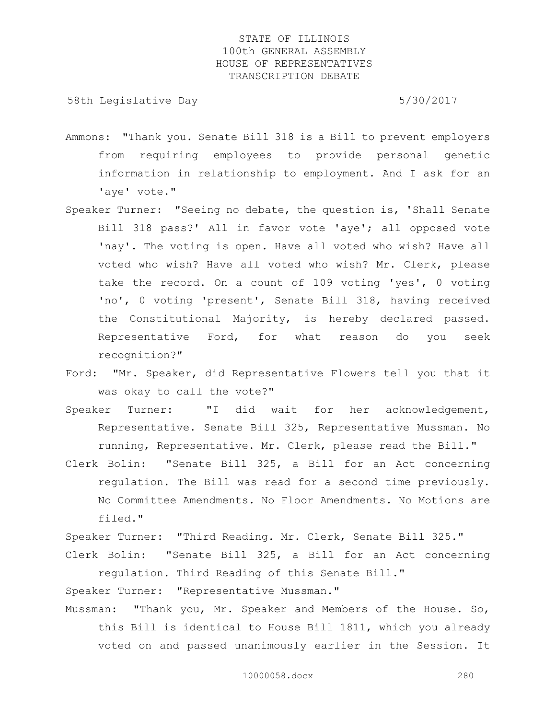58th Legislative Day 5/30/2017

- Ammons: "Thank you. Senate Bill 318 is a Bill to prevent employers from requiring employees to provide personal genetic information in relationship to employment. And I ask for an 'aye' vote."
- Speaker Turner: "Seeing no debate, the question is, 'Shall Senate Bill 318 pass?' All in favor vote 'aye'; all opposed vote 'nay'. The voting is open. Have all voted who wish? Have all voted who wish? Have all voted who wish? Mr. Clerk, please take the record. On a count of 109 voting 'yes', 0 voting 'no', 0 voting 'present', Senate Bill 318, having received the Constitutional Majority, is hereby declared passed. Representative Ford, for what reason do you seek recognition?"
- Ford: "Mr. Speaker, did Representative Flowers tell you that it was okay to call the vote?"
- Speaker Turner: "I did wait for her acknowledgement, Representative. Senate Bill 325, Representative Mussman. No running, Representative. Mr. Clerk, please read the Bill."
- Clerk Bolin: "Senate Bill 325, a Bill for an Act concerning regulation. The Bill was read for a second time previously. No Committee Amendments. No Floor Amendments. No Motions are filed."

Speaker Turner: "Third Reading. Mr. Clerk, Senate Bill 325."

Clerk Bolin: "Senate Bill 325, a Bill for an Act concerning regulation. Third Reading of this Senate Bill."

Speaker Turner: "Representative Mussman."

Mussman: "Thank you, Mr. Speaker and Members of the House. So, this Bill is identical to House Bill 1811, which you already voted on and passed unanimously earlier in the Session. It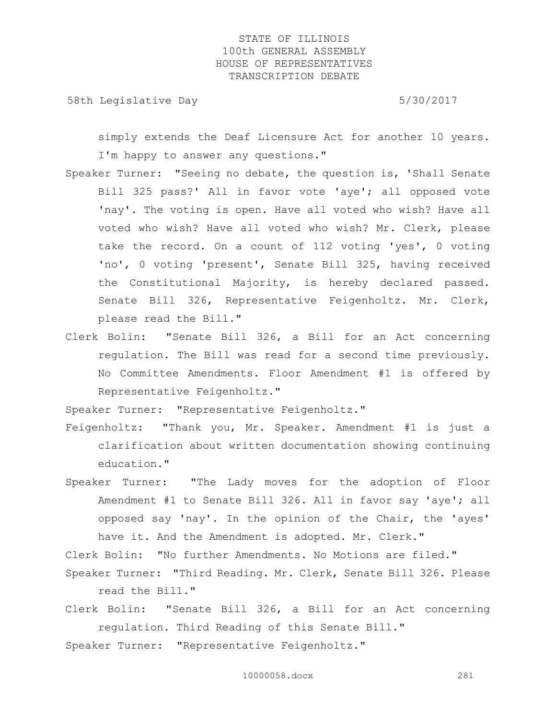58th Legislative Day 5/30/2017

simply extends the Deaf Licensure Act for another 10 years. I'm happy to answer any questions."

- Speaker Turner: "Seeing no debate, the question is, 'Shall Senate Bill 325 pass?' All in favor vote 'aye'; all opposed vote 'nay'. The voting is open. Have all voted who wish? Have all voted who wish? Have all voted who wish? Mr. Clerk, please take the record. On a count of 112 voting 'yes', 0 voting 'no', 0 voting 'present', Senate Bill 325, having received the Constitutional Majority, is hereby declared passed. Senate Bill 326, Representative Feigenholtz. Mr. Clerk, please read the Bill."
- Clerk Bolin: "Senate Bill 326, a Bill for an Act concerning regulation. The Bill was read for a second time previously. No Committee Amendments. Floor Amendment #1 is offered by Representative Feigenholtz."

Speaker Turner: "Representative Feigenholtz."

- Feigenholtz: "Thank you, Mr. Speaker. Amendment #1 is just a clarification about written documentation showing continuing education."
- Speaker Turner: "The Lady moves for the adoption of Floor Amendment #1 to Senate Bill 326. All in favor say 'aye'; all opposed say 'nay'. In the opinion of the Chair, the 'ayes' have it. And the Amendment is adopted. Mr. Clerk."

Clerk Bolin: "No further Amendments. No Motions are filed."

- Speaker Turner: "Third Reading. Mr. Clerk, Senate Bill 326. Please read the Bill."
- Clerk Bolin: "Senate Bill 326, a Bill for an Act concerning regulation. Third Reading of this Senate Bill."

Speaker Turner: "Representative Feigenholtz."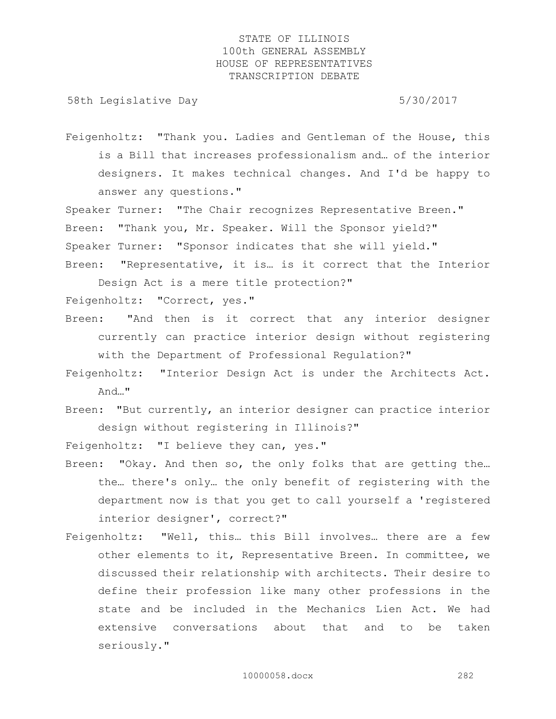58th Legislative Day 5/30/2017

Feigenholtz: "Thank you. Ladies and Gentleman of the House, this is a Bill that increases professionalism and… of the interior designers. It makes technical changes. And I'd be happy to answer any questions."

Speaker Turner: "The Chair recognizes Representative Breen." Breen: "Thank you, Mr. Speaker. Will the Sponsor yield?" Speaker Turner: "Sponsor indicates that she will yield." Breen: "Representative, it is… is it correct that the Interior

Design Act is a mere title protection?" Feigenholtz: "Correct, yes."

- Breen: "And then is it correct that any interior designer currently can practice interior design without registering with the Department of Professional Regulation?"
- Feigenholtz: "Interior Design Act is under the Architects Act. And…"
- Breen: "But currently, an interior designer can practice interior design without registering in Illinois?"

Feigenholtz: "I believe they can, yes."

- Breen: "Okay. And then so, the only folks that are getting the... the… there's only… the only benefit of registering with the department now is that you get to call yourself a 'registered interior designer', correct?"
- Feigenholtz: "Well, this… this Bill involves… there are a few other elements to it, Representative Breen. In committee, we discussed their relationship with architects. Their desire to define their profession like many other professions in the state and be included in the Mechanics Lien Act. We had extensive conversations about that and to be taken seriously."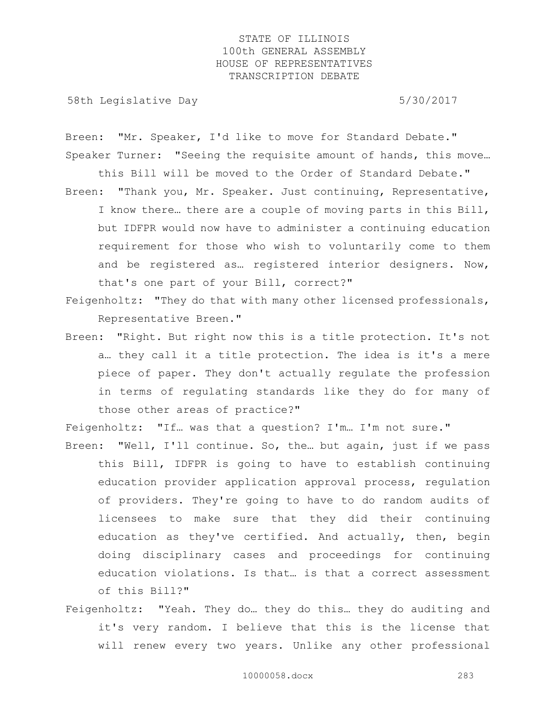58th Legislative Day 5/30/2017

Breen: "Mr. Speaker, I'd like to move for Standard Debate." Speaker Turner: "Seeing the requisite amount of hands, this move…

- this Bill will be moved to the Order of Standard Debate." Breen: "Thank you, Mr. Speaker. Just continuing, Representative, I know there… there are a couple of moving parts in this Bill, but IDFPR would now have to administer a continuing education requirement for those who wish to voluntarily come to them and be registered as… registered interior designers. Now, that's one part of your Bill, correct?"
- Feigenholtz: "They do that with many other licensed professionals, Representative Breen."
- Breen: "Right. But right now this is a title protection. It's not a… they call it a title protection. The idea is it's a mere piece of paper. They don't actually regulate the profession in terms of regulating standards like they do for many of those other areas of practice?"

Feigenholtz: "If… was that a question? I'm… I'm not sure."

- Breen: "Well, I'll continue. So, the… but again, just if we pass this Bill, IDFPR is going to have to establish continuing education provider application approval process, regulation of providers. They're going to have to do random audits of licensees to make sure that they did their continuing education as they've certified. And actually, then, begin doing disciplinary cases and proceedings for continuing education violations. Is that… is that a correct assessment of this Bill?"
- Feigenholtz: "Yeah. They do… they do this… they do auditing and it's very random. I believe that this is the license that will renew every two years. Unlike any other professional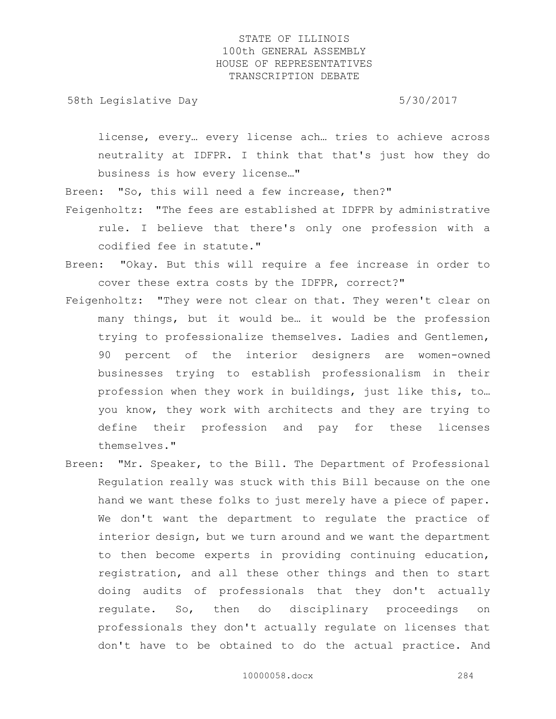58th Legislative Day 5/30/2017

license, every… every license ach… tries to achieve across neutrality at IDFPR. I think that that's just how they do business is how every license…"

Breen: "So, this will need a few increase, then?"

- Feigenholtz: "The fees are established at IDFPR by administrative rule. I believe that there's only one profession with a codified fee in statute."
- Breen: "Okay. But this will require a fee increase in order to cover these extra costs by the IDFPR, correct?"
- Feigenholtz: "They were not clear on that. They weren't clear on many things, but it would be… it would be the profession trying to professionalize themselves. Ladies and Gentlemen, 90 percent of the interior designers are women-owned businesses trying to establish professionalism in their profession when they work in buildings, just like this, to… you know, they work with architects and they are trying to define their profession and pay for these licenses themselves."
- Breen: "Mr. Speaker, to the Bill. The Department of Professional Regulation really was stuck with this Bill because on the one hand we want these folks to just merely have a piece of paper. We don't want the department to regulate the practice of interior design, but we turn around and we want the department to then become experts in providing continuing education, registration, and all these other things and then to start doing audits of professionals that they don't actually regulate. So, then do disciplinary proceedings on professionals they don't actually regulate on licenses that don't have to be obtained to do the actual practice. And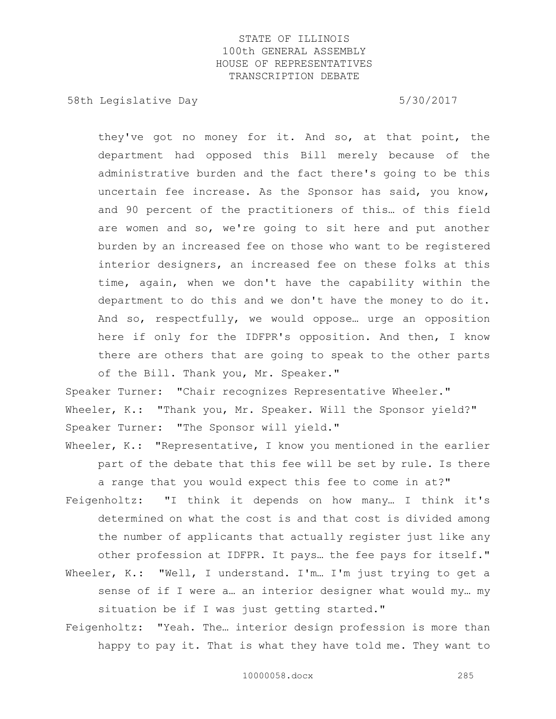58th Legislative Day 5/30/2017

they've got no money for it. And so, at that point, the department had opposed this Bill merely because of the administrative burden and the fact there's going to be this uncertain fee increase. As the Sponsor has said, you know, and 90 percent of the practitioners of this… of this field are women and so, we're going to sit here and put another burden by an increased fee on those who want to be registered interior designers, an increased fee on these folks at this time, again, when we don't have the capability within the department to do this and we don't have the money to do it. And so, respectfully, we would oppose… urge an opposition here if only for the IDFPR's opposition. And then, I know there are others that are going to speak to the other parts of the Bill. Thank you, Mr. Speaker."

Speaker Turner: "Chair recognizes Representative Wheeler." Wheeler, K.: "Thank you, Mr. Speaker. Will the Sponsor yield?" Speaker Turner: "The Sponsor will yield."

Wheeler, K.: "Representative, I know you mentioned in the earlier part of the debate that this fee will be set by rule. Is there a range that you would expect this fee to come in at?"

- Feigenholtz: "I think it depends on how many… I think it's determined on what the cost is and that cost is divided among the number of applicants that actually register just like any other profession at IDFPR. It pays… the fee pays for itself."
- Wheeler, K.: "Well, I understand. I'm... I'm just trying to get a sense of if I were a… an interior designer what would my… my situation be if I was just getting started."
- Feigenholtz: "Yeah. The… interior design profession is more than happy to pay it. That is what they have told me. They want to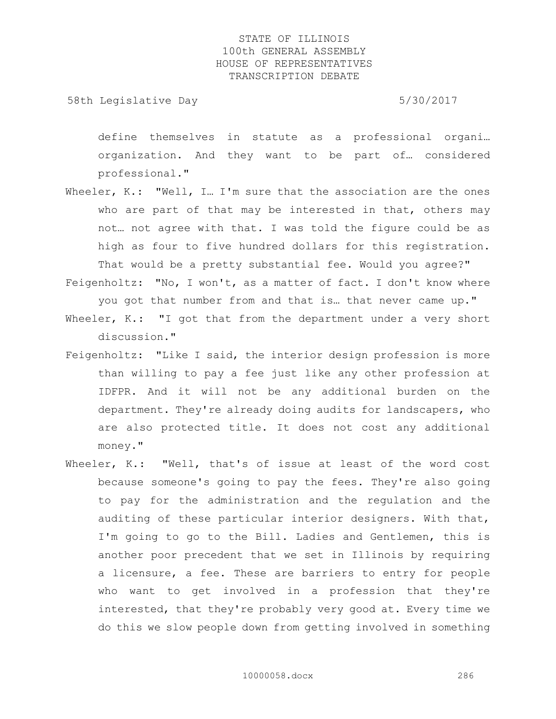58th Legislative Day 5/30/2017

define themselves in statute as a professional organi… organization. And they want to be part of… considered professional."

- Wheeler, K.: "Well, I... I'm sure that the association are the ones who are part of that may be interested in that, others may not… not agree with that. I was told the figure could be as high as four to five hundred dollars for this registration. That would be a pretty substantial fee. Would you agree?"
- Feigenholtz: "No, I won't, as a matter of fact. I don't know where you got that number from and that is… that never came up."
- Wheeler, K.: "I got that from the department under a very short discussion."
- Feigenholtz: "Like I said, the interior design profession is more than willing to pay a fee just like any other profession at IDFPR. And it will not be any additional burden on the department. They're already doing audits for landscapers, who are also protected title. It does not cost any additional money."
- Wheeler, K.: "Well, that's of issue at least of the word cost because someone's going to pay the fees. They're also going to pay for the administration and the regulation and the auditing of these particular interior designers. With that, I'm going to go to the Bill. Ladies and Gentlemen, this is another poor precedent that we set in Illinois by requiring a licensure, a fee. These are barriers to entry for people who want to get involved in a profession that they're interested, that they're probably very good at. Every time we do this we slow people down from getting involved in something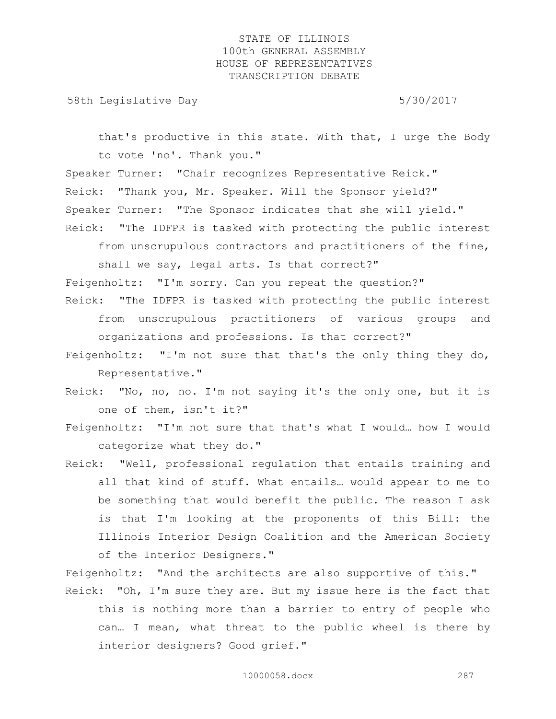58th Legislative Day 5/30/2017

that's productive in this state. With that, I urge the Body to vote 'no'. Thank you."

Speaker Turner: "Chair recognizes Representative Reick." Reick: "Thank you, Mr. Speaker. Will the Sponsor yield?" Speaker Turner: "The Sponsor indicates that she will yield." Reick: "The IDFPR is tasked with protecting the public interest

from unscrupulous contractors and practitioners of the fine,

shall we say, legal arts. Is that correct?"

Feigenholtz: "I'm sorry. Can you repeat the question?"

- Reick: "The IDFPR is tasked with protecting the public interest from unscrupulous practitioners of various groups and organizations and professions. Is that correct?"
- Feigenholtz: "I'm not sure that that's the only thing they do, Representative."
- Reick: "No, no, no. I'm not saying it's the only one, but it is one of them, isn't it?"
- Feigenholtz: "I'm not sure that that's what I would… how I would categorize what they do."
- Reick: "Well, professional regulation that entails training and all that kind of stuff. What entails… would appear to me to be something that would benefit the public. The reason I ask is that I'm looking at the proponents of this Bill: the Illinois Interior Design Coalition and the American Society of the Interior Designers."

Feigenholtz: "And the architects are also supportive of this." Reick: "Oh, I'm sure they are. But my issue here is the fact that this is nothing more than a barrier to entry of people who can… I mean, what threat to the public wheel is there by interior designers? Good grief."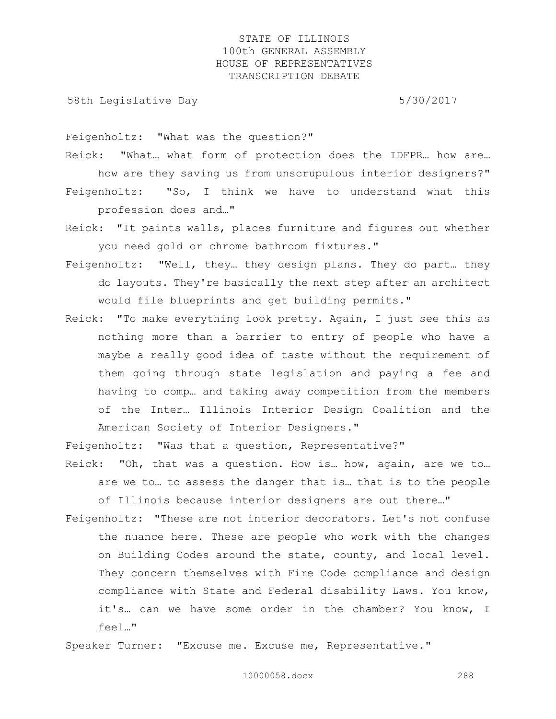58th Legislative Day 5/30/2017

Feigenholtz: "What was the question?"

Reick: "What… what form of protection does the IDFPR… how are… how are they saving us from unscrupulous interior designers?" Feigenholtz: "So, I think we have to understand what this

profession does and…"

Reick: "It paints walls, places furniture and figures out whether you need gold or chrome bathroom fixtures."

- Feigenholtz: "Well, they… they design plans. They do part… they do layouts. They're basically the next step after an architect would file blueprints and get building permits."
- Reick: "To make everything look pretty. Again, I just see this as nothing more than a barrier to entry of people who have a maybe a really good idea of taste without the requirement of them going through state legislation and paying a fee and having to comp… and taking away competition from the members of the Inter… Illinois Interior Design Coalition and the American Society of Interior Designers."

Feigenholtz: "Was that a question, Representative?"

- Reick: "Oh, that was a question. How is… how, again, are we to… are we to… to assess the danger that is… that is to the people of Illinois because interior designers are out there…"
- Feigenholtz: "These are not interior decorators. Let's not confuse the nuance here. These are people who work with the changes on Building Codes around the state, county, and local level. They concern themselves with Fire Code compliance and design compliance with State and Federal disability Laws. You know, it's… can we have some order in the chamber? You know, I feel…"

Speaker Turner: "Excuse me. Excuse me, Representative."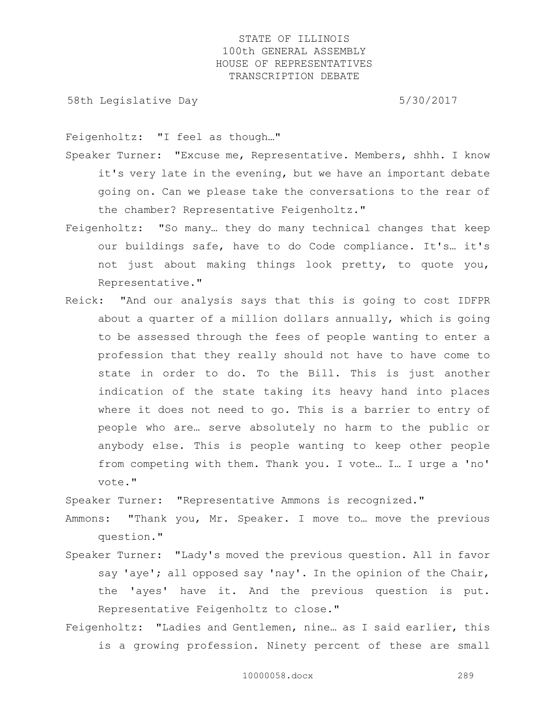58th Legislative Day 5/30/2017

Feigenholtz: "I feel as though…"

- Speaker Turner: "Excuse me, Representative. Members, shhh. I know it's very late in the evening, but we have an important debate going on. Can we please take the conversations to the rear of the chamber? Representative Feigenholtz."
- Feigenholtz: "So many… they do many technical changes that keep our buildings safe, have to do Code compliance. It's… it's not just about making things look pretty, to quote you, Representative."
- Reick: "And our analysis says that this is going to cost IDFPR about a quarter of a million dollars annually, which is going to be assessed through the fees of people wanting to enter a profession that they really should not have to have come to state in order to do. To the Bill. This is just another indication of the state taking its heavy hand into places where it does not need to go. This is a barrier to entry of people who are… serve absolutely no harm to the public or anybody else. This is people wanting to keep other people from competing with them. Thank you. I vote… I… I urge a 'no' vote."

Speaker Turner: "Representative Ammons is recognized."

- Ammons: "Thank you, Mr. Speaker. I move to… move the previous question."
- Speaker Turner: "Lady's moved the previous question. All in favor say 'aye'; all opposed say 'nay'. In the opinion of the Chair, the 'ayes' have it. And the previous question is put. Representative Feigenholtz to close."
- Feigenholtz: "Ladies and Gentlemen, nine… as I said earlier, this is a growing profession. Ninety percent of these are small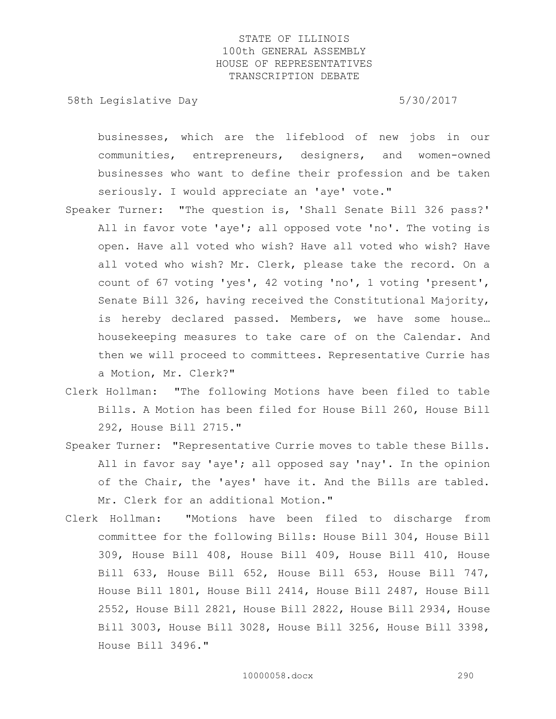58th Legislative Day 5/30/2017

businesses, which are the lifeblood of new jobs in our communities, entrepreneurs, designers, and women-owned businesses who want to define their profession and be taken seriously. I would appreciate an 'aye' vote."

- Speaker Turner: "The question is, 'Shall Senate Bill 326 pass?' All in favor vote 'aye'; all opposed vote 'no'. The voting is open. Have all voted who wish? Have all voted who wish? Have all voted who wish? Mr. Clerk, please take the record. On a count of 67 voting 'yes', 42 voting 'no', 1 voting 'present', Senate Bill 326, having received the Constitutional Majority, is hereby declared passed. Members, we have some house… housekeeping measures to take care of on the Calendar. And then we will proceed to committees. Representative Currie has a Motion, Mr. Clerk?"
- Clerk Hollman: "The following Motions have been filed to table Bills. A Motion has been filed for House Bill 260, House Bill 292, House Bill 2715."
- Speaker Turner: "Representative Currie moves to table these Bills. All in favor say 'aye'; all opposed say 'nay'. In the opinion of the Chair, the 'ayes' have it. And the Bills are tabled. Mr. Clerk for an additional Motion."
- Clerk Hollman: "Motions have been filed to discharge from committee for the following Bills: House Bill 304, House Bill 309, House Bill 408, House Bill 409, House Bill 410, House Bill 633, House Bill 652, House Bill 653, House Bill 747, House Bill 1801, House Bill 2414, House Bill 2487, House Bill 2552, House Bill 2821, House Bill 2822, House Bill 2934, House Bill 3003, House Bill 3028, House Bill 3256, House Bill 3398, House Bill 3496."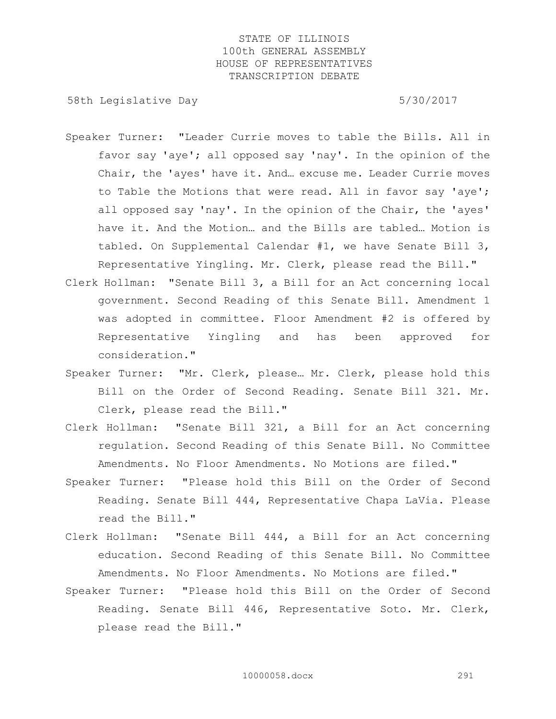58th Legislative Day 6/30/2017

- Speaker Turner: "Leader Currie moves to table the Bills. All in favor say 'aye'; all opposed say 'nay'. In the opinion of the Chair, the 'ayes' have it. And… excuse me. Leader Currie moves to Table the Motions that were read. All in favor say 'aye'; all opposed say 'nay'. In the opinion of the Chair, the 'ayes' have it. And the Motion… and the Bills are tabled… Motion is tabled. On Supplemental Calendar #1, we have Senate Bill 3, Representative Yingling. Mr. Clerk, please read the Bill."
- Clerk Hollman: "Senate Bill 3, a Bill for an Act concerning local government. Second Reading of this Senate Bill. Amendment 1 was adopted in committee. Floor Amendment #2 is offered by Representative Yingling and has been approved for consideration."
- Speaker Turner: "Mr. Clerk, please… Mr. Clerk, please hold this Bill on the Order of Second Reading. Senate Bill 321. Mr. Clerk, please read the Bill."
- Clerk Hollman: "Senate Bill 321, a Bill for an Act concerning regulation. Second Reading of this Senate Bill. No Committee Amendments. No Floor Amendments. No Motions are filed."
- Speaker Turner: "Please hold this Bill on the Order of Second Reading. Senate Bill 444, Representative Chapa LaVia. Please read the Bill."
- Clerk Hollman: "Senate Bill 444, a Bill for an Act concerning education. Second Reading of this Senate Bill. No Committee Amendments. No Floor Amendments. No Motions are filed."
- Speaker Turner: "Please hold this Bill on the Order of Second Reading. Senate Bill 446, Representative Soto. Mr. Clerk, please read the Bill."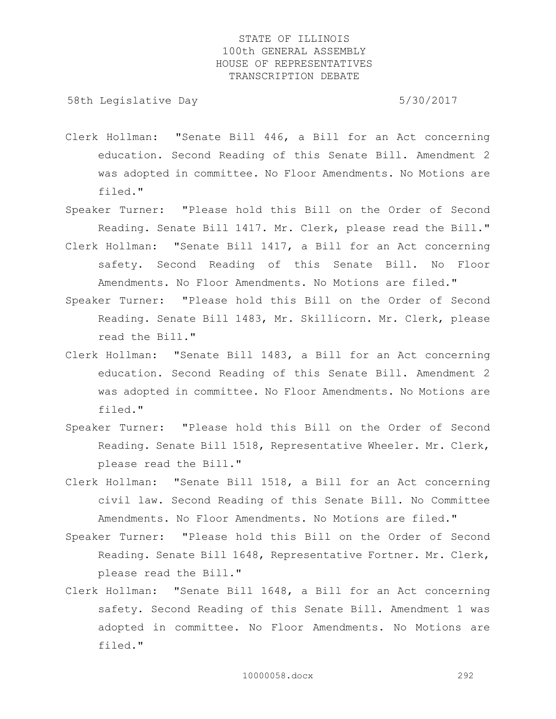58th Legislative Day 5/30/2017

- Clerk Hollman: "Senate Bill 446, a Bill for an Act concerning education. Second Reading of this Senate Bill. Amendment 2 was adopted in committee. No Floor Amendments. No Motions are filed."
- Speaker Turner: "Please hold this Bill on the Order of Second Reading. Senate Bill 1417. Mr. Clerk, please read the Bill."
- Clerk Hollman: "Senate Bill 1417, a Bill for an Act concerning safety. Second Reading of this Senate Bill. No Floor Amendments. No Floor Amendments. No Motions are filed."
- Speaker Turner: "Please hold this Bill on the Order of Second Reading. Senate Bill 1483, Mr. Skillicorn. Mr. Clerk, please read the Bill."
- Clerk Hollman: "Senate Bill 1483, a Bill for an Act concerning education. Second Reading of this Senate Bill. Amendment 2 was adopted in committee. No Floor Amendments. No Motions are filed."
- Speaker Turner: "Please hold this Bill on the Order of Second Reading. Senate Bill 1518, Representative Wheeler. Mr. Clerk, please read the Bill."
- Clerk Hollman: "Senate Bill 1518, a Bill for an Act concerning civil law. Second Reading of this Senate Bill. No Committee Amendments. No Floor Amendments. No Motions are filed."
- Speaker Turner: "Please hold this Bill on the Order of Second Reading. Senate Bill 1648, Representative Fortner. Mr. Clerk, please read the Bill."
- Clerk Hollman: "Senate Bill 1648, a Bill for an Act concerning safety. Second Reading of this Senate Bill. Amendment 1 was adopted in committee. No Floor Amendments. No Motions are filed."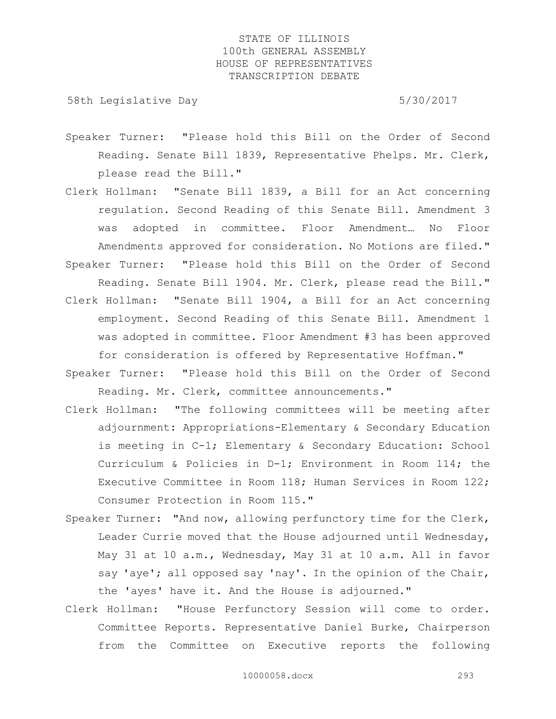58th Legislative Day 5/30/2017

- Speaker Turner: "Please hold this Bill on the Order of Second Reading. Senate Bill 1839, Representative Phelps. Mr. Clerk, please read the Bill."
- Clerk Hollman: "Senate Bill 1839, a Bill for an Act concerning regulation. Second Reading of this Senate Bill. Amendment 3 was adopted in committee. Floor Amendment… No Floor Amendments approved for consideration. No Motions are filed."
- Speaker Turner: "Please hold this Bill on the Order of Second Reading. Senate Bill 1904. Mr. Clerk, please read the Bill."
- Clerk Hollman: "Senate Bill 1904, a Bill for an Act concerning employment. Second Reading of this Senate Bill. Amendment 1 was adopted in committee. Floor Amendment #3 has been approved for consideration is offered by Representative Hoffman."
- Speaker Turner: "Please hold this Bill on the Order of Second Reading. Mr. Clerk, committee announcements."
- Clerk Hollman: "The following committees will be meeting after adjournment: Appropriations-Elementary & Secondary Education is meeting in C-1; Elementary & Secondary Education: School Curriculum & Policies in D-1; Environment in Room 114; the Executive Committee in Room 118; Human Services in Room 122; Consumer Protection in Room 115."
- Speaker Turner: "And now, allowing perfunctory time for the Clerk, Leader Currie moved that the House adjourned until Wednesday, May 31 at 10 a.m., Wednesday, May 31 at 10 a.m. All in favor say 'aye'; all opposed say 'nay'. In the opinion of the Chair, the 'ayes' have it. And the House is adjourned."
- Clerk Hollman: "House Perfunctory Session will come to order. Committee Reports. Representative Daniel Burke, Chairperson from the Committee on Executive reports the following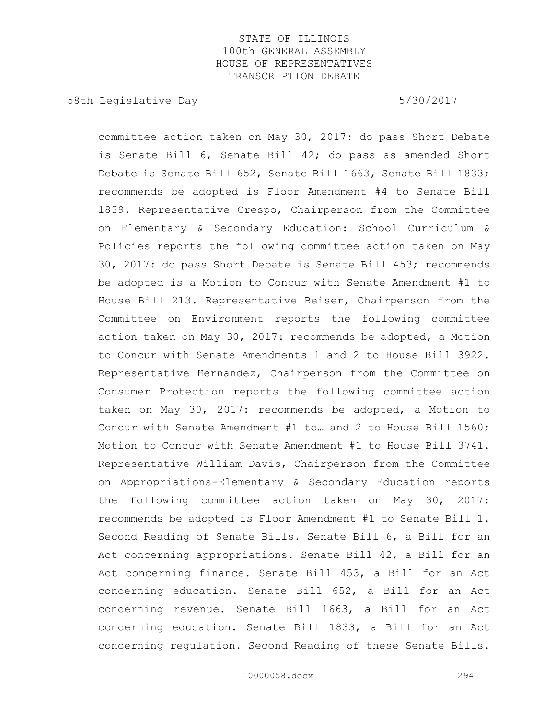58th Legislative Day 5/30/2017

committee action taken on May 30, 2017: do pass Short Debate is Senate Bill 6, Senate Bill 42; do pass as amended Short Debate is Senate Bill 652, Senate Bill 1663, Senate Bill 1833; recommends be adopted is Floor Amendment #4 to Senate Bill 1839. Representative Crespo, Chairperson from the Committee on Elementary & Secondary Education: School Curriculum & Policies reports the following committee action taken on May 30, 2017: do pass Short Debate is Senate Bill 453; recommends be adopted is a Motion to Concur with Senate Amendment #1 to House Bill 213. Representative Beiser, Chairperson from the Committee on Environment reports the following committee action taken on May 30, 2017: recommends be adopted, a Motion to Concur with Senate Amendments 1 and 2 to House Bill 3922. Representative Hernandez, Chairperson from the Committee on Consumer Protection reports the following committee action taken on May 30, 2017: recommends be adopted, a Motion to Concur with Senate Amendment #1 to… and 2 to House Bill 1560; Motion to Concur with Senate Amendment #1 to House Bill 3741. Representative William Davis, Chairperson from the Committee on Appropriations-Elementary & Secondary Education reports the following committee action taken on May 30, 2017: recommends be adopted is Floor Amendment #1 to Senate Bill 1. Second Reading of Senate Bills. Senate Bill 6, a Bill for an Act concerning appropriations. Senate Bill 42, a Bill for an Act concerning finance. Senate Bill 453, a Bill for an Act concerning education. Senate Bill 652, a Bill for an Act concerning revenue. Senate Bill 1663, a Bill for an Act concerning education. Senate Bill 1833, a Bill for an Act concerning regulation. Second Reading of these Senate Bills.

10000058.docx 294